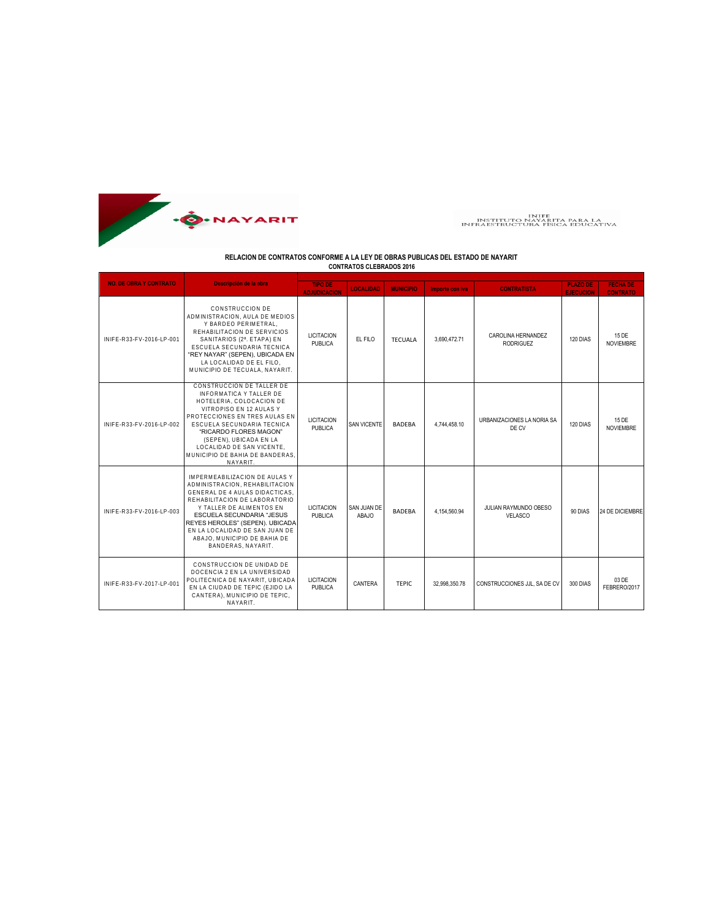

## INIFE<br>INSTITUTO NAYARITA PARA LA<br>INFRAESTRUCTURA FÍSICA EDUCATIVA

## **RELACION DE CONTRATOS CONFORME A LA LEY DE OBRAS PUBLICAS DEL ESTADO DE NAYARIT CONTRATOS CLEBRADOS 2016**

| <b>NO. DE OBRA Y CONTRATO</b> | Descripción de la obra                                                                                                                                                                                                                                                                                                 | <b>TIPO DE</b><br><b>ADJUDICACION</b> | <b>LOCALIDAD</b>     | <b>MUNICIPIO</b> | Importe con iva | <b>CONTRATISTA</b>                      | <b>PLAZO DE</b><br><b>EJECUCION</b> | <b>FECHA DE</b><br><b>CONTRATO</b> |
|-------------------------------|------------------------------------------------------------------------------------------------------------------------------------------------------------------------------------------------------------------------------------------------------------------------------------------------------------------------|---------------------------------------|----------------------|------------------|-----------------|-----------------------------------------|-------------------------------------|------------------------------------|
| INIFE-R33-FV-2016-LP-001      | CONSTRUCCION DE<br>ADMINISTRACION, AULA DE MEDIOS<br>Y BARDEO PERIMETRAL.<br>REHABILITACION DE SERVICIOS<br>SANITARIOS (2 <sup>ª</sup> . ETAPA) EN<br>ESCUELA SECUNDARIA TECNICA<br>"REY NAYAR" (SEPEN), UBICADA EN<br>LA LOCALIDAD DE EL FILO.<br>MUNICIPIO DE TECUALA, NAYARIT.                                      | <b>LICITACION</b><br>PUBLICA          | EL FILO              | <b>TECUALA</b>   | 3,690,472.71    | CAROLINA HERNANDEZ<br><b>RODRIGUEZ</b>  | 120 DIAS                            | 15 DE<br><b>NOVIEMBRE</b>          |
| INIFE-R33-FV-2016-LP-002      | CONSTRUCCION DE TALLER DE<br>INFORMATICA Y TALLER DE<br>HOTELERIA, COLOCACION DE<br>VITROPISO EN 12 AULAS Y<br>PROTECCIONES EN TRES AULAS EN<br>ESCUELA SECUNDARIA TECNICA<br>"RICARDO FLORES MAGON"<br>(SEPEN), UBICADA EN LA<br>LOCALIDAD DE SAN VICENTE.<br>MUNICIPIO DE BAHIA DE BANDERAS.<br>NAYARIT.             | <b>LICITACION</b><br><b>PUBLICA</b>   | <b>SAN VICENTE</b>   | <b>BADEBA</b>    | 4.744.458.10    | URBANIZACIONES LA NORIA SA<br>DE CV     | 120 DIAS                            | 15 DE<br><b>NOVIEMBRE</b>          |
| INIFE-R33-FV-2016-LP-003      | IMPERMEABILIZACION DE AULAS Y<br>ADMINISTRACION. REHABILITACION<br>GENERAL DE 4 AULAS DIDACTICAS.<br>REHABILITACION DE LABORATORIO<br>Y TALLER DE ALIMENTOS EN<br>ESCUELA SECUNDARIA "JESUS<br>REYES HEROLES" (SEPEN). UBICADA<br>EN LA LOCALIDAD DE SAN JUAN DE<br>ABAJO. MUNICIPIO DE BAHIA DE<br>BANDERAS, NAYARIT. | <b>LICITACION</b><br><b>PUBLICA</b>   | SAN JUAN DE<br>ABAJO | <b>BADEBA</b>    | 4.154.560.94    | JULIAN RAYMUNDO OBESO<br><b>VELASCO</b> | 90 DIAS                             | 24 DE DICIEMBRE                    |
| INIFE-R33-FV-2017-LP-001      | CONSTRUCCION DE UNIDAD DE<br>DOCENCIA 2 EN LA UNIVERSIDAD<br>POLITECNICA DE NAYARIT, UBICADA<br>EN LA CIUDAD DE TEPIC (EJIDO LA<br>CANTERA), MUNICIPIO DE TEPIC,<br>NAYARIT.                                                                                                                                           | <b>LICITACION</b><br><b>PUBLICA</b>   | CANTERA              | <b>TEPIC</b>     | 32.998.350.78   | CONSTRUCCIONES JJL, SA DE CV            | 300 DIAS                            | 03 DE<br>FEBRERO/2017              |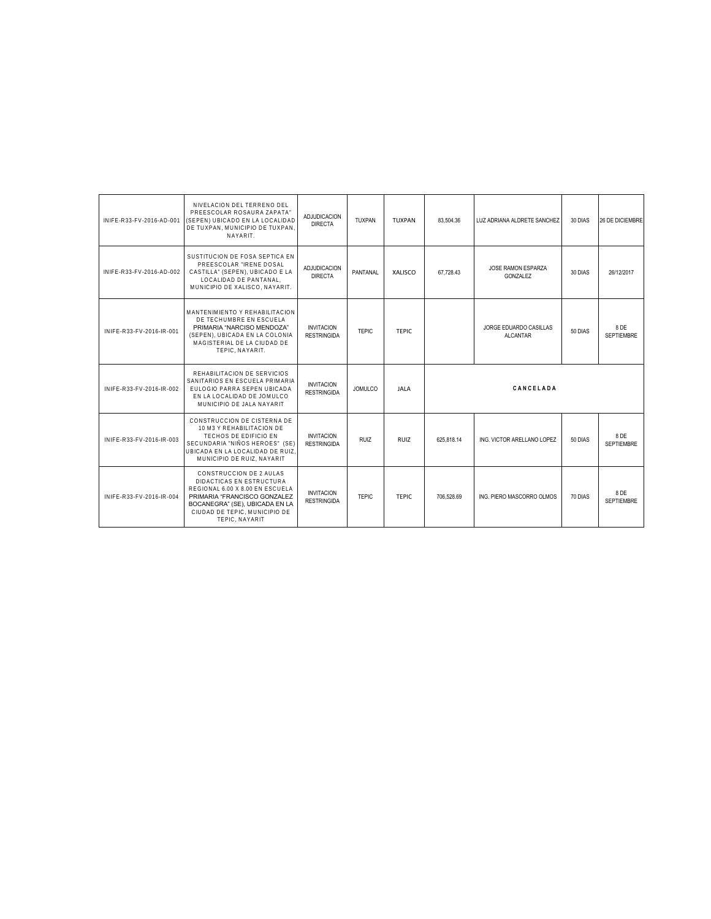| INIFE-R33-FV-2016-AD-001 | NIVELACION DEL TERRENO DEL<br>PREESCOLAR ROSAURA ZAPATA"<br>(SEPEN) UBICADO EN LA LOCALIDAD<br>DE TUXPAN, MUNICIPIO DE TUXPAN.<br>NAYARIT.                                                                  | <b>ADJUDICACION</b><br><b>DIRECTA</b>   | TUXPAN         | TUXPAN         | 83.504.36  | LUZ ADRIANA ALDRETE SANCHEZ        | 30 DIAS | <b>26 DE DICIEMBRE</b>    |
|--------------------------|-------------------------------------------------------------------------------------------------------------------------------------------------------------------------------------------------------------|-----------------------------------------|----------------|----------------|------------|------------------------------------|---------|---------------------------|
| INIFF-R33-FV-2016-AD-002 | SUSTITUCION DE FOSA SEPTICA EN<br>PREESCOLAR "IRENE DOSAL<br>CASTILLA" (SEPEN), UBICADO E LA<br>LOCALIDAD DE PANTANAL.<br>MUNICIPIO DE XALISCO, NAYARIT.                                                    | <b>ADJUDICACION</b><br><b>DIRECTA</b>   | PANTANAL       | <b>XALISCO</b> | 67.728.43  | JOSE RAMON ESPARZA<br>GONZALEZ     | 30 DIAS | 26/12/2017                |
| INIFE-R33-FV-2016-IR-001 | MANTENIMIENTO Y REHABILITACION<br>DE TECHUMBRE EN ESCUELA<br>PRIMARIA "NARCISO MENDOZA"<br>(SEPEN), UBICADA EN LA COLONIA<br>MAGISTERIAL DE LA CIUDAD DE<br>TEPIC. NAYARIT.                                 | <b>INVITACION</b><br><b>RESTRINGIDA</b> | <b>TEPIC</b>   | <b>TEPIC</b>   |            | JORGE EDUARDO CASILLAS<br>ALCANTAR | 50 DIAS | 8 DE<br>SEPTIEMBRE        |
| INIFE-R33-FV-2016-IR-002 | REHABILITACION DE SERVICIOS<br>SANITARIOS EN ESCUELA PRIMARIA<br>EULOGIO PARRA SEPEN UBICADA<br>EN LA LOCALIDAD DE JOMULCO<br>MUNICIPIO DE JALA NAYARIT                                                     | <b>INVITACION</b><br><b>RESTRINGIDA</b> | <b>JOMULCO</b> | <b>JALA</b>    |            | CANCELADA                          |         |                           |
| INIFE-R33-FV-2016-IR-003 | CONSTRUCCION DE CISTERNA DE<br>10 M3 Y REHABILITACION DE<br>TECHOS DE EDIFICIO EN<br>SECUNDARIA "NIÑOS HEROES" (SE)<br>UBICADA EN LA LOCALIDAD DE RUIZ.<br>MUNICIPIO DE RUIZ, NAYARIT                       | <b>INVITACION</b><br><b>RESTRINGIDA</b> | <b>RUIZ</b>    | <b>RUIZ</b>    | 625.818.14 | ING. VICTOR ARELLANO LOPEZ         | 50 DIAS | 8 DE<br><b>SEPTIEMBRE</b> |
| INIFE-R33-FV-2016-IR-004 | CONSTRUCCION DE 2 AULAS<br>DIDACTICAS EN ESTRUCTURA<br>REGIONAL 6.00 X 8.00 EN ESCUELA<br>PRIMARIA "FRANCISCO GONZALEZ<br>BOCANEGRA" (SE), UBICADA EN LA<br>CIUDAD DE TEPIC. MUNICIPIO DE<br>TEPIC. NAYARIT | <b>INVITACION</b><br><b>RESTRINGIDA</b> | <b>TEPIC</b>   | TFPIC.         | 706.528.69 | ING. PIERO MASCORRO OLMOS          | 70 DIAS | 8 DE<br><b>SEPTIEMBRE</b> |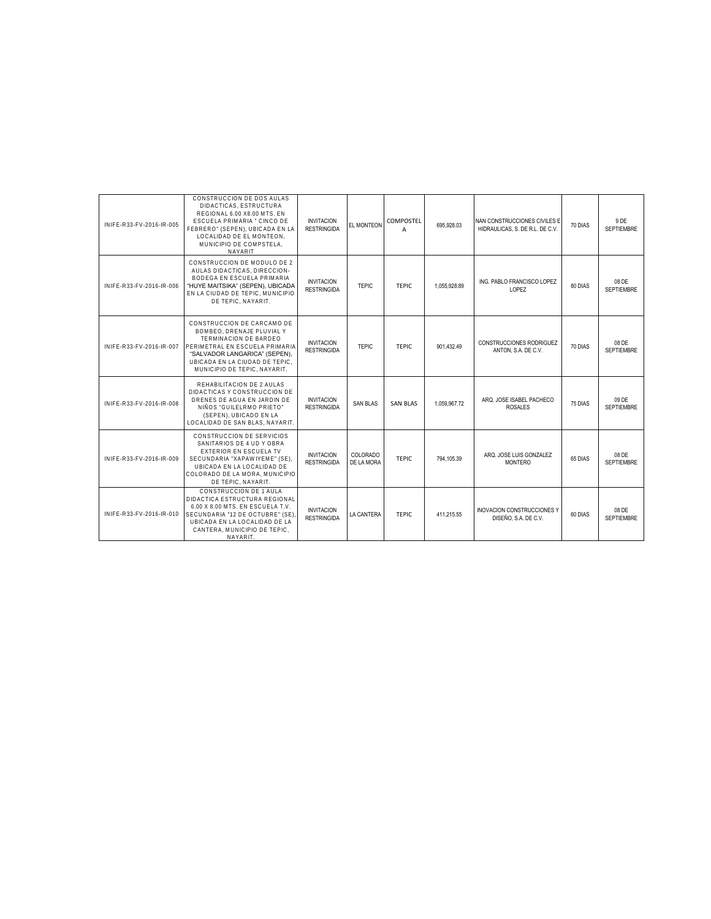| INIFE-R33-FV-2016-IR-005 | CONSTRUCCION DE DOS AULAS<br>DIDACTICAS, ESTRUCTURA<br>REGIONAL 6.00 X8.00 MTS. EN<br><b>ESCUELA PRIMARIA " CINCO DE</b><br>FEBRERO" (SEPEN), UBICADA EN LA<br>LOCALIDAD DE EL MONTEON.<br>MUNICIPIO DE COMPSTELA.<br><b>NAYARIT</b> | <b>INVITACION</b><br><b>RESTRINGIDA</b> | EL MONTEON             | <b>COMPOSTEL</b><br>A | 695,928.03   | NAN CONSTRUCCIONES CIVILES E<br>HIDRAULICAS, S. DE R.L. DE C.V. | 70 DIAS | 9 DE<br><b>SEPTIEMBRE</b>  |
|--------------------------|--------------------------------------------------------------------------------------------------------------------------------------------------------------------------------------------------------------------------------------|-----------------------------------------|------------------------|-----------------------|--------------|-----------------------------------------------------------------|---------|----------------------------|
| INIFE-R33-FV-2016-IR-006 | CONSTRUCCION DE MODULO DE 2<br>AULAS DIDACTICAS, DIRECCION-<br>BODEGA EN ESCUELA PRIMARIA<br>"HUYE MAITSIKA" (SEPEN), UBICADA<br>EN LA CIUDAD DE TEPIC. MUNICIPIO<br>DE TEPIC. NAYARIT.                                              | <b>INVITACION</b><br><b>RESTRINGIDA</b> | <b>TEPIC</b>           | TFPIC.                | 1.055.928.89 | ING. PABLO FRANCISCO LOPEZ<br>LOPEZ                             | 80 DIAS | 08 DE<br><b>SEPTIEMBRE</b> |
| INIFE-R33-FV-2016-IR-007 | CONSTRUCCION DE CARCAMO DE<br>BOMBEO, DRENAJE PLUVIAL Y<br>TERMINACION DE BARDEO<br>PERIMETRAL EN ESCUELA PRIMARIA<br>"SALVADOR LANGARICA" (SEPEN).<br>UBICADA EN LA CIUDAD DE TEPIC.<br>MUNICIPIO DE TEPIC. NAYARIT.                | <b>INVITACION</b><br><b>RESTRINGIDA</b> | <b>TEPIC</b>           | <b>TEPIC</b>          | 901.432.49   | CONSTRUCCIONES RODRIGUEZ<br>ANTON, S.A. DE C.V.                 | 70 DIAS | 08 DE<br><b>SEPTIEMBRE</b> |
| INIFE-R33-FV-2016-IR-008 | REHABILITACION DE 2 AULAS<br>DIDACTICAS Y CONSTRUCCION DE<br>DRENES DE AGUA EN JARDIN DE<br>NIÑOS "GUILELRMO PRIETO"<br>(SEPEN), UBICADO EN LA<br>LOCALIDAD DE SAN BLAS, NAYARIT.                                                    | <b>INVITACION</b><br><b>RESTRINGIDA</b> | <b>SAN BLAS</b>        | <b>SAN BLAS</b>       | 1.059.967.72 | ARQ. JOSE ISABEL PACHECO<br><b>ROSALES</b>                      | 75 DIAS | 09 DE<br><b>SEPTIEMBRE</b> |
| INIFE-R33-FV-2016-IR-009 | CONSTRUCCION DE SERVICIOS<br>SANITARIOS DE 4 UD Y OBRA<br><b>EXTERIOR EN ESCUELA TV</b><br>SECUNDARIA "XAPAWIYEME" (SE).<br>UBICADA EN LA LOCALIDAD DE<br>COLORADO DE LA MORA. MUNICIPIO<br>DE TEPIC, NAYARIT.                       | <b>INVITACION</b><br><b>RESTRINGIDA</b> | COLORADO<br>DE LA MORA | TFPIC.                | 794.105.39   | ARQ. JOSE LUIS GONZALEZ<br><b>MONTERO</b>                       | 65 DIAS | 08 DE<br><b>SEPTIEMBRE</b> |
| INIFE-R33-FV-2016-IR-010 | CONSTRUCCION DE 1 AULA<br>DIDACTICA ESTRUCTURA REGIONAL<br>6.00 X 8.00 MTS. EN ESCUELA T.V.<br>SECUNDARIA "12 DE OCTUBRE" (SE)<br>UBICADA EN LA LOCALIDAD DE LA<br>CANTERA, MUNICIPIO DE TEPIC.<br>NAYARIT.                          | <b>INVITACION</b><br><b>RESTRINGIDA</b> | <b>LA CANTERA</b>      | TFPIC                 | 411.215.55   | <b>INOVACION CONSTRUCCIONES Y</b><br>DISEÑO, S.A. DE C.V.       | 60 DIAS | 08 DE<br><b>SEPTIEMBRE</b> |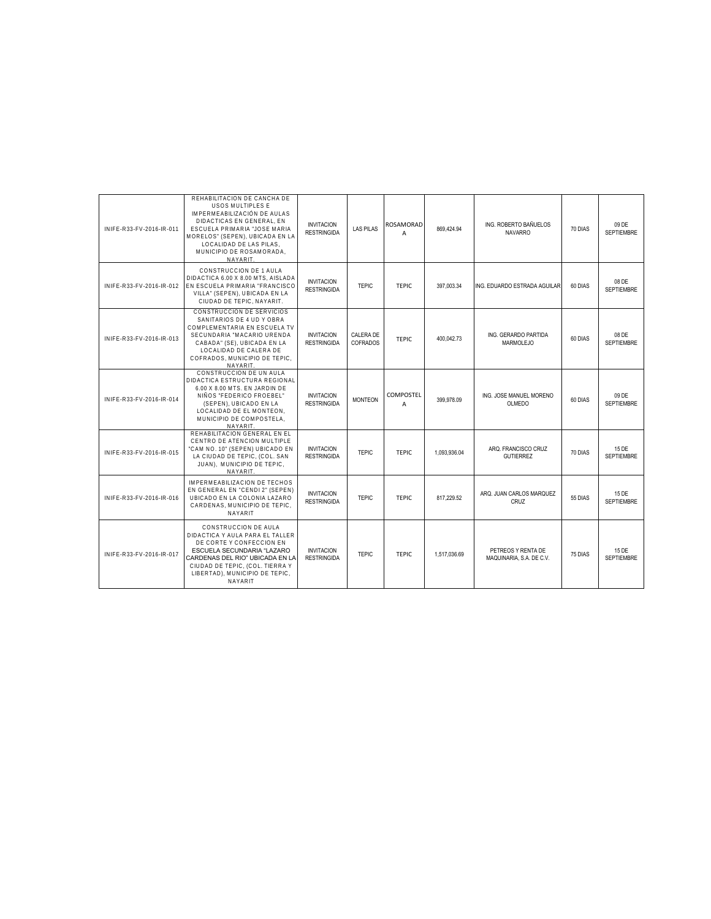| INIFE-R33-FV-2016-IR-011 | REHABILITACION DE CANCHA DE<br><b>USOS MULTIPLES E</b><br>IMPERMEABILIZACIÓN DE AULAS<br>DIDACTICAS EN GENERAL. EN<br>ESCUELA PRIMARIA "JOSE MARIA<br>MORELOS" (SEPEN), UBICADA EN LA<br>LOCALIDAD DE LAS PILAS.<br>MUNICIPIO DE ROSAMORADA.<br>NAYARIT. | <b>INVITACION</b><br><b>RESTRINGIDA</b> | <b>LAS PILAS</b>      | ROSAMORAD<br>A                     | 869,424.94   | ING. ROBERTO BAÑUELOS<br><b>NAVARRO</b>        | 70 DIAS | 09 DE<br><b>SEPTIEMBRE</b> |
|--------------------------|----------------------------------------------------------------------------------------------------------------------------------------------------------------------------------------------------------------------------------------------------------|-----------------------------------------|-----------------------|------------------------------------|--------------|------------------------------------------------|---------|----------------------------|
| INIFE-R33-FV-2016-IR-012 | CONSTRUCCION DE 1 AULA<br>DIDACTICA 6.00 X 8.00 MTS. AISLADA<br>EN ESCUELA PRIMARIA "FRANCISCO<br>VILLA" (SEPEN), UBICADA EN LA<br>CIUDAD DE TEPIC. NAYARIT.                                                                                             | <b>INVITACION</b><br><b>RESTRINGIDA</b> | <b>TEPIC</b>          | TFPIC                              | 397.003.34   | ING. EDUARDO ESTRADA AGUILAR                   | 60 DIAS | 08 DE<br><b>SEPTIEMBRE</b> |
| INIFE-R33-FV-2016-IR-013 | CONSTRUCCION DE SERVICIOS<br>SANITARIOS DE 4 UD Y OBRA<br>COMPLEMENTARIA EN ESCUELA TV<br>SECUNDARIA "MACARIO URENDA<br>CABADA" (SE), UBICADA EN LA<br>LOCALIDAD DE CALERA DE<br>COFRADOS, MUNICIPIO DE TEPIC.<br>NAYARIT.                               | <b>INVITACION</b><br><b>RESTRINGIDA</b> | CALERA DE<br>COFRADOS | TFPIC.                             | 400,042.73   | ING. GERARDO PARTIDA<br>MARMOLEJO              | 60 DIAS | 08 DE<br><b>SEPTIEMBRE</b> |
| INIFE-R33-FV-2016-IR-014 | CONSTRUCCION DE UN AULA<br>DIDACTICA ESTRUCTURA REGIONAL<br>6.00 X 8.00 MTS. EN JARDIN DE<br>NIÑOS "FEDERICO FROEBEL"<br>(SEPEN), UBICADO EN LA<br>LOCALIDAD DE EL MONTEON.<br>MUNICIPIO DE COMPOSTELA.<br>NAYARIT.                                      | <b>INVITACION</b><br><b>RESTRINGIDA</b> | <b>MONTEON</b>        | <b>COMPOSTEL</b><br>$\overline{A}$ | 399,978.09   | ING. JOSE MANUEL MORENO<br>OLMEDO              | 60 DIAS | 09 DE<br><b>SEPTIEMBRE</b> |
| INIFE-R33-FV-2016-IR-015 | REHABILITACION GENERAL EN EL<br>CENTRO DE ATENCION MULTIPLE<br>"CAM NO. 10" (SEPEN) UBICADO EN<br>LA CIUDAD DE TEPIC, (COL. SAN<br>JUAN). MUNICIPIO DE TEPIC.<br>NAYARIT.                                                                                | <b>INVITACION</b><br><b>RESTRINGIDA</b> | <b>TEPIC</b>          | <b>TEPIC</b>                       | 1,093,936.04 | ARQ. FRANCISCO CRUZ<br><b>GUTIERREZ</b>        | 70 DIAS | 15 DE<br><b>SEPTIEMBRE</b> |
| INIFE-R33-FV-2016-IR-016 | IMPERMEABILIZACION DE TECHOS<br>EN GENERAL EN "CENDI 2" (SEPEN)<br>UBICADO EN LA COLONIA LAZARO<br>CARDENAS, MUNICIPIO DE TEPIC,<br><b>NAYARIT</b>                                                                                                       | <b>INVITACION</b><br><b>RESTRINGIDA</b> | <b>TEPIC</b>          | <b>TEPIC</b>                       | 817.229.52   | ARQ. JUAN CARLOS MARQUEZ<br>CRUZ               | 55 DIAS | 15 DE<br><b>SEPTIEMBRE</b> |
| INIFE-R33-FV-2016-IR-017 | CONSTRUCCION DE AULA<br>DIDACTICA Y AULA PARA EL TALLER<br>DE CORTE Y CONFECCION EN<br>ESCUELA SECUNDARIA "LAZARO<br>CARDENAS DEL RIO" UBICADA EN LA<br>CIUDAD DE TEPIC, (COL. TIERRA Y<br>LIBERTAD), MUNICIPIO DE TEPIC,<br><b>NAYARIT</b>              | <b>INVITACION</b><br><b>RESTRINGIDA</b> | <b>TEPIC</b>          | <b>TEPIC</b>                       | 1.517.036.69 | PETREOS Y RENTA DE<br>MAQUINARIA, S.A. DE C.V. | 75 DIAS | 15 DE<br><b>SEPTIEMBRE</b> |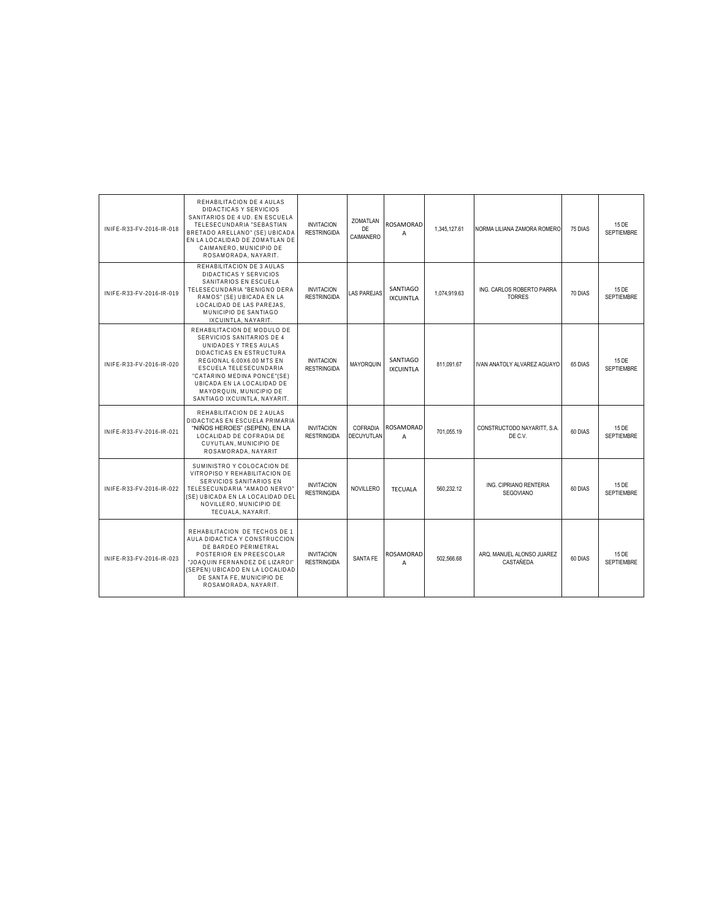| INIFE-R33-FV-2016-IR-018 | REHABILITACION DE 4 AULAS<br>DIDACTICAS Y SERVICIOS<br>SANITARIOS DE 4 UD. EN ESCUELA<br>TELESECUNDARIA "SEBASTIAN<br>BRETADO ARELLANO" (SE) UBICADA<br>EN LA LOCALIDAD DE ZOMATLAN DE<br>CAIMANERO, MUNICIPIO DE<br>ROSAMORADA, NAYARIT.                                                    | <b>INVITACION</b><br><b>RESTRINGIDA</b> | ZOMATLAN<br>DE<br>CAIMANERO   | <b>ROSAMORAD</b><br>A              | 1.345.127.61 | NORMA LILIANA ZAMORA ROMERO                | 75 DIAS | 15 DE<br><b>SEPTIEMBRE</b> |
|--------------------------|----------------------------------------------------------------------------------------------------------------------------------------------------------------------------------------------------------------------------------------------------------------------------------------------|-----------------------------------------|-------------------------------|------------------------------------|--------------|--------------------------------------------|---------|----------------------------|
| INIFE-R33-FV-2016-IR-019 | REHABILITACION DE 3 AULAS<br>DIDACTICAS Y SERVICIOS<br>SANITARIOS EN ESCUELA<br>TELESECUNDARIA "BENIGNO DERA<br>RAMOS" (SE) UBICADA EN LA<br>LOCALIDAD DE LAS PAREJAS.<br>MUNICIPIO DE SANTIAGO<br>IXCUINTLA, NAYARIT,                                                                       | <b>INVITACION</b><br><b>RESTRINGIDA</b> | <b>LAS PAREJAS</b>            | SANTIAGO<br><b>IXCUINTLA</b>       | 1,074,919.63 | ING. CARLOS ROBERTO PARRA<br><b>TORRES</b> | 70 DIAS | 15 DE<br><b>SEPTIEMBRE</b> |
| INIFE-R33-FV-2016-IR-020 | REHABILITACION DE MODULO DE<br>SERVICIOS SANITARIOS DE 4<br>UNIDADES Y TRES AULAS<br>DIDACTICAS EN ESTRUCTURA<br>REGIONAL 6.00X6.00 MTS EN<br>ESCUELA TELESECUNDARIA<br>"CATARINO MEDINA PONCE"(SE)<br>UBICADA EN LA LOCALIDAD DE<br>MAYORQUIN, MUNICIPIO DE<br>SANTIAGO IXCUINTLA, NAYARIT. | <b>INVITACION</b><br><b>RESTRINGIDA</b> | <b>MAYORQUIN</b>              | SANTIAGO<br><b>IXCUINTLA</b>       | 811.091.67   | IVAN ANATOLY ALVAREZ AGUAYO                | 65 DIAS | 15 DE<br><b>SEPTIEMBRE</b> |
| INIFE-R33-FV-2016-IR-021 | REHABILITACION DE 2 AULAS<br>DIDACTICAS EN ESCUELA PRIMARIA<br>"NIÑOS HEROES" (SEPEN), EN LA<br>LOCALIDAD DE COFRADIA DE<br>CUYUTLAN, MUNICIPIO DE<br>ROSAMORADA, NAYARIT                                                                                                                    | <b>INVITACION</b><br><b>RESTRINGIDA</b> | COFRADIA<br><b>DECUYUTLAN</b> | ROSAMORAD<br>A                     | 701,055.19   | CONSTRUCTODO NAYARITT, S.A.<br>DE C.V.     | 60 DIAS | 15 DE<br><b>SEPTIEMBRE</b> |
| INIFE-R33-FV-2016-IR-022 | SUMINISTRO Y COLOCACION DE<br>VITROPISO Y REHABILITACION DE<br>SERVICIOS SANITARIOS EN<br>TELESECUNDARIA "AMADO NERVO"<br>(SE) UBICADA EN LA LOCALIDAD DEL<br>NOVILLERO. MUNICIPIO DE<br>TECUALA, NAYARIT.                                                                                   | <b>INVITACION</b><br><b>RESTRINGIDA</b> | <b>NOVILLERO</b>              | <b>TECUALA</b>                     | 560,232.12   | ING. CIPRIANO RENTERIA<br>SEGOVIANO        | 60 DIAS | 15 DE<br><b>SEPTIEMBRE</b> |
| INIFE-R33-FV-2016-IR-023 | REHABILITACION DE TECHOS DE 1<br>AULA DIDACTICA Y CONSTRUCCION<br>DE BARDEO PERIMETRAL<br>POSTERIOR EN PREESCOLAR<br>"JOAQUIN FERNANDEZ DE LIZARDI"<br>(SEPEN) UBICADO EN LA LOCALIDAD<br>DE SANTA FE, MUNICIPIO DE<br>ROSAMORADA, NAYARIT.                                                  | <b>INVITACION</b><br><b>RESTRINGIDA</b> | <b>SANTA FE</b>               | <b>ROSAMORAD</b><br>$\overline{A}$ | 502.566.68   | ARQ. MANUEL ALONSO JUAREZ<br>CASTAÑEDA     | 60 DIAS | 15 DE<br><b>SEPTIEMBRE</b> |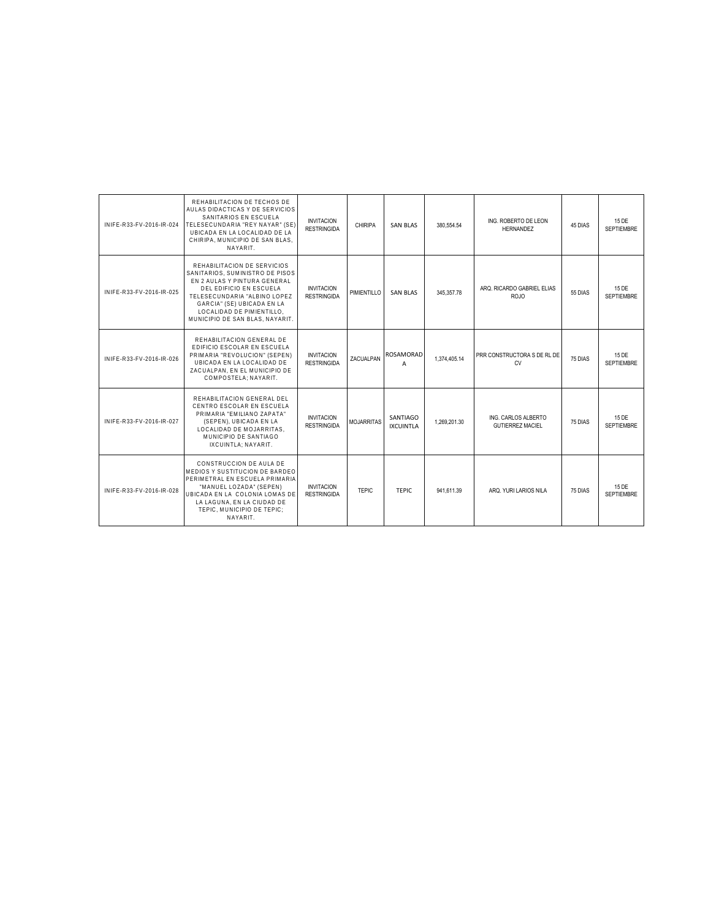| INIFF-R33-FV-2016-IR-024 | REHABILITACION DE TECHOS DE<br>AULAS DIDACTICAS Y DE SERVICIOS<br>SANITARIOS EN ESCUELA<br>TELESECUNDARIA "REY NAYAR" (SE'<br>UBICADA EN LA LOCALIDAD DE LA<br>CHIRIPA, MUNICIPIO DE SAN BLAS.<br>NAYARIT.                                              | <b>INVITACION</b><br><b>RESTRINGIDA</b> | CHIRIPA           | <b>SAN BLAS</b>              | 380.554.54   | ING. ROBERTO DE LEON<br><b>HERNANDEZ</b>       | 45 DIAS | 15 DE<br><b>SEPTIEMBRE</b> |
|--------------------------|---------------------------------------------------------------------------------------------------------------------------------------------------------------------------------------------------------------------------------------------------------|-----------------------------------------|-------------------|------------------------------|--------------|------------------------------------------------|---------|----------------------------|
| INIFF-R33-FV-2016-IR-025 | REHABILITACION DE SERVICIOS<br>SANITARIOS. SUMINISTRO DE PISOS<br>EN 2 AULAS Y PINTURA GENERAL<br>DEL EDIFICIO EN ESCUELA<br>TELESECUNDARIA "ALBINO LOPEZ<br>GARCIA" (SE) UBICADA EN LA<br>LOCALIDAD DE PIMIENTILLO.<br>MUNICIPIO DE SAN BLAS, NAYARIT. | <b>INVITACION</b><br><b>RESTRINGIDA</b> | PIMIENTILLO       | <b>SAN BLAS</b>              | 345.357.78   | ARQ. RICARDO GABRIEL ELIAS<br><b>ROJO</b>      | 55 DIAS | 15 DE<br><b>SEPTIEMBRE</b> |
| INIFE-R33-FV-2016-IR-026 | REHABILITACION GENERAL DE<br>EDIFICIO ESCOLAR EN ESCUELA<br>PRIMARIA "REVOLUCION" (SEPEN)<br>UBICADA EN LA LOCALIDAD DE<br>ZACUALPAN, EN EL MUNICIPIO DE<br>COMPOSTELA: NAYARIT.                                                                        | <b>INVITACION</b><br><b>RESTRINGIDA</b> | ZACUALPAN         | <b>ROSAMORAD</b><br>A        | 1,374,405.14 | PRR CONSTRUCTORA S DE RL DE<br><b>CV</b>       | 75 DIAS | 15 DE<br><b>SEPTIEMBRE</b> |
| INIFE-R33-FV-2016-IR-027 | REHABILITACION GENERAL DEL<br>CENTRO ESCOLAR EN ESCUELA<br>PRIMARIA "FMII IANO ZAPATA"<br>(SEPEN), UBICADA EN LA<br>LOCALIDAD DE MOJARRITAS.<br>MUNICIPIO DE SANTIAGO<br>IXCUINTLA: NAYARIT.                                                            | <b>INVITACION</b><br><b>RESTRINGIDA</b> | <b>MOJARRITAS</b> | SANTIAGO<br><b>IXCUINTLA</b> | 1.269.201.30 | ING. CARLOS ALBERTO<br><b>GUTIERREZ MACIEL</b> | 75 DIAS | 15 DE<br><b>SEPTIEMBRE</b> |
| INIFE-R33-FV-2016-IR-028 | CONSTRUCCION DE AULA DE<br>MEDIOS Y SUSTITUCION DE BARDEO<br>PERIMETRAL EN ESCUELA PRIMARIA<br>"MANUEL LOZADA" (SEPEN)<br>UBICADA EN LA COLONIA LOMAS DE<br>LA LAGUNA, EN LA CIUDAD DE<br>TEPIC. MUNICIPIO DE TEPIC:<br>NAYARIT.                        | <b>INVITACION</b><br><b>RESTRINGIDA</b> | <b>TEPIC</b>      | <b>TEPIC</b>                 | 941,611.39   | ARQ. YURI LARIOS NILA                          | 75 DIAS | 15 DE<br><b>SEPTIEMBRE</b> |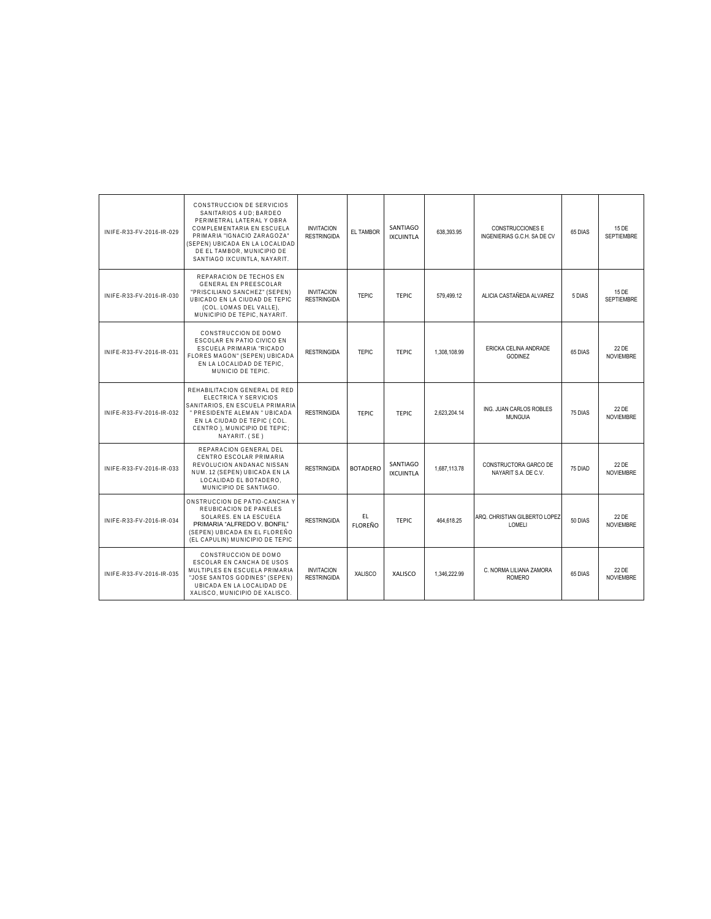| INIFE-R33-FV-2016-IR-029 | CONSTRUCCION DE SERVICIOS<br>SANITARIOS 4 UD: BARDEO<br>PERIMETRAL LATERAL Y OBRA<br>COMPLEMENTARIA EN ESCUELA<br>PRIMARIA "IGNACIO ZARAGOZA"<br>(SEPEN) UBICADA EN LA LOCALIDAD<br>DE EL TAMBOR. MUNICIPIO DE<br>SANTIAGO IXCUINTLA, NAYARIT. | <b>INVITACION</b><br><b>RESTRINGIDA</b> | EL TAMBOR            | SANTIAGO<br><b>IXCUINTLA</b> | 638.393.95   | CONSTRUCCIONES E<br>INGENIERIAS G.C.H. SA DE CV | 65 DIAS | 15 DE<br><b>SEPTIEMBRE</b> |
|--------------------------|------------------------------------------------------------------------------------------------------------------------------------------------------------------------------------------------------------------------------------------------|-----------------------------------------|----------------------|------------------------------|--------------|-------------------------------------------------|---------|----------------------------|
| INIFE-R33-FV-2016-IR-030 | REPARACION DE TECHOS EN<br><b>GENERAL EN PREESCOLAR</b><br>"PRISCILIANO SANCHEZ" (SEPEN)<br>UBICADO EN LA CIUDAD DE TEPIC<br>(COL. LOMAS DEL VALLE).<br>MUNICIPIO DE TEPIC. NAYARIT.                                                           | <b>INVITACION</b><br><b>RESTRINGIDA</b> | <b>TEPIC</b>         | <b>TEPIC</b>                 | 579.499.12   | ALICIA CASTAÑEDA ALVAREZ                        | 5 DIAS  | 15 DE<br><b>SEPTIEMBRE</b> |
| INIFE-R33-FV-2016-IR-031 | CONSTRUCCION DE DOMO<br><b>FSCOLAR EN PATIO CIVICO EN</b><br>ESCUELA PRIMARIA "RICADO<br>FLORES MAGON" (SEPEN) UBICADA<br>EN LA LOCALIDAD DE TEPIC.<br>MUNICIO DE TEPIC.                                                                       | <b>RESTRINGIDA</b>                      | <b>TEPIC</b>         | <b>TEPIC</b>                 | 1,308,108.99 | ERICKA CELINA ANDRADE<br><b>GODINEZ</b>         | 65 DIAS | 22 DE<br><b>NOVIEMBRE</b>  |
| INIFE-R33-FV-2016-IR-032 | REHABILITACION GENERAL DE RED<br>ELECTRICA Y SERVICIOS<br>SANITARIOS, EN ESCUELA PRIMARIA<br>" PRESIDENTE ALEMAN " UBICADA<br>EN LA CIUDAD DE TEPIC (COL.<br>CENTRO), MUNICIPIO DE TEPIC;<br>NAYARIT. (SE)                                     | <b>RESTRINGIDA</b>                      | <b>TEPIC</b>         | <b>TEPIC</b>                 | 2.623.204.14 | ING. JUAN CARLOS ROBLES<br><b>MUNGUIA</b>       | 75 DIAS | 22 DE<br><b>NOVIEMBRE</b>  |
| INIFE-R33-FV-2016-IR-033 | REPARACION GENERAL DEL<br>CENTRO ESCOLAR PRIMARIA<br>REVOLUCION ANDANAC NISSAN<br>NUM. 12 (SEPEN) UBICADA EN LA<br>LOCALIDAD EL BOTADERO.<br>MUNICIPIO DE SANTIAGO.                                                                            | <b>RESTRINGIDA</b>                      | <b>BOTADERO</b>      | SANTIAGO<br><b>IXCUINTLA</b> | 1,687,113.78 | CONSTRUCTORA GARCO DE<br>NAYARIT S.A. DE C.V.   | 75 DIAD | 22 DE<br><b>NOVIEMBRE</b>  |
| INIFE-R33-FV-2016-IR-034 | ONSTRUCCION DE PATIO-CANCHA Y<br>REUBICACION DE PANELES<br>SOLARES. EN LA ESCUELA<br>PRIMARIA "ALFREDO V. BONFIL"<br>(SEPEN) UBICADA EN EL FLOREÑO<br>(EL CAPULIN) MUNICIPIO DE TEPIC                                                          | <b>RESTRINGIDA</b>                      | EL<br><b>FLORFÑO</b> | TFPIC                        | 464.618.25   | ARQ. CHRISTIAN GILBERTO LOPEZ<br>LOMELI         | 50 DIAS | 22 DE<br><b>NOVIEMBRE</b>  |
| INIFE-R33-FV-2016-IR-035 | CONSTRUCCION DE DOMO<br>ESCOLAR EN CANCHA DE USOS<br>MULTIPLES EN ESCUELA PRIMARIA<br>"JOSE SANTOS GODINES" (SEPEN)<br>UBICADA EN LA LOCALIDAD DE<br>XALISCO, MUNICIPIO DE XALISCO.                                                            | <b>INVITACION</b><br><b>RESTRINGIDA</b> | <b>XALISCO</b>       | <b>XALISCO</b>               | 1.346.222.99 | C. NORMA LILIANA ZAMORA<br><b>ROMERO</b>        | 65 DIAS | 22 DE<br><b>NOVIEMBRE</b>  |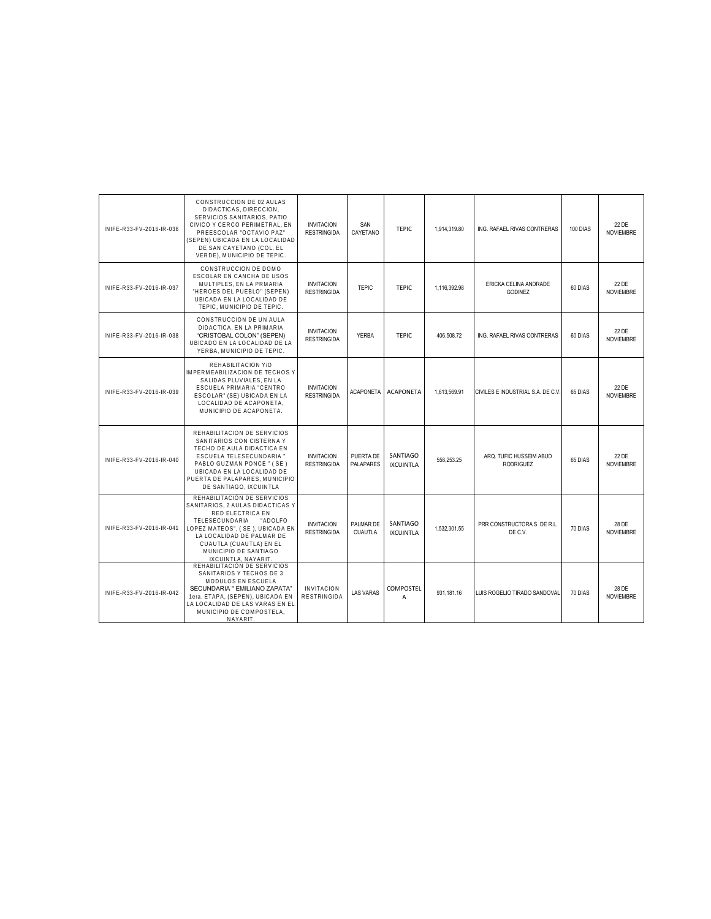| INIFE-R33-FV-2016-IR-036 | CONSTRUCCION DE 02 AULAS<br>DIDACTICAS, DIRECCION.<br>SERVICIOS SANITARIOS, PATIO<br>CIVICO Y CERCO PERIMETRAL. EN<br>PREESCOLAR "OCTAVIO PAZ"<br>(SEPEN) UBICADA EN LA LOCALIDAD<br>DE SAN CAYETANO (COL. EL<br>VERDE), MUNICIPIO DE TEPIC.                  | <b>INVITACION</b><br><b>RESTRINGIDA</b> | SAN<br>CAYETANO             | <b>TEPIC</b>                 | 1.914.319.80 | ING. RAFAEL RIVAS CONTRERAS                 | 100 DIAS | 22 DE<br><b>NOVIEMBRE</b> |
|--------------------------|---------------------------------------------------------------------------------------------------------------------------------------------------------------------------------------------------------------------------------------------------------------|-----------------------------------------|-----------------------------|------------------------------|--------------|---------------------------------------------|----------|---------------------------|
| INIFE-R33-FV-2016-IR-037 | CONSTRUCCION DE DOMO<br>ESCOLAR EN CANCHA DE USOS<br>MULTIPLES, EN LA PRMARIA<br>"HEROES DEL PUEBLO" (SEPEN)<br>UBICADA EN LA LOCALIDAD DE<br>TEPIC, MUNICIPIO DE TEPIC.                                                                                      | <b>INVITACION</b><br><b>RESTRINGIDA</b> | <b>TEPIC</b>                | <b>TEPIC</b>                 | 1,116,392.98 | ERICKA CELINA ANDRADE<br><b>GODINEZ</b>     | 60 DIAS  | 22 DE<br><b>NOVIEMBRE</b> |
| INIFE-R33-FV-2016-IR-038 | CONSTRUCCION DE UN AULA<br>DIDACTICA, EN LA PRIMARIA<br>"CRISTOBAL COLON" (SEPEN)<br>UBICADO EN LA LOCALIDAD DE LA<br>YERBA, MUNICIPIO DE TEPIC.                                                                                                              | <b>INVITACION</b><br><b>RESTRINGIDA</b> | <b>YERBA</b>                | TFPIC.                       | 406.508.72   | ING. RAFAEL RIVAS CONTRERAS                 | 60 DIAS  | 22 DE<br><b>NOVIEMBRE</b> |
| INIFE-R33-FV-2016-IR-039 | REHABILITACION Y/O<br><b>IMPERMEABILIZACION DE TECHOS Y</b><br>SALIDAS PLUVIALES, EN LA<br>ESCUELA PRIMARIA "CENTRO<br>ESCOLAR" (SE) UBICADA EN LA<br>LOCALIDAD DE ACAPONETA.<br>MUNICIPIO DE ACAPONETA.                                                      | <b>INVITACION</b><br><b>RESTRINGIDA</b> | <b>ACAPONETA</b>            | <b>ACAPONETA</b>             | 1,613,569.91 | CIVILES E INDUSTRIAL S.A. DE C.V.           | 65 DIAS  | 22 DE<br><b>NOVIEMBRE</b> |
| INIFE-R33-FV-2016-IR-040 | REHABILITACION DE SERVICIOS<br>SANITARIOS CON CISTERNA Y<br>TECHO DE AULA DIDACTICA EN<br>ESCUELA TELESECUNDARIA "<br>PABLO GUZMAN PONCE " (SE)<br>UBICADA EN LA LOCALIDAD DE<br>PUERTA DE PALAPARES, MUNICIPIO<br>DE SANTIAGO, IXCUINTLA                     | <b>INVITACION</b><br><b>RESTRINGIDA</b> | PUERTA DE<br>PALAPARES      | SANTIAGO<br><b>IXCUINTLA</b> | 558,253.25   | ARQ. TUFIC HUSSEIM ABUD<br><b>RODRIGUEZ</b> | 65 DIAS  | 22 DE<br><b>NOVIEMBRE</b> |
| INIFE-R33-FV-2016-IR-041 | REHABILITACIÓN DE SERVICIOS<br>SANITARIOS, 2 AULAS DIDACTICAS Y<br>RED ELECTRICA EN<br>TELESECUNDARIA<br>"ADOLFO<br>LOPEZ MATEOS", ( SE ), UBICADA EN<br>LA LOCALIDAD DE PALMAR DE<br>CUAUTLA (CUAUTLA) EN EL<br>MUNICIPIO DE SANTIAGO<br>IXCUINTLA, NAYARIT. | <b>INVITACION</b><br><b>RESTRINGIDA</b> | PALMAR DE<br><b>CUAUTLA</b> | SANTIAGO<br><b>IXCUINTLA</b> | 1.532.301.55 | PRR CONSTRUCTORA S. DE R.L.<br>DE C.V.      | 70 DIAS  | 28 DE<br><b>NOVIEMBRE</b> |
| INIFE-R33-FV-2016-IR-042 | REHABILITACIÓN DE SERVICIOS<br>SANITARIOS Y TECHOS DE 3<br>MODULOS EN ESCUELA<br>SECUNDARIA " EMILIANO ZAPATA"<br>1era. ETAPA, (SEPEN), UBICADA EN<br>LA LOCALIDAD DE LAS VARAS EN EL<br>MUNICIPIO DE COMPOSTELA.<br>NAYARIT.                                 | <b>INVITACION</b><br><b>RESTRINGIDA</b> | <b>LAS VARAS</b>            | <b>COMPOSTEL</b><br>A        | 931.181.16   | LUIS ROGELIO TIRADO SANDOVAL                | 70 DIAS  | 28 DE<br><b>NOVIEMBRE</b> |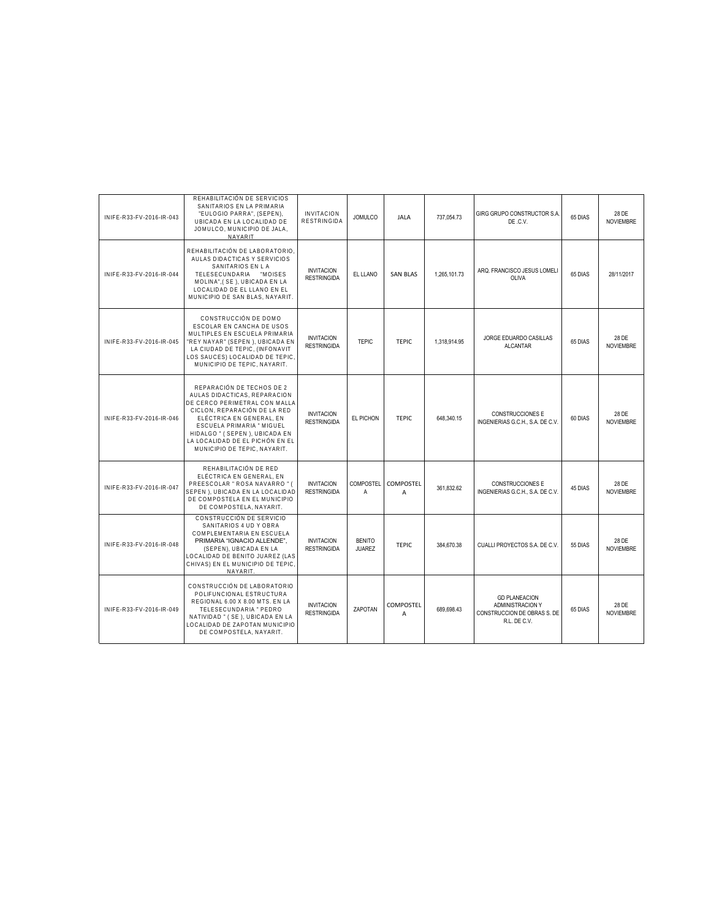| INIFE-R33-FV-2016-IR-043 | REHABILITACIÓN DE SERVICIOS<br>SANITARIOS EN LA PRIMARIA<br>"EULOGIO PARRA", (SEPEN),<br>UBICADA EN LA LOCALIDAD DE<br>JOMULCO, MUNICIPIO DE JALA,<br><b>NAYARIT</b>                                                                                                                    | <b>INVITACION</b><br><b>RESTRINGIDA</b> | <b>JOMULCO</b>                 | <b>JALA</b>           | 737.054.73   | GIRG GRUPO CONSTRUCTOR S.A.<br>DE .C.V.                                                 | 65 DIAS | 28 DE<br><b>NOVIEMBRE</b> |
|--------------------------|-----------------------------------------------------------------------------------------------------------------------------------------------------------------------------------------------------------------------------------------------------------------------------------------|-----------------------------------------|--------------------------------|-----------------------|--------------|-----------------------------------------------------------------------------------------|---------|---------------------------|
| INIFE-R33-FV-2016-IR-044 | REHABILITACIÓN DE LABORATORIO.<br>AULAS DIDACTICAS Y SERVICIOS<br>SANITARIOS EN LA<br>TELESECUNDARIA "MOISES<br>MOLINA", (SE), UBICADA EN LA<br>LOCALIDAD DE EL LLANO EN EL<br>MUNICIPIO DE SAN BLAS, NAYARIT.                                                                          | <b>INVITACION</b><br><b>RESTRINGIDA</b> | EL LLANO                       | <b>SAN BLAS</b>       | 1,265,101.73 | ARQ. FRANCISCO JESUS LOMELI<br>OLIVA                                                    | 65 DIAS | 28/11/2017                |
| INIFE-R33-FV-2016-IR-045 | CONSTRUCCIÓN DE DOMO<br>ESCOLAR EN CANCHA DE USOS<br>MULTIPLES EN ESCUELA PRIMARIA<br>"REY NAYAR" (SEPEN ), UBICADA EN<br>LA CIUDAD DE TEPIC, (INFONAVIT<br>LOS SAUCES) LOCALIDAD DE TEPIC,<br>MUNICIPIO DE TEPIC, NAYARIT.                                                             | <b>INVITACION</b><br><b>RESTRINGIDA</b> | <b>TEPIC</b>                   | <b>TEPIC</b>          | 1.318.914.95 | JORGE EDUARDO CASILLAS<br><b>ALCANTAR</b>                                               | 65 DIAS | 28 DE<br><b>NOVIEMBRE</b> |
| INIFE-R33-FV-2016-IR-046 | REPARACIÓN DE TECHOS DE 2<br>AULAS DIDACTICAS, REPARACION<br>DE CERCO PERIMETRAL CON MALLA<br>CICLON, REPARACIÓN DE LA RED<br>ELÉCTRICA EN GENERAL, EN<br>ESCUELA PRIMARIA " MIGUEL<br>HIDALGO " (SEPEN), UBICADA EN<br>LA LOCALIDAD DE EL PICHÓN EN EL<br>MUNICIPIO DE TEPIC. NAYARIT. | <b>INVITACION</b><br><b>RESTRINGIDA</b> | EL PICHON                      | <b>TEPIC</b>          | 648,340.15   | <b>CONSTRUCCIONES E</b><br>INGENIERIAS G.C.H., S.A. DE C.V.                             | 60 DIAS | 28 DE<br><b>NOVIEMBRE</b> |
| INIFE-R33-FV-2016-IR-047 | REHABILITACIÓN DE RED<br>ELÉCTRICA EN GENERAL, EN<br>PREESCOLAR " ROSA NAVARRO " (<br>SEPEN ), UBICADA EN LA LOCALIDAD<br>DE COMPOSTELA EN EL MUNICIPIO<br>DE COMPOSTELA, NAYARIT.                                                                                                      | <b>INVITACION</b><br><b>RESTRINGIDA</b> | <b>COMPOSTEL</b><br>Α          | COMPOSTEL<br>A        | 361.832.62   | <b>CONSTRUCCIONES E</b><br>INGENIERIAS G.C.H., S.A. DE C.V.                             | 45 DIAS | 28 DE<br><b>NOVIEMBRE</b> |
| INIFE-R33-FV-2016-IR-048 | CONSTRUCCIÓN DE SERVICIO<br>SANITARIOS 4 UD Y OBRA<br>COMPLEMENTARIA EN ESCUELA<br>PRIMARIA "IGNACIO ALLENDE".<br>(SEPEN), UBICADA EN LA<br>LOCALIDAD DE BENITO JUAREZ (LAS<br>CHIVAS) EN EL MUNICIPIO DE TEPIC.<br>NAYARIT.                                                            | <b>INVITACION</b><br><b>RESTRINGIDA</b> | <b>BENITO</b><br><b>JUAREZ</b> | <b>TEPIC</b>          | 384.670.38   | CUALLI PROYECTOS S.A. DE C.V.                                                           | 55 DIAS | 28 DE<br><b>NOVIEMBRE</b> |
| INIFE-R33-FV-2016-IR-049 | CONSTRUCCIÓN DE LABORATORIO<br>POLIFUNCIONAL ESTRUCTURA<br>REGIONAL 6.00 X 8.00 MTS. EN LA<br>TELESECUNDARIA " PEDRO<br>NATIVIDAD " (SE), UBICADA EN LA<br>LOCALIDAD DE ZAPOTAN MUNICIPIO<br>DE COMPOSTELA, NAYARIT.                                                                    | <b>INVITACION</b><br><b>RESTRINGIDA</b> | <b>ZAPOTAN</b>                 | <b>COMPOSTEL</b><br>A | 689.698.43   | <b>GD PLANEACION</b><br>ADMINISTRACION Y<br>CONSTRUCCION DE OBRAS S. DE<br>R.L. DE C.V. | 65 DIAS | 28 DE<br><b>NOVIEMBRE</b> |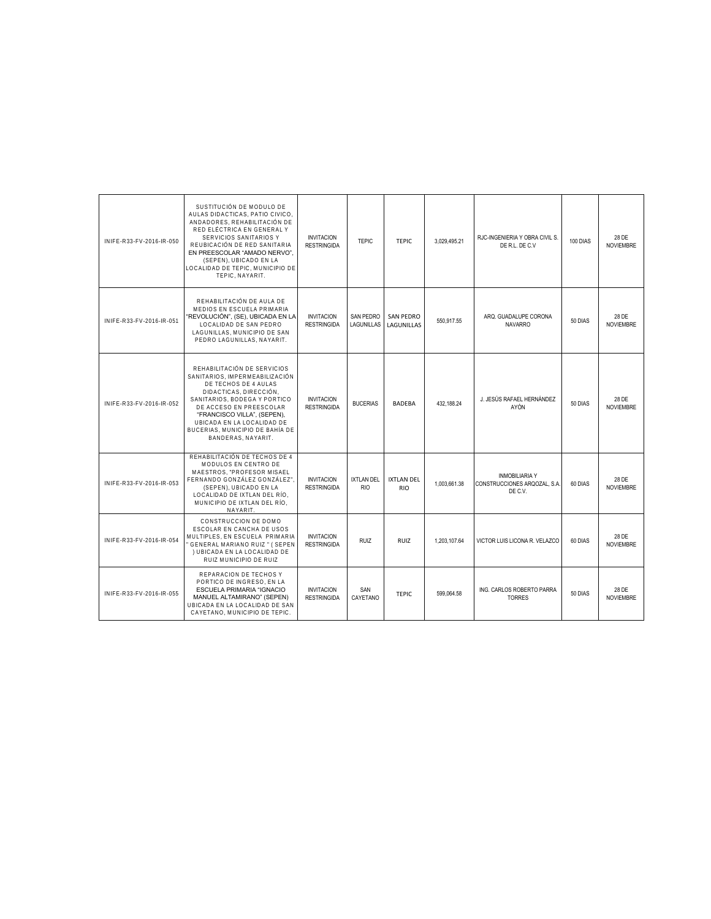| INIFE-R33-FV-2016-IR-050 | SUSTITUCIÓN DE MODULO DE<br>AULAS DIDACTICAS, PATIO CIVICO.<br>ANDADORES, REHABILITACIÓN DE<br>RED ELÉCTRICA EN GENERAL Y<br>SERVICIOS SANITARIOS Y<br>REUBICACIÓN DE RED SANITARIA<br>EN PREESCOLAR "AMADO NERVO",<br>(SEPEN), UBICADO EN LA<br>LOCALIDAD DE TEPIC, MUNICIPIO DE<br>TEPIC, NAYARIT. | <b>INVITACION</b><br><b>RESTRINGIDA</b> | <b>TEPIC</b>             | <b>TEPIC</b>                    | 3,029,495.21 | RJC-INGENIERIA Y OBRA CIVIL S.<br>DE R.L. DE C.V.                | 100 DIAS | 28 DE<br><b>NOVIEMBRE</b> |
|--------------------------|------------------------------------------------------------------------------------------------------------------------------------------------------------------------------------------------------------------------------------------------------------------------------------------------------|-----------------------------------------|--------------------------|---------------------------------|--------------|------------------------------------------------------------------|----------|---------------------------|
| INIFE-R33-FV-2016-IR-051 | REHABILITACIÓN DE AULA DE<br>MEDIOS EN ESCUELA PRIMARIA<br>"REVOLUCIÓN", (SE), UBICADA EN LA<br>LOCALIDAD DE SAN PEDRO<br>LAGUNILLAS, MUNICIPIO DE SAN<br>PEDRO LAGUNILLAS, NAYARIT.                                                                                                                 | <b>INVITACION</b><br><b>RESTRINGIDA</b> | SAN PEDRO<br>LAGUNILLAS  | <b>SAN PEDRO</b><br>LAGUNILLAS  | 550.917.55   | ARQ. GUADALUPE CORONA<br><b>NAVARRO</b>                          | 50 DIAS  | 28 DE<br><b>NOVIEMBRE</b> |
| INIFE-R33-FV-2016-IR-052 | REHABILITACIÓN DE SERVICIOS<br>SANITARIOS, IMPERMEABILIZACIÓN<br>DE TECHOS DE 4 AULAS<br>DIDACTICAS, DIRECCIÓN,<br>SANITARIOS, BODEGA Y PORTICO<br>DE ACCESO EN PREESCOLAR<br>"FRANCISCO VILLA", (SEPEN),<br>UBICADA EN LA LOCALIDAD DE<br>BUCERIAS, MUNICIPIO DE BAHÍA DE<br>BANDERAS, NAYARIT.     | <b>INVITACION</b><br><b>RESTRINGIDA</b> | <b>BUCERIAS</b>          | <b>BADEBA</b>                   | 432.188.24   | J. JESÚS RAFAEL HERNÁNDEZ<br>AYÓN                                | 50 DIAS  | 28 DE<br><b>NOVIEMBRE</b> |
| INIFE-R33-FV-2016-IR-053 | REHABILITACIÓN DE TECHOS DE 4<br>MODULOS EN CENTRO DE<br>MAESTROS, "PROFESOR MISAEL<br>FERNANDO GONZÁLEZ GONZÁLEZ"<br>(SEPEN), UBICADO EN LA<br>LOCALIDAD DE IXTLAN DEL RÍO,<br>MUNICIPIO DE IXTLAN DEL RÍO.<br>NAYARIT.                                                                             | <b>INVITACION</b><br><b>RESTRINGIDA</b> | IXTLAN DEL<br><b>RIO</b> | <b>IXTLAN DEL</b><br><b>RIO</b> | 1.003.661.38 | <b>INMOBILIARIA Y</b><br>CONSTRUCCIONES ARQOZAL, S.A.<br>DE C.V. | 60 DIAS  | 28 DE<br><b>NOVIEMBRE</b> |
| INIFE-R33-FV-2016-IR-054 | CONSTRUCCION DE DOMO<br>ESCOLAR EN CANCHA DE USOS<br>MULTIPLES. EN ESCUELA PRIMARIA<br>GENERAL MARIANO RUIZ " ( SEPEN<br>) UBICADA EN LA LOCALIDAD DE<br>RUIZ MUNICIPIO DE RUIZ                                                                                                                      | <b>INVITACION</b><br><b>RESTRINGIDA</b> | <b>RUIZ</b>              | <b>RUIZ</b>                     | 1,203,107.64 | VICTOR LUIS LICONA R. VELAZCO                                    | 60 DIAS  | 28 DE<br><b>NOVIEMBRE</b> |
| INIFE-R33-FV-2016-IR-055 | REPARACION DE TECHOS Y<br>PORTICO DE INGRESO, EN LA<br>ESCUELA PRIMARIA "IGNACIO<br>MANUEL ALTAMIRANO" (SEPEN)<br>UBICADA EN LA LOCALIDAD DE SAN<br>CAYETANO, MUNICIPIO DE TEPIC.                                                                                                                    | <b>INVITACION</b><br><b>RESTRINGIDA</b> | SAN<br>CAYETANO          | <b>TEPIC</b>                    | 599.064.58   | ING. CARLOS ROBERTO PARRA<br><b>TORRES</b>                       | 50 DIAS  | 28 DE<br><b>NOVIEMBRE</b> |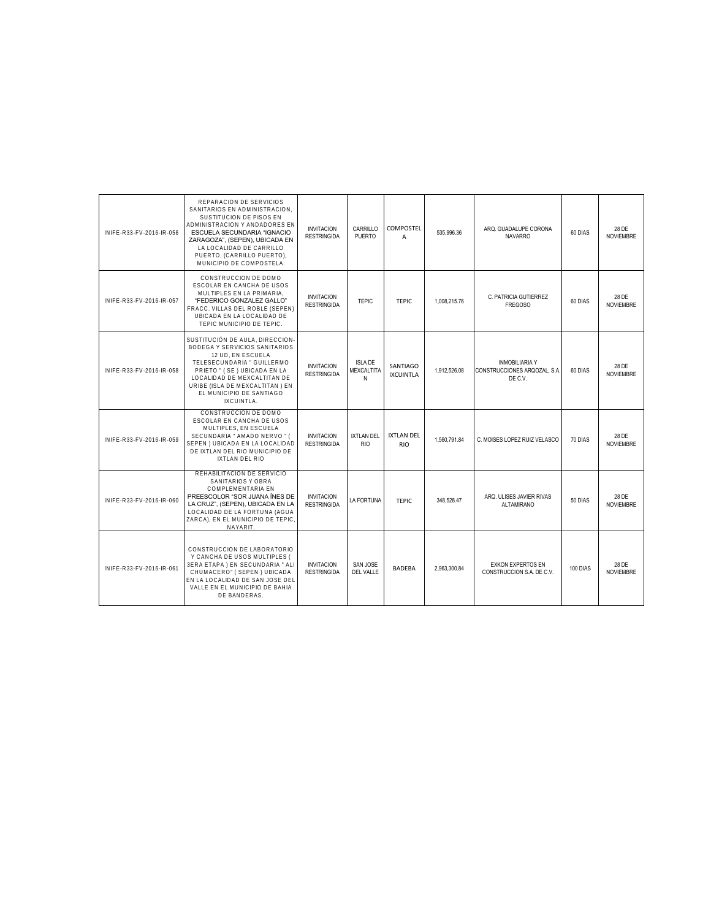| INIFE-R33-FV-2016-IR-056 | REPARACION DE SERVICIOS<br>SANITARIOS EN ADMINISTRACION,<br>SUSTITUCION DE PISOS EN<br>ADMINISTRACION Y ANDADORES EN<br>ESCUELA SECUNDARIA "IGNACIO<br>ZARAGOZA", (SEPEN), UBICADA EN<br>LA LOCALIDAD DE CARRILLO<br>PUERTO, (CARRILLO PUERTO),<br>MUNICIPIO DE COMPOSTELA. | <b>INVITACION</b><br><b>RESTRINGIDA</b> | CARRILLO<br><b>PUERTO</b>         | COMPOSTEL<br>$\overline{A}$     | 535.996.36   | ARQ. GUADALUPE CORONA<br><b>NAVARRO</b>                          | 60 DIAS  | 28 DE<br><b>NOVIEMBRE</b> |
|--------------------------|-----------------------------------------------------------------------------------------------------------------------------------------------------------------------------------------------------------------------------------------------------------------------------|-----------------------------------------|-----------------------------------|---------------------------------|--------------|------------------------------------------------------------------|----------|---------------------------|
| INIFE-R33-FV-2016-IR-057 | CONSTRUCCION DE DOMO<br>ESCOLAR EN CANCHA DE USOS<br>MULTIPLES EN LA PRIMARIA.<br>"FEDERICO GONZALEZ GALLO"<br>FRACC. VILLAS DEL ROBLE (SEPEN)<br>UBICADA EN LA LOCALIDAD DE<br>TEPIC MUNICIPIO DE TEPIC.                                                                   | <b>INVITACION</b><br><b>RESTRINGIDA</b> | <b>TEPIC</b>                      | <b>TEPIC</b>                    | 1,008,215.76 | C. PATRICIA GUTIERREZ<br><b>FREGOSO</b>                          | 60 DIAS  | 28 DE<br><b>NOVIEMBRE</b> |
| INIFE-R33-FV-2016-IR-058 | SUSTITUCIÓN DE AULA, DIRECCION-<br>BODEGA Y SERVICIOS SANITARIOS<br>12 UD, EN ESCUELA<br>TELESECUNDARIA " GUILLERMO<br>PRIETO " (SE) UBICADA EN LA<br>LOCALIDAD DE MEXCALTITAN DE<br>URIBE (ISLA DE MEXCALTITAN) EN<br>EL MUNICIPIO DE SANTIAGO<br>IXCUINTLA.               | <b>INVITACION</b><br><b>RESTRINGIDA</b> | <b>ISLA DE</b><br>MEXCALTITA<br>N | SANTIAGO<br><b>IXCUINTLA</b>    | 1.912.526.08 | <b>INMOBILIARIA Y</b><br>CONSTRUCCIONES ARQOZAL, S.A.<br>DE C.V. | 60 DIAS  | 28 DE<br><b>NOVIEMBRE</b> |
| INIFE-R33-FV-2016-IR-059 | CONSTRUCCION DE DOMO<br>ESCOLAR EN CANCHA DE USOS<br>MULTIPLES. EN ESCUELA<br>SECUNDARIA " AMADO NERVO " (<br>SEPEN) UBICADA EN LA LOCALIDAD<br>DE IXTLAN DEL RIO MUNICIPIO DE<br>IXTLAN DEL RIO                                                                            | <b>INVITACION</b><br><b>RESTRINGIDA</b> | IXTLAN DEL<br><b>RIO</b>          | <b>IXTLAN DEL</b><br><b>RIO</b> | 1,560,791.84 | C. MOISES LOPEZ RUIZ VELASCO                                     | 70 DIAS  | 28 DE<br><b>NOVIEMBRE</b> |
| INIFE-R33-FV-2016-IR-060 | REHABILITACION DE SERVICIO<br>SANITARIOS Y OBRA<br>COMPLEMENTARIA EN<br>PREESCOLOR "SOR JUANA INES DE<br>LA CRUZ", (SEPEN), UBICADA EN LA<br>LOCALIDAD DE LA FORTUNA (AGUA<br>ZARCA), EN EL MUNICIPIO DE TEPIC,<br>NAYARIT.                                                 | <b>INVITACION</b><br><b>RESTRINGIDA</b> | LA FORTUNA                        | TFPIC.                          | 348,528.47   | ARQ. ULISES JAVIER RIVAS<br><b>ALTAMIRANO</b>                    | 50 DIAS  | 28 DE<br><b>NOVIEMBRE</b> |
| INIFE-R33-FV-2016-IR-061 | CONSTRUCCION DE LABORATORIO<br>Y CANCHA DE USOS MULTIPLES (<br>3ERA ETAPA) EN SECUNDARIA " ALI<br>CHUMACERO" (SEPEN) UBICADA<br>EN LA LOCALIDAD DE SAN JOSE DEL<br>VALLE EN EL MUNICIPIO DE BAHIA<br>DE BANDERAS.                                                           | <b>INVITACION</b><br><b>RESTRINGIDA</b> | SAN JOSE<br>DEL VALLE             | <b>BADFBA</b>                   | 2.963.300.84 | <b>EXKON EXPERTOS EN</b><br>CONSTRUCCION S.A. DE C.V.            | 100 DIAS | 28 DE<br><b>NOVIEMBRE</b> |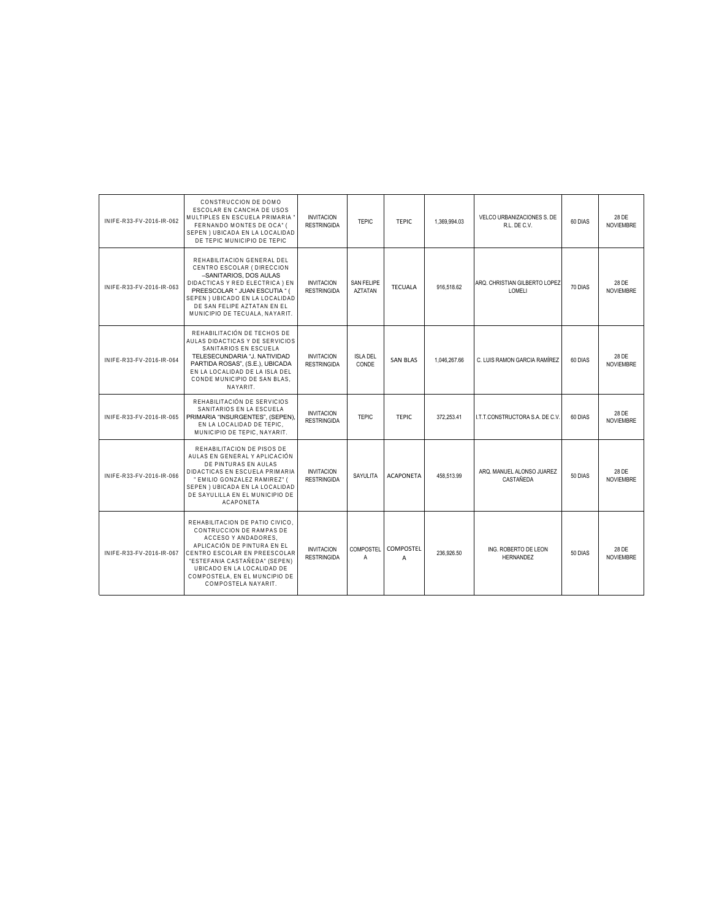| INIFE-R33-FV-2016-IR-062 | CONSTRUCCION DE DOMO<br>ESCOLAR EN CANCHA DE USOS<br>MULTIPLES EN ESCUELA PRIMARIA '<br>FERNANDO MONTES DE OCA" (<br>SEPEN) UBICADA EN LA LOCALIDAD<br>DE TEPIC MUNICIPIO DE TEPIC                                                                                       | <b>INVITACION</b><br><b>RESTRINGIDA</b> | <b>TEPIC</b>                        | <b>TEPIC</b>     | 1.369.994.03 | VELCO URBANIZACIONES S. DE<br>R.L. DE C.V. | 60 DIAS | 28 DE<br><b>NOVIEMBRE</b> |
|--------------------------|--------------------------------------------------------------------------------------------------------------------------------------------------------------------------------------------------------------------------------------------------------------------------|-----------------------------------------|-------------------------------------|------------------|--------------|--------------------------------------------|---------|---------------------------|
| INIFE-R33-FV-2016-IR-063 | REHABILITACION GENERAL DEL<br>CENTRO ESCOLAR (DIRECCION<br>-SANITARIOS, DOS AULAS<br>DIDACTICAS Y RED ELECTRICA ) EN<br>PREESCOLAR " JUAN ESCUTIA " (<br>SEPEN) UBICADO EN LA LOCALIDAD<br>DE SAN FELIPE AZTATAN EN EL<br>MUNICIPIO DE TECUALA, NAYARIT.                 | <b>INVITACION</b><br><b>RESTRINGIDA</b> | <b>SAN FELIPE</b><br><b>AZTATAN</b> | <b>TECUALA</b>   | 916,518.62   | ARQ. CHRISTIAN GILBERTO LOPEZ<br>LOMELI    | 70 DIAS | 28 DE<br><b>NOVIEMBRE</b> |
| INIFE-R33-FV-2016-IR-064 | REHABILITACIÓN DE TECHOS DE<br>AULAS DIDACTICAS Y DE SERVICIOS<br>SANITARIOS EN ESCUELA<br>TELESECUNDARIA "J. NATIVIDAD<br>PARTIDA ROSAS", (S.E.), UBICADA<br>EN LA LOCALIDAD DE LA ISLA DEL<br>CONDE MUNICIPIO DE SAN BLAS,<br>NAYARIT.                                 | <b>INVITACION</b><br><b>RESTRINGIDA</b> | <b>ISLA DEL</b><br>CONDE            | <b>SAN BLAS</b>  | 1,046,267.66 | C. LUIS RAMON GARCIA RAMÍREZ               | 60 DIAS | 28 DE<br><b>NOVIEMBRE</b> |
| INIFE-R33-FV-2016-IR-065 | REHABILITACIÓN DE SERVICIOS<br>SANITARIOS EN LA ESCUELA<br>PRIMARIA "INSURGENTES", (SEPEN),<br>EN LA LOCALIDAD DE TEPIC.<br>MUNICIPIO DE TEPIC. NAYARIT.                                                                                                                 | <b>INVITACION</b><br><b>RESTRINGIDA</b> | <b>TEPIC</b>                        | <b>TEPIC</b>     | 372.253.41   | I.T.T.CONSTRUCTORA S.A. DE C.V.            | 60 DIAS | 28 DE<br><b>NOVIEMBRE</b> |
| INIFE-R33-FV-2016-IR-066 | REHABILITACION DE PISOS DE<br>AULAS EN GENERAL Y APLICACIÓN<br>DE PINTURAS EN AULAS<br>DIDACTICAS EN ESCUELA PRIMARIA<br>" EMILIO GONZALEZ RAMIREZ" (<br>SEPEN) UBICADA EN LA LOCALIDAD<br>DE SAYULILLA EN EL MUNICIPIO DE<br><b>ACAPONETA</b>                           | <b>INVITACION</b><br><b>RESTRINGIDA</b> | SAYULITA                            | <b>ACAPONETA</b> | 458.513.99   | ARQ. MANUEL ALONSO JUAREZ<br>CASTAÑEDA     | 50 DIAS | 28 DE<br><b>NOVIEMBRE</b> |
| INIFF-R33-FV-2016-IR-067 | REHABILITACION DE PATIO CIVICO.<br>CONTRUCCION DE RAMPAS DE<br>ACCESO Y ANDADORES.<br>APLICACIÓN DE PINTURA EN EL<br>CENTRO ESCOLAR EN PREESCOLAR<br>"ESTEFANIA CASTAÑEDA" (SEPEN)<br>UBICADO EN LA LOCALIDAD DE<br>COMPOSTELA. EN EL MUNCIPIO DE<br>COMPOSTELA NAYARIT. | <b>INVITACION</b><br><b>RESTRINGIDA</b> | <b>COMPOSTEL</b><br>A               | COMPOSTEL<br>A   | 236.926.50   | ING. ROBERTO DE LEON<br><b>HERNANDEZ</b>   | 50 DIAS | 28 DE<br><b>NOVIEMBRE</b> |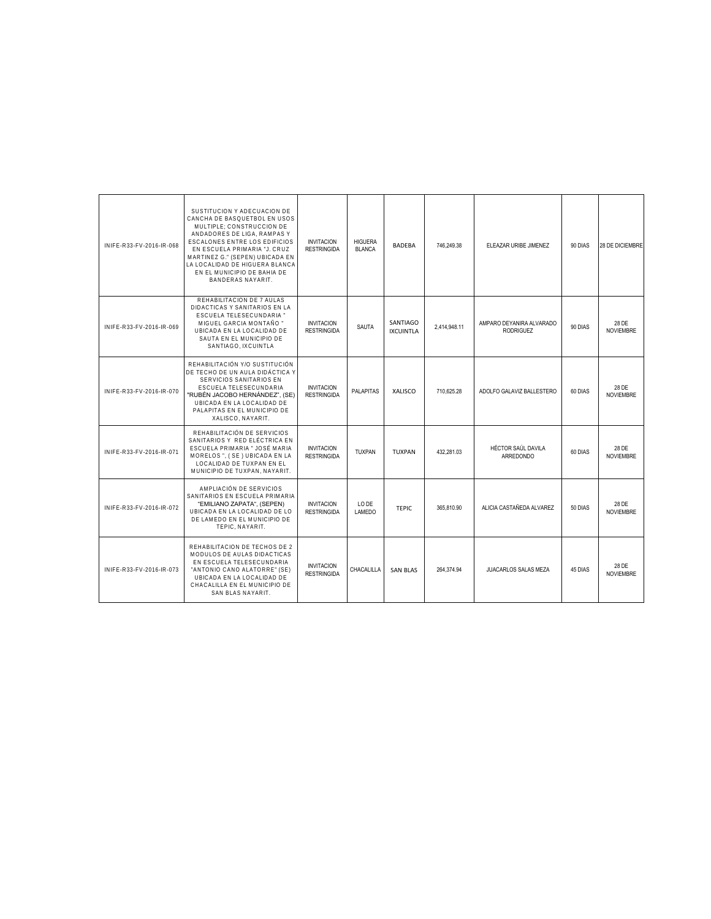| INIFE-R33-FV-2016-IR-068 | SUSTITUCION Y ADECUACION DE<br>CANCHA DE BASQUETBOL EN USOS<br>MULTIPLE: CONSTRUCCION DE<br>ANDADORES DE LIGA, RAMPAS Y<br><b>ESCALONES ENTRE LOS EDIFICIOS</b><br>EN ESCUELA PRIMARIA "J. CRUZ<br>MARTINEZ G." (SEPEN) UBICADA EN<br>LA LOCALIDAD DE HIGUERA BLANCA<br>EN EL MUNICIPIO DE BAHIA DE<br><b>BANDERAS NAYARIT.</b> | <b>INVITACION</b><br><b>RESTRINGIDA</b> | <b>HIGUERA</b><br><b>BLANCA</b> | <b>BADEBA</b>                | 746.249.38   | ELEAZAR URIBE JIMENEZ                        | 90 DIAS | 28 DE DICIEMBRE           |
|--------------------------|---------------------------------------------------------------------------------------------------------------------------------------------------------------------------------------------------------------------------------------------------------------------------------------------------------------------------------|-----------------------------------------|---------------------------------|------------------------------|--------------|----------------------------------------------|---------|---------------------------|
| INIFE-R33-FV-2016-IR-069 | REHABILITACION DE 7 AULAS<br>DIDACTICAS Y SANITARIOS EN LA<br>ESCUELA TELESECUNDARIA "<br>MIGUEL GARCIA MONTAÑO "<br>UBICADA EN LA LOCALIDAD DE<br>SAUTA EN EL MUNICIPIO DE<br>SANTIAGO, IXCUINTLA                                                                                                                              | <b>INVITACION</b><br><b>RESTRINGIDA</b> | SAUTA                           | SANTIAGO<br><b>IXCUINTLA</b> | 2.414.948.11 | AMPARO DEYANIRA ALVARADO<br><b>RODRIGUEZ</b> | 90 DIAS | 28 DE<br><b>NOVIEMBRE</b> |
| INIFE-R33-FV-2016-IR-070 | REHABILITACIÓN Y/O SUSTITUCIÓN<br>DE TECHO DE UN AULA DIDÁCTICA Y<br>SERVICIOS SANITARIOS EN<br>ESCUELA TELESECUNDARIA<br>"RUBÉN JACOBO HERNÁNDEZ", (SE)<br>UBICADA EN LA LOCALIDAD DE<br>PALAPITAS EN EL MUNICIPIO DE<br>XALISCO, NAYARIT.                                                                                     | <b>INVITACION</b><br><b>RESTRINGIDA</b> | <b>PALAPITAS</b>                | XALISCO                      | 710.625.28   | ADOLFO GALAVIZ BALLESTERO                    | 60 DIAS | 28 DE<br><b>NOVIEMBRE</b> |
| INIFE-R33-FV-2016-IR-071 | REHABILITACIÓN DE SERVICIOS<br>SANITARIOS Y RED ELÉCTRICA EN<br>ESCUELA PRIMARIA " JOSÉ MARIA<br>MORELOS ", (SE) UBICADA EN LA<br>LOCALIDAD DE TUXPAN EN EL<br>MUNICIPIO DE TUXPAN, NAYARIT.                                                                                                                                    | <b>INVITACION</b><br><b>RESTRINGIDA</b> | <b>TUXPAN</b>                   | TUXPAN                       | 432.281.03   | HÉCTOR SAÚL DAVILA<br><b>ARREDONDO</b>       | 60 DIAS | 28 DE<br><b>NOVIEMBRE</b> |
| INIFE-R33-FV-2016-IR-072 | AMPLIACIÓN DE SERVICIOS<br>SANITARIOS EN ESCUELA PRIMARIA<br>"EMILIANO ZAPATA". (SEPEN)<br>UBICADA EN LA LOCALIDAD DE LO<br>DE LAMEDO EN EL MUNICIPIO DE<br>TEPIC, NAYARIT.                                                                                                                                                     | <b>INVITACION</b><br><b>RESTRINGIDA</b> | LO DE<br>LAMEDO                 | TFPIC                        | 365.810.90   | ALICIA CASTAÑEDA ALVAREZ                     | 50 DIAS | 28 DE<br><b>NOVIEMBRE</b> |
| INIFE-R33-FV-2016-IR-073 | REHABILITACION DE TECHOS DE 2<br>MODULOS DE AULAS DIDACTICAS<br>EN ESCUELA TELESECUNDARIA<br>"ANTONIO CANO ALATORRE" (SE)<br>UBICADA EN LA LOCALIDAD DE<br>CHACALILLA EN EL MUNICIPIO DE<br>SAN BLAS NAYARIT.                                                                                                                   | <b>INVITACION</b><br><b>RESTRINGIDA</b> | CHACALILLA                      | <b>SAN BLAS</b>              | 264,374.94   | JUACARLOS SALAS MEZA                         | 45 DIAS | 28 DE<br><b>NOVIEMBRE</b> |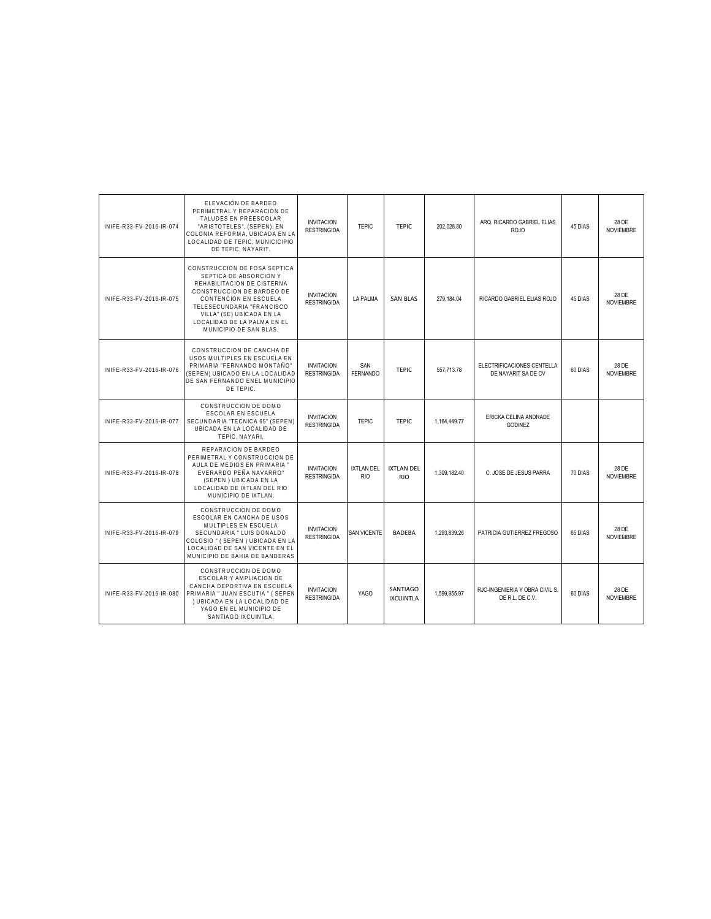| INIFE-R33-FV-2016-IR-074 | ELEVACIÓN DE BARDEO<br>PERIMETRAL Y REPARACIÓN DE<br>TAI UDES EN PREESCOLAR<br>"ARISTOTELES", (SEPEN), EN<br>COLONIA REFORMA. UBICADA EN LA<br>LOCALIDAD DE TEPIC. MUNICICIPIO<br>DE TEPIC, NAYARIT.                                                          | <b>INVITACION</b><br><b>RESTRINGIDA</b> | <b>TEPIC</b>                    | <b>TEPIC</b>                    | 202.028.80   | ARQ. RICARDO GABRIEL ELIAS<br>ROJO                | 45 DIAS | 28 DE<br><b>NOVIEMBRE</b> |
|--------------------------|---------------------------------------------------------------------------------------------------------------------------------------------------------------------------------------------------------------------------------------------------------------|-----------------------------------------|---------------------------------|---------------------------------|--------------|---------------------------------------------------|---------|---------------------------|
| INIFE-R33-FV-2016-IR-075 | CONSTRUCCION DE FOSA SEPTICA<br>SEPTICA DE ABSORCION Y<br>REHABILITACION DE CISTERNA<br>CONSTRUCCION DE BARDEO DE<br>CONTENCION EN ESCUELA<br>TELESECUNDARIA "FRANCISCO<br>VILLA" (SE) UBICADA EN LA<br>LOCALIDAD DE LA PALMA EN EL<br>MUNICIPIO DE SAN BLAS. | <b>INVITACION</b><br><b>RESTRINGIDA</b> | <b>LA PALMA</b>                 | <b>SAN BLAS</b>                 | 279.184.04   | RICARDO GABRIEL ELIAS ROJO                        | 45 DIAS | 28 DE<br><b>NOVIEMBRE</b> |
| INIFE-R33-FV-2016-IR-076 | CONSTRUCCION DE CANCHA DE<br>USOS MULTIPLES EN ESCUELA EN<br>PRIMARIA "FERNANDO MONTAÑO"<br>(SEPEN) UBICADO EN LA LOCALIDAD<br>DE SAN FERNANDO ENEL MUNICIPIO<br>DE TEPIC.                                                                                    | <b>INVITACION</b><br><b>RESTRINGIDA</b> | SAN<br><b>FERNANDO</b>          | <b>TEPIC</b>                    | 557,713.78   | ELECTRIFICACIONES CENTELLA<br>DE NAYARIT SA DE CV | 60 DIAS | 28 DE<br><b>NOVIEMBRE</b> |
| INIFE-R33-FV-2016-IR-077 | CONSTRUCCION DE DOMO<br><b>ESCOLAR EN ESCUELA</b><br>SECUNDARIA "TECNICA 65" (SEPEN)<br>UBICADA EN LA LOCALIDAD DE<br>TEPIC. NAYARI                                                                                                                           | <b>INVITACION</b><br><b>RESTRINGIDA</b> | <b>TEPIC</b>                    | <b>TEPIC</b>                    | 1,164,449.77 | ERICKA CELINA ANDRADE<br><b>GODINEZ</b>           |         |                           |
| INIFE-R33-FV-2016-IR-078 | REPARACION DE BARDEO<br>PERIMETRAL Y CONSTRUCCION DE<br>AULA DE MEDIOS EN PRIMARIA "<br>EVERARDO PEÑA NAVARRO"<br>(SEPEN) UBICADA EN LA<br>LOCALIDAD DE IXTLAN DEL RIO<br>MUNICIPIO DE IXTLAN.                                                                | <b>INVITACION</b><br><b>RESTRINGIDA</b> | <b>IXTLAN DEL</b><br><b>RIO</b> | <b>IXTLAN DEL</b><br><b>RIO</b> | 1.309.182.40 | C. JOSE DE JESUS PARRA                            | 70 DIAS | 28 DE<br><b>NOVIEMBRE</b> |
| INIFE-R33-FV-2016-IR-079 | CONSTRUCCION DE DOMO<br>ESCOLAR EN CANCHA DE USOS<br>MULTIPLES EN ESCUELA<br>SECUNDARIA " LUIS DONALDO<br>COLOSIO " (SEPEN) UBICADA EN LA<br>LOCALIDAD DE SAN VICENTE EN EL<br>MUNICIPIO DE BAHIA DE BANDERAS                                                 | <b>INVITACION</b><br><b>RESTRINGIDA</b> | <b>SAN VICENTE</b>              | <b>BADEBA</b>                   | 1.293.839.26 | PATRICIA GUTIERREZ FREGOSO                        | 65 DIAS | 28 DE<br><b>NOVIEMBRE</b> |
| INIFF-R33-FV-2016-IR-080 | CONSTRUCCION DE DOMO<br>ESCOLAR Y AMPLIACION DE<br>CANCHA DEPORTIVA EN ESCUELA<br>PRIMARIA " JUAN ESCUTIA " ( SEPEN<br>I UBICADA EN LA LOCALIDAD DE<br>YAGO EN EL MUNICIPIO DE<br>SANTIAGO IXCUINTLA.                                                         | <b>INVITACION</b><br><b>RESTRINGIDA</b> | <b>YAGO</b>                     | SANTIAGO<br><b>IXCUINTLA</b>    | 1.599.955.97 | RJC-INGENIERIA Y OBRA CIVIL S.<br>DE R.L. DE C.V. | 60 DIAS | 28 DE<br><b>NOVIEMBRE</b> |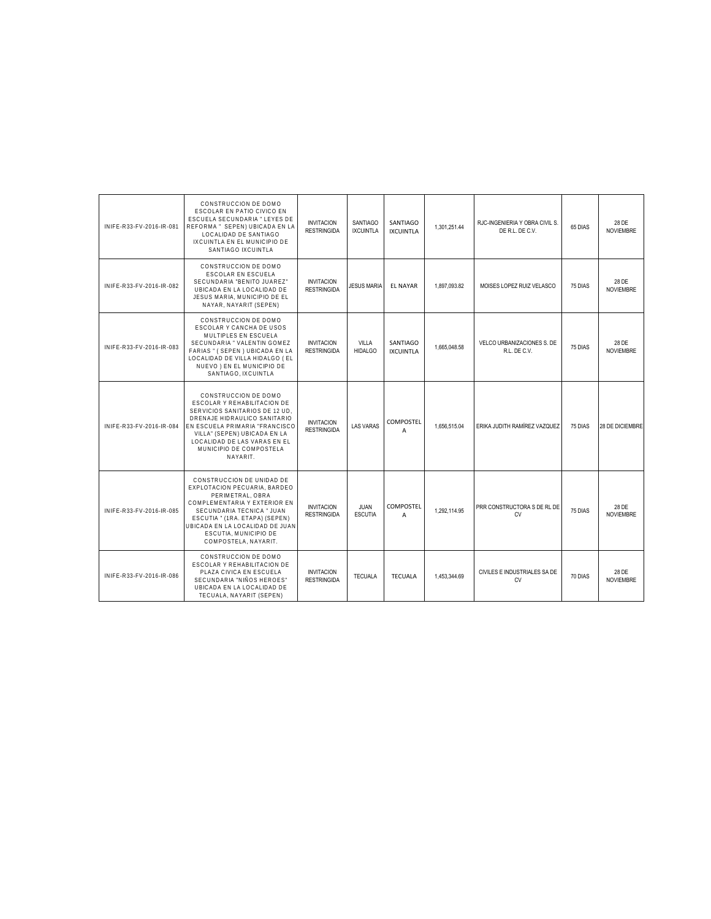| INIFF-R33-FV-2016-IR-081 | CONSTRUCCION DE DOMO<br>ESCOLAR EN PATIO CIVICO EN<br>ESCUELA SECUNDARIA " LEYES DE<br>REFORMA " SEPEN) UBICADA EN LA<br>LOCALIDAD DE SANTIAGO<br>IXCUINTLA EN EL MUNICIPIO DE<br>SANTIAGO IXCUINTLA                                                             | <b>INVITACION</b><br><b>RESTRINGIDA</b> | <b>SANTIAGO</b><br><b>IXCUINTLA</b> | SANTIAGO<br><b>IXCUINTLA</b> | 1,301,251.44 | RJC-INGENIERIA Y OBRA CIVIL S.<br>DE R.L. DE C.V. | 65 DIAS | 28 DE<br><b>NOVIEMBRE</b> |
|--------------------------|------------------------------------------------------------------------------------------------------------------------------------------------------------------------------------------------------------------------------------------------------------------|-----------------------------------------|-------------------------------------|------------------------------|--------------|---------------------------------------------------|---------|---------------------------|
| INIFE-R33-FV-2016-IR-082 | CONSTRUCCION DE DOMO<br><b>ESCOLAR EN ESCUELA</b><br>SECUNDARIA "BENITO JUAREZ"<br>UBICADA EN LA LOCALIDAD DE<br>JESUS MARIA, MUNICIPIO DE EL<br>NAYAR, NAYARIT (SEPEN)                                                                                          | <b>INVITACION</b><br><b>RESTRINGIDA</b> | <b>JESUS MARIA</b>                  | <b>EL NAYAR</b>              | 1.897.093.82 | MOISES LOPEZ RUIZ VELASCO                         | 75 DIAS | 28 DE<br><b>NOVIEMBRE</b> |
| INIFE-R33-FV-2016-IR-083 | CONSTRUCCION DE DOMO<br>ESCOLAR Y CANCHA DE USOS<br>MULTIPLES EN ESCUELA<br>SECUNDARIA " VALENTIN GOMEZ<br>FARIAS " (SEPEN) UBICADA EN LA<br>LOCALIDAD DE VILLA HIDALGO (EL<br>NUEVO) EN EL MUNICIPIO DE<br>SANTIAGO, IXCUINTLA                                  | <b>INVITACION</b><br><b>RESTRINGIDA</b> | VILLA<br><b>HIDALGO</b>             | SANTIAGO<br><b>IXCUINTLA</b> | 1.665.048.58 | VELCO URBANIZACIONES S. DE<br>R.L. DE C.V.        | 75 DIAS | 28 DE<br><b>NOVIEMBRE</b> |
| INIFE-R33-FV-2016-IR-084 | CONSTRUCCION DE DOMO<br>ESCOLAR Y REHABILITACION DE<br>SERVICIOS SANITARIOS DE 12 UD.<br>DRENAJE HIDRAULICO SANITARIO<br>EN ESCUELA PRIMARIA "FRANCISCO<br>VILLA" (SEPEN) UBICADA EN LA<br>LOCALIDAD DE LAS VARAS EN EL<br>MUNICIPIO DE COMPOSTELA<br>NAYARIT.   | <b>INVITACION</b><br><b>RESTRINGIDA</b> | <b>LAS VARAS</b>                    | <b>COMPOSTEL</b><br>A        | 1.656.515.04 | ERIKA JUDITH RAMÍREZ VAZQUEZ                      | 75 DIAS | 28 DE DICIEMBRE           |
| INIFE-R33-FV-2016-IR-085 | CONSTRUCCION DE UNIDAD DE<br>EXPLOTACION PECUARIA, BARDEO<br>PERIMETRAL, OBRA<br>COMPLEMENTARIA Y EXTERIOR EN<br>SECUNDARIA TECNICA " JUAN<br>ESCUTIA " (1RA. ETAPA) (SEPEN)<br>UBICADA EN LA LOCALIDAD DE JUAN<br>ESCUTIA, MUNICIPIO DE<br>COMPOSTELA, NAYARIT. | <b>INVITACION</b><br><b>RESTRINGIDA</b> | JUAN<br><b>ESCUTIA</b>              | <b>COMPOSTEL</b><br>A        | 1.292.114.95 | PRR CONSTRUCTORA S DE RL DE<br>CV                 | 75 DIAS | 28 DE<br><b>NOVIEMBRE</b> |
| INIFE-R33-FV-2016-IR-086 | CONSTRUCCION DE DOMO<br>ESCOLAR Y REHABILITACION DE<br>PLAZA CIVICA EN ESCUELA<br>SECUNDARIA "NIÑOS HEROES"<br>UBICADA EN LA LOCALIDAD DE<br>TECUALA, NAYARIT (SEPEN)                                                                                            | <b>INVITACION</b><br><b>RESTRINGIDA</b> | <b>TECUALA</b>                      | <b>TECUALA</b>               | 1.453.344.69 | CIVILES E INDUSTRIALES SA DE<br><b>CV</b>         | 70 DIAS | 28 DE<br><b>NOVIEMBRE</b> |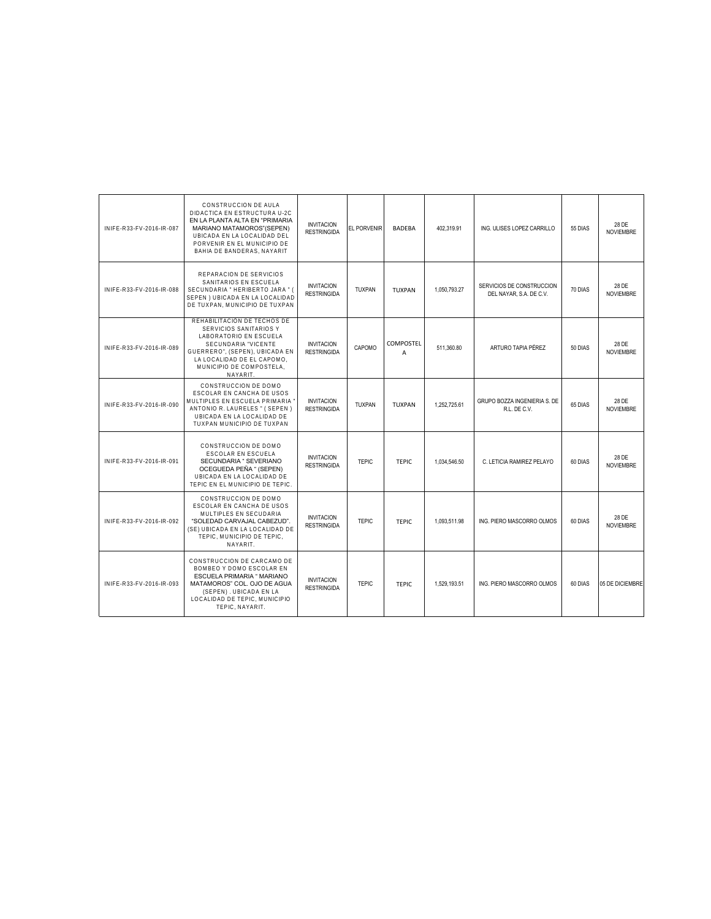| INIFE-R33-FV-2016-IR-087 | CONSTRUCCION DE AULA<br>DIDACTICA EN ESTRUCTURA U-2C<br>EN LA PLANTA ALTA EN "PRIMARIA<br>MARIANO MATAMOROS"(SEPEN)<br>UBICADA EN LA LOCALIDAD DEL<br>PORVENIR EN EL MUNICIPIO DE<br>BAHIA DE BANDERAS, NAYARIT | <b>INVITACION</b><br><b>RESTRINGIDA</b> | EL PORVENIR   | <b>BADEBA</b>  | 402,319.91   | ING. ULISES LOPEZ CARRILLO                           | 55 DIAS | 28 DE<br><b>NOVIEMBRE</b> |
|--------------------------|-----------------------------------------------------------------------------------------------------------------------------------------------------------------------------------------------------------------|-----------------------------------------|---------------|----------------|--------------|------------------------------------------------------|---------|---------------------------|
| INIFE-R33-FV-2016-IR-088 | REPARACION DE SERVICIOS<br>SANITARIOS EN ESCUELA<br>SECUNDARIA " HERIBERTO JARA " (<br>SEPEN ) UBICADA EN LA LOCALIDAD<br>DE TUXPAN, MUNICIPIO DE TUXPAN                                                        | <b>INVITACION</b><br><b>RESTRINGIDA</b> | <b>TUXPAN</b> | TUXPAN         | 1.050.793.27 | SERVICIOS DE CONSTRUCCION<br>DEL NAYAR, S.A. DE C.V. | 70 DIAS | 28 DE<br><b>NOVIEMBRE</b> |
| INIFE-R33-FV-2016-IR-089 | REHABILITACIÓN DE TECHOS DE<br>SERVICIOS SANITARIOS Y<br>LABORATORIO EN ESCUELA<br>SECUNDARIA "VICENTE<br>GUERRERO", (SEPEN), UBICADA EN<br>LA LOCALIDAD DE EL CAPOMO,<br>MUNICIPIO DE COMPOSTELA,<br>NAYARIT.  | <b>INVITACION</b><br><b>RESTRINGIDA</b> | CAPOMO        | COMPOSTEL<br>A | 511.360.80   | ARTURO TAPIA PÉREZ                                   | 50 DIAS | 28 DE<br><b>NOVIEMBRE</b> |
| INIFE-R33-FV-2016-IR-090 | CONSTRUCCION DE DOMO<br>ESCOLAR EN CANCHA DE USOS<br>MULTIPLES EN ESCUELA PRIMARIA<br>ANTONIO R. LAURELES " (SEPEN)<br>UBICADA EN LA LOCALIDAD DE<br>TUXPAN MUNICIPIO DE TUXPAN                                 | <b>INVITACION</b><br><b>RESTRINGIDA</b> | <b>TUXPAN</b> | <b>TUXPAN</b>  | 1.252.725.61 | GRUPO BOZZA INGENIERIA S. DE<br>R.L. DE C.V.         | 65 DIAS | 28 DE<br><b>NOVIEMBRE</b> |
| INIFE-R33-FV-2016-IR-091 | CONSTRUCCION DE DOMO<br>ESCOLAR EN ESCUELA<br>SECUNDARIA " SEVERIANO<br>OCEGUEDA PEÑA " (SEPEN)<br>UBICADA EN LA LOCALIDAD DE<br>TEPIC EN EL MUNICIPIO DE TEPIC.                                                | <b>INVITACION</b><br><b>RESTRINGIDA</b> | <b>TEPIC</b>  | TFPIC.         | 1,034,546.50 | C. LETICIA RAMIREZ PELAYO                            | 60 DIAS | 28 DE<br><b>NOVIEMBRE</b> |
| INIFE-R33-FV-2016-IR-092 | CONSTRUCCION DE DOMO<br>ESCOLAR EN CANCHA DE USOS<br>MULTIPLES EN SECUDARIA<br>"SOLEDAD CARVAJAL CABEZUD".<br>(SE) UBICADA EN LA LOCALIDAD DE<br>TEPIC. MUNICIPIO DE TEPIC.<br>NAYARIT.                         | <b>INVITACION</b><br><b>RESTRINGIDA</b> | <b>TEPIC</b>  | TFPIC.         | 1.093.511.98 | ING. PIERO MASCORRO OLMOS                            | 60 DIAS | 28 DE<br><b>NOVIEMBRE</b> |
| INIFE-R33-FV-2016-IR-093 | CONSTRUCCION DE CARCAMO DE<br>BOMBEO Y DOMO ESCOLAR EN<br>ESCUELA PRIMARIA " MARIANO<br>MATAMOROS" COL. OJO DE AGUA<br>(SEPEN). UBICADA EN LA<br>LOCALIDAD DE TEPIC, MUNICIPIO<br>TEPIC, NAYARIT.               | <b>INVITACION</b><br><b>RESTRINGIDA</b> | <b>TEPIC</b>  | <b>TEPIC</b>   | 1.529.193.51 | ING. PIERO MASCORRO OLMOS                            | 60 DIAS | 05 DE DICIEMBRE           |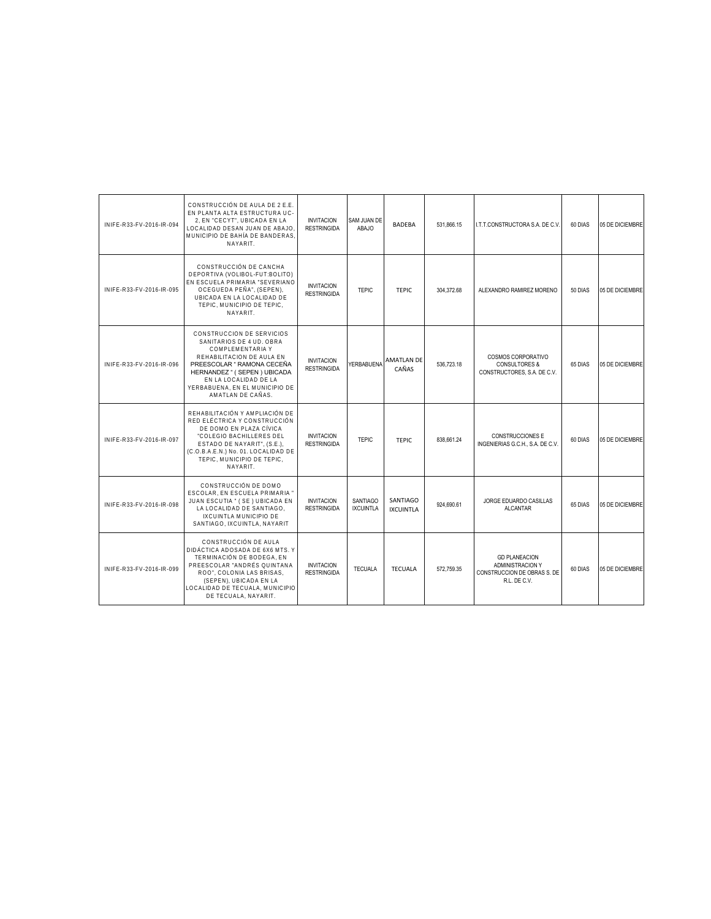| INIFE-R33-FV-2016-IR-094 | CONSTRUCCIÓN DE AULA DE 2 E.E.<br>EN PLANTA ALTA ESTRUCTURA UC-<br>2, EN "CECYT", UBICADA EN LA<br>LOCALIDAD DESAN JUAN DE ABAJO<br>MUNICIPIO DE BAHÍA DE BANDERAS.<br>NAYARIT.                                                                       | <b>INVITACION</b><br><b>RESTRINGIDA</b> | <b>SAM JUAN DE</b><br>ABAJO         | <b>BADEBA</b>                | 531.866.15 | I.T.T.CONSTRUCTORA S.A. DE C.V.                                                         | 60 DIAS | 05 DE DICIEMBRE |
|--------------------------|-------------------------------------------------------------------------------------------------------------------------------------------------------------------------------------------------------------------------------------------------------|-----------------------------------------|-------------------------------------|------------------------------|------------|-----------------------------------------------------------------------------------------|---------|-----------------|
| INIFE-R33-FV-2016-IR-095 | CONSTRUCCIÓN DE CANCHA<br>DEPORTIVA (VOLIBOL-FUT:BOLITO)<br>EN ESCUELA PRIMARIA "SEVERIANO<br>OCEGUEDA PEÑA", (SEPEN),<br>UBICADA EN LA LOCALIDAD DE<br>TEPIC. MUNICIPIO DE TEPIC.<br>NAYARIT.                                                        | <b>INVITACION</b><br><b>RESTRINGIDA</b> | <b>TEPIC</b>                        | <b>TEPIC</b>                 | 304,372.68 | ALEXANDRO RAMIREZ MORENO                                                                | 50 DIAS | 05 DE DICIEMBRE |
| INIFE-R33-FV-2016-IR-096 | CONSTRUCCION DE SERVICIOS<br>SANITARIOS DE 4 UD. OBRA<br>COMPLEMENTARIA Y<br>REHABILITACION DE AULA EN<br>PREESCOLAR " RAMONA CECEÑA<br>HERNANDEZ " ( SEPEN ) UBICADA<br>EN LA LOCALIDAD DE LA<br>YERBABUENA. EN EL MUNICIPIO DE<br>AMATLAN DE CAÑAS. | <b>INVITACION</b><br><b>RESTRINGIDA</b> | YERBABUENA                          | <b>AMATLAN DE</b><br>CAÑAS   | 536.723.18 | COSMOS CORPORATIVO<br><b>CONSULTORES &amp;</b><br>CONSTRUCTORES, S.A. DE C.V.           | 65 DIAS | 05 DE DICIEMBRE |
| INIFE-R33-FV-2016-IR-097 | REHABILITACIÓN Y AMPLIACIÓN DE<br>RED ELÉCTRICA Y CONSTRUCCIÓN<br>DE DOMO EN PLAZA CÍVICA<br>"COLEGIO BACHILLERES DEL<br>ESTADO DE NAYARIT", (S.E.),<br>(C.O.B.A.E.N.) No. 01. LOCALIDAD DE<br>TEPIC, MUNICIPIO DE TEPIC,<br>NAYARIT.                 | <b>INVITACION</b><br><b>RESTRINGIDA</b> | <b>TEPIC</b>                        | <b>TEPIC</b>                 | 838.661.24 | <b>CONSTRUCCIONES E</b><br>INGENIERIAS G.C.H., S.A. DE C.V.                             | 60 DIAS | 05 DE DICIEMBRE |
| INIFE-R33-FV-2016-IR-098 | CONSTRUCCIÓN DE DOMO<br>ESCOLAR. EN ESCUELA PRIMARIA '<br>JUAN ESCUTIA " (SE) UBICADA EN<br>LA LOCALIDAD DE SANTIAGO.<br>IXCUINTLA MUNICIPIO DE<br>SANTIAGO, IXCUINTLA, NAYARIT                                                                       | <b>INVITACION</b><br><b>RESTRINGIDA</b> | <b>SANTIAGO</b><br><b>IXCUINTLA</b> | SANTIAGO<br><b>IXCUINTLA</b> | 924.690.61 | JORGE EDUARDO CASILLAS<br>ALCANTAR                                                      | 65 DIAS | 05 DE DICIEMBRE |
| INIFE-R33-FV-2016-IR-099 | CONSTRUCCIÓN DE AULA<br>DIDÁCTICA ADOSADA DE 6X6 MTS. Y<br>TERMINACIÓN DE BODEGA. EN<br>PREESCOLAR "ANDRÉS QUINTANA<br>ROO". COLONIA LAS BRISAS.<br>(SEPEN), UBICADA EN LA<br>LOCALIDAD DE TECUALA, MUNICIPIO<br>DE TECUALA, NAYARIT.                 | <b>INVITACION</b><br><b>RESTRINGIDA</b> | <b>TECUALA</b>                      | <b>TECUALA</b>               | 572.759.35 | <b>GD PLANEACION</b><br>ADMINISTRACION Y<br>CONSTRUCCION DE OBRAS S. DE<br>R.L. DE C.V. | 60 DIAS | 05 DE DICIEMBRE |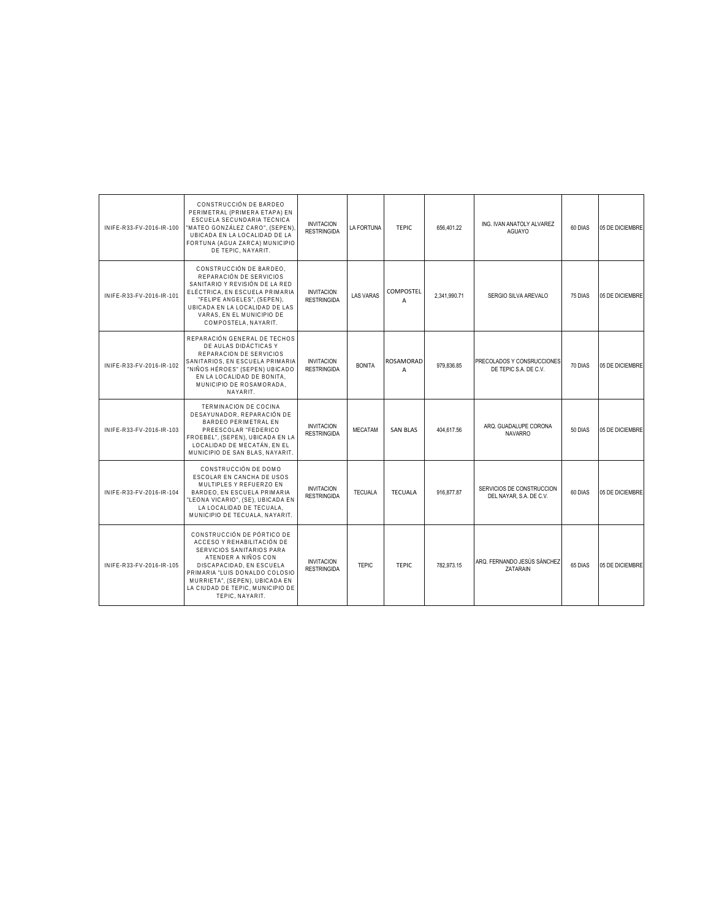| INIFE-R33-FV-2016-IR-100 | CONSTRUCCIÓN DE BARDEO<br>PERIMETRAL (PRIMERA ETAPA) EN<br>ESCUELA SECUNDARIA TECNICA<br>"MATEO GONZÁLEZ CARO", (SEPEN)<br>UBICADA EN LA LOCALIDAD DE LA<br>FORTUNA (AGUA ZARCA) MUNICIPIO<br>DE TEPIC. NAYARIT.                                                    | <b>INVITACION</b><br><b>RESTRINGIDA</b> | LA FORTUNA       | TFPIC.          | 656.401.22   | ING. IVAN ANATOLY ALVAREZ<br>AGUAYO                  | 60 DIAS | 05 DE DICIEMBRE |
|--------------------------|---------------------------------------------------------------------------------------------------------------------------------------------------------------------------------------------------------------------------------------------------------------------|-----------------------------------------|------------------|-----------------|--------------|------------------------------------------------------|---------|-----------------|
| INIFE-R33-FV-2016-IR-101 | CONSTRUCCIÓN DE BARDEO.<br>REPARACIÓN DE SERVICIOS<br>SANITARIO Y REVISIÓN DE LA RED<br>ELÉCTRICA. EN ESCUELA PRIMARIA<br>"FELIPE ANGELES", (SEPEN),<br>UBICADA EN LA LOCALIDAD DE LAS<br>VARAS. EN EL MUNICIPIO DE<br>COMPOSTELA, NAYARIT.                         | <b>INVITACION</b><br><b>RESTRINGIDA</b> | <b>LAS VARAS</b> | COMPOSTEL<br>A  | 2,341,990.71 | SERGIO SILVA AREVALO                                 | 75 DIAS | 05 DE DICIEMBRE |
| INIFE-R33-FV-2016-IR-102 | REPARACIÓN GENERAL DE TECHOS<br>DE AULAS DIDÁCTICAS Y<br>REPARACION DE SERVICIOS<br>SANITARIOS, EN ESCUELA PRIMARIA<br>"NIÑOS HÉROES" (SEPEN) UBICADO<br>EN LA LOCALIDAD DE BONITA,<br>MUNICIPIO DE ROSAMORADA,<br>NAYARIT.                                         | <b>INVITACION</b><br><b>RESTRINGIDA</b> | <b>BONITA</b>    | ROSAMORAD<br>A  | 979.836.85   | PRECOLADOS Y CONSRUCCIONES<br>DE TEPIC S.A. DE C.V.  | 70 DIAS | 05 DE DICIEMBRE |
| INIFE-R33-FV-2016-IR-103 | TERMINACION DE COCINA<br>DESAYUNADOR, REPARACIÓN DE<br><b>BARDEO PERIMETRAL EN</b><br>PREESCOLAR "FEDERICO<br>FROEBEL". (SEPEN). UBICADA EN LA<br>LOCALIDAD DE MECATÁN. EN EL<br>MUNICIPIO DE SAN BLAS, NAYARIT.                                                    | <b>INVITACION</b><br><b>RESTRINGIDA</b> | <b>MECATAM</b>   | <b>SAN BLAS</b> | 404,617.56   | ARQ. GUADALUPE CORONA<br><b>NAVARRO</b>              | 50 DIAS | 05 DE DICIEMBRE |
| INIFE-R33-FV-2016-IR-104 | CONSTRUCCIÓN DE DOMO<br>ESCOLAR EN CANCHA DE USOS<br>MULTIPLES Y REFUERZO EN<br>BARDEO, EN ESCUELA PRIMARIA<br>"LEONA VICARIO", (SE), UBICADA EN<br>LA LOCALIDAD DE TECUALA.<br>MUNICIPIO DE TECUALA, NAYARIT.                                                      | <b>INVITACION</b><br><b>RESTRINGIDA</b> | <b>TECUALA</b>   | <b>TECUALA</b>  | 916.877.87   | SERVICIOS DE CONSTRUCCION<br>DEL NAYAR, S.A. DE C.V. | 60 DIAS | 05 DE DICIEMBRE |
| INIFE-R33-FV-2016-IR-105 | CONSTRUCCIÓN DE PÓRTICO DE<br>ACCESO Y REHABILITACIÓN DE<br>SERVICIOS SANITARIOS PARA<br>ATENDER A NIÑOS CON<br>DISCAPACIDAD. EN ESCUELA<br>PRIMARIA "LUIS DONALDO COLOSIO<br>MURRIETA", (SEPEN), UBICADA EN<br>LA CIUDAD DE TEPIC. MUNICIPIO DE<br>TEPIC. NAYARIT. | <b>INVITACION</b><br><b>RESTRINGIDA</b> | <b>TEPIC</b>     | <b>TEPIC</b>    | 782.973.15   | ARQ. FERNANDO JESÚS SÁNCHEZ<br><b>ZATARAIN</b>       | 65 DIAS | 05 DE DICIEMBRE |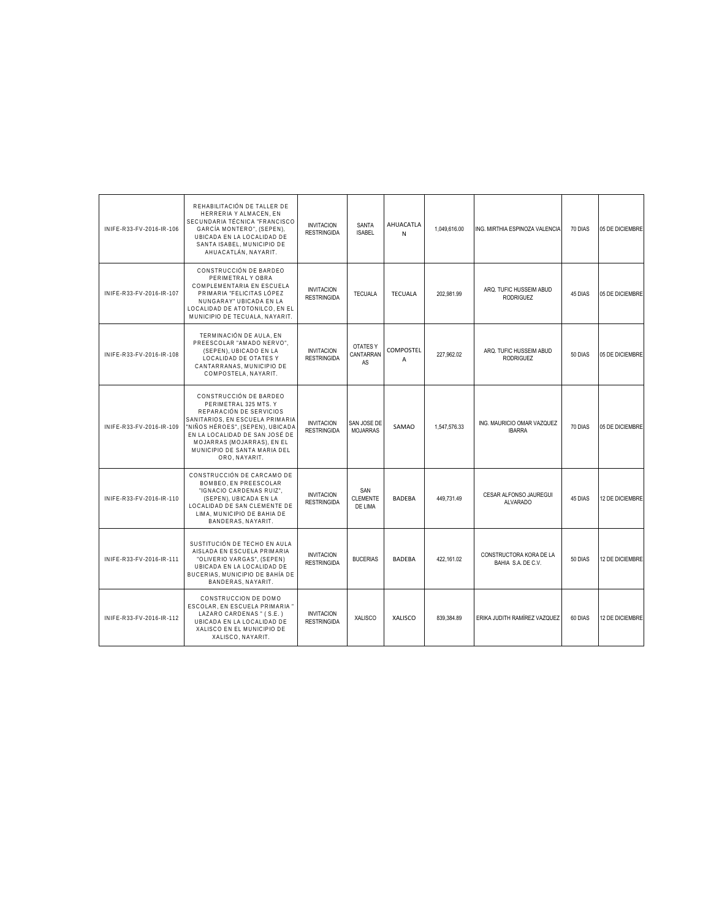| INIFE-R33-FV-2016-IR-106 | REHABILITACIÓN DE TALLER DE<br>HERRERIA Y ALMACEN, EN<br>SECUNDARIA TÉCNICA "FRANCISCO<br>GARCÍA MONTERO", (SEPEN),<br>UBICADA EN LA LOCALIDAD DE<br>SANTA ISABEL, MUNICIPIO DE<br>AHUACATLÁN, NAYARIT.                                                            | <b>INVITACION</b><br><b>RESTRINGIDA</b> | SANTA<br><b>ISABEL</b>            | AHUACATLA<br>N | 1.049.616.00 | ING. MIRTHIA ESPINOZA VALENCIA                | 70 DIAS | 05 DE DICIEMBRE |
|--------------------------|--------------------------------------------------------------------------------------------------------------------------------------------------------------------------------------------------------------------------------------------------------------------|-----------------------------------------|-----------------------------------|----------------|--------------|-----------------------------------------------|---------|-----------------|
| INIFE-R33-FV-2016-IR-107 | CONSTRUCCIÓN DE BARDEO<br>PERIMETRAL Y OBRA<br>COMPLEMENTARIA EN ESCUELA<br>PRIMARIA "FELICITAS LÓPEZ<br>NUNGARAY" UBICADA EN LA<br>LOCALIDAD DE ATOTONILCO, EN EL<br>MUNICIPIO DE TECUALA, NAYARIT.                                                               | <b>INVITACION</b><br><b>RESTRINGIDA</b> | <b>TECUALA</b>                    | <b>TECUALA</b> | 202.981.99   | ARQ. TUFIC HUSSEIM ABUD<br><b>RODRIGUEZ</b>   | 45 DIAS | 05 DE DICIEMBRE |
| INIFE-R33-FV-2016-IR-108 | TERMINACIÓN DE AULA. EN<br>PREESCOLAR "AMADO NERVO".<br>(SEPEN), UBICADO EN LA<br>LOCALIDAD DE OTATES Y<br>CANTARRANAS, MUNICIPIO DE<br>COMPOSTELA, NAYARIT.                                                                                                       | <b>INVITACION</b><br><b>RESTRINGIDA</b> | OTATES Y<br>CANTARRAN<br>AS       | COMPOSTEL<br>A | 227,962.02   | ARQ. TUFIC HUSSEIM ABUD<br><b>RODRIGUEZ</b>   | 50 DIAS | 05 DE DICIEMBRE |
| INIFE-R33-FV-2016-IR-109 | CONSTRUCCIÓN DE BARDEO<br>PERIMETRAL 325 MTS. Y<br>REPARACIÓN DE SERVICIOS<br>SANITARIOS. EN ESCUELA PRIMARIA<br>"NIÑOS HÉROES", (SEPEN), UBICADA<br>EN LA LOCALIDAD DE SAN JOSÉ DE<br>MOJARRAS (MOJARRAS), EN EL<br>MUNICIPIO DE SANTA MARIA DEL<br>ORO, NAYARIT. | <b>INVITACION</b><br><b>RESTRINGIDA</b> | SAN JOSE DE<br><b>MOJARRAS</b>    | SAMAO          | 1.547.576.33 | ING. MAURICIO OMAR VAZQUEZ<br><b>IBARRA</b>   | 70 DIAS | 05 DE DICIEMBRE |
| INIFE-R33-FV-2016-IR-110 | CONSTRUCCIÓN DE CARCAMO DE<br>BOMBEO. EN PREESCOLAR<br>"IGNACIO CARDENAS RUIZ",<br>(SEPEN), UBICADA EN LA<br>LOCALIDAD DE SAN CLEMENTE DE<br>LIMA, MUNICIPIO DE BAHIA DE<br>BANDERAS, NAYARIT.                                                                     | <b>INVITACION</b><br><b>RESTRINGIDA</b> | SAN<br><b>CLEMENTE</b><br>DE LIMA | <b>BADEBA</b>  | 449.731.49   | CESAR ALFONSO JAUREGUI<br><b>ALVARADO</b>     | 45 DIAS | 12 DE DICIEMBRE |
| INIFE-R33-FV-2016-IR-111 | SUSTITUCIÓN DE TECHO EN AULA<br>AISLADA EN ESCUELA PRIMARIA<br>"OLIVERIO VARGAS", (SEPEN)<br>UBICADA EN LA LOCALIDAD DE<br>BUCERIAS, MUNICIPIO DE BAHÍA DE<br>BANDERAS, NAYARIT.                                                                                   | <b>INVITACION</b><br><b>RESTRINGIDA</b> | <b>BUCERIAS</b>                   | <b>BADFBA</b>  | 422.161.02   | CONSTRUCTORA KORA DE LA<br>BAHIA S.A. DE C.V. | 50 DIAS | 12 DE DICIEMBRE |
| INIFE-R33-FV-2016-IR-112 | CONSTRUCCION DE DOMO<br>ESCOLAR, EN ESCUELA PRIMARIA "<br>LAZARO CARDENAS" (S.E.)<br>UBICADA EN LA LOCALIDAD DE<br>XALISCO EN EL MUNICIPIO DE<br>XALISCO, NAYARIT.                                                                                                 | <b>INVITACION</b><br><b>RESTRINGIDA</b> | <b>XALISCO</b>                    | XALISCO        | 839.384.89   | ERIKA JUDITH RAMÍREZ VAZQUEZ                  | 60 DIAS | 12 DE DICIEMBRE |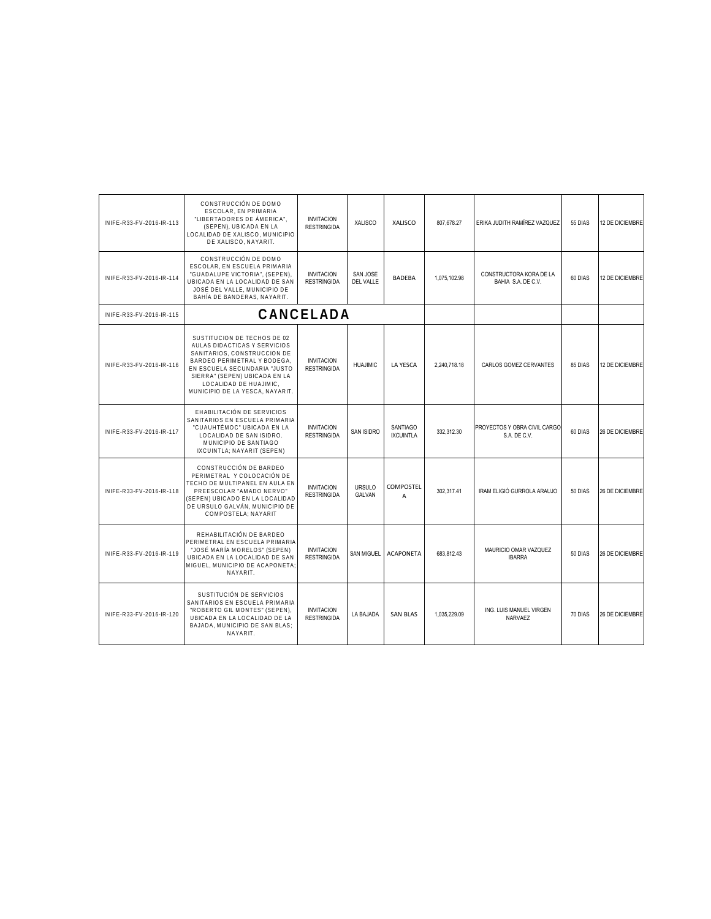| INIFE-R33-FV-2016-IR-113 | CONSTRUCCIÓN DE DOMO<br>ESCOLAR, EN PRIMARIA<br>"LIBERTADORES DE ÁMERICA".<br>(SEPEN), UBICADA EN LA<br>LOCALIDAD DE XALISCO, MUNICIPIO<br>DE XALISCO, NAYARIT.                                                                                         | <b>INVITACION</b><br><b>RESTRINGIDA</b> | <b>XALISCO</b>               | XALISCO                             | 807,678.27   | ERIKA JUDITH RAMÍREZ VAZQUEZ                  | 55 DIAS | 12 DE DICIEMBRE |
|--------------------------|---------------------------------------------------------------------------------------------------------------------------------------------------------------------------------------------------------------------------------------------------------|-----------------------------------------|------------------------------|-------------------------------------|--------------|-----------------------------------------------|---------|-----------------|
| INIFE-R33-FV-2016-IR-114 | CONSTRUCCIÓN DE DOMO<br>ESCOLAR. EN ESCUELA PRIMARIA<br>"GUADALUPE VICTORIA", (SEPEN),<br>UBICADA EN LA LOCALIDAD DE SAN<br>JOSÉ DEL VALLE, MUNICIPIO DE<br>BAHÍA DE BANDERAS, NAYARIT.                                                                 | <b>INVITACION</b><br><b>RESTRINGIDA</b> | SAN JOSE<br><b>DEL VALLE</b> | <b>BADEBA</b>                       | 1,075,102.98 | CONSTRUCTORA KORA DE LA<br>BAHIA S.A. DE C.V. | 60 DIAS | 12 DE DICIEMBRE |
| INIFE-R33-FV-2016-IR-115 |                                                                                                                                                                                                                                                         | CANCELADA                               |                              |                                     |              |                                               |         |                 |
| INIFE-R33-FV-2016-IR-116 | SUSTITUCION DE TECHOS DE 02<br>AULAS DIDACTICAS Y SERVICIOS<br>SANITARIOS, CONSTRUCCION DE<br>BARDEO PERIMETRAL Y BODEGA.<br>EN ESCUELA SECUNDARIA "JUSTO<br>SIERRA" (SEPEN) UBICADA EN LA<br>LOCALIDAD DE HUAJIMIC,<br>MUNICIPIO DE LA YESCA, NAYARIT. | <b>INVITACION</b><br><b>RESTRINGIDA</b> | <b>HUAJIMIC</b>              | <b>LA YESCA</b>                     | 2.240.718.18 | CARLOS GOMEZ CERVANTES                        | 85 DIAS | 12 DE DICIEMBRE |
| INIFE-R33-FV-2016-IR-117 | EHABILITACIÓN DE SERVICIOS<br>SANITARIOS EN ESCUELA PRIMARIA<br>"CUAUHTÉMOC" UBICADA EN LA<br>LOCALIDAD DE SAN ISIDRO.<br>MUNICIPIO DE SANTIAGO<br>IXCUINTLA: NAYARIT (SEPEN)                                                                           | <b>INVITACION</b><br><b>RESTRINGIDA</b> | <b>SAN ISIDRO</b>            | <b>SANTIAGO</b><br><b>IXCUINTLA</b> | 332.312.30   | PROYECTOS Y OBRA CIVIL CARGO<br>S.A. DE C.V.  | 60 DIAS | 26 DE DICIEMBRE |
| INIFE-R33-FV-2016-IR-118 | CONSTRUCCIÓN DE BARDEO<br>PERIMETRAL Y COLOCACIÓN DE<br>TECHO DE MULTIPANEL EN AULA EN<br>PREESCOLAR "AMADO NERVO"<br>(SEPEN) UBICADO EN LA LOCALIDAD<br>DE URSULO GALVÁN, MUNICIPIO DE<br>COMPOSTELA: NAYARIT                                          | <b>INVITACION</b><br><b>RESTRINGIDA</b> | <b>URSULO</b><br>GALVAN      | COMPOSTEL<br>A                      | 302,317.41   | IRAM ELIGIÓ GURROLA ARAUJO                    | 50 DIAS | 26 DE DICIEMBRE |
| INIFE-R33-FV-2016-IR-119 | REHABILITACIÓN DE BARDEO<br>PERIMETRAL EN ESCUELA PRIMARIA<br>"JOSÉ MARÍA MORELOS" (SEPEN)<br>UBICADA EN LA LOCALIDAD DE SAN<br>MIGUEL, MUNICIPIO DE ACAPONETA:<br>NAYARIT.                                                                             | <b>INVITACION</b><br><b>RESTRINGIDA</b> | <b>SAN MIGUEL</b>            | <b>ACAPONETA</b>                    | 683.812.43   | MAURICIO OMAR VAZQUEZ<br><b>IBARRA</b>        | 50 DIAS | 26 DE DICIEMBRE |
| INIFE-R33-FV-2016-IR-120 | SUSTITUCIÓN DE SERVICIOS<br>SANITARIOS EN ESCUELA PRIMARIA<br>"ROBERTO GIL MONTES" (SEPEN).<br>UBICADA EN LA LOCALIDAD DE LA<br>BAJADA, MUNICIPIO DE SAN BLAS;<br>NAYARIT.                                                                              | <b>INVITACION</b><br><b>RESTRINGIDA</b> | LA BAJADA                    | <b>SAN BLAS</b>                     | 1.035.229.09 | ING. LUIS MANUEL VIRGEN<br>NARVAEZ            | 70 DIAS | 26 DE DICIEMBRE |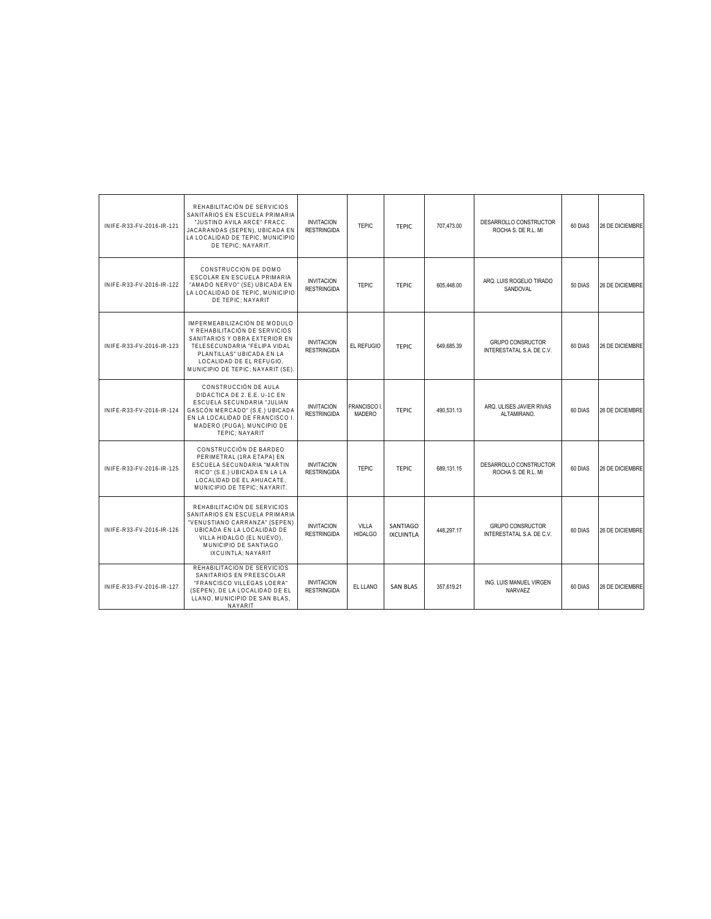| INIFE-R33-FV-2016-IR-121 | REHABILITACIÓN DE SERVICIOS<br>SANITARIOS EN ESCUELA PRIMARIA<br>"JUSTINO AVILA ARCE" FRACC.<br>JACARANDAS (SEPEN), UBICADA EN<br>LA LOCALIDAD DE TEPIC, MUNICIPIO<br>DE TEPIC; NAYARIT.                                    | <b>INVITACION</b><br><b>RESTRINGIDA</b> | <b>TEPIC</b>                 | <b>TEPIC</b>                 | 707.473.00 | DESARROLLO CONSTRUCTOR<br>ROCHA S. DE R.L. MI        | 60 DIAS | 26 DE DICIEMBRE        |
|--------------------------|-----------------------------------------------------------------------------------------------------------------------------------------------------------------------------------------------------------------------------|-----------------------------------------|------------------------------|------------------------------|------------|------------------------------------------------------|---------|------------------------|
| INIFE-R33-FV-2016-IR-122 | CONSTRUCCION DE DOMO<br>ESCOLAR EN ESCUELA PRIMARIA<br>"AMADO NERVO" (SE) UBICADA EN<br>LA LOCALIDAD DE TEPIC. MUNICIPIO<br>DE TEPIC: NAYARIT                                                                               | <b>INVITACION</b><br><b>RESTRINGIDA</b> | <b>TEPIC</b>                 | <b>TEPIC</b>                 | 605,448.00 | ARQ. LUIS ROGELIO TIRADO<br>SANDOVAL                 | 50 DIAS | 26 DE DICIEMBRE        |
| INIFE-R33-FV-2016-IR-123 | IMPERMEABILIZACIÓN DE MODULO<br>Y REHABILITACIÓN DE SERVICIOS<br>SANITARIOS Y OBRA EXTERIOR EN<br>TELESECUNDARIA "FELIPA VIDAL<br>PLANTILLAS" UBICADA EN LA<br>LOCALIDAD DE EL REFUGIO.<br>MUNICIPIO DE TEPIC; NAYARIT (SE) | <b>INVITACION</b><br><b>RESTRINGIDA</b> | EL REFUGIO                   | TFPIC.                       | 649.685.39 | <b>GRUPO CONSRUCTOR</b><br>INTERESTATAL S.A. DE C.V. | 60 DIAS | <b>26 DE DICIEMBRE</b> |
| INIFE-R33-FV-2016-IR-124 | CONSTRUCCIÓN DE AULA<br>DIDACTICA DE 2. E.E. U-1C EN<br>ESCUELA SECUNDARIA "JULIAN<br>GASCÓN MERCADO" (S.E.) UBICADA<br>EN LA LOCALIDAD DE FRANCISCO I.<br>MADERO (PUGA), MUNCIPIO DE<br>TEPIC: NAYARIT                     | <b>INVITACION</b><br><b>RESTRINGIDA</b> | <b>FRANCISCO I</b><br>MADERO | TFPIC.                       | 490.531.13 | ARQ. ULISES JAVIER RIVAS<br>ALTAMIRANO.              | 60 DIAS | 26 DE DICIEMBRE        |
| INIFF-R33-FV-2016-IR-125 | CONSTRUCCIÓN DE BARDEO<br>PERIMETRAL (1RA ETAPA) EN<br>ESCUELA SECUNDARIA "MARTIN<br>RICO" (S.E.) UBICADA EN LA LA<br>LOCALIDAD DE EL AHUACATE.<br>MUNICIPIO DE TEPIC: NAYARIT.                                             | <b>INVITACION</b><br><b>RESTRINGIDA</b> | <b>TEPIC</b>                 | TFPIC.                       | 689.131.15 | DESARROLLO CONSTRUCTOR<br>ROCHA S. DE R.L. MI        | 60 DIAS | <b>26 DE DICIEMBRE</b> |
| INIFE-R33-FV-2016-IR-126 | REHABILITACIÓN DE SERVICIOS<br>SANITARIOS EN ESCUELA PRIMARIA<br>"VENUSTIANO CARRANZA" (SEPEN)<br>UBICADA EN LA LOCALIDAD DE<br>VILLA HIDALGO (EL NUEVO),<br>MUNICIPIO DE SANTIAGO<br>IXCUINTLA: NAYARIT                    | <b>INVITACION</b><br><b>RESTRINGIDA</b> | VILLA<br><b>HIDALGO</b>      | SANTIAGO<br><b>IXCUINTLA</b> | 448,297.17 | <b>GRUPO CONSRUCTOR</b><br>INTERESTATAL S.A. DE C.V. | 60 DIAS | <b>26 DE DICIEMBRE</b> |
| INIFE-R33-FV-2016-IR-127 | REHABILITACION DE SERVICIOS<br>SANITARIOS EN PREESCOLAR<br>"FRANCISCO VILLEGAS LOERA"<br>(SEPEN), DE LA LOCALIDAD DE EL<br>LLANO. MUNICIPIO DE SAN BLAS.<br><b>NAYARIT</b>                                                  | <b>INVITACION</b><br><b>RESTRINGIDA</b> | EL LLANO                     | <b>SAN BLAS</b>              | 357.619.21 | ING. LUIS MANUEL VIRGEN<br><b>NARVAEZ</b>            | 60 DIAS | <b>26 DE DICIEMBRE</b> |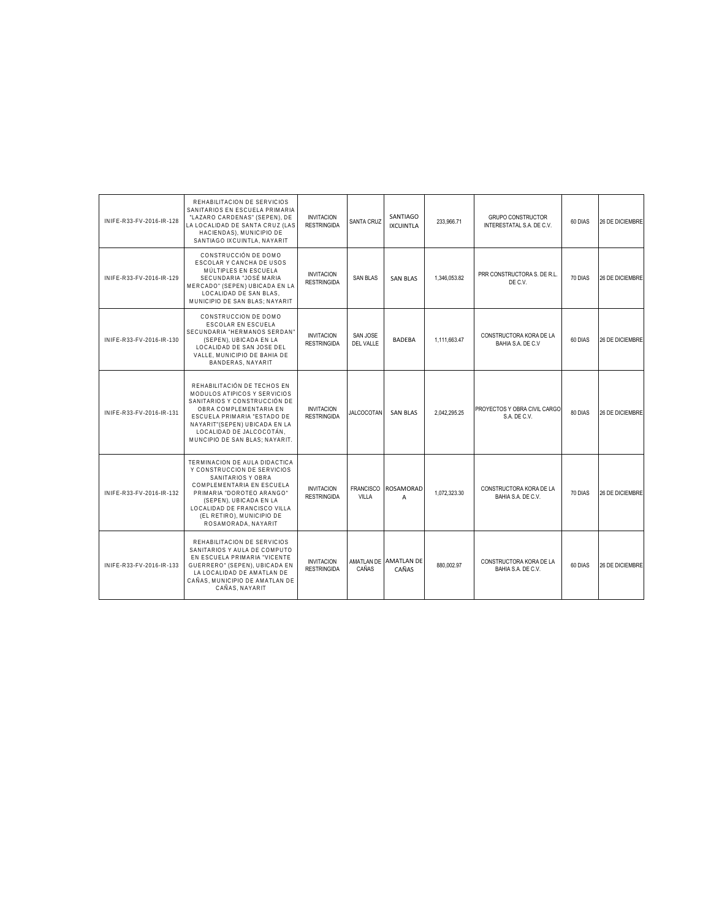| INIFE-R33-FV-2016-IR-128 | REHABILITACION DE SERVICIOS<br>SANITARIOS EN ESCUELA PRIMARIA<br>"LAZARO CARDENAS" (SEPEN), DE<br>LA LOCALIDAD DE SANTA CRUZ (LAS<br>HACIENDAS). MUNICIPIO DE<br>SANTIAGO IXCUINTLA, NAYARIT                                                              | <b>INVITACION</b><br><b>RESTRINGIDA</b> | SANTA CRUZ                | SANTIAGO<br><b>IXCUINTLA</b>   | 233,966.71   | <b>GRUPO CONSTRUCTOR</b><br>INTERESTATAL S.A. DE C.V. | 60 DIAS | 26 DE DICIEMBRE |
|--------------------------|-----------------------------------------------------------------------------------------------------------------------------------------------------------------------------------------------------------------------------------------------------------|-----------------------------------------|---------------------------|--------------------------------|--------------|-------------------------------------------------------|---------|-----------------|
| INIFE-R33-FV-2016-IR-129 | CONSTRUCCIÓN DE DOMO<br>ESCOLAR Y CANCHA DE USOS<br>MÚLTIPLES EN ESCUELA<br>SECUNDARIA "JOSÉ MARIA<br>MERCADO" (SEPEN) UBICADA EN LA<br>LOCALIDAD DE SAN BLAS.<br>MUNICIPIO DE SAN BLAS: NAYARIT                                                          | <b>INVITACION</b><br><b>RESTRINGIDA</b> | <b>SAN BLAS</b>           | <b>SAN BLAS</b>                | 1,346,053.82 | PRR CONSTRUCTORA S. DE R.L.<br>DE C.V.                | 70 DIAS | 26 DE DICIEMBRE |
| INIFE-R33-FV-2016-IR-130 | CONSTRUCCION DE DOMO<br><b>ESCOLAR EN ESCUELA</b><br>SECUNDARIA "HERMANOS SERDAN"<br>(SEPEN). UBICADA EN LA<br>LOCALIDAD DE SAN JOSE DEL<br>VALLE. MUNICIPIO DE BAHIA DE<br>BANDERAS, NAYARIT                                                             | <b>INVITACION</b><br><b>RESTRINGIDA</b> | SAN JOSE<br>DEL VALLE     | <b>BADEBA</b>                  | 1.111.663.47 | CONSTRUCTORA KORA DE LA<br>BAHIA S.A. DE C.V          | 60 DIAS | 26 DE DICIEMBRE |
| INIFE-R33-FV-2016-IR-131 | REHABILITACIÓN DE TECHOS EN<br>MODULOS ATIPICOS Y SERVICIOS<br>SANITARIOS Y CONSTRUCCIÓN DE<br>OBRA COMPLEMENTARIA EN<br>ESCUELA PRIMARIA "ESTADO DE<br>NAYARIT" (SEPEN) UBICADA EN LA<br>LOCALIDAD DE JALCOCOTÁN.<br>MUNCIPIO DE SAN BLAS: NAYARIT.      | <b>INVITACION</b><br><b>RESTRINGIDA</b> | <b>JALCOCOTAN</b>         | <b>SAN BLAS</b>                | 2.042.295.25 | PROYECTOS Y OBRA CIVIL CARGO<br>S.A. DE C.V.          | 80 DIAS | 26 DE DICIEMBRE |
| INIFE-R33-FV-2016-IR-132 | TERMINACION DE AULA DIDACTICA<br>Y CONSTRUCCION DE SERVICIOS<br>SANITARIOS Y OBRA<br>COMPLEMENTARIA EN ESCUELA<br>PRIMARIA "DOROTEO ARANGO"<br>(SEPEN), UBICADA EN LA<br>LOCALIDAD DE FRANCISCO VILLA<br>(EL RETIRO), MUNICIPIO DE<br>ROSAMORADA, NAYARIT | <b>INVITACION</b><br><b>RESTRINGIDA</b> | <b>FRANCISCO</b><br>VILLA | <b>ROSAMORAD</b><br>A          | 1.072.323.30 | CONSTRUCTORA KORA DE LA<br>BAHIA S.A. DE C.V.         | 70 DIAS | 26 DE DICIEMBRE |
| INIFE-R33-FV-2016-IR-133 | REHABILITACION DE SERVICIOS<br>SANITARIOS Y AULA DE COMPUTO<br>EN ESCUELA PRIMARIA "VICENTE<br>GUERRERO" (SEPEN), UBICADA EN<br>LA LOCALIDAD DE AMATLAN DE<br>CAÑAS. MUNICIPIO DE AMATLAN DE<br>CAÑAS, NAYARIT                                            | <b>INVITACION</b><br><b>RESTRINGIDA</b> | CAÑAS                     | AMATLAN DE AMATLAN DE<br>CAÑAS | 880,002.97   | CONSTRUCTORA KORA DE LA<br>BAHIA S.A. DE C.V.         | 60 DIAS | 26 DE DICIEMBRE |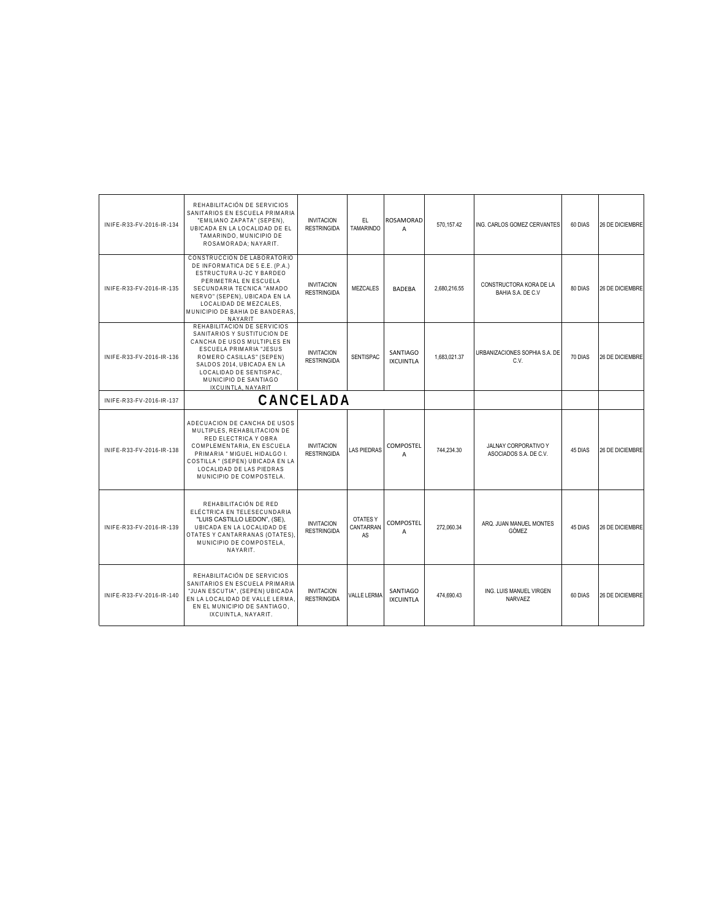| INIFE-R33-FV-2016-IR-134 | REHABILITACIÓN DE SERVICIOS<br>SANITARIOS EN ESCUELA PRIMARIA<br>"EMILIANO ZAPATA" (SEPEN),<br>UBICADA EN LA LOCALIDAD DE EL<br>TAMARINDO, MUNICIPIO DE<br>ROSAMORADA: NAYARIT.                                                                                 | <b>INVITACION</b><br><b>RESTRINGIDA</b> | EL.<br><b>TAMARINDO</b>            | ROSAMORAD<br>$\overline{A}$  | 570.157.42   | ING. CARLOS GOMEZ CERVANTES                           | 60 DIAS | 26 DE DICIEMBRE        |
|--------------------------|-----------------------------------------------------------------------------------------------------------------------------------------------------------------------------------------------------------------------------------------------------------------|-----------------------------------------|------------------------------------|------------------------------|--------------|-------------------------------------------------------|---------|------------------------|
| INIFE-R33-FV-2016-IR-135 | CONSTRUCCION DE LABORATORIO<br>DE INFORMATICA DE 5 E.E. (P.A.)<br>ESTRUCTURA U-2C Y BARDEO<br>PERIMETRAL EN ESCUELA<br>SECUNDARIA TECNICA "AMADO<br>NERVO" (SEPEN), UBICADA EN LA<br>LOCALIDAD DE MEZCALES.<br>MUNICIPIO DE BAHIA DE BANDERAS,<br>NAYARIT       | <b>INVITACION</b><br><b>RESTRINGIDA</b> | <b>MEZCALES</b>                    | <b>BADEBA</b>                | 2,680,216.55 | CONSTRUCTORA KORA DE LA<br>BAHIA S.A. DE C.V          | 80 DIAS | 26 DE DICIEMBRE        |
| INIFE-R33-FV-2016-IR-136 | REHABILITACION DE SERVICIOS<br>SANITARIOS Y SUSTITUCION DE<br>CANCHA DE USOS MULTIPLES EN<br><b>ESCUELA PRIMARIA "JESUS</b><br>ROMERO CASILLAS" (SEPEN)<br>SALDOS 2014. UBICADA EN LA<br>LOCALIDAD DE SENTISPAC.<br>MUNICIPIO DE SANTIAGO<br>IXCUINTLA, NAYARIT | <b>INVITACION</b><br><b>RESTRINGIDA</b> | <b>SENTISPAC</b>                   | SANTIAGO<br><b>IXCUINTLA</b> | 1,683,021.37 | URBANIZACIONES SOPHIA S.A. DE<br>C.V.                 | 70 DIAS | 26 DE DICIEMBRE        |
| INIFE-R33-FV-2016-IR-137 |                                                                                                                                                                                                                                                                 | CANCELADA                               |                                    |                              |              |                                                       |         |                        |
| INIFE-R33-FV-2016-IR-138 | ADECUACION DE CANCHA DE USOS<br>MULTIPLES, REHABILITACION DE<br>RED ELECTRICA Y OBRA<br>COMPLEMENTARIA, EN ESCUELA<br>PRIMARIA " MIGUEL HIDALGO I.<br>COSTILLA " (SEPEN) UBICADA EN LA<br>LOCALIDAD DE LAS PIEDRAS<br>MUNICIPIO DE COMPOSTELA.                  | <b>INVITACION</b><br><b>RESTRINGIDA</b> | <b>LAS PIEDRAS</b>                 | COMPOSTEL<br>A               | 744,234.30   | <b>JALNAY CORPORATIVO Y</b><br>ASOCIADOS S.A. DE C.V. | 45 DIAS | 26 DE DICIEMBRE        |
| INIFE-R33-FV-2016-IR-139 | REHABILITACIÓN DE RED<br>ELÉCTRICA EN TELESECUNDARIA<br>"LUIS CASTILLO LEDON". (SE).<br>UBICADA EN LA LOCALIDAD DE<br>OTATES Y CANTARRANAS (OTATES),<br>MUNICIPIO DE COMPOSTELA,<br>NAYARIT.                                                                    | <b>INVITACION</b><br><b>RESTRINGIDA</b> | <b>OTATES Y</b><br>CANTARRAN<br>AS | <b>COMPOSTEL</b><br>A        | 272.060.34   | ARQ. JUAN MANUEL MONTES<br>GÓMEZ                      | 45 DIAS | <b>26 DE DICIEMBRE</b> |
| INIFE-R33-FV-2016-IR-140 | REHABILITACIÓN DE SERVICIOS<br>SANITARIOS EN ESCUELA PRIMARIA<br>"JUAN ESCUTIA", (SEPEN) UBICADA<br>EN LA LOCALIDAD DE VALLE LERMA<br>EN EL MUNICIPIO DE SANTIAGO.<br>IXCUINTLA, NAYARIT.                                                                       | <b>INVITACION</b><br><b>RESTRINGIDA</b> | <b>VALLE LERMA</b>                 | SANTIAGO<br><b>IXCUINTLA</b> | 474.690.43   | ING. LUIS MANUEL VIRGEN<br>NARVAEZ                    | 60 DIAS | 26 DE DICIEMBRE        |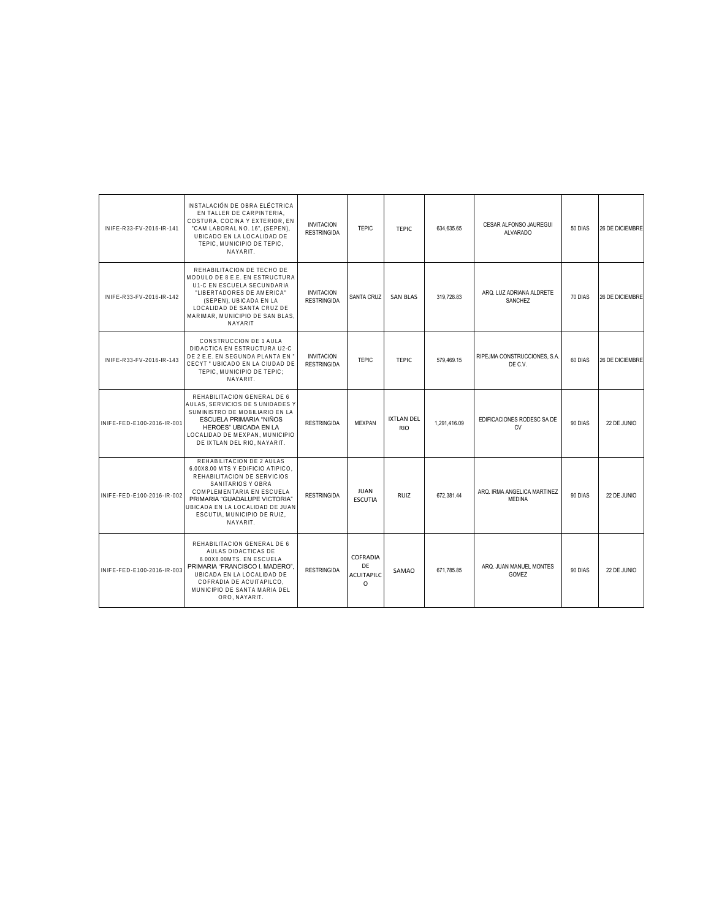| INIFE-R33-FV-2016-IR-141   | INSTALACIÓN DE OBRA ELÉCTRICA<br>EN TALLER DE CARPINTERIA.<br>COSTURA, COCINA Y EXTERIOR, EN<br>"CAM LABORAL NO. 16". (SEPEN).<br>UBICADO EN LA LOCALIDAD DE<br>TEPIC. MUNICIPIO DE TEPIC.<br>NAYARIT.                                                         | <b>INVITACION</b><br><b>RESTRINGIDA</b> | <b>TEPIC</b>                                    | <b>TEPIC</b>                    | 634,635.65   | CESAR ALFONSO JAUREGUI<br><b>ALVARADO</b>    | 50 DIAS | <b>26 DE DICIEMBRE</b> |
|----------------------------|----------------------------------------------------------------------------------------------------------------------------------------------------------------------------------------------------------------------------------------------------------------|-----------------------------------------|-------------------------------------------------|---------------------------------|--------------|----------------------------------------------|---------|------------------------|
| INIFE-R33-FV-2016-IR-142   | REHABILITACION DE TECHO DE<br>MODULO DE 8 E.E. EN ESTRUCTURA<br>U1-C EN ESCUELA SECUNDARIA<br>"LIBERTADORES DE AMERICA"<br>(SEPEN), UBICADA EN LA<br>LOCALIDAD DE SANTA CRUZ DE<br>MARIMAR, MUNICIPIO DE SAN BLAS.<br>NAYARIT                                  | <b>INVITACION</b><br><b>RESTRINGIDA</b> | <b>SANTA CRUZ</b>                               | <b>SAN BLAS</b>                 | 319.728.83   | ARQ. LUZ ADRIANA ALDRETE<br><b>SANCHEZ</b>   | 70 DIAS | <b>26 DE DICIEMBRE</b> |
| INIFE-R33-FV-2016-IR-143   | CONSTRUCCION DE 1 AULA<br>DIDACTICA EN ESTRUCTURA U2-C<br>DE 2 E.E. EN SEGUNDA PLANTA EN '<br>CECYT " UBICADO EN LA CIUDAD DE<br>TEPIC, MUNICIPIO DE TEPIC;<br>NAYARIT.                                                                                        | <b>INVITACION</b><br><b>RESTRINGIDA</b> | <b>TEPIC</b>                                    | <b>TEPIC</b>                    | 579.469.15   | RIPEJMA CONSTRUCCIONES, S.A.<br>DE C.V.      | 60 DIAS | 26 DE DICIEMBRE        |
| INIFE-FED-E100-2016-IR-001 | REHABILITACION GENERAL DE 6<br>AULAS. SERVICIOS DE 5 UNIDADES Y<br>SUMINISTRO DE MOBILIARIO EN LA<br>ESCUELA PRIMARIA "NIÑOS<br><b>HEROES" UBICADA EN LA</b><br>LOCALIDAD DE MEXPAN, MUNICIPIO<br>DE IXTLAN DEL RIO, NAYARIT.                                  | <b>RESTRINGIDA</b>                      | <b>MEXPAN</b>                                   | <b>IXTLAN DEL</b><br><b>RIO</b> | 1.291.416.09 | EDIFICACIONES RODESC SA DE<br><b>CV</b>      | 90 DIAS | 22 DE JUNIO            |
| INIFE-FED-E100-2016-IR-002 | REHABILITACION DE 2 AULAS<br>6.00X8.00 MTS Y EDIFICIO ATIPICO.<br>REHABILITACION DE SERVICIOS<br>SANITARIOS Y OBRA<br>COMPLEMENTARIA EN ESCUELA<br>PRIMARIA "GUADALUPE VICTORIA"<br>UBICADA EN LA LOCALIDAD DE JUAN<br>ESCUTIA, MUNICIPIO DE RUIZ,<br>NAYARIT. | <b>RESTRINGIDA</b>                      | <b>JUAN</b><br><b>ESCUTIA</b>                   | <b>RUIZ</b>                     | 672.381.44   | ARQ. IRMA ANGELICA MARTINEZ<br><b>MEDINA</b> | 90 DIAS | 22 DE JUNIO            |
| INIFE-FED-E100-2016-IR-003 | REHABILITACION GENERAL DE 6<br>AULAS DIDACTICAS DE<br>6.00X8.00MTS. EN ESCUELA<br>PRIMARIA "FRANCISCO I. MADERO".<br>UBICADA EN LA LOCALIDAD DE<br>COFRADIA DE ACUITAPILCO.<br>MUNICIPIO DE SANTA MARIA DEL<br>ORO, NAYARIT.                                   | <b>RESTRINGIDA</b>                      | COFRADIA<br>DE<br><b>ACUITAPILC</b><br>$\Omega$ | SAMAO                           | 671.785.85   | ARQ. JUAN MANUEL MONTES<br>GOMEZ             | 90 DIAS | 22 DE JUNIO            |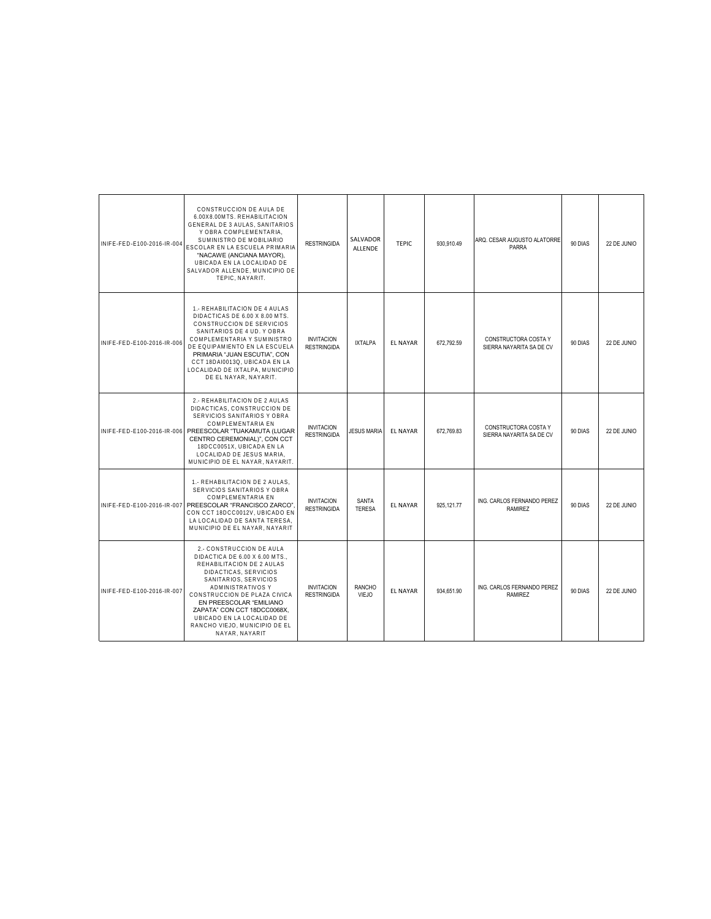| INIFE-FED-E100-2016-IR-004 | CONSTRUCCION DE AULA DE<br>6.00X8.00MTS, REHABILITACION<br>GENERAL DE 3 AULAS, SANITARIOS<br>Y OBRA COMPLEMENTARIA,<br>SUMINISTRO DE MOBILIARIO<br>ESCOLAR EN LA ESCUELA PRIMARIA<br>"NACAWE (ANCIANA MAYOR),<br>UBICADA EN LA LOCALIDAD DE<br>SALVADOR ALLENDE. MUNICIPIO DE<br>TEPIC. NAYARIT.                                          | <b>RESTRINGIDA</b>                      | SALVADOR<br><b>ALLENDE</b>    | <b>TEPIC</b>    | 930.910.49  | ARQ. CESAR AUGUSTO ALATORRE<br>PARRA             | 90 DIAS | 22 DE JUNIO |
|----------------------------|-------------------------------------------------------------------------------------------------------------------------------------------------------------------------------------------------------------------------------------------------------------------------------------------------------------------------------------------|-----------------------------------------|-------------------------------|-----------------|-------------|--------------------------------------------------|---------|-------------|
| INIFE-FED-E100-2016-IR-006 | 1.- REHABILITACION DE 4 AULAS<br>DIDACTICAS DE 6.00 X 8.00 MTS.<br>CONSTRUCCION DE SERVICIOS<br>SANITARIOS DE 4 UD. Y OBRA<br>COMPLEMENTARIA Y SUMINISTRO<br>DE EQUIPAMIENTO EN LA ESCUELA<br>PRIMARIA "JUAN ESCUTIA", CON<br>CCT 18DAI0013Q, UBICADA EN LA<br>LOCALIDAD DE IXTALPA, MUNICIPIO<br>DE EL NAYAR, NAYARIT.                   | <b>INVITACION</b><br><b>RESTRINGIDA</b> | <b>IXTALPA</b>                | <b>EL NAYAR</b> | 672.792.59  | CONSTRUCTORA COSTA Y<br>SIERRA NAYARITA SA DE CV | 90 DIAS | 22 DE JUNIO |
|                            | 2.- REHABILITACION DE 2 AULAS<br>DIDACTICAS, CONSTRUCCION DE<br>SERVICIOS SANITARIOS Y OBRA<br>COMPLEMENTARIA EN<br>INIFE-FED-E100-2016-IR-006 PREESCOLAR "TUAKAMUTA (LUGAR<br>CENTRO CEREMONIAL)", CON CCT<br>18DCC0051X, UBICADA EN LA<br>LOCALIDAD DE JESUS MARIA.<br>MUNICIPIO DE EL NAYAR, NAYARIT.                                  | <b>INVITACION</b><br><b>RESTRINGIDA</b> | <b>JESUS MARIA</b>            | <b>EL NAYAR</b> | 672,769.83  | CONSTRUCTORA COSTA Y<br>SIERRA NAYARITA SA DE CV | 90 DIAS | 22 DE JUNIO |
| INIFE-FED-E100-2016-IR-007 | 1.- REHABILITACION DE 2 AULAS.<br>SERVICIOS SANITARIOS Y OBRA<br>COMPLEMENTARIA EN<br>PREESCOLAR "FRANCISCO ZARCO"<br>CON CCT 18DCC0012V, UBICADO EN<br>LA LOCALIDAD DE SANTA TERESA,<br>MUNICIPIO DE EL NAYAR, NAYARIT                                                                                                                   | <b>INVITACION</b><br><b>RESTRINGIDA</b> | <b>SANTA</b><br><b>TERESA</b> | <b>EL NAYAR</b> | 925, 121.77 | ING. CARLOS FERNANDO PEREZ<br>RAMIREZ            | 90 DIAS | 22 DE JUNIO |
| INIFE-FED-E100-2016-IR-007 | 2.- CONSTRUCCION DE AULA<br>DIDACTICA DE 6.00 X 6.00 MTS.,<br>REHABILITACION DE 2 AULAS<br>DIDACTICAS, SERVICIOS<br>SANITARIOS, SERVICIOS<br>ADMINISTRATIVOS Y<br>CONSTRUCCION DE PLAZA CIVICA<br>EN PREESCOLAR "EMILIANO<br>ZAPATA" CON CCT 18DCC0068X.<br>UBICADO EN LA LOCALIDAD DE<br>RANCHO VIEJO, MUNICIPIO DE EL<br>NAYAR, NAYARIT | <b>INVITACION</b><br><b>RESTRINGIDA</b> | <b>RANCHO</b><br><b>VIEJO</b> | <b>EL NAYAR</b> | 934.651.90  | ING. CARLOS FERNANDO PEREZ<br><b>RAMIREZ</b>     | 90 DIAS | 22 DE JUNIO |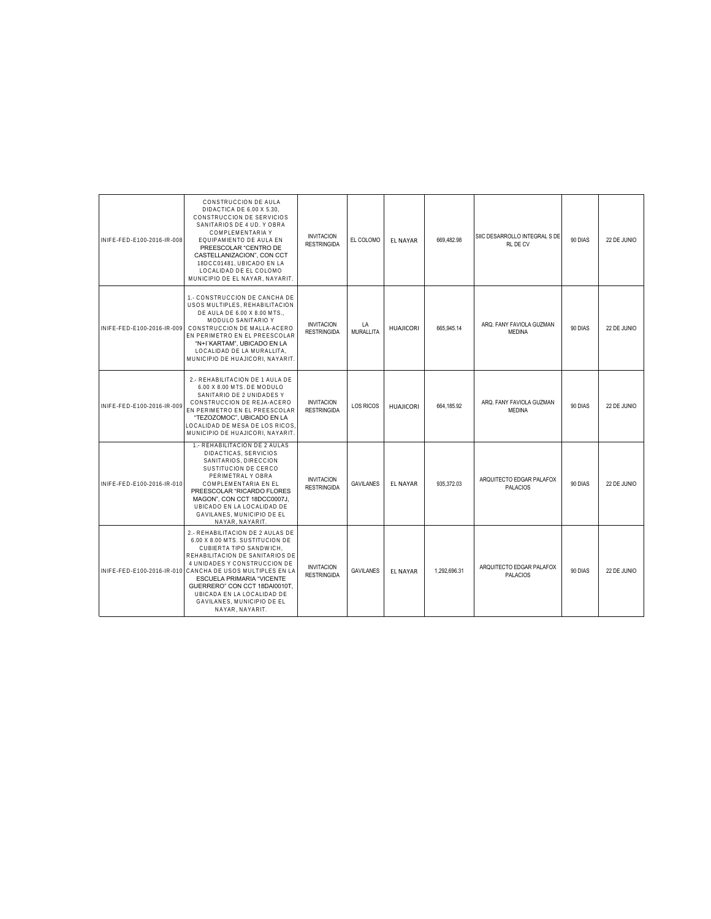| INIFF-FFD-F100-2016-IR-008 | CONSTRUCCION DE AULA<br>DIDACTICA DE 6.00 X 5.30.<br>CONSTRUCCION DE SERVICIOS<br>SANITARIOS DE 4 UD. Y OBRA<br>COMPLEMENTARIA Y<br>EQUIPAMIENTO DE AULA EN<br>PREESCOLAR "CENTRO DE<br>CASTELLANIZACION", CON CCT<br>18DCC01481, UBICADO EN LA<br>LOCALIDAD DE EL COLOMO<br>MUNICIPIO DE EL NAYAR, NAYARIT.                                                                | <b>INVITACION</b><br><b>RESTRINGIDA</b> | EL COLOMO        | <b>EL NAYAR</b>  | 669,482.98   | SIIC DESARROLLO INTEGRAL S DE<br>RL DE CV   | 90 DIAS | 22 DE JUNIO |
|----------------------------|-----------------------------------------------------------------------------------------------------------------------------------------------------------------------------------------------------------------------------------------------------------------------------------------------------------------------------------------------------------------------------|-----------------------------------------|------------------|------------------|--------------|---------------------------------------------|---------|-------------|
| INIFE-FED-E100-2016-IR-009 | 1.- CONSTRUCCION DE CANCHA DE<br>USOS MULTIPLES, REHABILITACION<br>DE AULA DE 6.00 X 8.00 MTS.,<br>MODULO SANITARIO Y<br>CONSTRUCCION DE MALLA-ACERO<br>EN PERIMETRO EN EL PREESCOLAR<br>"N+I'KARTAM", UBICADO EN LA<br>LOCALIDAD DE LA MURALLITA,<br>MUNICIPIO DE HUAJICORI, NAYARIT.                                                                                      | <b>INVITACION</b><br><b>RESTRINGIDA</b> | LA<br>MURALLITA  | <b>HUAJICORI</b> | 665.945.14   | ARQ. FANY FAVIOLA GUZMAN<br><b>MEDINA</b>   | 90 DIAS | 22 DE JUNIO |
| INIFE-FED-E100-2016-IR-009 | 2.- REHABILITACION DE 1 AULA DE<br>6.00 X 8.00 MTS. DE MODULO<br>SANITARIO DE 2 UNIDADES Y<br>CONSTRUCCION DE REJA-ACERO<br>EN PERIMETRO EN EL PREESCOLAR<br>"TEZOZOMOC", UBICADO EN LA<br>LOCALIDAD DE MESA DE LOS RICOS<br>MUNICIPIO DE HUAJICORI. NAYARIT.                                                                                                               | <b>INVITACION</b><br><b>RESTRINGIDA</b> | <b>LOS RICOS</b> | <b>HUAJICORI</b> | 664,185.92   | ARQ. FANY FAVIOLA GUZMAN<br><b>MEDINA</b>   | 90 DIAS | 22 DE JUNIO |
| INIFE-FED-E100-2016-IR-010 | 1.- REHABILITACION DE 2 AULAS<br>DIDACTICAS, SERVICIOS<br>SANITARIOS, DIRECCION<br>SUSTITUCION DE CERCO<br>PERIMETRAL Y OBRA<br>COMPLEMENTARIA EN EL<br>PREESCOLAR "RICARDO FLORES<br>MAGON", CON CCT 18DCC0007J,<br>UBICADO EN LA LOCALIDAD DE<br>GAVILANES, MUNICIPIO DE EL<br>NAYAR, NAYARIT                                                                             | <b>INVITACION</b><br><b>RESTRINGIDA</b> | <b>GAVILANES</b> | <b>EL NAYAR</b>  | 935,372.03   | ARQUITECTO EDGAR PALAFOX<br><b>PALACIOS</b> | 90 DIAS | 22 DE JUNIO |
|                            | 2.- REHABILITACION DE 2 AULAS DE<br>6.00 X 8.00 MTS. SUSTITUCION DE<br>CUBIERTA TIPO SANDWICH,<br>REHABILITACION DE SANITARIOS DE<br>4 UNIDADES Y CONSTRUCCION DE<br>INIFE-FED-E100-2016-IR-010 CANCHA DE USOS MULTIPLES EN LA<br>ESCUELA PRIMARIA "VICENTE<br>GUERRERO" CON CCT 18DAI0010T.<br>UBICADA EN LA LOCALIDAD DE<br>GAVILANES. MUNICIPIO DE EL<br>NAYAR, NAYARIT. | <b>INVITACION</b><br><b>RESTRINGIDA</b> | <b>GAVILANES</b> | <b>EL NAYAR</b>  | 1.292.696.31 | ARQUITECTO EDGAR PALAFOX<br><b>PALACIOS</b> | 90 DIAS | 22 DE JUNIO |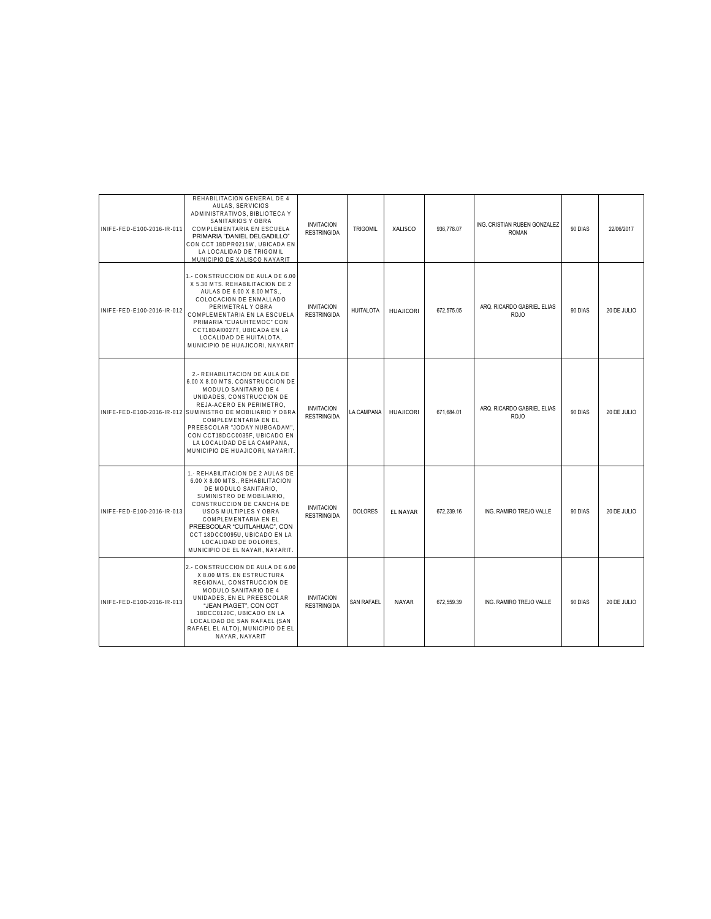| INIFE-FED-E100-2016-IR-011 | REHABILITACION GENERAL DE 4<br>AULAS, SERVICIOS<br>ADMINISTRATIVOS, BIBLIOTECA Y<br>SANITARIOS Y OBRA<br>COMPLEMENTARIA EN ESCUELA<br>PRIMARIA "DANIEL DELGADILLO"<br>CON CCT 18DPR0215W, UBICADA EN<br>LA LOCALIDAD DE TRIGOMIL<br>MUNICIPIO DE XALISCO NAYARIT                                                                                                            | <b>INVITACION</b><br><b>RESTRINGIDA</b> | <b>TRIGOMIL</b>   | XALISCO          | 936.778.07 | ING. CRISTIAN RUBEN GONZALEZ<br><b>ROMAN</b> | 90 DIAS | 22/06/2017  |
|----------------------------|-----------------------------------------------------------------------------------------------------------------------------------------------------------------------------------------------------------------------------------------------------------------------------------------------------------------------------------------------------------------------------|-----------------------------------------|-------------------|------------------|------------|----------------------------------------------|---------|-------------|
| INIFE-FED-E100-2016-IR-012 | 1.- CONSTRUCCION DE AULA DE 6.00<br>X 5.30 MTS. REHABILITACION DE 2<br>AULAS DE 6.00 X 8.00 MTS<br>COLOCACION DE ENMALLADO<br>PERIMETRAL Y OBRA<br>COMPLEMENTARIA EN LA ESCUELA<br>PRIMARIA "CUAUHTEMOC" CON<br>CCT18DAI0027T, UBICADA EN LA<br>LOCALIDAD DE HUITALOTA.<br>MUNICIPIO DE HUAJICORI, NAYARIT                                                                  | <b>INVITACION</b><br><b>RESTRINGIDA</b> | <b>HUITALOTA</b>  | <b>HUAJICORI</b> | 672,575.05 | ARQ. RICARDO GABRIEL ELIAS<br><b>ROJO</b>    | 90 DIAS | 20 DE JULIO |
|                            | 2.- REHABILITACION DE AULA DE<br>6.00 X 8.00 MTS, CONSTRUCCION DE<br>MODULO SANITARIO DE 4<br>UNIDADES, CONSTRUCCION DE<br>REJA-ACERO EN PERIMETRO,<br>INIFE-FED-E100-2016-IR-012 SUMINISTRO DE MOBILIARIO Y OBRA<br>COMPLEMENTARIA EN EL<br>PREESCOLAR "JODAY NUBGADAM"<br>CON CCT18DCC0035F, UBICADO EN<br>LA LOCALIDAD DE LA CAMPANA,<br>MUNICIPIO DE HUAJICORI, NAYARIT | <b>INVITACION</b><br><b>RESTRINGIDA</b> | <b>LA CAMPANA</b> | <b>HUAJICORI</b> | 671.684.01 | ARQ. RICARDO GABRIEL ELIAS<br><b>ROJO</b>    | 90 DIAS | 20 DE JULIO |
| INIFE-FED-E100-2016-IR-013 | 1.- REHABILITACION DE 2 AULAS DE<br>6.00 X 8.00 MTS., REHABILITACION<br>DE MODULO SANITARIO.<br>SUMINISTRO DE MOBILIARIO.<br>CONSTRUCCION DE CANCHA DE<br>USOS MULTIPLES Y OBRA<br>COMPLEMENTARIA EN EL<br>PREESCOLAR "CUITLAHUAC", CON<br>CCT 18DCC0095U, UBICADO EN LA<br>LOCALIDAD DE DOLORES,<br>MUNICIPIO DE EL NAYAR, NAYARIT.                                        | <b>INVITACION</b><br><b>RESTRINGIDA</b> | <b>DOLORES</b>    | <b>EL NAYAR</b>  | 672,239.16 | ING. RAMIRO TREJO VALLE                      | 90 DIAS | 20 DE JULIO |
| INIFE-FED-E100-2016-IR-013 | 2.- CONSTRUCCION DE AULA DE 6.00<br>X 8.00 MTS. EN ESTRUCTURA<br>REGIONAL, CONSTRUCCION DE<br>MODULO SANITARIO DE 4<br>UNIDADES, EN EL PREESCOLAR<br>"JEAN PIAGET", CON CCT<br>18DCC0120C, UBICADO EN LA<br>LOCALIDAD DE SAN RAFAEL (SAN<br>RAFAEL EL ALTO), MUNICIPIO DE EL<br>NAYAR, NAYARIT                                                                              | <b>INVITACION</b><br><b>RESTRINGIDA</b> | <b>SAN RAFAEL</b> | <b>NAYAR</b>     | 672.559.39 | ING. RAMIRO TREJO VALLE                      | 90 DIAS | 20 DE JULIO |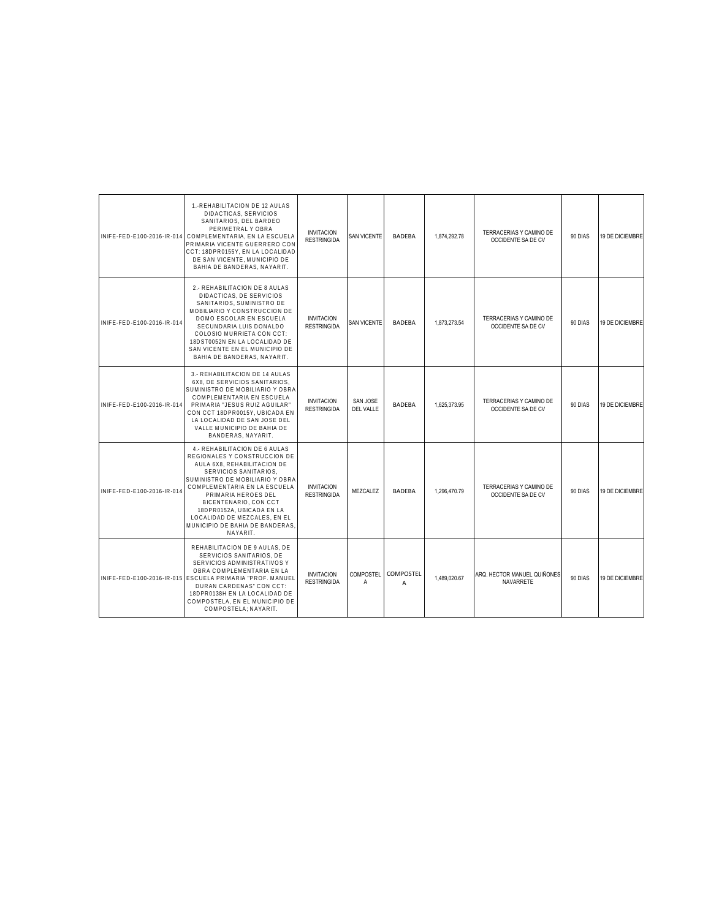|                            | 1.-REHABILITACION DE 12 AULAS<br>DIDACTICAS, SERVICIOS<br>SANITARIOS, DEL BARDEO<br>PERIMETRAL Y OBRA<br>INIFE-FED-E100-2016-IR-014 COMPLEMENTARIA. EN LA ESCUELA<br>PRIMARIA VICENTE GUERRERO CON<br>CCT: 18DPR0155Y, EN LA LOCALIDAD<br>DE SAN VICENTE. MUNICIPIO DE<br>BAHIA DE BANDERAS, NAYARIT.                                                | <b>INVITACION</b><br><b>RESTRINGIDA</b> | <b>SAN VICENTE</b>    | <b>BADEBA</b>  | 1.874.292.78 | TERRACERIAS Y CAMINO DE<br>OCCIDENTE SA DE CV | 90 DIAS | 19 DE DICIEMBRE |
|----------------------------|------------------------------------------------------------------------------------------------------------------------------------------------------------------------------------------------------------------------------------------------------------------------------------------------------------------------------------------------------|-----------------------------------------|-----------------------|----------------|--------------|-----------------------------------------------|---------|-----------------|
| INIFE-FED-E100-2016-IR-014 | 2. - REHABILITACION DE 8 AULAS<br>DIDACTICAS, DE SERVICIOS<br>SANITARIOS, SUMINISTRO DE<br>MOBILIARIO Y CONSTRUCCION DE<br>DOMO ESCOLAR EN ESCUELA<br>SECUNDARIA LUIS DONALDO<br>COLOSIO MURRIETA CON CCT:<br>18DST0052N EN LA LOCALIDAD DE<br>SAN VICENTE EN EL MUNICIPIO DE<br>BAHIA DE BANDERAS, NAYARIT.                                         | <b>INVITACION</b><br><b>RESTRINGIDA</b> | <b>SAN VICENTE</b>    | <b>BADEBA</b>  | 1,873,273.54 | TERRACERIAS Y CAMINO DE<br>OCCIDENTE SA DE CV | 90 DIAS | 19 DE DICIEMBRE |
| INIFE-FED-E100-2016-IR-014 | 3.- REHABILITACION DE 14 AULAS<br>6X8, DE SERVICIOS SANITARIOS,<br>SUMINISTRO DE MOBILIARIO Y OBRA<br>COMPLEMENTARIA EN ESCUELA<br>PRIMARIA "JESUS RUIZ AGUILAR"<br>CON CCT 18DPR0015Y, UBICADA EN<br>LA LOCALIDAD DE SAN JOSE DEL<br>VALLE MUNICIPIO DE BAHIA DE<br>BANDERAS, NAYARIT.                                                              | <b>INVITACION</b><br><b>RESTRINGIDA</b> | SAN JOSE<br>DEL VALLE | <b>BADEBA</b>  | 1.625.373.95 | TERRACERIAS Y CAMINO DE<br>OCCIDENTE SA DE CV | 90 DIAS | 19 DE DICIEMBRE |
| INIFE-FED-E100-2016-IR-014 | 4. - REHABILITACION DE 6 AULAS<br>REGIONALES Y CONSTRUCCION DE<br>AULA 6X8, REHABILITACION DE<br>SERVICIOS SANITARIOS.<br>SUMINISTRO DE MOBILIARIO Y OBRA<br>COMPLEMENTARIA EN LA ESCUELA<br>PRIMARIA HEROES DEL<br>BICENTENARIO, CON CCT<br>18DPR0152A, UBICADA EN LA<br>LOCALIDAD DE MEZCALES. EN EL<br>MUNICIPIO DE BAHIA DE BANDERAS<br>NAYARIT. | <b>INVITACION</b><br><b>RESTRINGIDA</b> | MEZCALEZ              | <b>BADEBA</b>  | 1.296.470.79 | TERRACERIAS Y CAMINO DE<br>OCCIDENTE SA DE CV | 90 DIAS | 19 DE DICIEMBRE |
|                            | REHABILITACION DE 9 AULAS. DE<br>SERVICIOS SANITARIOS, DE<br>SERVICIOS ADMINISTRATIVOS Y<br>OBRA COMPLEMENTARIA EN LA<br>INIFE-FED-E100-2016-IR-015 ESCUELA PRIMARIA "PROF. MANUEL<br>DURAN CARDENAS" CON CCT:<br>18DPR0138H EN LA LOCALIDAD DE<br>COMPOSTELA, EN EL MUNICIPIO DE<br>COMPOSTELA; NAYARIT.                                            | <b>INVITACION</b><br><b>RESTRINGIDA</b> | COMPOSTEL<br>Α        | COMPOSTEL<br>A | 1.489.020.67 | ARQ. HECTOR MANUEL QUIÑONES<br>NAVARRETE      | 90 DIAS | 19 DE DICIEMBRE |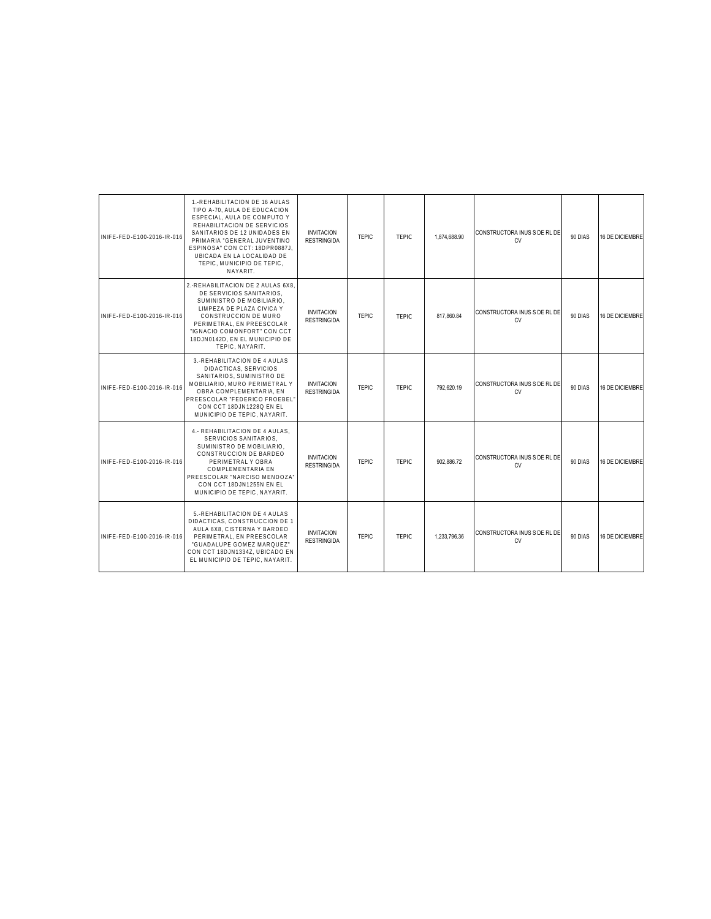| INIFE-FED-E100-2016-IR-016 | 1.-REHABILITACION DE 16 AULAS<br>TIPO A-70. AULA DE EDUCACION<br>ESPECIAL, AULA DE COMPUTO Y<br>REHABILITACION DE SERVICIOS<br>SANITARIOS DE 12 UNIDADES EN<br>PRIMARIA "GENERAL JUVENTINO<br>ESPINOSA" CON CCT: 18DPR0887J.<br>UBICADA EN LA LOCALIDAD DE<br>TEPIC, MUNICIPIO DE TEPIC,<br>NAYARIT. | <b>INVITACION</b><br><b>RESTRINGIDA</b> | <b>TEPIC</b> | <b>TFPIC</b> | 1.874.688.90 | CONSTRUCTORA INUS S DE RL DE<br><b>CV</b> | 90 DIAS | 16 DE DICIEMBRE |
|----------------------------|------------------------------------------------------------------------------------------------------------------------------------------------------------------------------------------------------------------------------------------------------------------------------------------------------|-----------------------------------------|--------------|--------------|--------------|-------------------------------------------|---------|-----------------|
| INIFE-FED-E100-2016-IR-016 | 2.-REHABILITACION DE 2 AULAS 6X8.<br>DE SERVICIOS SANITARIOS.<br>SUMINISTRO DE MOBILIARIO.<br>LIMPEZA DE PLAZA CIVICA Y<br>CONSTRUCCION DE MURO<br>PERIMETRAL, EN PREESCOLAR<br>"IGNACIO COMONFORT" CON CCT<br>18DJN0142D, EN EL MUNICIPIO DE<br>TEPIC. NAYARIT.                                     | <b>INVITACION</b><br><b>RESTRINGIDA</b> | <b>TEPIC</b> | <b>TEPIC</b> | 817.860.84   | CONSTRUCTORA INUS S DE RL DE<br>CV        | 90 DIAS | 16 DE DICIEMBRE |
| INIFE-FED-E100-2016-IR-016 | 3.-REHABILITACION DE 4 AULAS<br>DIDACTICAS, SERVICIOS<br>SANITARIOS. SUMINISTRO DE<br>MOBILIARIO, MURO PERIMETRAL Y<br>OBRA COMPLEMENTARIA, EN<br>PREESCOLAR "FEDERICO FROEBEL"<br>CON CCT 18DJN1228Q EN EL<br>MUNICIPIO DE TEPIC, NAYARIT.                                                          | <b>INVITACION</b><br><b>RESTRINGIDA</b> | <b>TEPIC</b> | <b>TEPIC</b> | 792.620.19   | CONSTRUCTORA INUS S DE RL DE<br>CV        | 90 DIAS | 16 DE DICIEMBRE |
| INIFE-FED-E100-2016-IR-016 | 4.- REHABILITACION DE 4 AULAS.<br>SERVICIOS SANITARIOS.<br>SUMINISTRO DE MOBILIARIO.<br>CONSTRUCCION DE BARDEO<br>PERIMETRAL Y OBRA<br><b>COMPLEMENTARIA EN</b><br>PREESCOLAR "NARCISO MENDOZA"<br>CON CCT 18DJN1255N EN EL<br>MUNICIPIO DE TEPIC, NAYARIT.                                          | <b>INVITACION</b><br><b>RESTRINGIDA</b> | <b>TEPIC</b> | <b>TEPIC</b> | 902.886.72   | CONSTRUCTORA INUS S DE RL DE<br>CV        | 90 DIAS | 16 DE DICIEMBRE |
| INIFE-FED-E100-2016-IR-016 | 5.-REHABILITACION DE 4 AULAS<br>DIDACTICAS, CONSTRUCCION DE 1<br>AULA 6X8, CISTERNA Y BARDEO<br>PERIMETRAL. EN PREESCOLAR<br>"GUADALUPE GOMEZ MAROUEZ"<br>CON CCT 18DJN1334Z, UBICADO EN<br>EL MUNICIPIO DE TEPIC, NAYARIT.                                                                          | <b>INVITACION</b><br><b>RESTRINGIDA</b> | <b>TEPIC</b> | <b>TEPIC</b> | 1.233.796.36 | CONSTRUCTORA INUS S DE RL DE<br>CV        | 90 DIAS | 16 DE DICIEMBRE |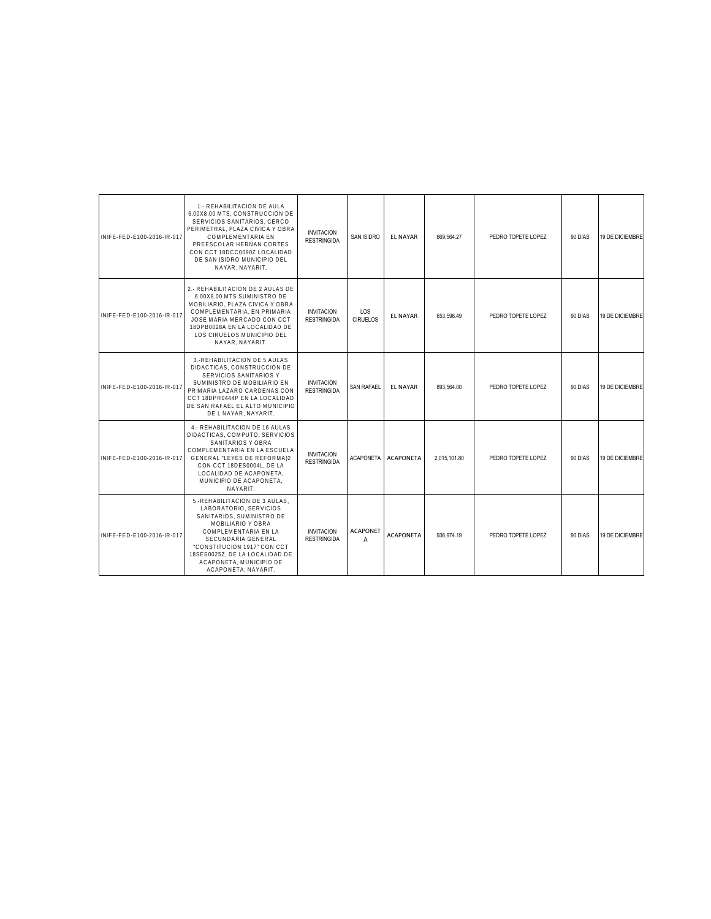| INIFE-FED-E100-2016-IR-017 | 1.- REHABILITACION DE AULA<br>6.00X8.00 MTS. CONSTRUCCION DE<br>SERVICIOS SANITARIOS, CERCO<br>PERIMETRAL, PLAZA CIVICA Y OBRA<br>COMPLEMENTARIA EN<br>PREESCOLAR HERNAN CORTES<br>CON CCT 18DCC0090Z LOCALIDAD<br>DE SAN ISIDRO MUNICIPIO DEL<br>NAYAR, NAYARIT.          | <b>INVITACION</b><br><b>RESTRINGIDA</b> | <b>SAN ISIDRO</b>      | <b>EL NAYAR</b>  | 669,564.27   | PEDRO TOPETE LOPEZ | 90 DIAS | 19 DE DICIEMBRE |
|----------------------------|----------------------------------------------------------------------------------------------------------------------------------------------------------------------------------------------------------------------------------------------------------------------------|-----------------------------------------|------------------------|------------------|--------------|--------------------|---------|-----------------|
| INIFE-FED-E100-2016-IR-017 | 2.- REHABILITACION DE 2 AULAS DE<br>6.00X8.00 MTS SUMINISTRO DE<br>MOBILIARIO. PLAZA CIVICA Y OBRA<br>COMPLEMENTARIA, EN PRIMARIA<br>JOSE MARIA MERCADO CON CCT<br>18DPB0028A EN LA LOCALIDAD DE<br>LOS CIRUELOS MUNICIPIO DEL<br>NAYAR, NAYARIT.                          | <b>INVITACION</b><br><b>RESTRINGIDA</b> | LOS<br><b>CIRUELOS</b> | <b>EL NAYAR</b>  | 653.598.49   | PEDRO TOPETE LOPEZ | 90 DIAS | 19 DE DICIEMBRE |
| INIFE-FED-E100-2016-IR-017 | 3.-REHABILITACION DE 5 AULAS<br>DIDACTICAS, CONSTRUCCION DE<br>SERVICIOS SANITARIOS Y<br>SUMINISTRO DE MOBILIARIO EN<br>PRIMARIA LAZARO CARDENAS CON<br>CCT 18DPR0444P EN LA LOCALIDAD<br>DE SAN RAFAEL EL ALTO MUNICIPIO<br>DE L NAYAR, NAYARIT.                          | <b>INVITACION</b><br><b>RESTRINGIDA</b> | <b>SAN RAFAEL</b>      | <b>EL NAYAR</b>  | 893.564.00   | PEDRO TOPETE LOPEZ | 90 DIAS | 19 DE DICIEMBRE |
| INIFF-FFD-F100-2016-IR-017 | 4.- REHABILITACION DE 16 AULAS<br>DIDACTICAS, COMPUTO, SERVICIOS<br>SANITARIOS Y OBRA<br>COMPLEMENTARIA EN LA ESCUELA<br><b>GENERAL "LEYES DE REFORMA)2</b><br>CON CCT 18DES0004L. DE LA<br>LOCALIDAD DE ACAPONETA.<br>MUNICIPIO DE ACAPONETA.<br>NAYARIT.                 | <b>INVITACION</b><br><b>RESTRINGIDA</b> | <b>ACAPONETA</b>       | <b>ACAPONETA</b> | 2.015.101.80 | PEDRO TOPETE LOPEZ | 90 DIAS | 19 DE DICIEMBRE |
| INIFE-FED-E100-2016-IR-017 | 5.-REHABILITACION DE 3 AULAS,<br>LABORATORIO, SERVICIOS<br>SANITARIOS. SUMINISTRO DE<br>MOBILIARIO Y OBRA<br>COMPLEMENTARIA EN LA<br>SECUNDARIA GENERAL<br>"CONSTITUCION 1917" CON CCT<br>18SES0025Z. DE LA LOCALIDAD DE<br>ACAPONETA. MUNICIPIO DE<br>ACAPONETA, NAYARIT, | <b>INVITACION</b><br><b>RESTRINGIDA</b> | <b>ACAPONET</b><br>A   | <b>ACAPONETA</b> | 936.974.19   | PEDRO TOPETE LOPEZ | 90 DIAS | 19 DE DICIEMBRE |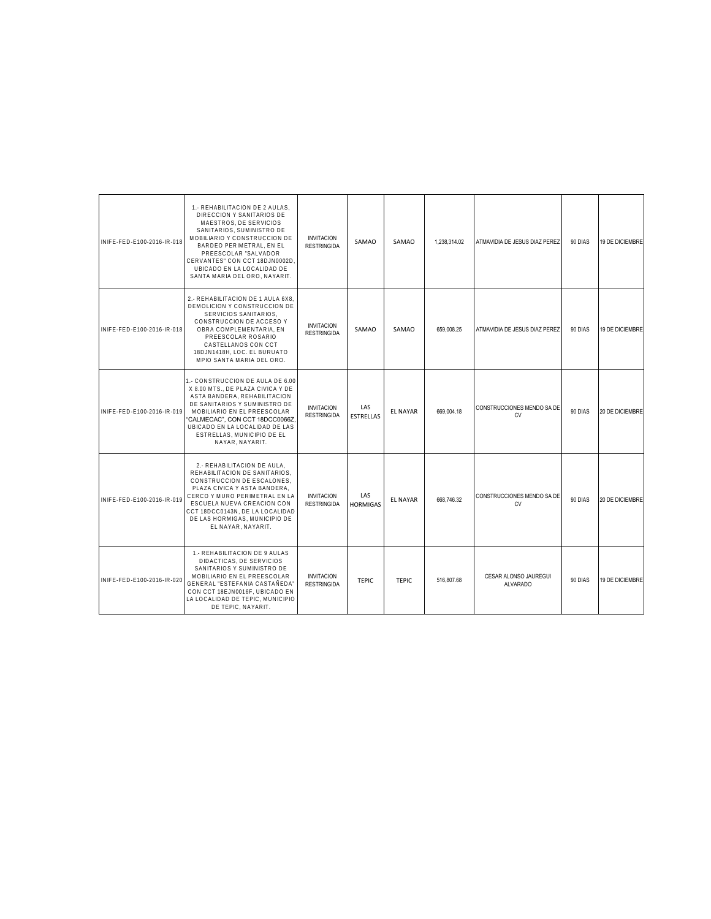| INIFE-FED-E100-2016-IR-018 | 1.- REHABILITACION DE 2 AULAS,<br>DIRECCION Y SANITARIOS DE<br>MAESTROS. DE SERVICIOS<br>SANITARIOS, SUMINISTRO DE<br>MOBILIARIO Y CONSTRUCCION DE<br>BARDEO PERIMETRAL. EN EL<br>PREESCOLAR "SALVADOR<br>CERVANTES" CON CCT 18DJN0002D<br>UBICADO EN LA LOCALIDAD DE<br>SANTA MARIA DEL ORO, NAYARIT. | <b>INVITACION</b><br><b>RESTRINGIDA</b> | SAMAO                   | SAMAO           | 1.238.314.02 | ATMAVIDIA DE JESUS DIAZ PEREZ            | 90 DIAS | 19 DE DICIEMBRE        |
|----------------------------|--------------------------------------------------------------------------------------------------------------------------------------------------------------------------------------------------------------------------------------------------------------------------------------------------------|-----------------------------------------|-------------------------|-----------------|--------------|------------------------------------------|---------|------------------------|
| INIFE-FED-E100-2016-IR-018 | 2.- REHABILITACION DE 1 AULA 6X8<br>DEMOLICION Y CONSTRUCCION DE<br>SERVICIOS SANITARIOS.<br>CONSTRUCCION DE ACCESO Y<br>OBRA COMPLEMENTARIA, EN<br>PREESCOLAR ROSARIO<br>CASTELLANOS CON CCT<br>18DJN1418H, LOC. EL BURUATO<br>MPIO SANTA MARIA DEL ORO.                                              | <b>INVITACION</b><br><b>RESTRINGIDA</b> | SAMAO                   | SAMAO           | 659,008.25   | ATMAVIDIA DE JESUS DIAZ PEREZ            | 90 DIAS | <b>19 DE DICIEMBRE</b> |
| INIFE-FED-E100-2016-IR-019 | 1.- CONSTRUCCION DE AULA DE 6.00<br>X 8.00 MTS., DE PLAZA CIVICA Y DE<br>ASTA BANDERA, REHABILITACION<br>DE SANITARIOS Y SUMINISTRO DE<br>MOBILIARIO EN EL PREESCOLAR<br>'CALMECAC", CON CCT 18DCC0066Z<br>UBICADO EN LA LOCALIDAD DE LAS<br>ESTRELLAS, MUNICIPIO DE EL<br>NAYAR, NAYARIT.             | <b>INVITACION</b><br><b>RESTRINGIDA</b> | LAS<br><b>ESTRELLAS</b> | <b>EL NAYAR</b> | 669.004.18   | CONSTRUCCIONES MENDO SA DE<br><b>CV</b>  | 90 DIAS | 20 DE DICIEMBRE        |
| INIFE-FED-E100-2016-IR-019 | 2.- REHABILITACION DE AULA,<br>REHABILITACION DE SANITARIOS,<br>CONSTRUCCION DE ESCALONES,<br>PLAZA CIVICA Y ASTA BANDERA,<br>CERCO Y MURO PERIMETRAL EN LA<br>ESCUELA NUEVA CREACION CON<br>CCT 18DCC0143N, DE LA LOCALIDAD<br>DE LAS HORMIGAS. MUNICIPIO DE<br>EL NAYAR, NAYARIT.                    | <b>INVITACION</b><br><b>RESTRINGIDA</b> | LAS<br><b>HORMIGAS</b>  | <b>EL NAYAR</b> | 668,746.32   | CONSTRUCCIONES MENDO SA DE<br><b>CV</b>  | 90 DIAS | 20 DE DICIEMBRE        |
| INIFE-FED-E100-2016-IR-020 | 1.- REHABILITACION DE 9 AULAS<br>DIDACTICAS, DE SERVICIOS<br>SANITARIOS Y SUMINISTRO DE<br>MOBILIARIO EN EL PREESCOLAR<br>GENERAL "ESTEFANIA CASTAÑEDA"<br>CON CCT 18EJN0016F, UBICADO EN<br>LA LOCALIDAD DE TEPIC, MUNICIPIO<br>DE TEPIC, NAYARIT.                                                    | <b>INVITACION</b><br><b>RESTRINGIDA</b> | <b>TEPIC</b>            | <b>TEPIC</b>    | 516,807.68   | CESAR ALONSO JAUREGUI<br><b>ALVARADO</b> | 90 DIAS | <b>19 DE DICIEMBRE</b> |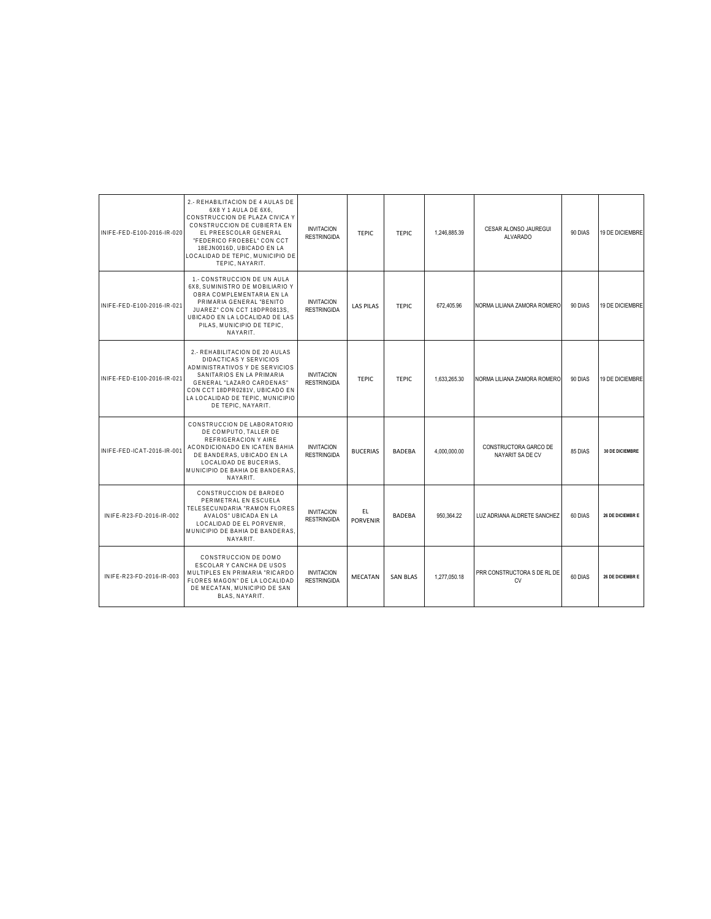| INIFE-FED-E100-2016-IR-020 | 2.- REHABILITACION DE 4 AULAS DE<br>6X8 Y 1 AULA DE 6X6.<br>CONSTRUCCION DE PLAZA CIVICA Y<br>CONSTRUCCION DE CUBIERTA EN<br>EL PREESCOLAR GENERAL<br>"FEDERICO FROEBEL" CON CCT<br>18EJN0016D, UBICADO EN LA<br>LOCALIDAD DE TEPIC, MUNICIPIO DE<br>TEPIC, NAYARIT. | <b>INVITACION</b><br><b>RESTRINGIDA</b> | <b>TEPIC</b>          | <b>TFPIC</b>    | 1.246.885.39 | CESAR ALONSO JAUREGUI<br>ALVARADO         | 90 DIAS | 19 DE DICIEMBRE |
|----------------------------|----------------------------------------------------------------------------------------------------------------------------------------------------------------------------------------------------------------------------------------------------------------------|-----------------------------------------|-----------------------|-----------------|--------------|-------------------------------------------|---------|-----------------|
| INIFE-FED-E100-2016-IR-021 | 1.- CONSTRUCCION DE UN AULA<br>6X8. SUMINISTRO DE MOBILIARIO Y<br>OBRA COMPLEMENTARIA EN LA<br>PRIMARIA GENERAL "BENITO<br>JUAREZ" CON CCT 18DPR0813S.<br>UBICADO EN LA LOCALIDAD DE LAS<br>PILAS, MUNICIPIO DE TEPIC.<br>NAYARIT.                                   | <b>INVITACION</b><br><b>RESTRINGIDA</b> | <b>LAS PILAS</b>      | <b>TEPIC</b>    | 672.405.96   | NORMA LILIANA ZAMORA ROMERO               | 90 DIAS | 19 DE DICIEMBRE |
| INIFE-FED-E100-2016-IR-021 | 2.- REHABILITACION DE 20 AULAS<br><b>DIDACTICAS Y SERVICIOS</b><br>ADMINISTRATIVOS Y DE SERVICIOS<br>SANITARIOS EN LA PRIMARIA<br>GENERAL "LAZARO CARDENAS"<br>CON CCT 18DPR0281V, UBICADO EN<br>LA LOCALIDAD DE TEPIC. MUNICIPIO<br>DE TEPIC. NAYARIT.              | <b>INVITACION</b><br><b>RESTRINGIDA</b> | <b>TEPIC</b>          | <b>TEPIC</b>    | 1,633,265.30 | NORMA LILIANA ZAMORA ROMERO               | 90 DIAS | 19 DE DICIEMBRE |
| INIFE-FED-ICAT-2016-IR-001 | CONSTRUCCION DE LABORATORIO<br>DE COMPUTO. TALLER DE<br>REFRIGERACION Y AIRE<br>ACONDICIONADO EN ICATEN BAHIA<br>DE BANDERAS, UBICADO EN LA<br>LOCALIDAD DE BUCERIAS.<br>MUNICIPIO DE BAHIA DE BANDERAS.<br>NAYARIT.                                                 | <b>INVITACION</b><br><b>RESTRINGIDA</b> | <b>BUCERIAS</b>       | BADEBA          | 4,000,000.00 | CONSTRUCTORA GARCO DE<br>NAYARIT SA DE CV | 85 DIAS | 30 DE DICIEMBRE |
| INIFE-R23-FD-2016-IR-002   | CONSTRUCCION DE BARDEO<br>PERIMETRAL EN ESCUELA<br>TELESECUNDARIA "RAMON FLORES<br>AVALOS" UBICADA EN LA<br>LOCALIDAD DE EL PORVENIR,<br>MUNICIPIO DE BAHIA DE BANDERAS.<br>NAYARIT.                                                                                 | <b>INVITACION</b><br><b>RESTRINGIDA</b> | EL<br><b>PORVENIR</b> | <b>BADEBA</b>   | 950.364.22   | LUZ ADRIANA ALDRETE SANCHEZ               | 60 DIAS | 26 DE DICIEMBRE |
| INIFE-R23-FD-2016-IR-003   | CONSTRUCCION DE DOMO<br>ESCOLAR Y CANCHA DE USOS<br>MULTIPLES EN PRIMARIA "RICARDO<br>FLORES MAGON" DE LA LOCALIDAD<br>DE MECATAN. MUNICIPIO DE SAN<br>BLAS, NAYARIT.                                                                                                | <b>INVITACION</b><br><b>RESTRINGIDA</b> | <b>MECATAN</b>        | <b>SAN BLAS</b> | 1.277.050.18 | PRR CONSTRUCTORA S DE RL DE<br><b>CV</b>  | 60 DIAS | 26 DE DICIEMBRE |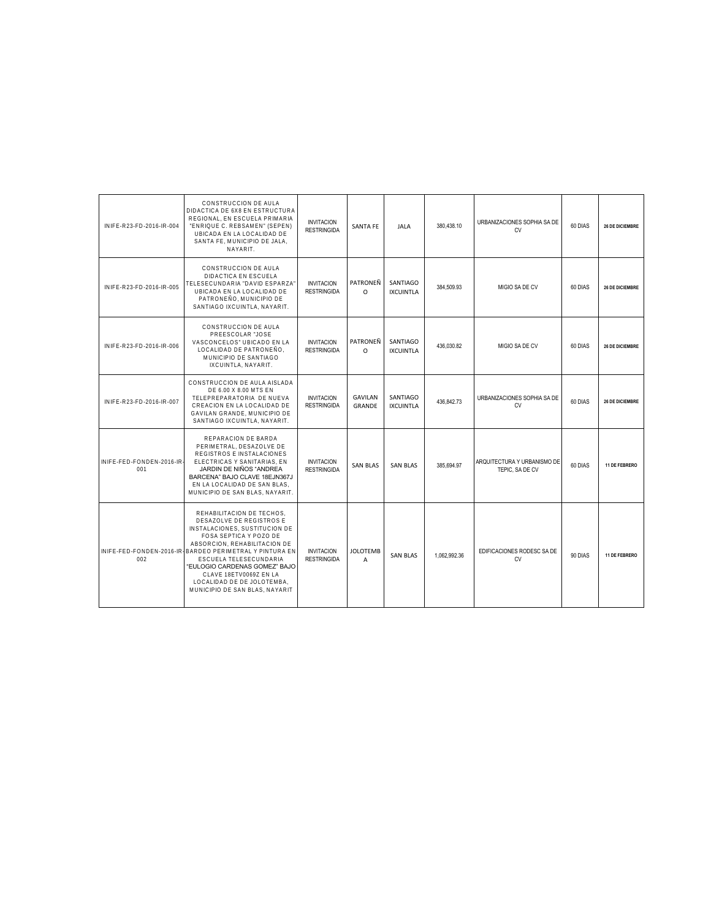| INIFE-R23-FD-2016-IR-004         | CONSTRUCCION DE AULA<br>DIDACTICA DE 6X8 EN ESTRUCTURA<br>REGIONAL, EN ESCUELA PRIMARIA<br>"ENRIQUE C. REBSAMEN" (SEPEN)<br>UBICADA EN LA LOCALIDAD DE<br>SANTA FE, MUNICIPIO DE JALA,<br>NAYARIT.                                                                                                                                                               | <b>INVITACION</b><br><b>RESTRINGIDA</b> | <b>SANTA FE</b>                 | <b>JALA</b>                  | 380.438.10   | URBANIZACIONES SOPHIA SA DE<br>CV              | 60 DIAS | 26 DE DICIEMBRE        |
|----------------------------------|------------------------------------------------------------------------------------------------------------------------------------------------------------------------------------------------------------------------------------------------------------------------------------------------------------------------------------------------------------------|-----------------------------------------|---------------------------------|------------------------------|--------------|------------------------------------------------|---------|------------------------|
| INIFE-R23-FD-2016-IR-005         | CONSTRUCCION DE AULA<br>DIDACTICA EN ESCUELA<br>TELESECUNDARIA "DAVID ESPARZA<br>UBICADA EN LA LOCALIDAD DE<br>PATRONEÑO, MUNICIPIO DE<br>SANTIAGO IXCUINTLA, NAYARIT.                                                                                                                                                                                           | <b>INVITACION</b><br><b>RESTRINGIDA</b> | PATRONEN<br>$\Omega$            | SANTIAGO<br><b>IXCUINTLA</b> | 384,509.93   | MIGIO SA DE CV                                 | 60 DIAS | <b>26 DE DICIEMBRE</b> |
| INIFE-R23-FD-2016-IR-006         | CONSTRUCCION DE AULA<br>PREESCOLAR "JOSE<br>VASCONCELOS" UBICADO EN LA<br>LOCALIDAD DE PATRONEÑO.<br>MUNICIPIO DE SANTIAGO<br>IXCUINTLA, NAYARIT.                                                                                                                                                                                                                | <b>INVITACION</b><br><b>RESTRINGIDA</b> | PATRONEÑ<br>$\Omega$            | SANTIAGO<br><b>IXCUINTLA</b> | 436.030.82   | MIGIO SA DE CV                                 | 60 DIAS | <b>26 DE DICIEMBRE</b> |
| INIFE-R23-FD-2016-IR-007         | CONSTRUCCION DE AULA AISLADA<br>DE 6.00 X 8.00 MTS EN<br>TELEPREPARATORIA DE NUEVA<br>CREACION EN LA LOCALIDAD DE<br>GAVILAN GRANDE, MUNICIPIO DE<br>SANTIAGO IXCUINTLA, NAYARIT.                                                                                                                                                                                | <b>INVITACION</b><br><b>RESTRINGIDA</b> | <b>GAVILAN</b><br><b>GRANDE</b> | SANTIAGO<br><b>IXCUINTLA</b> | 436.842.73   | URBANIZACIONES SOPHIA SA DE<br>CV              | 60 DIAS | 26 DE DICIEMBRE        |
| INIFE-FED-FONDEN-2016-IR-<br>001 | REPARACION DE BARDA<br>PERIMETRAL, DESAZOLVE DE<br>REGISTROS E INSTALACIONES<br>ELECTRICAS Y SANITARIAS, EN<br>JARDIN DE NIÑOS "ANDREA<br>BARCENA" BAJO CLAVE 18EJN367J<br>EN LA LOCALIDAD DE SAN BLAS,<br>MUNICIPIO DE SAN BLAS, NAYARIT.                                                                                                                       | <b>INVITACION</b><br><b>RESTRINGIDA</b> | <b>SAN BLAS</b>                 | <b>SAN BLAS</b>              | 385.694.97   | ARQUITECTURA Y URBANISMO DE<br>TEPIC, SA DE CV | 60 DIAS | 11 DE FEBRERO          |
| 002                              | REHABILITACION DE TECHOS.<br>DESAZOLVE DE REGISTROS E<br>INSTALACIONES, SUSTITUCION DE<br>FOSA SEPTICA Y POZO DE<br>ABSORCION. REHABILITACION DE<br>INIFE-FED-FONDEN-2016-IR-BARDEO PERIMETRAL Y PINTURA EN<br>ESCUELA TELESECUNDARIA<br>"EULOGIO CARDENAS GOMEZ" BAJO<br>CLAVE 18ETV0069Z EN LA<br>LOCALIDAD DE DE JOLOTEMBA.<br>MUNICIPIO DE SAN BLAS, NAYARIT | <b>INVITACION</b><br><b>RESTRINGIDA</b> | <b>JOLOTEMB</b><br>A            | <b>SAN BLAS</b>              | 1.062.992.36 | EDIFICACIONES RODESC SA DE<br><b>CV</b>        | 90 DIAS | 11 DE FEBRERO          |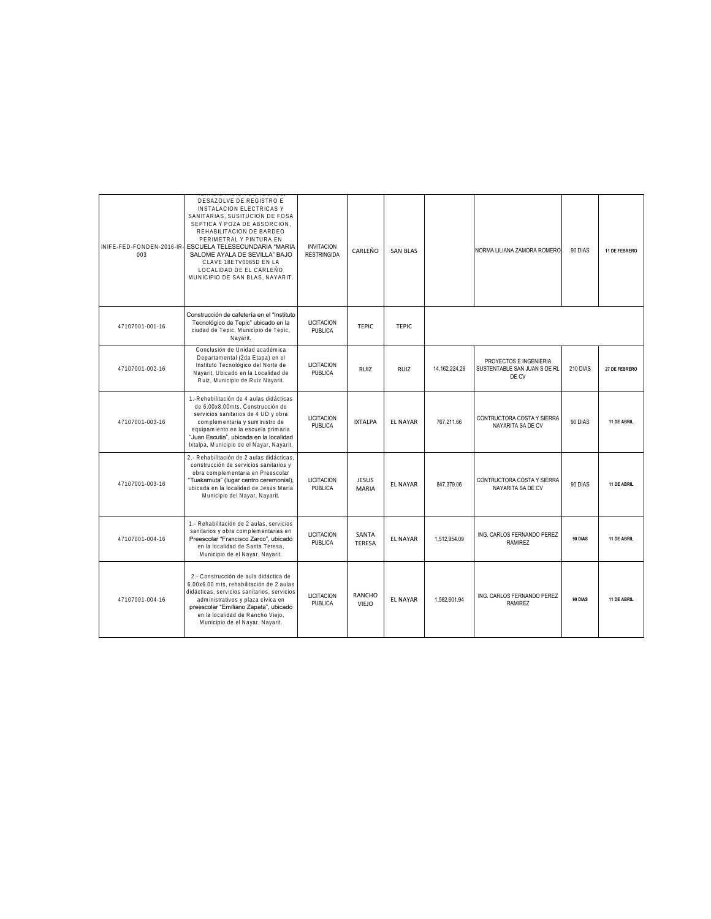| 003             | DESAZOLVE DE REGISTRO E<br><b>INSTALACION ELECTRICAS Y</b><br>SANITARIAS, SUSITUCION DE FOSA<br>SEPTICA Y POZA DE ABSORCION,<br>REHABILITACION DE BARDEO<br>PERIMETRAL Y PINTURA EN<br>INIFE-FED-FONDEN-2016-IR-ESCUELA TELESECUNDARIA "MARIA<br>SALOME AYALA DE SEVILLA" BAJO<br>CLAVE 18ETV0065D EN LA<br>LOCALIDAD DE EL CARLEÑO<br>MUNICIPIO DE SAN BLAS, NAYARIT. | <b>INVITACION</b><br><b>RESTRINGIDA</b> | CARLEÑO                      | <b>SAN BLAS</b> |               | NORMA LILIANA ZAMORA ROMERO                                     | 90 DIAS        | 11 DE FEBRERO |
|-----------------|------------------------------------------------------------------------------------------------------------------------------------------------------------------------------------------------------------------------------------------------------------------------------------------------------------------------------------------------------------------------|-----------------------------------------|------------------------------|-----------------|---------------|-----------------------------------------------------------------|----------------|---------------|
| 47107001-001-16 | Construcción de cafetería en el "Instituto<br>Tecnológico de Tepic" ubicado en la<br>ciudad de Tepic, Municipio de Tepic,<br>Nayarit.                                                                                                                                                                                                                                  | <b>LICITACION</b><br>PUBLICA            | <b>TEPIC</b>                 | <b>TFPIC</b>    |               |                                                                 |                |               |
| 47107001-002-16 | Conclusión de Unidad académica<br>Departamental (2da Etapa) en el<br>Instituto Tecnológico del Norte de<br>Nayarit, Ubicado en la Localidad de<br>Ruiz, Municipio de Ruiz Nayarit.                                                                                                                                                                                     | <b>LICITACION</b><br><b>PUBLICA</b>     | RUIZ                         | <b>RUIZ</b>     | 14.162.224.29 | PROYECTOS E INGENIERIA<br>SUSTENTABLE SAN JUAN S DE RL<br>DE CV | 210 DIAS       | 27 DE FEBRERO |
| 47107001-003-16 | 1.-Rehabilitación de 4 aulas didácticas<br>de 6.00x8.00mts. Construcción de<br>servicios sanitarios de 4 UD y obra<br>complementaria y suministro de<br>equipamiento en la escuela primaria<br>"Juan Escutia", ubicada en la localidad<br>Ixtalpa, Municipio de el Nayar, Nayarit.                                                                                     | <b>LICITACION</b><br><b>PUBLICA</b>     | <b>IXTALPA</b>               | <b>FL NAYAR</b> | 767.211.66    | CONTRUCTORA COSTA Y SIERRA<br>NAYARITA SA DE CV                 | 90 DIAS        | 11 DE ABRIL   |
| 47107001-003-16 | 2.- Rehabilitación de 2 aulas didácticas,<br>construcción de servicios sanitarios y<br>obra complementaria en Preescolar<br>"Tuakamuta" (lugar centro ceremonial).<br>ubicada en la localidad de Jesús María<br>Municipio del Nayar, Nayarit.                                                                                                                          | <b>LICITACION</b><br>PUBLICA            | <b>JESUS</b><br><b>MARIA</b> | <b>EL NAYAR</b> | 847,379.06    | CONTRUCTORA COSTA Y SIERRA<br>NAYARITA SA DE CV                 | 90 DIAS        | 11 DE ABRIL   |
| 47107001-004-16 | 1.- Rehabilitación de 2 aulas, servicios<br>sanitarios y obra complementarias en<br>Preescolar "Francisco Zarco", ubicado<br>en la localidad de Santa Teresa,<br>Municipio de el Nayar, Nayarit.                                                                                                                                                                       | <b>LICITACION</b><br>PUBLICA            | SANTA<br><b>TERESA</b>       | <b>EL NAYAR</b> | 1.512.954.09  | ING. CARLOS FERNANDO PEREZ<br><b>RAMIREZ</b>                    | <b>90 DIAS</b> | 11 DE ABRIL   |
| 47107001-004-16 | 2.- Construcción de aula didáctica de<br>6.00x6.00 mts. rehabilitación de 2 aulas<br>didácticas, servicios sanitarios, servicios<br>administrativos y plaza cívica en<br>preescolar "Emiliano Zapata", ubicado<br>en la localidad de Rancho Viejo,<br>Municipio de el Nayar, Nayarit.                                                                                  | <b>LICITACION</b><br><b>PUBLICA</b>     | RANCHO<br>VIEJO              | <b>EL NAYAR</b> | 1.562.601.94  | ING. CARLOS FERNANDO PEREZ<br>RAMIREZ                           | 90 DIAS        | 11 DE ABRIL   |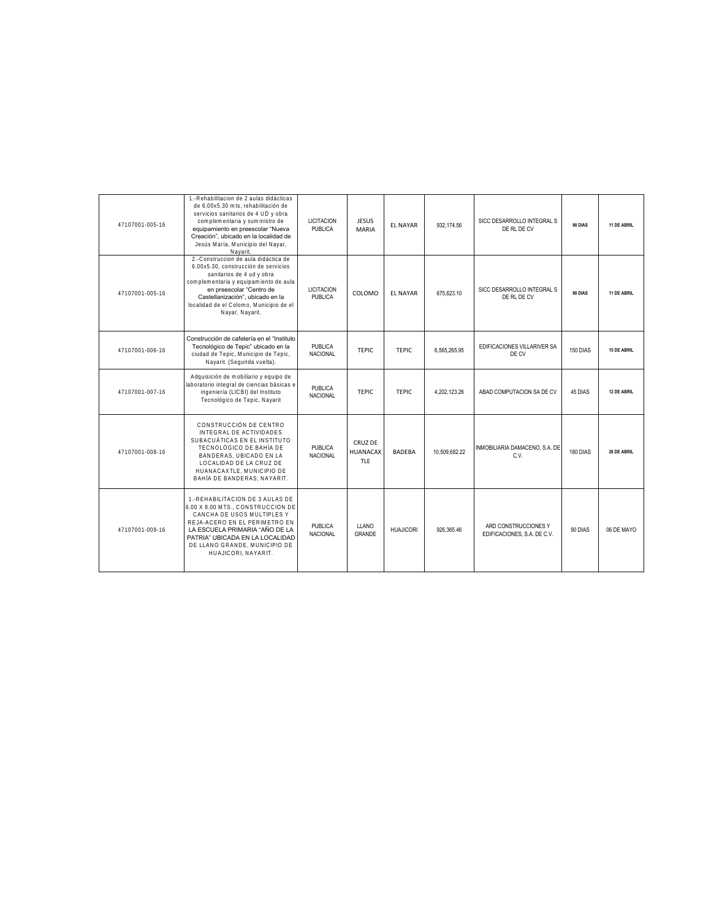| 47107001-005-16 | 1.-Rehabilitacion de 2 aulas didácticas<br>de 6.00x5.30 mts. rehabilitación de<br>servicios sanitarios de 4 UD y obra<br>complementaria y suministro de<br>equipamiento en preescolar "Nueva<br>Creación", ubicado en la localidad de<br>Jesús María, Municipio del Nayar,<br>Navarit. | <b>LICITACION</b><br><b>PUBLICA</b> | <b>JESUS</b><br><b>MARIA</b>             | <b>FL NAYAR</b> | 932.174.56    | SICC DESARROLLO INTEGRAL S<br>DE RL DE CV           | 90 DIAS  | 11 DE ABRIL |
|-----------------|----------------------------------------------------------------------------------------------------------------------------------------------------------------------------------------------------------------------------------------------------------------------------------------|-------------------------------------|------------------------------------------|-----------------|---------------|-----------------------------------------------------|----------|-------------|
| 47107001-005-16 | 2.-Construccion de aula didáctica de<br>6.00x5.30, construcción de servicios<br>sanitarios de 4 ud y obra<br>complementaria y equipamiento de aula<br>en preescolar "Centro de<br>Castellanización", ubicado en la<br>localidad de el Colomo, Municipio de el<br>Nayar, Nayarit.       | <b>LICITACION</b><br>PUBLICA        | COLOMO                                   | <b>EL NAYAR</b> | 675.623.10    | SICC DESARROLLO INTEGRAL S<br>DE RL DE CV           | 90 DIAS  | 11 DE ABRIL |
| 47107001-006-16 | Construcción de cafetería en el "Instituto<br>Tecnológico de Tepic" ubicado en la<br>ciudad de Tepic, Municipio de Tepic,<br>Nayarit. (Segunda vuelta)                                                                                                                                 | PUBLICA<br><b>NACIONAL</b>          | <b>TEPIC</b>                             | <b>TEPIC</b>    | 6,565,265.95  | EDIFICACIONES VILLARIVER SA<br>DE CV                | 150 DIAS | 15 DE ABRIL |
| 47107001-007-16 | Adquisición de mobiliario y equipo de<br>laboratorio integral de ciencias básicas e<br>ingeniería (LICBI) del Instituto<br>Tecnológico de Tepic, Nayarit                                                                                                                               | <b>PUBLICA</b><br><b>NACIONAL</b>   | TFPIC                                    | <b>TFPIC</b>    | 4.202.123.26  | ABAD COMPUTACION SA DE CV                           | 45 DIAS  | 12 DE ABRIL |
| 47107001-008-16 | CONSTRUCCIÓN DE CENTRO<br>INTEGRAL DE ACTIVIDADES<br>SUBACUÁTICAS EN EL INSTITUTO<br>TECNOLÓGICO DE BAHÍA DE<br>BANDERAS, UBICADO EN LA<br>LOCALIDAD DE LA CRUZ DE<br>HUANACAXTLE, MUNICIPIO DE<br>BAHÍA DE BANDERAS: NAYARIT.                                                         | <b>PUBLICA</b><br><b>NACIONAL</b>   | CRUZ DE<br><b>HUANACAX</b><br><b>TLF</b> | <b>BADFBA</b>   | 10.509.682.22 | INMOBILIARIA DAMACENO, S.A. DE<br>C.V.              | 180 DIAS | 28 DE ABRIL |
| 47107001-009-16 | 1.-REHABILITACION DE 3 AULAS DE<br>6.00 X 8.00 MTS., CONSTRUCCION DE<br>CANCHA DE USOS MULTIPLES Y<br>REJA-ACERO EN EL PERIMETRO EN<br>LA ESCUELA PRIMARIA "AÑO DE LA<br>PATRIA" UBICADA EN LA LOCALIDAD<br>DE LLANO GRANDE. MUNICIPIO DE<br>HUAJICORI, NAYARIT.                       | PUBLICA<br><b>NACIONAL</b>          | LLANO<br>GRANDE                          | HUAJICORI       | 926.365.46    | ARD CONSTRUCCIONES Y<br>EDIFICACIONES, S.A. DE C.V. | 90 DIAS  | 06 DE MAYO  |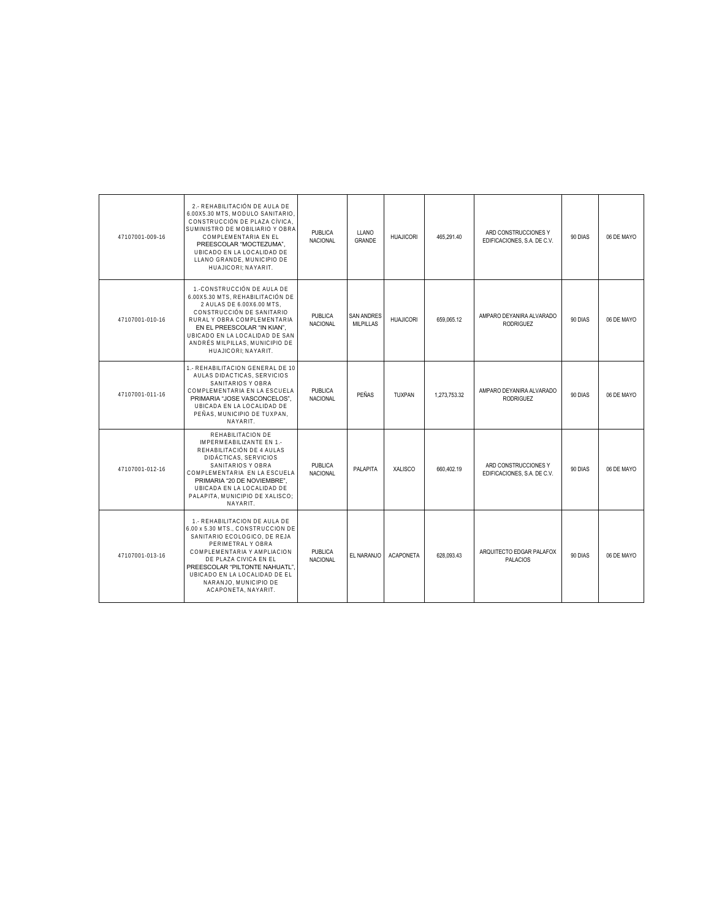| 47107001-009-16 | 2. - REHABILITACIÓN DE AULA DE<br>6.00X5.30 MTS, MODULO SANITARIO,<br>CONSTRUCCIÓN DE PLAZA CÍVICA.<br>SUMINISTRO DE MOBILIARIO Y OBRA<br>COMPLEMENTARIA EN EL<br>PREESCOLAR "MOCTEZUMA".<br>UBICADO EN LA LOCALIDAD DE<br>LLANO GRANDE, MUNICIPIO DE<br>HUAJICORI: NAYARIT.                     | <b>PUBLICA</b><br><b>NACIONAL</b> | LLANO<br>GRANDE                       | <b>HUAJICORI</b> | 465.291.40   | ARD CONSTRUCCIONES Y<br>EDIFICACIONES, S.A. DE C.V. | 90 DIAS | 06 DE MAYO |
|-----------------|--------------------------------------------------------------------------------------------------------------------------------------------------------------------------------------------------------------------------------------------------------------------------------------------------|-----------------------------------|---------------------------------------|------------------|--------------|-----------------------------------------------------|---------|------------|
| 47107001-010-16 | 1.-CONSTRUCCIÓN DE AULA DE<br>6.00X5.30 MTS. REHABILITACIÓN DE<br>2 AULAS DE 6.00X6.00 MTS,<br>CONSTRUCCIÓN DE SANITARIO<br>RURAL Y OBRA COMPLEMENTARIA<br>EN EL PREESCOLAR "IN KIAN".<br>UBICADO EN LA LOCALIDAD DE SAN<br>ANDRÉS MILPILLAS, MUNICIPIO DE<br>HUAJICORI: NAYARIT.                | <b>PUBLICA</b><br><b>NACIONAL</b> | <b>SAN ANDRES</b><br><b>MILPILLAS</b> | <b>HUAJICORI</b> | 659.065.12   | AMPARO DEYANIRA ALVARADO<br><b>RODRIGUEZ</b>        | 90 DIAS | 06 DE MAYO |
| 47107001-011-16 | 1.- REHABILITACION GENERAL DE 10<br>AULAS DIDACTICAS, SERVICIOS<br>SANITARIOS Y OBRA<br>COMPLEMENTARIA EN LA ESCUELA<br>PRIMARIA "JOSE VASCONCELOS".<br>UBICADA EN LA LOCALIDAD DE<br>PEÑAS, MUNICIPIO DE TUXPAN,<br>NAYARIT.                                                                    | <b>PUBLICA</b><br><b>NACIONAL</b> | PEÑAS                                 | <b>TUXPAN</b>    | 1,273,753.32 | AMPARO DEYANIRA ALVARADO<br><b>RODRIGUEZ</b>        | 90 DIAS | 06 DE MAYO |
| 47107001-012-16 | REHABILITACION DE<br>IMPERMEABILIZANTE EN 1.-<br>REHABILITACIÓN DE 4 AULAS<br>DIDÁCTICAS, SERVICIOS<br>SANITARIOS Y OBRA<br>COMPLEMENTARIA EN LA ESCUELA<br>PRIMARIA "20 DE NOVIEMBRE".<br>UBICADA EN LA LOCALIDAD DE<br>PALAPITA, MUNICIPIO DE XALISCO;<br>NAYARIT.                             | <b>PUBLICA</b><br><b>NACIONAL</b> | PALAPITA                              | <b>XALISCO</b>   | 660.402.19   | ARD CONSTRUCCIONES Y<br>EDIFICACIONES, S.A. DE C.V. | 90 DIAS | 06 DE MAYO |
| 47107001-013-16 | 1.- REHABILITACION DE AULA DE<br>6.00 x 5.30 MTS CONSTRUCCION DE<br>SANITARIO ECOLOGICO, DE REJA<br>PERIMETRAL Y OBRA<br>COMPLEMENTARIA Y AMPLIACION<br>DE PLAZA CIVICA EN EL<br>PREESCOLAR "PILTONTE NAHUATL",<br>UBICADO EN LA LOCALIDAD DE EL<br>NARANJO, MUNICIPIO DE<br>ACAPONETA, NAYARIT. | <b>PUBLICA</b><br><b>NACIONAL</b> | EL NARANJO                            | <b>ACAPONETA</b> | 628.093.43   | ARQUITECTO EDGAR PALAFOX<br><b>PALACIOS</b>         | 90 DIAS | 06 DE MAYO |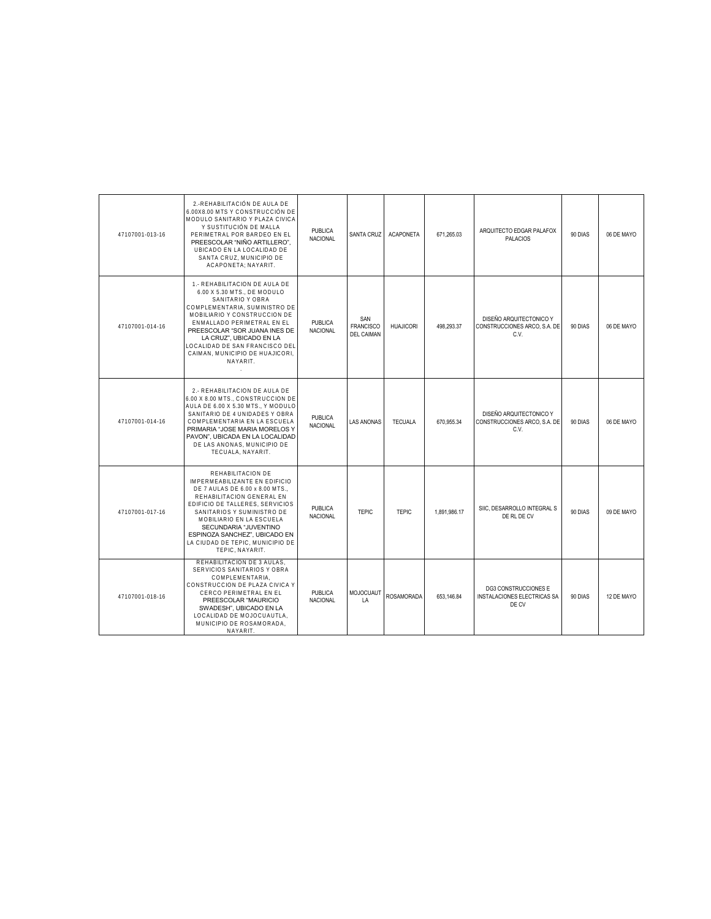| 47107001-013-16 | 2.-REHABILITACIÓN DE AULA DE<br>6.00X8.00 MTS Y CONSTRUCCIÓN DE<br>MODULO SANITARIO Y PLAZA CIVICA<br>Y SUSTITUCIÓN DE MALLA<br>PERIMETRAL POR BARDEO EN EL<br>PREESCOLAR "NIÑO ARTILLERO".<br>UBICADO EN LA LOCALIDAD DE<br>SANTA CRUZ. MUNICIPIO DE<br>ACAPONETA: NAYARIT.                                                   | PUBLICA<br>NACIONAL               | SANTA CRUZ                                   | <b>ACAPONETA</b>  | 671.265.03   | ARQUITECTO EDGAR PALAFOX<br><b>PALACIOS</b>                         | 90 DIAS | 06 DE MAYO |
|-----------------|--------------------------------------------------------------------------------------------------------------------------------------------------------------------------------------------------------------------------------------------------------------------------------------------------------------------------------|-----------------------------------|----------------------------------------------|-------------------|--------------|---------------------------------------------------------------------|---------|------------|
| 47107001-014-16 | 1.- REHABILITACION DE AULA DE<br>6.00 X 5.30 MTS., DE MODULO<br>SANITARIO Y OBRA<br>COMPLEMENTARIA, SUMINISTRO DE<br>MOBILIARIO Y CONSTRUCCION DE<br>ENMALLADO PERIMETRAL EN EL<br>PREESCOLAR "SOR JUANA INES DE<br>LA CRUZ", UBICADO EN LA<br>LOCALIDAD DE SAN FRANCISCO DEL<br>CAIMAN. MUNICIPIO DE HUAJICORI.<br>NAYARIT.   | <b>PUBLICA</b><br><b>NACIONAL</b> | SAN<br><b>FRANCISCO</b><br><b>DEL CAIMAN</b> | <b>HUAJICORI</b>  | 498.293.37   | DISEÑO ARQUITECTONICO Y<br>CONSTRUCCIONES ARCO, S.A. DE<br>C.V.     | 90 DIAS | 06 DE MAYO |
| 47107001-014-16 | 2.- REHABILITACION DE AULA DE<br>6.00 X 8.00 MTS., CONSTRUCCION DE<br>AULA DE 6.00 X 5.30 MTS., Y MODULO<br>SANITARIO DE 4 UNIDADES Y OBRA<br>COMPLEMENTARIA EN LA ESCUELA<br>PRIMARIA "JOSE MARIA MORELOS Y<br>PAVON", UBICADA EN LA LOCALIDAD<br>DE LAS ANONAS, MUNICIPIO DE<br>TECUALA, NAYARIT.                            | <b>PUBLICA</b><br>NACIONAL        | <b>LAS ANONAS</b>                            | <b>TECUALA</b>    | 670.955.34   | DISEÑO ARQUITECTONICO Y<br>CONSTRUCCIONES ARCO, S.A. DE<br>C.V.     | 90 DIAS | 06 DE MAYO |
| 47107001-017-16 | REHABILITACION DE<br>IMPERMEABILIZANTE EN EDIFICIO<br>DE 7 AULAS DE 6.00 x 8.00 MTS<br>REHABILITACION GENERAL EN<br>EDIFICIO DE TALLERES, SERVICIOS<br>SANITARIOS Y SUMINISTRO DE<br>MOBILIARIO EN LA ESCUELA<br>SECUNDARIA "JUVENTINO<br>ESPINOZA SANCHEZ", UBICADO EN<br>LA CIUDAD DE TEPIC, MUNICIPIO DE<br>TEPIC, NAYARIT. | <b>PUBLICA</b><br>NACIONAL        | <b>TEPIC</b>                                 | <b>TEPIC</b>      | 1.891.986.17 | SIIC, DESARROLLO INTEGRAL S<br>DE RL DE CV                          | 90 DIAS | 09 DE MAYO |
| 47107001-018-16 | REHABILITACION DE 3 AULAS.<br>SERVICIOS SANITARIOS Y OBRA<br>COMPLEMENTARIA.<br>CONSTRUCCION DE PLAZA CIVICA Y<br>CERCO PERIMETRAL EN EL<br>PREESCOLAR "MAURICIO<br>SWADESH", UBICADO EN LA<br>LOCALIDAD DE MOJOCUAUTLA.<br>MUNICIPIO DE ROSAMORADA.<br>NAYARIT.                                                               | <b>PUBLICA</b><br>NACIONAL        | MOJOCUAUT<br>LA                              | <b>ROSAMORADA</b> | 653.146.84   | <b>DG3 CONSTRUCCIONES E</b><br>INSTALACIONES ELECTRICAS SA<br>DE CV | 90 DIAS | 12 DE MAYO |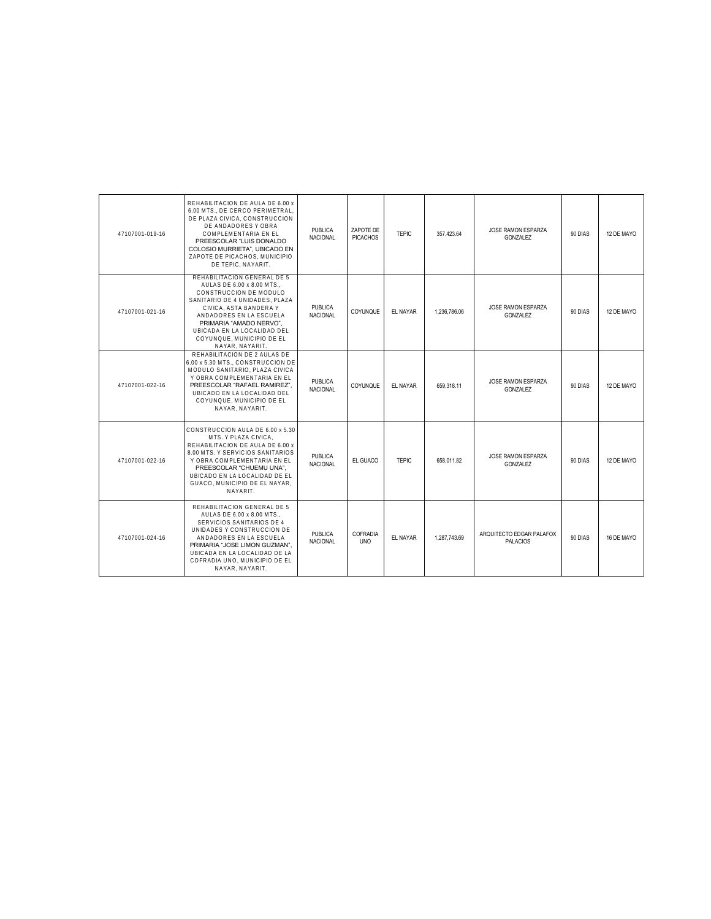| 47107001-019-16 | REHABILITACION DE AULA DE 6.00 x<br>6.00 MTS DE CERCO PERIMETRAL.<br>DE PLAZA CIVICA, CONSTRUCCION<br>DE ANDADORES Y OBRA<br>COMPLEMENTARIA EN EL<br>PREESCOLAR "LUIS DONALDO<br>COLOSIO MURRIETA", UBICADO EN<br>ZAPOTE DE PICACHOS, MUNICIPIO<br>DE TEPIC, NAYARIT.             | <b>PUBLICA</b><br><b>NACIONAL</b> | ZAPOTE DE<br><b>PICACHOS</b> | <b>TEPIC</b>    | 357.423.64   | JOSE RAMON ESPARZA<br>GONZALEZ              | 90 DIAS | 12 DE MAYO |
|-----------------|-----------------------------------------------------------------------------------------------------------------------------------------------------------------------------------------------------------------------------------------------------------------------------------|-----------------------------------|------------------------------|-----------------|--------------|---------------------------------------------|---------|------------|
| 47107001-021-16 | REHABILITACION GENERAL DE 5<br>AULAS DE 6.00 x 8.00 MTS<br>CONSTRUCCION DE MODULO<br>SANITARIO DE 4 UNIDADES. PLAZA<br>CIVICA. ASTA BANDERA Y<br>ANDADORES EN LA ESCUELA<br>PRIMARIA "AMADO NERVO".<br>UBICADA EN LA LOCALIDAD DEL<br>COYUNQUE, MUNICIPIO DE EL<br>NAYAR, NAYARIT | <b>PUBLICA</b><br><b>NACIONAL</b> | COYUNQUE                     | <b>EL NAYAR</b> | 1.236.786.06 | JOSE RAMON ESPARZA<br><b>GONZALEZ</b>       | 90 DIAS | 12 DE MAYO |
| 47107001-022-16 | REHABILITACION DE 2 AULAS DE<br>6.00 x 5.30 MTS., CONSTRUCCION DE<br>MODULO SANITARIO. PLAZA CIVICA<br>Y OBRA COMPLEMENTARIA EN EL<br>PREESCOLAR "RAFAEL RAMIREZ".<br>UBICADO EN LA LOCALIDAD DEL<br>COYUNQUE, MUNICIPIO DE EL<br>NAYAR, NAYARIT.                                 | <b>PUBLICA</b><br>NACIONAL        | COYUNQUE                     | <b>EL NAYAR</b> | 659.318.11   | JOSE RAMON ESPARZA<br><b>GONZALEZ</b>       | 90 DIAS | 12 DE MAYO |
| 47107001-022-16 | CONSTRUCCION AULA DE 6.00 x 5.30<br>MTS. Y PLAZA CIVICA.<br>REHABILITACION DE AULA DE 6.00 x<br>8.00 MTS. Y SERVICIOS SANITARIOS<br>Y OBRA COMPLEMENTARIA EN EL<br>PREESCOLAR "CHUEMU UNA".<br>UBICADO EN LA LOCALIDAD DE EL<br>GUACO, MUNICIPIO DE EL NAYAR.<br>NAYARIT.         | <b>PUBLICA</b><br><b>NACIONAL</b> | EL GUACO                     | <b>TEPIC</b>    | 658.011.82   | JOSE RAMON ESPARZA<br><b>GONZALEZ</b>       | 90 DIAS | 12 DE MAYO |
| 47107001-024-16 | REHABILITACION GENERAL DE 5<br>AULAS DE 6.00 x 8.00 MTS<br>SERVICIOS SANITARIOS DE 4<br>UNIDADES Y CONSTRUCCION DE<br>ANDADORES EN LA ESCUELA<br>PRIMARIA "JOSE LIMON GUZMAN".<br>UBICADA EN LA LOCALIDAD DE LA<br>COFRADIA UNO. MUNICIPIO DE EL<br>NAYAR, NAYARIT.               | <b>PUBLICA</b><br><b>NACIONAL</b> | COFRADIA<br><b>UNO</b>       | <b>EL NAYAR</b> | 1.287.743.69 | ARQUITECTO EDGAR PALAFOX<br><b>PALACIOS</b> | 90 DIAS | 16 DE MAYO |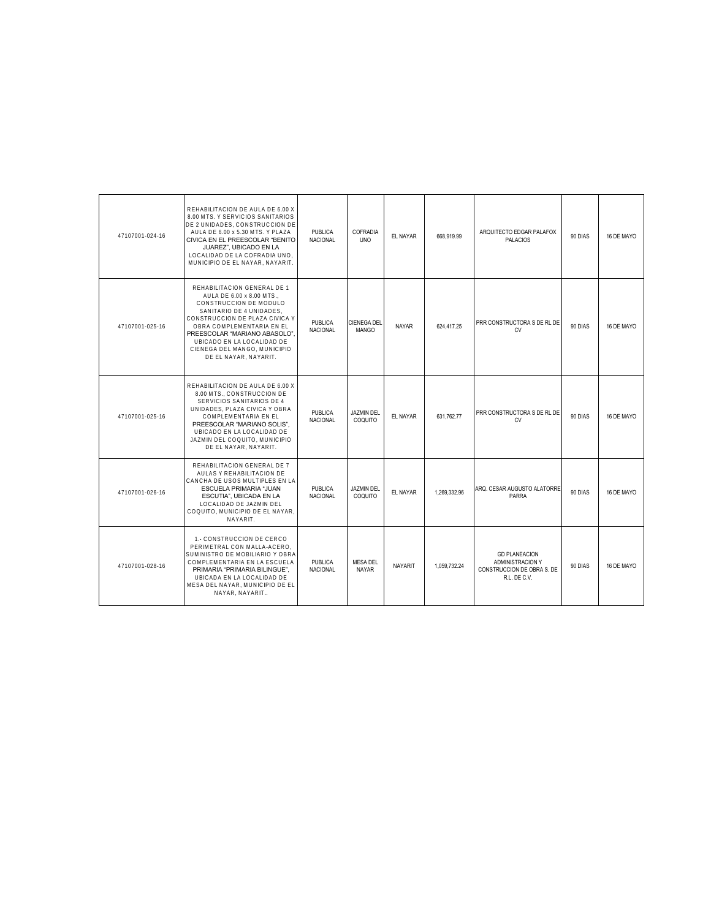| 47107001-024-16 | REHABILITACION DE AULA DE 6.00 X<br>8.00 MTS. Y SERVICIOS SANITARIOS<br>DE 2 UNIDADES, CONSTRUCCION DE<br>AULA DE 6.00 x 5.30 MTS. Y PLAZA<br>CIVICA EN EL PREESCOLAR "BENITO<br>JUAREZ", UBICADO EN LA<br>LOCALIDAD DE LA COFRADIA UNO.<br>MUNICIPIO DE EL NAYAR, NAYARIT.                         | <b>PUBLICA</b><br><b>NACIONAL</b> | COFRADIA<br><b>UNO</b>             | EL NAYAR       | 668.919.99   | ARQUITECTO EDGAR PALAFOX<br><b>PALACIOS</b>                                            | 90 DIAS | 16 DE MAYO |
|-----------------|-----------------------------------------------------------------------------------------------------------------------------------------------------------------------------------------------------------------------------------------------------------------------------------------------------|-----------------------------------|------------------------------------|----------------|--------------|----------------------------------------------------------------------------------------|---------|------------|
| 47107001-025-16 | REHABILITACION GENERAL DE 1<br>AULA DE 6.00 x 8.00 MTS<br>CONSTRUCCION DE MODULO<br>SANITARIO DE 4 UNIDADES.<br>CONSTRUCCION DE PLAZA CIVICA Y<br>OBRA COMPI EMENTARIA EN EL<br>PREESCOLAR "MARIANO ABASOLO"<br>UBICADO EN LA LOCALIDAD DE<br>CIENEGA DEL MANGO, MUNICIPIO<br>DE EL NAYAR, NAYARIT. | <b>PUBLICA</b><br><b>NACIONAL</b> | <b>CIENEGA DEL</b><br><b>MANGO</b> | NAYAR          | 624 417 25   | PRR CONSTRUCTORA S DE RL DE<br>CV                                                      | 90 DIAS | 16 DE MAYO |
| 47107001-025-16 | REHABILITACION DE AULA DE 6.00 X<br>8.00 MTS., CONSTRUCCION DE<br>SERVICIOS SANITARIOS DE 4<br>UNIDADES, PLAZA CIVICA Y OBRA<br>COMPLEMENTARIA EN EL<br>PREESCOLAR "MARIANO SOLIS",<br>UBICADO EN LA LOCALIDAD DE<br>JAZMIN DEL COQUITO, MUNICIPIO<br>DE EL NAYAR. NAYARIT.                         | <b>PUBLICA</b><br><b>NACIONAL</b> | <b>JAZMIN DEL</b><br>COQUITO       | EL NAYAR       | 631.762.77   | PRR CONSTRUCTORA S DE RL DE<br>CV                                                      | 90 DIAS | 16 DE MAYO |
| 47107001-026-16 | REHABILITACION GENERAL DE 7<br>AULAS Y REHABILITACION DE<br>CANCHA DE USOS MULTIPLES EN LA<br>ESCUELA PRIMARIA "JUAN<br>ESCUTIA", UBICADA EN LA<br>LOCALIDAD DE JAZMIN DEL<br>COQUITO, MUNICIPIO DE EL NAYAR.<br>NAYARIT.                                                                           | <b>PUBLICA</b><br><b>NACIONAL</b> | <b>JAZMIN DEL</b><br>COQUITO       | EL NAYAR       | 1.269.332.96 | ARQ. CESAR AUGUSTO ALATORRE<br>PARRA                                                   | 90 DIAS | 16 DE MAYO |
| 47107001-028-16 | 1.- CONSTRUCCION DE CERCO<br>PERIMETRAL CON MALLA-ACERO.<br>SUMINISTRO DE MOBILIARIO Y OBRA<br>COMPLEMENTARIA EN LA ESCUELA<br>PRIMARIA "PRIMARIA BILINGUE".<br>UBICADA EN LA LOCALIDAD DE<br>MESA DEL NAYAR, MUNICIPIO DE EL<br>NAYAR, NAYARIT                                                     | <b>PUBLICA</b><br><b>NACIONAL</b> | <b>MESA DEL</b><br><b>NAYAR</b>    | <b>NAYARIT</b> | 1.059.732.24 | <b>GD PLANEACION</b><br>ADMINISTRACION Y<br>CONSTRUCCION DE OBRA S. DE<br>R.L. DE C.V. | 90 DIAS | 16 DE MAYO |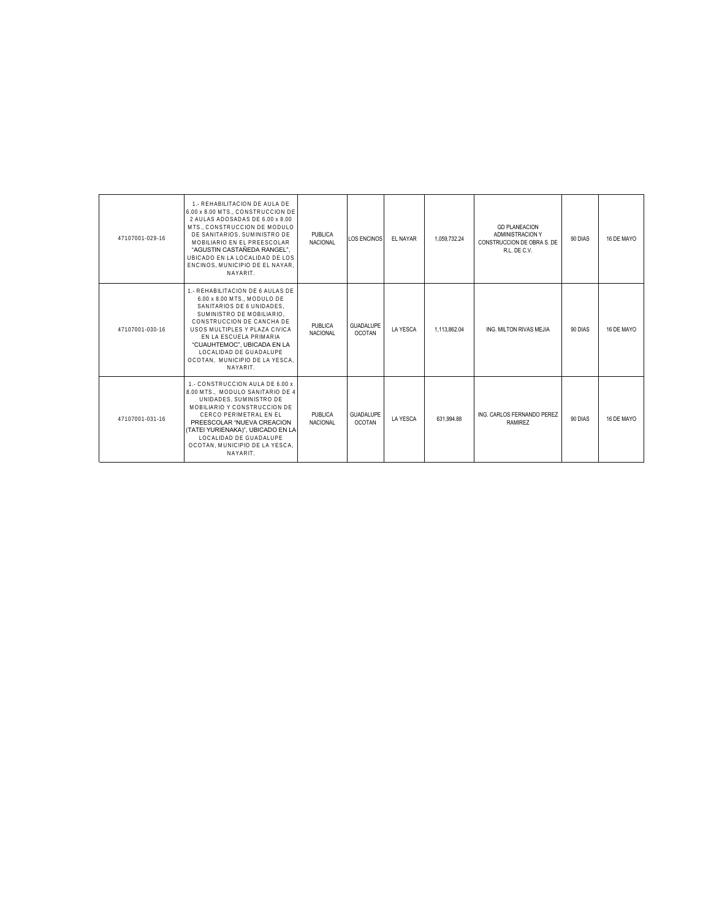| 47107001-029-16 | 1.- REHABILITACION DE AULA DE<br>6.00 x 8.00 MTS., CONSTRUCCION DE<br>2 AULAS ADOSADAS DE 6.00 x 8.00<br>MTS., CONSTRUCCION DE MODULO<br>DE SANITARIOS. SUMINISTRO DE<br>MOBILIARIO EN EL PREESCOLAR<br>"AGUSTIN CASTAÑEDA RANGEL".<br>UBICADO EN LA LOCALIDAD DE LOS<br>ENCINOS, MUNICIPIO DE EL NAYAR.<br>NAYARIT.   | PUBLICA<br><b>NACIONAL</b>        | <b>LOS ENCINOS</b>                | EL NAYAR        | 1.059.732.24 | <b>GD PLANEACION</b><br>ADMINISTRACION Y<br>CONSTRUCCION DE OBRA S. DE<br>R.L. DE C.V. | 90 DIAS | 16 DE MAYO |
|-----------------|------------------------------------------------------------------------------------------------------------------------------------------------------------------------------------------------------------------------------------------------------------------------------------------------------------------------|-----------------------------------|-----------------------------------|-----------------|--------------|----------------------------------------------------------------------------------------|---------|------------|
| 47107001-030-16 | 1.- REHABILITACION DE 6 AULAS DE<br>6.00 x 8.00 MTS MODULO DE<br>SANITARIOS DE 6 UNIDADES.<br>SUMINISTRO DE MOBILIARIO.<br>CONSTRUCCION DE CANCHA DE<br>USOS MULTIPLES Y PLAZA CIVICA<br>EN LA ESCUELA PRIMARIA<br>"CUAUHTEMOC". UBICADA EN LA<br>LOCALIDAD DE GUADALUPE<br>OCOTAN. MUNICIPIO DE LA YESCA.<br>NAYARIT. | <b>PUBLICA</b><br><b>NACIONAL</b> | <b>GUADALUPE</b><br><b>OCOTAN</b> | <b>LA YESCA</b> | 1.113.862.04 | ING. MILTON RIVAS MEJIA                                                                | 90 DIAS | 16 DE MAYO |
| 47107001-031-16 | 1.- CONSTRUCCION AULA DE 6.00 x<br>8.00 MTS MODULO SANITARIO DE 4<br>UNIDADES, SUMINISTRO DE<br>MOBILIARIO Y CONSTRUCCION DE<br>CERCO PERIMETRAL EN EL<br>PREESCOLAR "NUEVA CREACION<br>(TATEI YURIENAKA)", UBICADO EN LA<br>LOCALIDAD DE GUADALUPE<br>OCOTAN. MUNICIPIO DE LA YESCA.<br>NAYARIT.                      | <b>PUBLICA</b><br><b>NACIONAL</b> | <b>GUADALUPE</b><br><b>OCOTAN</b> | <b>LA YESCA</b> | 631.994.88   | ING. CARLOS FERNANDO PEREZ<br><b>RAMIREZ</b>                                           | 90 DIAS | 16 DE MAYO |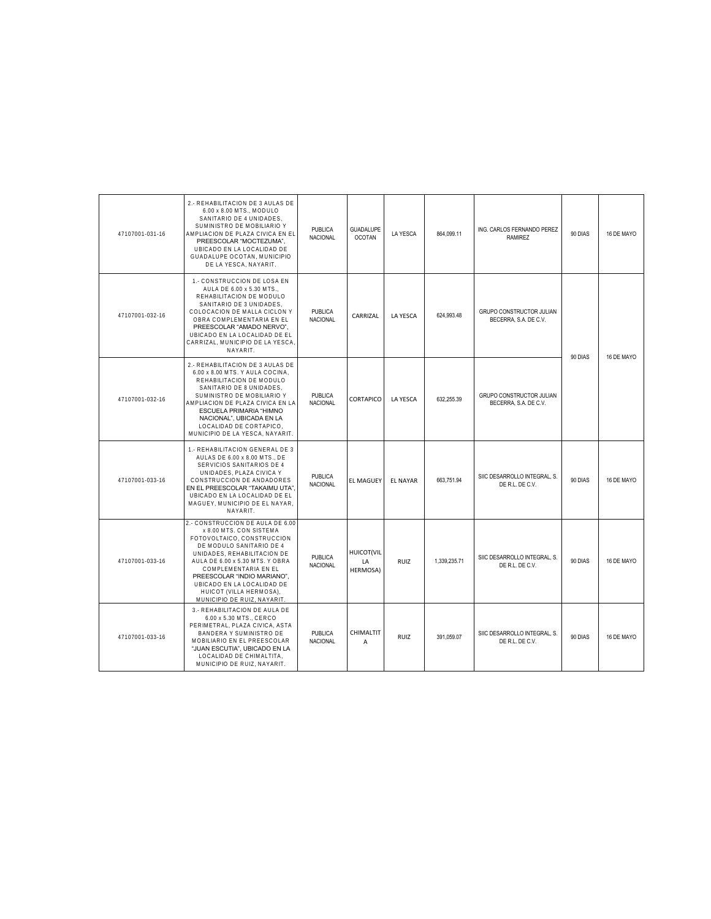| 47107001-031-16 | 2.- REHABILITACION DE 3 AULAS DE<br>6.00 x 8.00 MTS., MODULO<br>SANITARIO DE 4 UNIDADES,<br>SUMINISTRO DE MOBILIARIO Y<br>AMPLIACION DE PLAZA CIVICA EN EL<br>PREESCOLAR "MOCTEZUMA",<br>UBICADO EN LA LOCALIDAD DE<br>GUADALUPE OCOTAN, MUNICIPIO<br>DE LA YESCA. NAYARIT.                                                           | PUBLICA<br><b>NACIONAL</b>        | GUADALUPE<br><b>OCOTAN</b>          | <b>LA YESCA</b> | 864.099.11   | ING. CARLOS FERNANDO PEREZ<br><b>RAMIREZ</b>             | 90 DIAS | 16 DE MAYO |
|-----------------|---------------------------------------------------------------------------------------------------------------------------------------------------------------------------------------------------------------------------------------------------------------------------------------------------------------------------------------|-----------------------------------|-------------------------------------|-----------------|--------------|----------------------------------------------------------|---------|------------|
| 47107001-032-16 | 1.- CONSTRUCCION DE LOSA EN<br>AULA DE 6.00 x 5.30 MTS<br>REHABILITACION DE MODULO<br>SANITARIO DE 3 UNIDADES,<br>COLOCACION DE MALLA CICLON Y<br>OBRA COMPLEMENTARIA EN EL<br>PREESCOLAR "AMADO NERVO",<br>UBICADO EN LA LOCALIDAD DE EL<br>CARRIZAL, MUNICIPIO DE LA YESCA<br>NAYARIT.                                              | <b>PUBLICA</b><br>NACIONAL        | CARRIZAL                            | <b>LA YESCA</b> | 624,993.48   | <b>GRUPO CONSTRUCTOR JULIAN</b><br>BECERRA, S.A. DE C.V. | 90 DIAS | 16 DE MAYO |
| 47107001-032-16 | 2.- REHABILITACION DE 3 AULAS DE<br>6.00 x 8.00 MTS. Y AULA COCINA,<br>REHABILITACION DE MODULO<br>SANITARIO DE 8 UNIDADES,<br>SUMINISTRO DE MOBILIARIO Y<br>AMPLIACION DE PLAZA CIVICA EN LA<br>ESCUELA PRIMARIA "HIMNO<br>NACIONAL", UBICADA EN LA<br>LOCALIDAD DE CORTAPICO,<br>MUNICIPIO DE LA YESCA, NAYARIT.                    | <b>PUBLICA</b><br>NACIONAL        | CORTAPICO                           | LA YFSCA        | 632.255.39   | GRUPO CONSTRUCTOR JULIAN<br>BECERRA, S.A. DE C.V.        |         |            |
| 47107001-033-16 | 1.- REHABILITACION GENERAL DE 3<br>AULAS DE 6.00 x 8.00 MTS DE<br>SERVICIOS SANITARIOS DE 4<br>UNIDADES, PLAZA CIVICA Y<br>CONSTRUCCION DE ANDADORES<br>EN EL PREESCOLAR "TAKAIMU UTA"<br>UBICADO EN LA LOCALIDAD DE EL<br>MAGUEY, MUNICIPIO DE EL NAYAR,<br>NAYARIT.                                                                 | <b>PUBLICA</b><br><b>NACIONAL</b> | <b>EL MAGUEY</b>                    | <b>EL NAYAR</b> | 663,751.94   | SIIC DESARROLLO INTEGRAL, S.<br>DE R.L. DE C.V.          | 90 DIAS | 16 DE MAYO |
| 47107001-033-16 | 2.- CONSTRUCCION DE AULA DE 6.00<br>x 8.00 MTS. CON SISTEMA<br>FOTOVOLTAICO, CONSTRUCCION<br>DE MODULO SANITARIO DE 4<br>UNIDADES, REHABILITACION DE<br>AULA DE 6.00 x 5.30 MTS. Y OBRA<br>COMPLEMENTARIA EN EL<br>PREESCOLAR "INDIO MARIANO",<br>UBICADO EN LA LOCALIDAD DE<br>HUICOT (VILLA HERMOSA),<br>MUNICIPIO DE RUIZ, NAYARIT | <b>PUBLICA</b><br>NACIONAL        | <b>HUICOT(VIL</b><br>LA<br>HERMOSA) | <b>RUIZ</b>     | 1,339,235.71 | SIIC DESARROLLO INTEGRAL, S.<br>DE R.L. DE C.V.          | 90 DIAS | 16 DE MAYO |
| 47107001-033-16 | 3.- REHABILITACION DE AULA DE<br>6.00 x 5.30 MTS., CERCO<br>PERIMETRAL, PLAZA CIVICA, ASTA<br>BANDERA Y SUMINISTRO DE<br>MOBILIARIO EN EL PREESCOLAR<br>"JUAN ESCUTIA", UBICADO EN LA<br>LOCALIDAD DE CHIMALTITA.<br>MUNICIPIO DE RUIZ, NAYARIT.                                                                                      | <b>PUBLICA</b><br><b>NACIONAL</b> | CHIMALTIT<br>A                      | <b>RUIZ</b>     | 391,059.07   | SIIC DESARROLLO INTEGRAL, S.<br>DE R.L. DE C.V.          | 90 DIAS | 16 DE MAYO |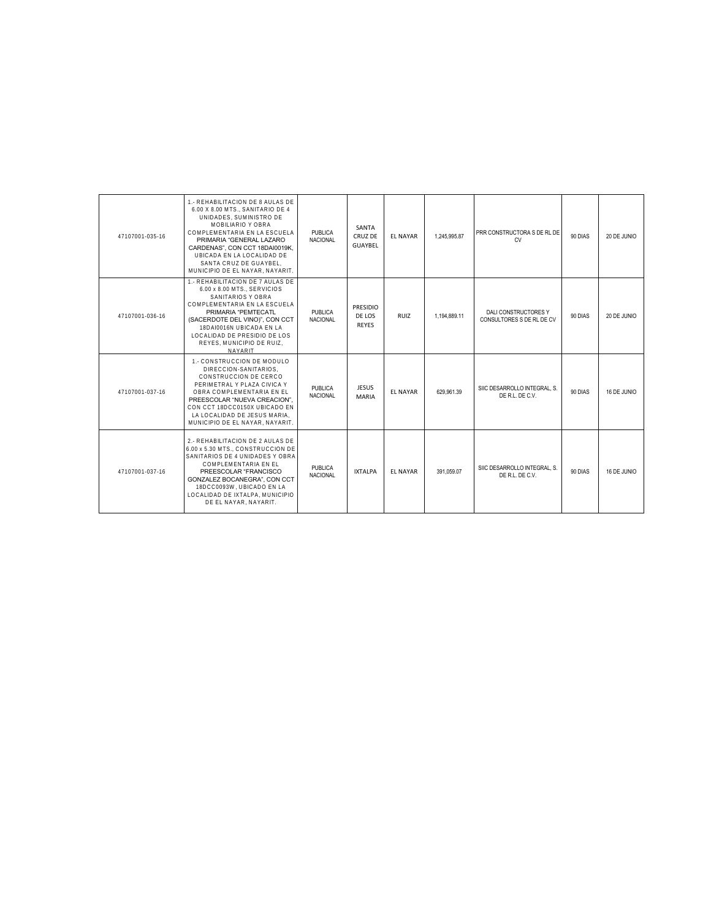| 47107001-035-16 | 1. REHABILITACION DE 8 AULAS DE<br>6.00 X 8.00 MTS., SANITARIO DE 4<br>UNIDADES, SUMINISTRO DE<br>MOBILIARIO Y OBRA<br>COMPLEMENTARIA EN LA ESCUELA<br>PRIMARIA "GENERAL LAZARO<br>CARDENAS", CON CCT 18DAI0019K.<br>UBICADA EN LA LOCALIDAD DE<br>SANTA CRUZ DE GUAYBEL.<br>MUNICIPIO DE EL NAYAR, NAYARIT. | <b>PUBLICA</b><br><b>NACIONAL</b> | SANTA<br>CRUZ DE<br><b>GUAYBEL</b>        | <b>EL NAYAR</b> | 1.245.995.87 | PRR CONSTRUCTORA S DE RL DE<br><b>CV</b>          | 90 DIAS | 20 DE JUNIO |
|-----------------|--------------------------------------------------------------------------------------------------------------------------------------------------------------------------------------------------------------------------------------------------------------------------------------------------------------|-----------------------------------|-------------------------------------------|-----------------|--------------|---------------------------------------------------|---------|-------------|
| 47107001-036-16 | 1.- REHABILITACION DE 7 AULAS DE<br>6.00 x 8.00 MTS., SERVICIOS<br>SANITARIOS Y OBRA<br>COMPLEMENTARIA EN LA ESCUELA<br>PRIMARIA "PEMTECATL<br>(SACERDOTE DEL VINO)", CON CCT<br>18DAI0016N UBICADA EN LA<br>LOCALIDAD DE PRESIDIO DE LOS<br>REYES, MUNICIPIO DE RUIZ.<br>NAYARIT                            | <b>PUBLICA</b><br><b>NACIONAL</b> | <b>PRESIDIO</b><br>DE LOS<br><b>REYES</b> | <b>RUIZ</b>     | 1,194,889.11 | DALI CONSTRUCTORES Y<br>CONSULTORES S DE RL DE CV | 90 DIAS | 20 DE JUNIO |
| 47107001-037-16 | 1.- CONSTRUCCION DE MODULO<br>DIRECCION-SANITARIOS.<br>CONSTRUCCION DE CERCO<br>PERIMETRAL Y PLAZA CIVICA Y<br>OBRA COMPLEMENTARIA EN EL<br>PREESCOLAR "NUEVA CREACION".<br>CON CCT 18DCC0150X UBICADO EN<br>LA LOCALIDAD DE JESUS MARIA.<br>MUNICIPIO DE EL NAYAR. NAYARIT.                                 | <b>PUBLICA</b><br><b>NACIONAL</b> | <b>JESUS</b><br><b>MARIA</b>              | <b>EL NAYAR</b> | 629.961.39   | SIIC DESARROLLO INTEGRAL. S.<br>DE R.L. DE C.V.   | 90 DIAS | 16 DE JUNIO |
| 47107001-037-16 | 2.- REHABILITACION DE 2 AULAS DE<br>6.00 x 5.30 MTS., CONSTRUCCION DE<br>SANITARIOS DE 4 UNIDADES Y OBRA<br>COMPLEMENTARIA EN EL<br>PREESCOLAR "FRANCISCO<br>GONZALEZ BOCANEGRA", CON CCT<br>18DCC0093W. UBICADO EN LA<br>LOCALIDAD DE IXTALPA, MUNICIPIO<br>DE EL NAYAR. NAYARIT.                           | <b>PUBLICA</b><br><b>NACIONAL</b> | <b>IXTALPA</b>                            | <b>EL NAYAR</b> | 391.059.07   | SIIC DESARROLLO INTEGRAL. S.<br>DE R.L. DE C.V.   | 90 DIAS | 16 DE JUNIO |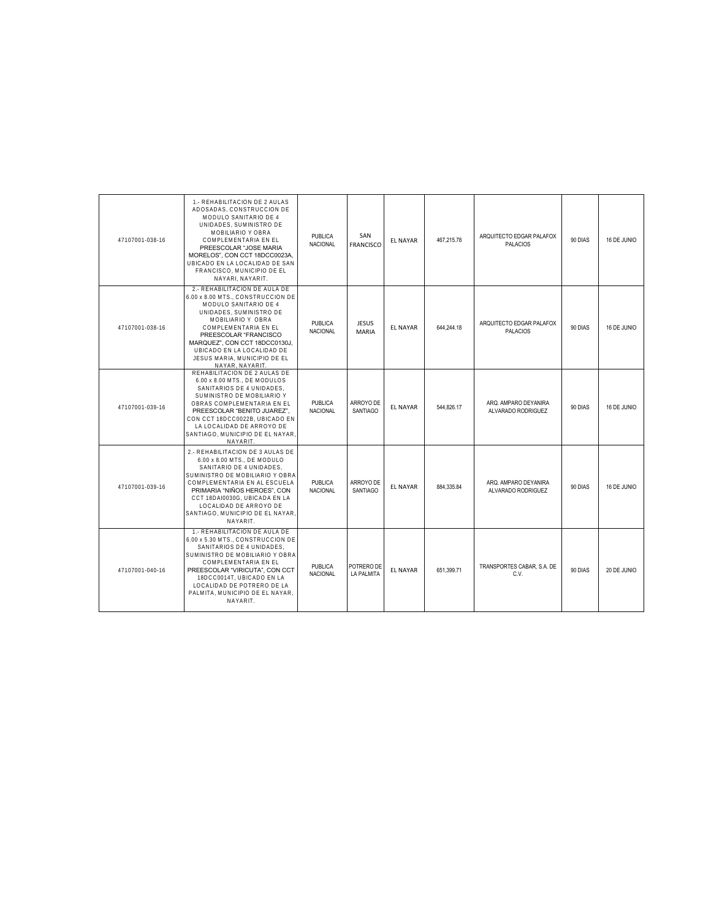| 47107001-038-16 | 1.- REHABILITACION DE 2 AULAS<br>ADOSADAS, CONSTRUCCION DE<br>MODULO SANITARIO DE 4<br>UNIDADES, SUMINISTRO DE<br>MOBILIARIO Y OBRA<br>COMPLEMENTARIA EN EL<br>PREESCOLAR "JOSE MARIA<br>MORELOS", CON CCT 18DCC0023A,<br>UBICADO EN LA LOCALIDAD DE SAN<br>FRANCISCO, MUNICIPIO DE EL<br>NAYARI, NAYARIT.     | <b>PUBLICA</b><br><b>NACIONAL</b> | SAN<br><b>FRANCISCO</b>         | <b>EL NAYAR</b> | 467,215.78 | ARQUITECTO EDGAR PALAFOX<br><b>PALACIOS</b> | 90 DIAS | 16 DE JUNIO |
|-----------------|----------------------------------------------------------------------------------------------------------------------------------------------------------------------------------------------------------------------------------------------------------------------------------------------------------------|-----------------------------------|---------------------------------|-----------------|------------|---------------------------------------------|---------|-------------|
| 47107001-038-16 | 2.- REHABILITACION DE AULA DE<br>6.00 x 8.00 MTS., CONSTRUCCION DE<br>MODULO SANITARIO DE 4<br>UNIDADES, SUMINISTRO DE<br>MOBILIARIO Y OBRA<br>COMPLEMENTARIA EN EL<br>PREESCOLAR "FRANCISCO<br>MARQUEZ", CON CCT 18DCC0130J,<br>UBICADO EN LA LOCALIDAD DE<br>JESUS MARIA, MUNICIPIO DE EL<br>NAYAR, NAYARIT, | <b>PUBLICA</b><br><b>NACIONAL</b> | <b>JESUS</b><br><b>MARIA</b>    | <b>EL NAYAR</b> | 644.244.18 | ARQUITECTO EDGAR PALAFOX<br><b>PALACIOS</b> | 90 DIAS | 16 DE JUNIO |
| 47107001-039-16 | REHABILITACION DE 2 AULAS DE<br>6.00 x 8.00 MTS., DE MODULOS<br>SANITARIOS DE 4 UNIDADES.<br>SUMINISTRO DE MOBILIARIO Y<br>OBRAS COMPLEMENTARIA EN EL<br>PREESCOLAR "BENITO JUAREZ".<br>CON CCT 18DCC0022B, UBICADO EN<br>LA LOCALIDAD DE ARROYO DE<br>SANTIAGO, MUNICIPIO DE EL NAYAR,<br>NAYARIT.            | <b>PUBLICA</b><br><b>NACIONAL</b> | ARROYO DE<br><b>SANTIAGO</b>    | <b>EL NAYAR</b> | 544.826.17 | ARQ. AMPARO DEYANIRA<br>ALVARADO RODRIGUEZ  | 90 DIAS | 16 DE JUNIO |
| 47107001-039-16 | 2.- REHABILITACION DE 3 AULAS DE<br>6.00 x 8.00 MTS., DE MODULO<br>SANITARIO DE 4 UNIDADES,<br>SUMINISTRO DE MOBILIARIO Y OBRA<br>COMPLEMENTARIA EN AL ESCUELA<br>PRIMARIA "NIÑOS HEROES", CON<br>CCT 18DAI0030G, UBICADA EN LA<br>LOCALIDAD DE ARROYO DE<br>SANTIAGO, MUNICIPIO DE EL NAYAR<br>NAYARIT.       | <b>PUBLICA</b><br><b>NACIONAL</b> | ARROYO DE<br><b>SANTIAGO</b>    | <b>EL NAYAR</b> | 884.335.84 | ARO. AMPARO DEYANIRA<br>ALVARADO RODRIGUEZ  | 90 DIAS | 16 DE JUNIO |
| 47107001-040-16 | 1.- REHABILITACION DE AULA DE<br>6.00 x 5.30 MTS CONSTRUCCION DE<br>SANITARIOS DE 4 UNIDADES.<br>SUMINISTRO DE MOBILIARIO Y OBRA<br>COMPLEMENTARIA EN EL<br>PREESCOLAR "VIRICUTA", CON CCT<br>18DCC0014T, UBICADO EN LA<br>LOCALIDAD DE POTRERO DE LA<br>PALMITA, MUNICIPIO DE EL NAYAR.<br>NAYARIT.           | <b>PUBLICA</b><br>NACIONAL        | POTRERO DE<br><b>LA PALMITA</b> | <b>EL NAYAR</b> | 651,399.71 | TRANSPORTES CABAR, S.A. DE<br>C.V.          | 90 DIAS | 20 DE JUNIO |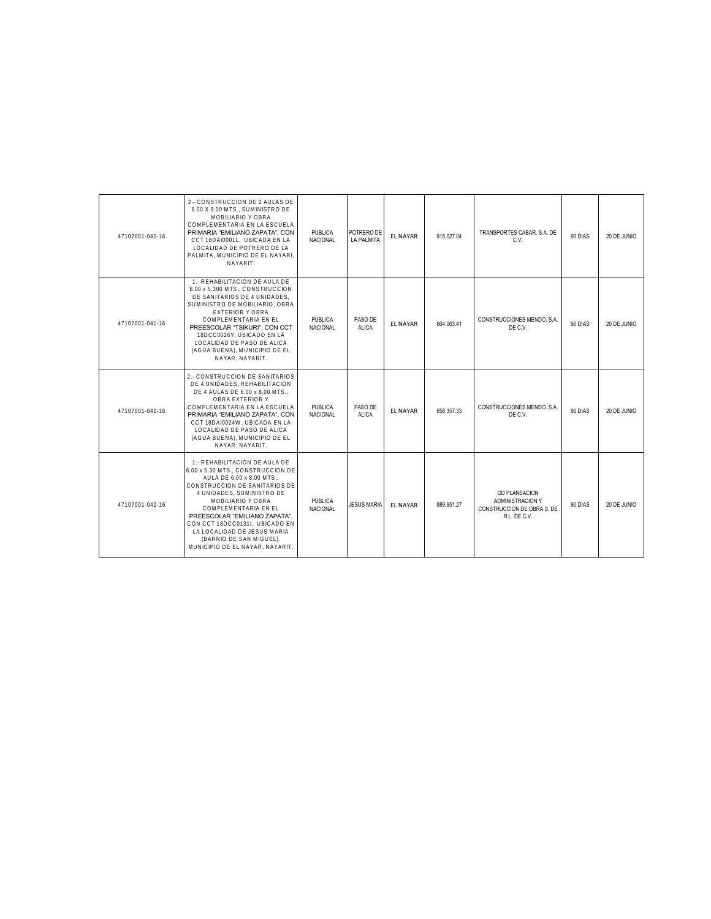| 47107001-040-16 | 2.- CONSTRUCCION DE 2 AULAS DE<br>6.00 X 8.00 MTS., SUMINISTRO DE<br>MOBILIARIO Y OBRA<br>COMPLEMENTARIA EN LA ESCUELA<br>PRIMARIA "EMILIANO ZAPATA", CON<br>CCT 18DAI0001L. UBICADA EN LA<br>LOCALIDAD DE POTRERO DE LA<br>PALMITA. MUNICIPIO DE EL NAYARI.<br>NAYARIT.                                                                                                 | <b>PUBLICA</b><br><b>NACIONAL</b> | POTRERO DE<br>LA PALMITA | <b>EL NAYAR</b> | 915,027.04 | TRANSPORTES CABAR, S.A. DE<br>C.V.                                                     | 90 DIAS | 20 DE JUNIO |
|-----------------|--------------------------------------------------------------------------------------------------------------------------------------------------------------------------------------------------------------------------------------------------------------------------------------------------------------------------------------------------------------------------|-----------------------------------|--------------------------|-----------------|------------|----------------------------------------------------------------------------------------|---------|-------------|
| 47107001-041-16 | 1.- REHABILITACION DE AULA DE<br>6.00 x 5.300 MTS., CONSTRUCCION<br>DE SANITARIOS DE 4 UNIDADES.<br>SUMINISTRO DE MOBILIARIO, OBRA<br><b>EXTERIOR Y OBRA</b><br>COMPLEMENTARIA EN EL<br>PREESCOLAR "TSIKURI", CON CCT<br>18DCC0026Y. UBICADO EN LA<br>LOCALIDAD DE PASO DE ALICA<br>(AGUA BUENA), MUNICIPIO DE EL<br>NAYAR, NAYARIT.                                     | <b>PUBLICA</b><br><b>NACIONAL</b> | PASO DE<br><b>ALICA</b>  | <b>FL NAYAR</b> | 664.063.41 | CONSTRUCCIONES MENDO, S.A.<br>DE C.V.                                                  | 90 DIAS | 20 DE JUNIO |
| 47107001-041-16 | 2.- CONSTRUCCION DE SANITARIOS<br>DE 4 UNIDADES, REHABILITACION<br>DE 4 AULAS DE 6.00 x 8.00 MTS.,<br>OBRA EXTERIOR Y<br>COMPLEMENTARIA EN LA ESCUELA<br>PRIMARIA "EMILIANO ZAPATA", CON<br>CCT 18DAI0024W, UBICADA EN LA<br>LOCALIDAD DE PASO DE ALICA<br>(AGUA BUENA), MUNICIPIO DE EL<br>NAYAR, NAYARIT.                                                              | <b>PUBLICA</b><br><b>NACIONAL</b> | PASO DE<br><b>ALICA</b>  | <b>EL NAYAR</b> | 658,357.33 | CONSTRUCCIONES MENDO, S.A.<br>DE C.V.                                                  | 90 DIAS | 20 DE JUNIO |
| 47107001-042-16 | 1.- REHABILITACION DE AULA DE<br>6.00 x 5.30 MTS., CONSTRUCCION DE<br>AULA DE 6.00 x 8.00 MTS<br>CONSTRUCCION DE SANITARIOS DE<br>4 UNIDADES. SUMINISTRO DE<br>MOBILIARIO Y OBRA<br>COMPLEMENTARIA EN EL<br>PREESCOLAR "EMILIANO ZAPATA".<br>CON CCT 18DCC0131I. UBICADO EN<br>LA LOCALIDAD DE JESUS MARIA<br>(BARRIO DE SAN MIGUEL).<br>MUNICIPIO DE EL NAYAR, NAYARIT. | <b>PUBLICA</b><br><b>NACIONAL</b> | <b>JESUS MARIA</b>       | <b>EL NAYAR</b> | 889.951.27 | <b>GD PLANEACION</b><br>ADMINISTRACION Y<br>CONSTRUCCION DE OBRA S. DE<br>R.L. DE C.V. | 90 DIAS | 20 DE JUNIO |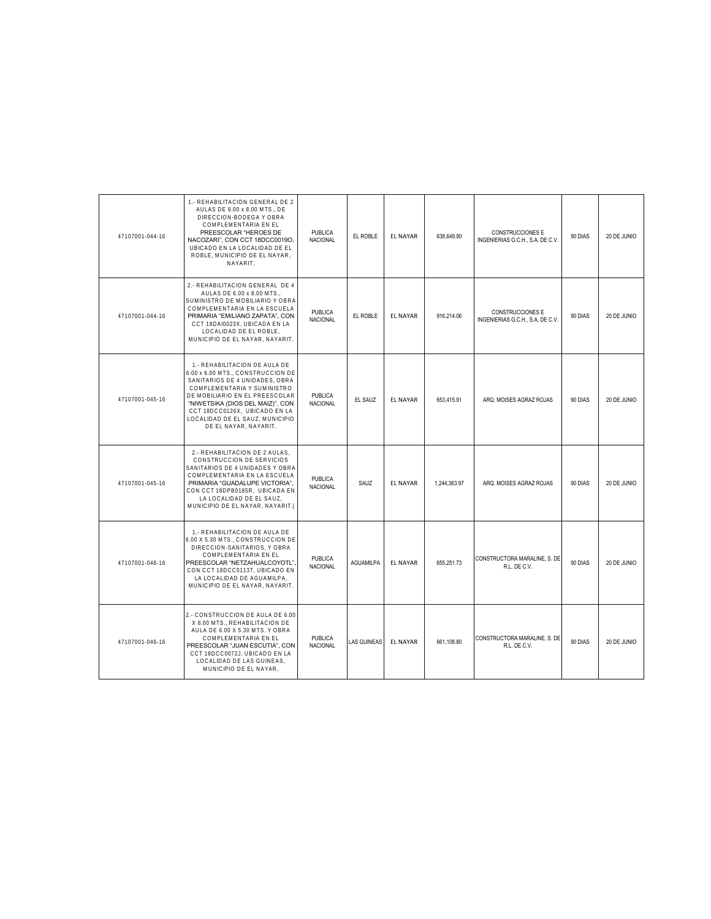| 47107001-044-16 | 1.- REHABILITACION GENERAL DE 2<br>AULAS DE 6.00 x 8.00 MTS DE<br>DIRECCION-BODEGA Y OBRA<br>COMPLEMENTARIA EN EL<br>PREESCOLAR "HEROES DE<br>NACOZARI", CON CCT 18DCC0019O,<br>UBICADO EN LA LOCALIDAD DE EL<br>ROBLE, MUNICIPIO DE EL NAYAR,<br>NAYARIT.                                             | <b>PUBLICA</b><br>NACIONAL        | EL ROBLE           | <b>EL NAYAR</b> | 638,649.90   | CONSTRUCCIONES E<br>INGENIERIAS G.C.H., S.A. DE C.V.        | 90 DIAS | 20 DE JUNIO |
|-----------------|--------------------------------------------------------------------------------------------------------------------------------------------------------------------------------------------------------------------------------------------------------------------------------------------------------|-----------------------------------|--------------------|-----------------|--------------|-------------------------------------------------------------|---------|-------------|
| 47107001-044-16 | 2.- REHABILITACION GENERAL DE 4<br>AULAS DE 6.00 x 8.00 MTS<br>SUMINISTRO DE MOBILIARIO Y OBRA<br>COMPLEMENTARIA EN LA ESCUELA<br>PRIMARIA "EMILIANO ZAPATA", CON<br>CCT 18DAI0023X, UBICADA EN LA<br>LOCALIDAD DE EL ROBLE.<br>MUNICIPIO DE EL NAYAR, NAYARIT.                                        | <b>PUBLICA</b><br><b>NACIONAL</b> | EL ROBLE           | <b>EL NAYAR</b> | 916,214.06   | <b>CONSTRUCCIONES E</b><br>INGENIERIAS G.C.H., S.A. DE C.V. | 90 DIAS | 20 DE JUNIO |
| 47107001-045-16 | 1.- REHABILITACION DE AULA DE<br>6.00 x 6.00 MTS., CONSTRUCCION DE<br>SANITARIOS DE 4 UNIDADES. OBRA<br>COMPLEMENTARIA Y SUMINISTRO<br>DE MOBILIARIO EN EL PREESCOLAR<br>"NIWETSIKA (DIOS DEL MAIZ)", CON<br>CCT 18DCC0126X. UBICADO EN LA<br>LOCALIDAD DE EL SAUZ, MUNICIPIO<br>DE EL NAYAR, NAYARIT. | PUBLICA<br><b>NACIONAL</b>        | EL SAUZ            | <b>EL NAYAR</b> | 653.415.91   | ARQ. MOISES AGRAZ ROJAS                                     | 90 DIAS | 20 DE JUNIO |
| 47107001-045-16 | 2.- REHABILITACION DE 2 AULAS.<br>CONSTRUCCION DE SERVICIOS<br>SANITARIOS DE 4 UNIDADES Y OBRA<br>COMPLEMENTARIA EN LA ESCUELA<br>PRIMARIA "GUADALUPE VICTORIA",<br>CON CCT 18DPB0185R. UBICADA EN<br>LA LOCALIDAD DE EL SAUZ,<br>MUNICIPIO DE EL NAYAR, NAYARIT.                                      | <b>PUBLICA</b><br>NACIONAL        | SAUZ               | <b>EL NAYAR</b> | 1.244.363.97 | ARQ. MOISES AGRAZ ROJAS                                     | 90 DIAS | 20 DE JUNIO |
| 47107001-046-16 | 1.- REHABILITACION DE AULA DE<br>6.00 X 5.30 MTS., CONSTRUCCION DE<br>DIRECCION-SANITARIOS, Y OBRA<br>COMPLEMENTARIA EN EL<br>PREESCOLAR "NETZAHUALCOYOTL"<br>CON CCT 18DCC0113T, UBICADO EN<br>LA LOCALIDAD DE AGUAMILPA,<br>MUNICIPIO DE EL NAYAR, NAYARIT.                                          | <b>PUBLICA</b><br>NACIONAL        | <b>AGUAMILPA</b>   | <b>EL NAYAR</b> | 655.251.73   | CONSTRUCTORA MARALINE, S. DE<br>R.L. DE C.V.                | 90 DIAS | 20 DE JUNIO |
| 47107001-046-16 | 2.- CONSTRUCCION DE AULA DE 6.00<br>X 8.00 MTS., REHABILITACION DE<br>AULA DE 6.00 X 5.30 MTS. Y OBRA<br>COMPLEMENTARIA EN EL<br>PREESCOLAR "JUAN ESCUTIA", CON<br>CCT 18DCC0072J, UBICADO EN LA<br>LOCALIDAD DE LAS GUINEAS,<br>MUNICIPIO DE EL NAYAR,                                                | <b>PUBLICA</b><br>NACIONAL        | <b>LAS GUINEAS</b> | <b>EL NAYAR</b> | 661.108.80   | CONSTRUCTORA MARALINE, S. DE<br>R.L. DE C.V.                | 90 DIAS | 20 DE JUNIO |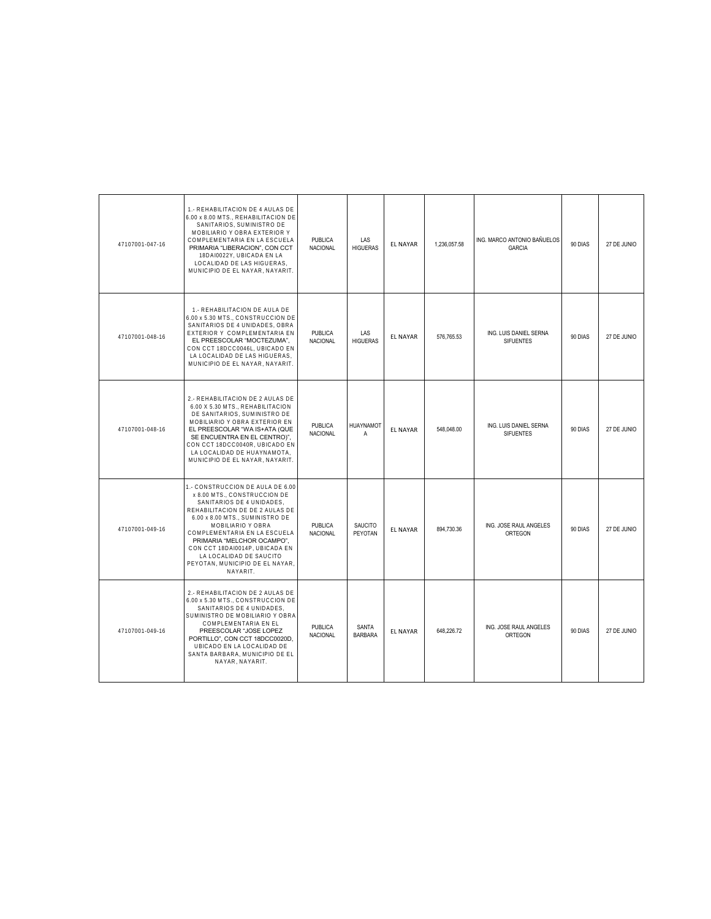| 47107001-047-16 | 1.- REHABILITACION DE 4 AULAS DE<br>6.00 x 8.00 MTS., REHABILITACION DE<br>SANITARIOS. SUMINISTRO DE<br>MOBILIARIO Y OBRA EXTERIOR Y<br>COMPLEMENTARIA EN LA ESCUELA<br>PRIMARIA "LIBERACION", CON CCT<br>18DAI0022Y, UBICADA EN LA<br>LOCALIDAD DE LAS HIGUERAS,<br>MUNICIPIO DE EL NAYAR, NAYARIT.                                                               | <b>PUBLICA</b><br>NACIONAL        | LAS<br><b>HIGUERAS</b>        | <b>EL NAYAR</b> | 1,236,057.58 | ING. MARCO ANTONIO BAÑUELOS<br>GARCIA      | 90 DIAS | 27 DE JUNIO |
|-----------------|--------------------------------------------------------------------------------------------------------------------------------------------------------------------------------------------------------------------------------------------------------------------------------------------------------------------------------------------------------------------|-----------------------------------|-------------------------------|-----------------|--------------|--------------------------------------------|---------|-------------|
| 47107001-048-16 | 1.- REHABILITACION DE AULA DE<br>6.00 x 5.30 MTS., CONSTRUCCION DE<br>SANITARIOS DE 4 UNIDADES, OBRA<br>EXTERIOR Y COMPLEMENTARIA EN<br>EL PREESCOLAR "MOCTEZUMA",<br>CON CCT 18DCC0046L, UBICADO EN<br>LA LOCALIDAD DE LAS HIGUERAS.<br>MUNICIPIO DE EL NAYAR, NAYARIT.                                                                                           | <b>PUBLICA</b><br>NACIONAL        | <b>LAS</b><br><b>HIGUERAS</b> | <b>EL NAYAR</b> | 576,765.53   | ING. LUIS DANIEL SERNA<br><b>SIFUENTES</b> | 90 DIAS | 27 DE JUNIO |
| 47107001-048-16 | 2.- REHABILITACION DE 2 AULAS DE<br>6.00 X 5.30 MTS., REHABILITACION<br>DE SANITARIOS, SUMINISTRO DE<br>MOBILIARIO Y OBRA EXTERIOR EN<br>EL PREESCOLAR "WA IS+ATA (QUE<br>SE ENCUENTRA EN EL CENTRO)",<br>CON CCT 18DCC0040R, UBICADO EN<br>LA LOCALIDAD DE HUAYNAMOTA,<br>MUNICIPIO DE EL NAYAR, NAYARIT.                                                         | <b>PUBLICA</b><br>NACIONAL        | <b>HUAYNAMOT</b><br>A         | <b>EL NAYAR</b> | 548,048.00   | ING. LUIS DANIEL SERNA<br><b>SIFUENTES</b> | 90 DIAS | 27 DE JUNIO |
| 47107001-049-16 | 1.- CONSTRUCCION DE AULA DE 6.00<br>x 8.00 MTS., CONSTRUCCION DE<br>SANITARIOS DE 4 UNIDADES,<br>REHABILITACION DE DE 2 AULAS DE<br>6.00 x 8.00 MTS., SUMINISTRO DE<br>MOBILIARIO Y OBRA<br>COMPLEMENTARIA EN LA ESCUELA<br>PRIMARIA "MELCHOR OCAMPO",<br>CON CCT 18DAI0014P, UBICADA EN<br>LA LOCALIDAD DE SAUCITO<br>PEYOTAN, MUNICIPIO DE EL NAYAR,<br>NAYARIT. | <b>PUBLICA</b><br><b>NACIONAL</b> | SAUCITO<br>PEYOTAN            | <b>EL NAYAR</b> | 894,730.36   | ING. JOSE RAUL ANGELES<br>ORTEGON          | 90 DIAS | 27 DE JUNIO |
| 47107001-049-16 | 2.- REHABILITACION DE 2 AULAS DE<br>6.00 x 5.30 MTS., CONSTRUCCION DE<br>SANITARIOS DE 4 UNIDADES,<br>SUMINISTRO DE MOBILIARIO Y OBRA<br>COMPLEMENTARIA EN EL<br>PREESCOLAR "JOSE LOPEZ<br>PORTILLO", CON CCT 18DCC0020D,<br>UBICADO EN LA LOCALIDAD DE<br>SANTA BARBARA, MUNICIPIO DE EL<br>NAYAR, NAYARIT.                                                       | <b>PUBLICA</b><br><b>NACIONAL</b> | SANTA<br><b>BARBARA</b>       | <b>EL NAYAR</b> | 648,226.72   | ING. JOSE RAUL ANGELES<br>ORTEGON          | 90 DIAS | 27 DE JUNIO |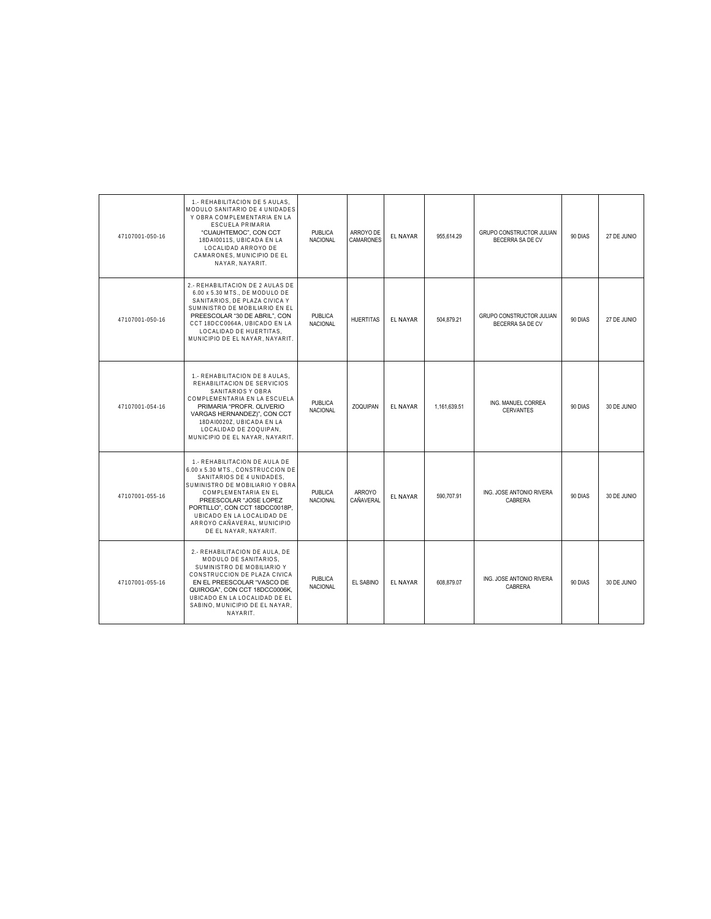| 47107001-050-16 | 1.- REHABILITACION DE 5 AULAS.<br>MODULO SANITARIO DE 4 UNIDADES<br>Y OBRA COMPLEMENTARIA EN LA<br><b>ESCUELA PRIMARIA</b><br>"CUAUHTEMOC", CON CCT<br>18DAI0011S, UBICADA EN LA<br>LOCALIDAD ARROYO DE<br>CAMARONES, MUNICIPIO DE EL<br>NAYAR, NAYARIT.                                                     | <b>PUBLICA</b><br><b>NACIONAL</b> | ARROYO DE<br>CAMARONES            | <b>EL NAYAR</b> | 955.614.29   | <b>GRUPO CONSTRUCTOR JULIAN</b><br>BECERRA SA DE CV | 90 DIAS | 27 DE JUNIO |
|-----------------|--------------------------------------------------------------------------------------------------------------------------------------------------------------------------------------------------------------------------------------------------------------------------------------------------------------|-----------------------------------|-----------------------------------|-----------------|--------------|-----------------------------------------------------|---------|-------------|
| 47107001-050-16 | 2.- REHABILITACION DE 2 AULAS DE<br>6.00 x 5.30 MTS DE MODULO DE<br>SANITARIOS, DE PLAZA CIVICA Y<br>SUMINISTRO DE MOBILIARIO EN EL<br>PREESCOLAR "30 DE ABRIL", CON<br>CCT 18DCC0064A, UBICADO EN LA<br>LOCALIDAD DE HUERTITAS.<br>MUNICIPIO DE EL NAYAR, NAYARIT.                                          | PUBLICA<br><b>NACIONAL</b>        | <b>HUERTITAS</b>                  | <b>EL NAYAR</b> | 504,879.21   | GRUPO CONSTRUCTOR JULIAN<br>BECERRA SA DE CV        | 90 DIAS | 27 DE JUNIO |
| 47107001-054-16 | 1.- REHABILITACION DE 8 AULAS,<br>REHABILITACION DE SERVICIOS<br>SANITARIOS Y OBRA<br>COMPLEMENTARIA EN LA ESCUELA<br>PRIMARIA "PROFR, OLIVERIO<br>VARGAS HERNANDEZ)", CON CCT<br>18DAI0020Z. UBICADA EN LA<br>LOCALIDAD DE ZOQUIPAN,<br>MUNICIPIO DE EL NAYAR. NAYARIT.                                     | <b>PUBLICA</b><br><b>NACIONAL</b> | <b>ZOQUIPAN</b>                   | <b>EL NAYAR</b> | 1.161.639.51 | ING. MANUEL CORREA<br><b>CERVANTES</b>              | 90 DIAS | 30 DE JUNIO |
| 47107001-055-16 | 1.- REHABILITACION DE AULA DE<br>6.00 x 5.30 MTS., CONSTRUCCION DE<br>SANITARIOS DE 4 UNIDADES,<br>SUMINISTRO DE MOBILIARIO Y OBRA<br>COMPLEMENTARIA EN EL<br>PREESCOLAR "JOSE LOPEZ<br>PORTILLO", CON CCT 18DCC0018P,<br>UBICADO EN LA LOCALIDAD DE<br>ARROYO CAÑAVERAL, MUNICIPIO<br>DE EL NAYAR, NAYARIT. | PUBLICA<br>NACIONAL               | <b>ARROYO</b><br><b>CAÑAVERAL</b> | <b>EL NAYAR</b> | 590,707.91   | ING. JOSE ANTONIO RIVERA<br>CABRERA                 | 90 DIAS | 30 DE JUNIO |
| 47107001-055-16 | 2.- REHABILITACION DE AULA, DE<br>MODULO DE SANITARIOS.<br>SUMINISTRO DE MOBILIARIO Y<br>CONSTRUCCION DE PLAZA CIVICA<br>EN EL PREESCOLAR "VASCO DE<br>QUIROGA", CON CCT 18DCC0006K,<br>UBICADO EN LA LOCALIDAD DE EL<br>SABINO, MUNICIPIO DE EL NAYAR.<br>NAYARIT.                                          | <b>PUBLICA</b><br><b>NACIONAL</b> | EL SABINO                         | <b>EL NAYAR</b> | 608.879.07   | ING. JOSE ANTONIO RIVERA<br>CABRERA                 | 90 DIAS | 30 DE JUNIO |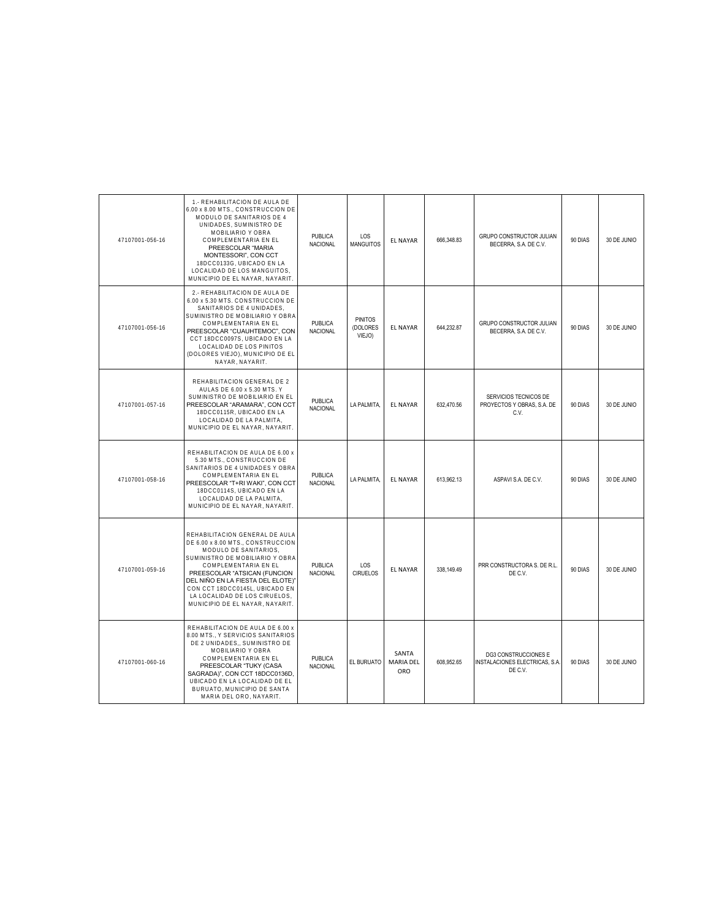| 47107001-056-16 | 1.- REHABILITACION DE AULA DE<br>6.00 x 8.00 MTS., CONSTRUCCION DE<br>MODULO DE SANITARIOS DE 4<br>UNIDADES, SUMINISTRO DE<br>MOBILIARIO Y OBRA<br>COMPLEMENTARIA EN EL<br>PREESCOLAR "MARIA<br>MONTESSORI", CON CCT<br>18DCC0133G, UBICADO EN LA<br>LOCALIDAD DE LOS MANGUITOS,<br>MUNICIPIO DE EL NAYAR, NAYARIT.               | PUBLICA<br><b>NACIONAL</b> | LOS<br><b>MANGUITOS</b>              | EL NAYAR                         | 666,348.83 | <b>GRUPO CONSTRUCTOR JULIAN</b><br>BECERRA, S.A. DE C.V.                 | 90 DIAS | 30 DE JUNIO |
|-----------------|-----------------------------------------------------------------------------------------------------------------------------------------------------------------------------------------------------------------------------------------------------------------------------------------------------------------------------------|----------------------------|--------------------------------------|----------------------------------|------------|--------------------------------------------------------------------------|---------|-------------|
| 47107001-056-16 | 2.- REHABILITACION DE AULA DE<br>6.00 x 5.30 MTS. CONSTRUCCION DE<br>SANITARIOS DE 4 UNIDADES.<br>SUMINISTRO DE MOBILIARIO Y OBRA<br>COMPLEMENTARIA EN EL<br>PREESCOLAR "CUAUHTEMOC", CON<br>CCT 18DCC0097S, UBICADO EN LA<br>LOCALIDAD DE LOS PINITOS<br>(DOLORES VIEJO), MUNICIPIO DE EL<br>NAYAR, NAYARIT.                     | <b>PUBLICA</b><br>NACIONAL | <b>PINITOS</b><br>(DOLORES<br>VIEJO) | <b>EL NAYAR</b>                  | 644,232.87 | GRUPO CONSTRUCTOR JULIAN<br>BECERRA, S.A. DE C.V.                        | 90 DIAS | 30 DE JUNIO |
| 47107001-057-16 | REHABILITACION GENERAL DE 2<br>AULAS DE 6.00 x 5.30 MTS. Y<br>SUMINISTRO DE MOBILIARIO EN EL<br>PREESCOLAR "ARAMARA", CON CCT<br>18DCC0115R. UBICADO EN LA<br>LOCALIDAD DE LA PALMITA,<br>MUNICIPIO DE EL NAYAR, NAYARIT.                                                                                                         | PUBLICA<br><b>NACIONAL</b> | LA PALMITA,                          | EL NAYAR                         | 632,470.56 | SERVICIOS TECNICOS DE<br>PROYECTOS Y OBRAS, S.A. DE<br>C.V.              | 90 DIAS | 30 DE JUNIO |
| 47107001-058-16 | REHABILITACION DE AULA DE 6.00 x<br>5.30 MTS., CONSTRUCCION DE<br>SANITARIOS DE 4 UNIDADES Y OBRA<br>COMPLEMENTARIA EN EL<br>PREESCOLAR "T+RI WAKI", CON CCT<br>18DCC0114S, UBICADO EN LA<br>LOCALIDAD DE LA PALMITA,<br>MUNICIPIO DE EL NAYAR, NAYARIT.                                                                          | <b>PUBLICA</b><br>NACIONAL | LA PALMITA.                          | <b>EL NAYAR</b>                  | 613.962.13 | ASPAVI S.A. DE C.V.                                                      | 90 DIAS | 30 DE JUNIO |
| 47107001-059-16 | REHABILITACION GENERAL DE AULA<br>DE 6.00 x 8.00 MTS., CONSTRUCCION<br>MODULO DE SANITARIOS,<br>SUMINISTRO DE MOBILIARIO Y OBRA<br>COMPLEMENTARIA EN EL<br>PREESCOLAR "ATSICAN (FUNCION<br>DEL NIÑO EN LA FIESTA DEL ELOTE)'<br>CON CCT 18DCC0145L, UBICADO EN<br>LA LOCALIDAD DE LOS CIRUELOS.<br>MUNICIPIO DE EL NAYAR, NAYARIT | PUBLICA<br><b>NACIONAL</b> | LOS<br><b>CIRUELOS</b>               | <b>EL NAYAR</b>                  | 338,149.49 | PRR CONSTRUCTORA S. DE R.L.<br>DE C.V.                                   | 90 DIAS | 30 DE JUNIO |
| 47107001-060-16 | REHABILITACION DE AULA DE 6.00 x<br>8.00 MTS., Y SERVICIOS SANITARIOS<br>DE 2 UNIDADES,, SUMINISTRO DE<br>MOBILIARIO Y OBRA<br>COMPLEMENTARIA EN EL<br>PREESCOLAR "TUKY (CASA<br>SAGRADA)", CON CCT 18DCC0136D,<br>UBICADO EN LA LOCALIDAD DE EL<br>BURUATO, MUNICIPIO DE SANTA<br>MARIA DEL ORO, NAYARIT.                        | PUBLICA<br><b>NACIONAL</b> | EL BURUATO                           | SANTA<br><b>MARIA DEL</b><br>ORO | 608,952.65 | <b>DG3 CONSTRUCCIONES E</b><br>INSTALACIONES ELECTRICAS, S.A.<br>DE C.V. | 90 DIAS | 30 DE JUNIO |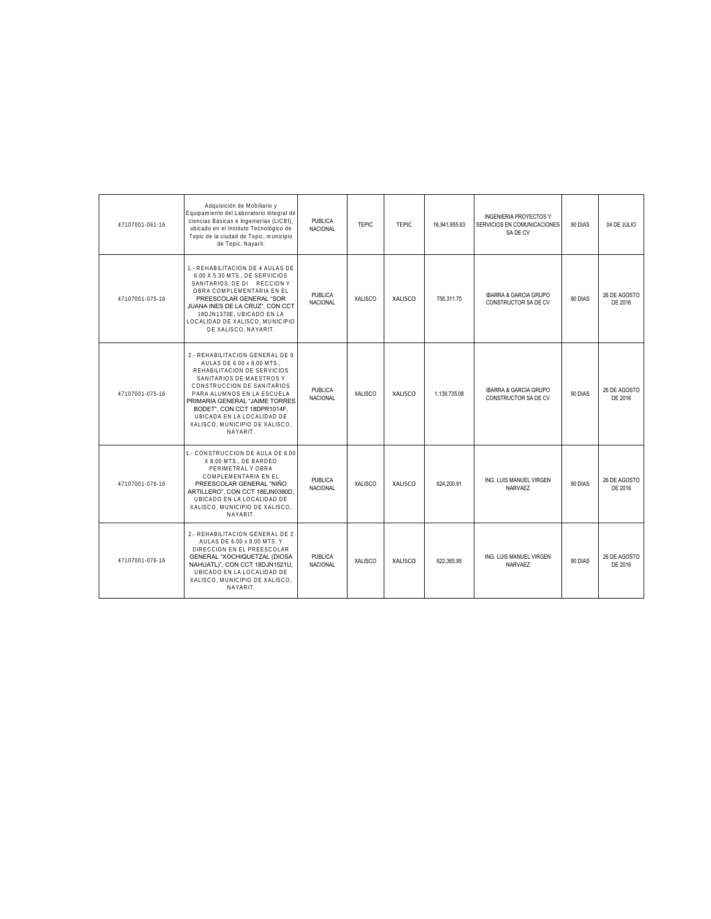| 47107001-061-16 | Adquisición de Mobiliario y<br>Equipamiento del Laboratorio Integral de<br>ciencias Básicas e Ingenierías (LICBI),<br>ubicado en el Instituto Tecnológico de<br>Tepic de la ciudad de Tepic, municipio<br>de Tepic, Nayarit.                                                                                                    | <b>PUBLICA</b><br><b>NACIONAL</b> | <b>TEPIC</b>   | <b>TFPIC</b>   | 16.941.955.63 | <b>INGENIERIA PROYECTOS Y</b><br>SERVICIOS EN COMUNICACIONES<br>SA DE CV | 90 DIAS | 04 DE JULIO             |
|-----------------|---------------------------------------------------------------------------------------------------------------------------------------------------------------------------------------------------------------------------------------------------------------------------------------------------------------------------------|-----------------------------------|----------------|----------------|---------------|--------------------------------------------------------------------------|---------|-------------------------|
| 47107001-075-16 | 1.- REHABILITACION DE 4 AULAS DE<br>6.00 X 5.30 MTS., DE SERVICIOS<br>SANITARIOS, DE DI RECCION Y<br>OBRA COMPLEMENTARIA EN EL<br>PREESCOLAR GENERAL "SOR<br>JUANA INES DE LA CRUZ", CON CCT<br>18DJN1370E, UBICADO EN LA<br>LOCALIDAD DE XALISCO, MUNICIPIO<br>DE XALISCO, NAYARIT.                                            | <b>PUBLICA</b><br><b>NACIONAL</b> | <b>XALISCO</b> | <b>XALISCO</b> | 756,311.75    | IBARRA & GARCIA GRUPO<br>CONSTRUCTOR SA DE CV                            | 90 DIAS | 26 DE AGOSTO<br>DE 2016 |
| 47107001-075-16 | 2.- REHABILITACION GENERAL DE 9<br>AULAS DE 6.00 x 8.00 MTS<br>REHABILITACION DE SERVICIOS<br>SANITARIOS DE MAESTROS Y<br>CONSTRUCCION DE SANITARIOS<br>PARA ALUMNOS EN LA ESCUELA<br>PRIMARIA GENERAL "JAIME TORRES<br>BODET", CON CCT 18DPR1014F,<br>UBICADA EN LA LOCALIDAD DE<br>XALISCO, MUNICIPIO DE XALISCO.<br>NAYARIT. | PUBLICA<br><b>NACIONAL</b>        | <b>XALISCO</b> | <b>XALISCO</b> | 1.139.735.08  | <b>IBARRA &amp; GARCIA GRUPO</b><br>CONSTRUCTOR SA DE CV                 | 90 DIAS | 26 DE AGOSTO<br>DE 2016 |
| 47107001-076-16 | 1.- CONSTRUCCION DE AULA DE 6.00<br>X 8.00 MTS., DE BARDEO<br>PERIMETRAL Y OBRA<br>COMPLEMENTARIA EN EL<br>PREESCOLAR GENERAL "NIÑO<br>ARTILLERO", CON CCT 18EJN0380D,<br>UBICADO EN LA LOCALIDAD DE<br>XALISCO, MUNICIPIO DE XALISCO,<br>NAYARIT.                                                                              | <b>PUBLICA</b><br><b>NACIONAL</b> | XALISCO        | XALISCO        | 624.200.91    | ING. LUIS MANUEL VIRGEN<br><b>NARVAEZ</b>                                | 90 DIAS | 26 DE AGOSTO<br>DE 2016 |
| 47107001-076-16 | 2.- REHABILITACION GENERAL DE 2<br>AULAS DE 6.00 x 8.00 MTS. Y<br>DIRECCION EN EL PREESCOLAR<br>GENERAL "XOCHIQUETZAL (DIOSA<br>NAHUATL)", CON CCT 18DJN1521U,<br>UBICADO EN LA LOCALIDAD DE<br>XALISCO. MUNICIPIO DE XALISCO.<br>NAYARIT.                                                                                      | <b>PUBLICA</b><br><b>NACIONAL</b> | XALISCO        | <b>XALISCO</b> | 622.365.95    | ING. LUIS MANUEL VIRGEN<br>NARVAEZ                                       | 90 DIAS | 26 DE AGOSTO<br>DE 2016 |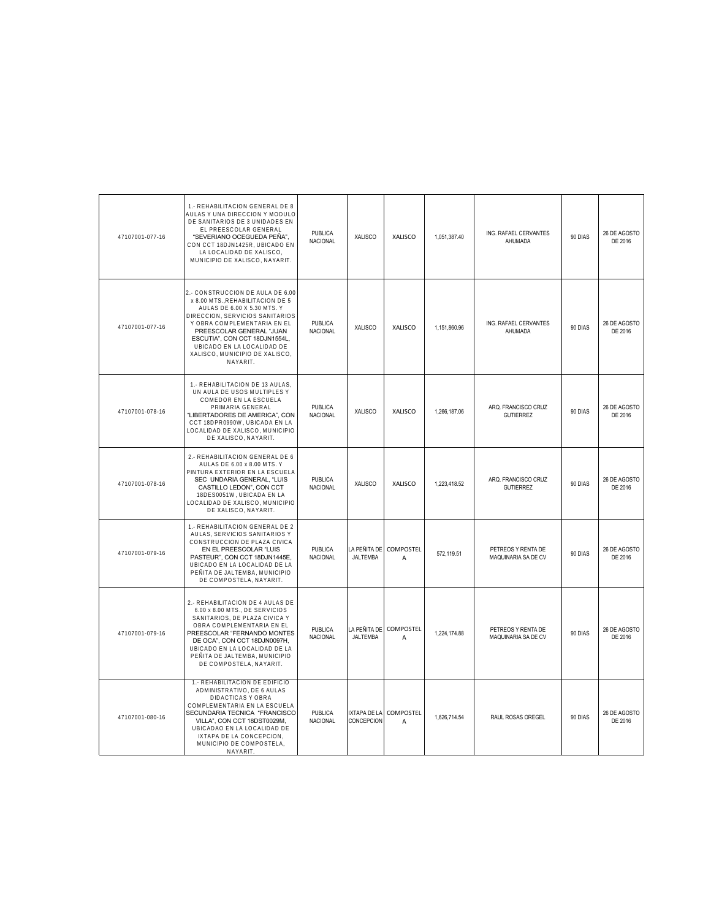| 47107001-077-16 | 1.- REHABILITACION GENERAL DE 8<br>AULAS Y UNA DIRECCION Y MODULO<br>DE SANITARIOS DE 3 UNIDADES EN<br>EL PREESCOLAR GENERAL<br>"SEVERIANO OCEGUEDA PEÑA",<br>CON CCT 18DJN1425R, UBICADO EN<br>LA LOCALIDAD DE XALISCO,<br>MUNICIPIO DE XALISCO, NAYARIT.                                                     | <b>PUBLICA</b><br><b>NACIONAL</b> | XALISCO                           | XALISCO                            | 1,051,387.40 | ING. RAFAEL CERVANTES<br>AHUMADA          | 90 DIAS | 26 DE AGOSTO<br>DE 2016 |
|-----------------|----------------------------------------------------------------------------------------------------------------------------------------------------------------------------------------------------------------------------------------------------------------------------------------------------------------|-----------------------------------|-----------------------------------|------------------------------------|--------------|-------------------------------------------|---------|-------------------------|
| 47107001-077-16 | 2.- CONSTRUCCION DE AULA DE 6.00<br>x 8.00 MTS., REHABILITACION DE 5<br>AULAS DE 6.00 X 5.30 MTS. Y<br>DIRECCION, SERVICIOS SANITARIOS<br>Y OBRA COMPLEMENTARIA EN EL<br>PREESCOLAR GENERAL "JUAN<br>ESCUTIA", CON CCT 18DJN1554L,<br>UBICADO EN LA LOCALIDAD DE<br>XALISCO, MUNICIPIO DE XALISCO,<br>NAYARIT. | <b>PUBLICA</b><br><b>NACIONAL</b> | XALISCO                           | XALISCO                            | 1,151,860.96 | ING. RAFAEL CERVANTES<br>AHUMADA          | 90 DIAS | 26 DE AGOSTO<br>DE 2016 |
| 47107001-078-16 | 1.- REHABILITACION DE 13 AULAS.<br>UN AULA DE USOS MULTIPLES Y<br>COMEDOR EN LA ESCUELA<br>PRIMARIA GENERAL<br>"LIBERTADORES DE AMERICA", CON<br>CCT 18DPR0990W, UBICADA EN LA<br>LOCALIDAD DE XALISCO, MUNICIPIO<br>DE XALISCO, NAYARIT.                                                                      | PUBLICA<br>NACIONAL               | <b>XALISCO</b>                    | XALISCO                            | 1.266.187.06 | ARQ. FRANCISCO CRUZ<br><b>GUTIERREZ</b>   | 90 DIAS | 26 DE AGOSTO<br>DE 2016 |
| 47107001-078-16 | 2.- REHABILITACION GENERAL DE 6<br>AULAS DE 6.00 x 8.00 MTS. Y<br>PINTURA EXTERIOR EN LA ESCUELA<br>SEC UNDARIA GENERAL, "LUIS<br>CASTILLO LEDON", CON CCT<br>18DES0051W, UBICADA EN LA<br>LOCALIDAD DE XALISCO, MUNICIPIO<br>DE XALISCO, NAYARIT.                                                             | <b>PUBLICA</b><br><b>NACIONAL</b> | <b>XALISCO</b>                    | <b>XALISCO</b>                     | 1,223,418.52 | ARQ. FRANCISCO CRUZ<br><b>GUTIERREZ</b>   | 90 DIAS | 26 DE AGOSTO<br>DE 2016 |
| 47107001-079-16 | 1.- REHABILITACION GENERAL DE 2<br>AULAS, SERVICIOS SANITARIOS Y<br>CONSTRUCCION DE PLAZA CIVICA<br>EN EL PREESCOLAR "LUIS<br>PASTEUR", CON CCT 18DJN1445E,<br>UBICADO EN LA LOCALIDAD DE LA<br>PEÑITA DE JALTEMBA, MUNICIPIO<br>DE COMPOSTELA, NAYARIT.                                                       | PUBLICA<br>NACIONAL               | LA PEÑITA DE<br>JALTEMBA          | COMPOSTEL<br>A                     | 572,119.51   | PETREOS Y RENTA DE<br>MAQUINARIA SA DE CV | 90 DIAS | 26 DE AGOSTO<br>DE 2016 |
| 47107001-079-16 | 2.- REHABILITACION DE 4 AULAS DE<br>6.00 x 8.00 MTS., DE SERVICIOS<br>SANITARIOS, DE PLAZA CIVICA Y<br>OBRA COMPLEMENTARIA EN EL<br>PREESCOLAR "FERNANDO MONTES<br>DE OCA", CON CCT 18DJN0097H,<br>UBICADO EN LA LOCALIDAD DE LA<br>PEÑITA DE JALTEMBA, MUNICIPIO<br>DE COMPOSTELA, NAYARIT.                   | PUBLICA<br><b>NACIONAL</b>        | LA PEÑITA DE<br>JALTEMBA          | <b>COMPOSTEL</b><br>$\overline{A}$ | 1.224.174.88 | PETREOS Y RENTA DE<br>MAQUINARIA SA DE CV | 90 DIAS | 26 DE AGOSTO<br>DE 2016 |
| 47107001-080-16 | 1.- REHABILITACION DE EDIFICIO<br>ADMINISTRATIVO, DE 6 AULAS<br>DIDACTICAS Y OBRA<br>COMPLEMENTARIA EN LA ESCUELA<br>SECUNDARIA TECNICA "FRANCISCO<br>VILLA", CON CCT 18DST0029M,<br>UBICADAO EN LA LOCALIDAD DE<br>IXTAPA DE LA CONCEPCION,<br>MUNICIPIO DE COMPOSTELA,<br>NAYARIT.                           | PUBLICA<br>NACIONAL               | <b>IXTAPA DE LA</b><br>CONCEPCION | COMPOSTEL<br>$\overline{A}$        | 1,626,714.54 | RAUL ROSAS OREGEL                         | 90 DIAS | 26 DE AGOSTO<br>DE 2016 |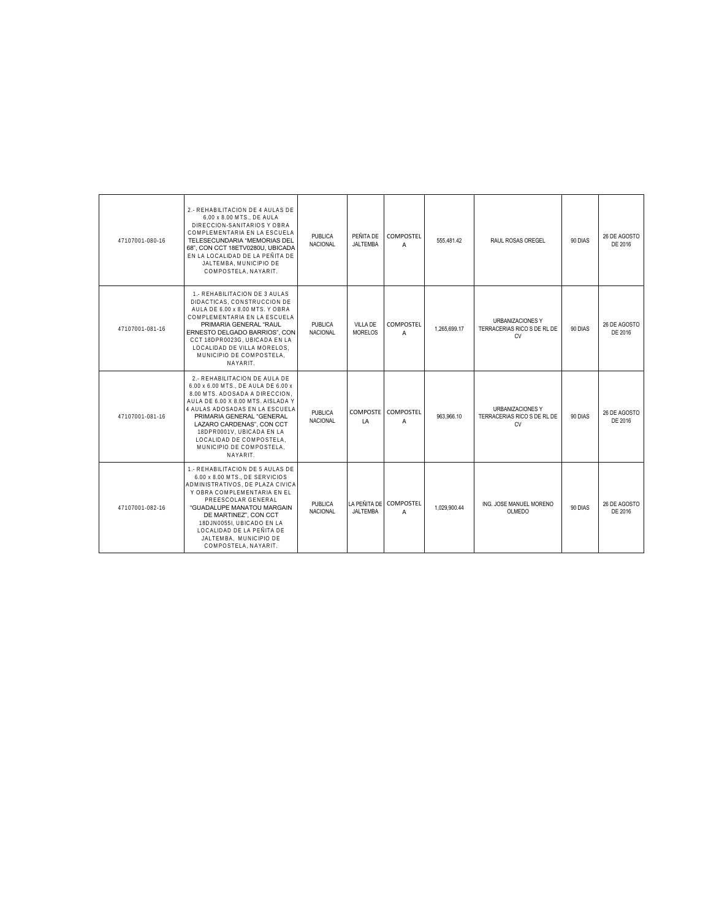| 47107001-080-16 | 2 - REHABILITACION DE 4 AULAS DE<br>6.00 x 8.00 MTS DE AULA<br>DIRECCION-SANITARIOS Y OBRA<br>COMPLEMENTARIA EN LA ESCUELA<br>TELESECUNDARIA "MEMORIAS DEL<br>68", CON CCT 18ETV0280U, UBICADA<br>EN LA LOCALIDAD DE LA PEÑITA DE<br>JALTEMBA, MUNICIPIO DE<br>COMPOSTELA, NAYARIT.                                                       | PUBLICA<br><b>NACIONAL</b> | PEÑITA DE<br><b>JALTEMBA</b> | COMPOSTEL<br>$\overline{A}$ | 555.481.42   | RAUL ROSAS OREGEL                                                   | 90 DIAS | 26 DE AGOSTO<br>DE 2016 |
|-----------------|-------------------------------------------------------------------------------------------------------------------------------------------------------------------------------------------------------------------------------------------------------------------------------------------------------------------------------------------|----------------------------|------------------------------|-----------------------------|--------------|---------------------------------------------------------------------|---------|-------------------------|
| 47107001-081-16 | 1. REHABILITACION DE 3 AULAS<br>DIDACTICAS, CONSTRUCCION DE<br>AULA DE 6.00 x 8.00 MTS. Y OBRA<br>COMPLEMENTARIA EN LA ESCUELA<br>PRIMARIA GENERAL "RAUL<br>ERNESTO DELGADO BARRIOS", CON<br>CCT 18DPR0023G, UBICADA EN LA<br>LOCALIDAD DE VILLA MORELOS.<br>MUNICIPIO DE COMPOSTELA.<br>NAYARIT.                                         | PUBLICA<br><b>NACIONAL</b> | VILLA DE<br>MORELOS          | COMPOSTEL<br>A              | 1.265.699.17 | URBANIZACIONES Y<br>TERRACERIAS RICO S DE RL DE<br><b>CV</b>        | 90 DIAS | 26 DE AGOSTO<br>DE 2016 |
| 47107001-081-16 | 2.- REHABILITACION DE AULA DE<br>6.00 x 6.00 MTS., DE AULA DE 6.00 x<br>8.00 MTS. ADOSADA A DIRECCION.<br>AULA DE 6.00 X 8.00 MTS. AISLADA Y<br>4 AULAS ADOSADAS EN LA ESCUELA<br>PRIMARIA GENERAL "GENERAL<br>LAZARO CARDENAS", CON CCT<br>18DPR0001V. UBICADA EN LA<br>LOCALIDAD DE COMPOSTELA.<br>MUNICIPIO DE COMPOSTELA.<br>NAYARIT. | PUBLICA<br><b>NACIONAL</b> | LA                           | COMPOSTE COMPOSTEL<br>A     | 963.966.10   | <b>URBANIZACIONES Y</b><br>TERRACERIAS RICO S DE RL DE<br><b>CV</b> | 90 DIAS | 26 DE AGOSTO<br>DE 2016 |
| 47107001-082-16 | 1.- REHABILITACION DE 5 AULAS DE<br>6.00 x 8.00 MTS., DE SERVICIOS<br>ADMINISTRATIVOS. DE PLAZA CIVICA<br>Y OBRA COMPLEMENTARIA EN EL<br>PREESCOLAR GENERAL<br>"GUADALUPE MANATOU MARGAIN<br>DE MARTINEZ", CON CCT<br>18DJN0055I, UBICADO EN LA<br>LOCALIDAD DE LA PEÑITA DE<br>JALTEMBA. MUNICIPIO DE<br>COMPOSTELA, NAYARIT.            | PUBLICA<br><b>NACIONAL</b> | <b>JALTEMBA</b>              | LA PEÑITA DE COMPOSTEL<br>A | 1.029.900.44 | ING. JOSE MANUEL MORENO<br>OLMEDO                                   | 90 DIAS | 26 DE AGOSTO<br>DE 2016 |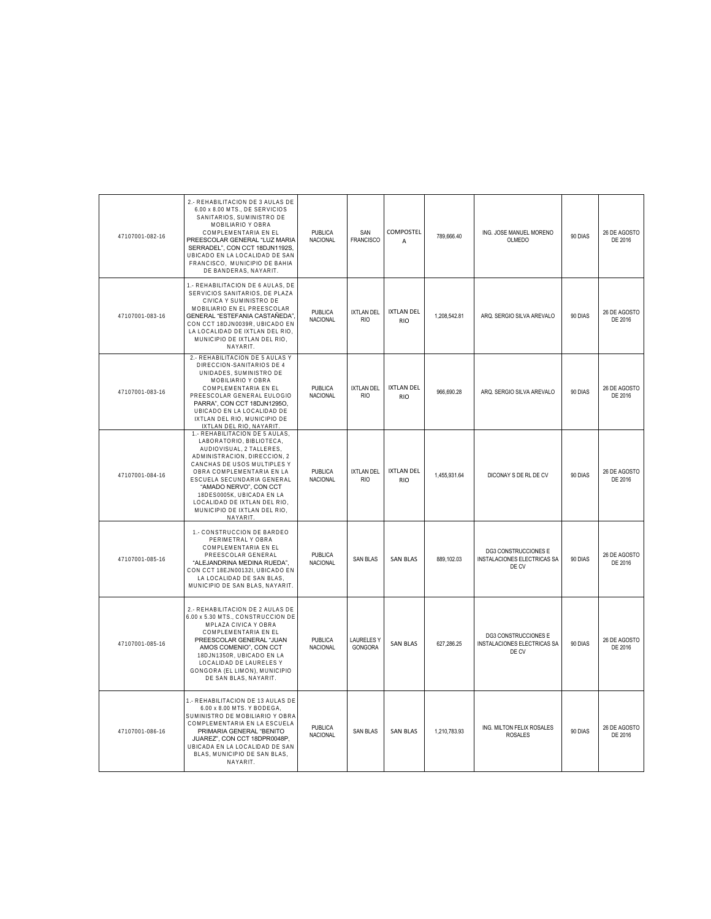| 47107001-082-16 | 2.- REHABILITACION DE 3 AULAS DE<br>6.00 x 8.00 MTS., DE SERVICIOS<br>SANITARIOS, SUMINISTRO DE<br>MOBILIARIO Y OBRA<br>COMPLEMENTARIA EN EL<br>PREESCOLAR GENERAL "LUZ MARIA<br>SERRADEL", CON CCT 18DJN1192S,<br>UBICADO EN LA LOCALIDAD DE SAN<br>FRANCISCO, MUNICIPIO DE BAHIA<br>DE BANDERAS, NAYARIT.                                        | PUBLICA<br>NACIONAL               | SAN<br><b>FRANCISCO</b>         | <b>COMPOSTEL</b><br>$\overline{A}$ | 789,666.40   | ING. JOSE MANUEL MORENO<br>OLMEDO                            | 90 DIAS | 26 DE AGOSTO<br>DE 2016 |
|-----------------|----------------------------------------------------------------------------------------------------------------------------------------------------------------------------------------------------------------------------------------------------------------------------------------------------------------------------------------------------|-----------------------------------|---------------------------------|------------------------------------|--------------|--------------------------------------------------------------|---------|-------------------------|
| 47107001-083-16 | 1.- REHABILITACION DE 6 AULAS, DE<br>SERVICIOS SANITARIOS, DE PLAZA<br>CIVICA Y SUMINISTRO DE<br>MOBILIARIO EN EL PREESCOLAR<br>GENERAL "ESTEFANIA CASTAÑEDA"<br>CON CCT 18DJN0039R, UBICADO EN<br>LA LOCALIDAD DE IXTLAN DEL RIO,<br>MUNICIPIO DE IXTLAN DEL RIO.<br>NAYARIT.                                                                     | PUBLICA<br>NACIONAL               | <b>IXTLAN DEL</b><br><b>RIO</b> | <b>IXTLAN DEL</b><br><b>RIO</b>    | 1,208,542.81 | ARQ. SERGIO SILVA AREVALO                                    | 90 DIAS | 26 DE AGOSTO<br>DE 2016 |
| 47107001-083-16 | 2.- REHABILITACION DE 5 AULAS Y<br>DIRECCION-SANITARIOS DE 4<br>UNIDADES, SUMINISTRO DE<br>MOBILIARIO Y OBRA<br>COMPLEMENTARIA EN EL<br>PREESCOLAR GENERAL EULOGIO<br>PARRA", CON CCT 18DJN1295O,<br>UBICADO EN LA LOCALIDAD DE<br>IXTLAN DEL RIO. MUNICIPIO DE<br>IXTLAN DEL RIO, NAYARIT                                                         | <b>PUBLICA</b><br><b>NACIONAL</b> | IXTLAN DEL<br><b>RIO</b>        | <b>IXTLAN DEL</b><br><b>RIO</b>    | 966.690.28   | ARQ. SERGIO SILVA AREVALO                                    | 90 DIAS | 26 DE AGOSTO<br>DE 2016 |
| 47107001-084-16 | 1.- REHABILITACION DE 5 AULAS,<br>LABORATORIO, BIBLIOTECA,<br>AUDIOVISUAL, 2 TALLERES,<br>ADMINISTRACION, DIRECCION, 2<br>CANCHAS DE USOS MULTIPLES Y<br>OBRA COMPLEMENTARIA EN LA<br>ESCUELA SECUNDARIA GENERAL<br>"AMADO NERVO", CON CCT<br>18DES0005K, UBICADA EN LA<br>LOCALIDAD DE IXTLAN DEL RIO.<br>MUNICIPIO DE IXTLAN DEL RIO,<br>NAYARIT | <b>PUBLICA</b><br><b>NACIONAL</b> | <b>IXTLAN DEL</b><br><b>RIO</b> | <b>IXTLAN DEL</b><br><b>RIO</b>    | 1,455,931.64 | DICONAY S DE RL DE CV                                        | 90 DIAS | 26 DE AGOSTO<br>DE 2016 |
| 47107001-085-16 | 1.- CONSTRUCCION DE BARDEO<br>PERIMETRAL Y ORRA<br>COMPLEMENTARIA EN EL<br>PREESCOLAR GENERAL<br>"ALEJANDRINA MEDINA RUEDA",<br>CON CCT 18EJN00132I, UBICADO EN<br>LA LOCALIDAD DE SAN BLAS,<br>MUNICIPIO DE SAN BLAS, NAYARIT.                                                                                                                    | <b>PUBLICA</b><br><b>NACIONAL</b> | <b>SAN BLAS</b>                 | <b>SAN BLAS</b>                    | 889.102.03   | DG3 CONSTRUCCIONES E<br>INSTALACIONES ELECTRICAS SA<br>DE CV | 90 DIAS | 26 DE AGOSTO<br>DE 2016 |
| 47107001-085-16 | 2.- REHABILITACION DE 2 AULAS DE<br>6.00 x 5.30 MTS., CONSTRUCCION DE<br>MPLAZA CIVICA Y OBRA<br>COMPLEMENTARIA EN EL<br>PREESCOLAR GENERAL "JUAN<br>AMOS COMENIO", CON CCT<br>18DJN1350R, UBICADO EN LA<br>LOCALIDAD DE LAURELES Y<br>GONGORA (EL LIMON), MUNICIPIO<br>DE SAN BLAS, NAYARIT.                                                      | <b>PUBLICA</b><br>NACIONAL        | <b>LAURELESY</b><br>GONGORA     | <b>SAN BLAS</b>                    | 627,286.25   | DG3 CONSTRUCCIONES E<br>INSTALACIONES ELECTRICAS SA<br>DE CV | 90 DIAS | 26 DE AGOSTO<br>DE 2016 |
| 47107001-086-16 | 1.- REHABILITACION DE 13 AULAS DE<br>6.00 x 8.00 MTS. Y BODEGA,<br>SUMINISTRO DE MOBILIARIO Y OBRA<br>COMPLEMENTARIA EN LA ESCUELA<br>PRIMARIA GENERAL "BENITO<br>JUAREZ", CON CCT 18DPR0048P,<br>UBICADA EN LA LOCALIDAD DE SAN<br>BLAS, MUNICIPIO DE SAN BLAS,<br>NAYARIT.                                                                       | PUBLICA<br>NACIONAL               | <b>SAN BLAS</b>                 | <b>SAN BLAS</b>                    | 1,210,783.93 | ING. MILTON FELIX ROSALES<br><b>ROSALES</b>                  | 90 DIAS | 26 DE AGOSTO<br>DE 2016 |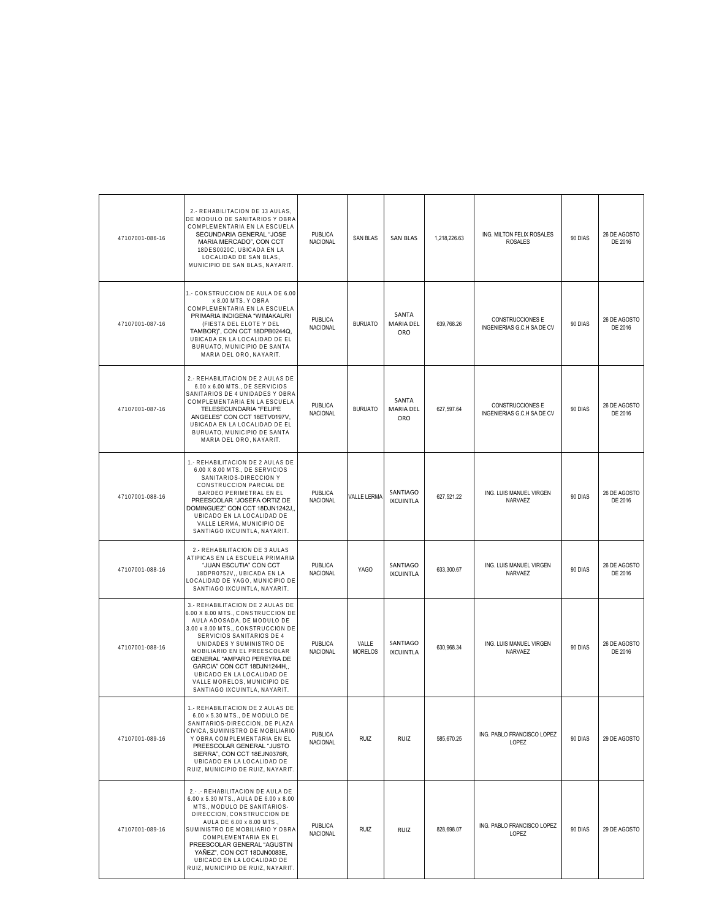| 47107001-086-16 | 2.- REHABILITACION DE 13 AULAS,<br>DE MODULO DE SANITARIOS Y OBRA<br>COMPLEMENTARIA EN LA ESCUELA<br>SECUNDARIA GENERAL "JOSE<br>MARIA MERCADO", CON CCT<br>18DES0020C, UBICADA EN LA<br>LOCALIDAD DE SAN BLAS,<br>MUNICIPIO DE SAN BLAS, NAYARIT                                                                                                                                           | <b>PUBLICA</b><br>NACIONAL        | <b>SAN BLAS</b>         | <b>SAN BLAS</b>              | 1,218,226.63 | ING. MILTON FELIX ROSALES<br><b>ROSALES</b>    | 90 DIAS | 26 DE AGOSTO<br>DE 2016 |
|-----------------|---------------------------------------------------------------------------------------------------------------------------------------------------------------------------------------------------------------------------------------------------------------------------------------------------------------------------------------------------------------------------------------------|-----------------------------------|-------------------------|------------------------------|--------------|------------------------------------------------|---------|-------------------------|
| 47107001-087-16 | 1.- CONSTRUCCION DE AULA DE 6.00<br>x 8.00 MTS. Y OBRA<br>COMPLEMENTARIA EN LA ESCUELA<br>PRIMARIA INDIGENA "WIMAKAURI<br>(FIESTA DEL ELOTE Y DEL<br>TAMBOR)", CON CCT 18DPB0244Q,<br>UBICADA EN LA LOCALIDAD DE EL<br>BURUATO, MUNICIPIO DE SANTA<br>MARIA DEL ORO, NAYARIT.                                                                                                               | <b>PUBLICA</b><br><b>NACIONAL</b> | <b>BURUATO</b>          | SANTA<br>MARIA DEL<br>ORO    | 639,768.26   | CONSTRUCCIONES E<br>INGENIERIAS G.C.H SA DE CV | 90 DIAS | 26 DE AGOSTO<br>DE 2016 |
| 47107001-087-16 | 2.- REHABILITACION DE 2 AULAS DE<br>6.00 x 6.00 MTS., DE SERVICIOS<br>SANITARIOS DE 4 UNIDADES Y OBRA<br>COMPLEMENTARIA EN LA ESCUELA<br>TELESECUNDARIA "FELIPE<br>ANGELES" CON CCT 18ETV0197V,<br>UBICADA EN LA LOCALIDAD DE EL<br>BURUATO, MUNICIPIO DE SANTA<br>MARIA DEL ORO, NAYARIT.                                                                                                  | <b>PUBLICA</b><br>NACIONAL        | <b>BURUATO</b>          | SANTA<br>MARIA DEL<br>ORO    | 627,597.64   | CONSTRUCCIONES E<br>INGENIERIAS G.C.H SA DE CV | 90 DIAS | 26 DE AGOSTO<br>DE 2016 |
| 47107001-088-16 | 1.- REHABILITACION DE 2 AULAS DE<br>6.00 X 8.00 MTS., DE SERVICIOS<br>SANITARIOS-DIRECCION Y<br>CONSTRUCCION PARCIAL DE<br>BARDEO PERIMETRAL EN EL<br>PREESCOLAR "JOSEFA ORTIZ DE<br>DOMINGUEZ" CON CCT 18DJN1242J.,<br>UBICADO EN LA LOCALIDAD DE<br>VALLE LERMA, MUNICIPIO DE<br>SANTIAGO IXCUINTLA, NAYARIT.                                                                             | PUBLICA<br><b>NACIONAL</b>        | VALLE LERMA             | SANTIAGO<br><b>IXCUINTLA</b> | 627,521.22   | ING. LUIS MANUEL VIRGEN<br>NARVAEZ             | 90 DIAS | 26 DE AGOSTO<br>DE 2016 |
| 47107001-088-16 | 2.- REHABILITACION DE 3 AULAS<br>ATIPICAS EN LA ESCUELA PRIMARIA<br>"JUAN ESCUTIA" CON CCT<br>18DPR0752V,, UBICADA EN LA<br>LOCALIDAD DE YAGO, MUNICIPIO DE<br>SANTIAGO IXCUINTLA, NAYARIT.                                                                                                                                                                                                 | <b>PUBLICA</b><br>NACIONAL        | <b>YAGO</b>             | SANTIAGO<br><b>IXCUINTLA</b> | 633,300.67   | ING. LUIS MANUEL VIRGEN<br>NARVAEZ             | 90 DIAS | 26 DE AGOSTO<br>DE 2016 |
| 47107001-088-16 | 3.- REHABILITACION DE 2 AULAS DE<br>6.00 X 8.00 MTS., CONSTRUCCION DE<br>AULA ADOSADA, DE MODULO DE<br>3.00 x 8.00 MTS., CONSTRUCCION DE<br>SERVICIOS SANITARIOS DE 4<br>UNIDADES Y SUMINISTRO DE<br>MOBILIARIO EN EL PREESCOLAR<br>GENERAL "AMPARO PEREYRA DE<br>GARCIA" CON CCT 18DJN1244H,,<br>UBICADO EN LA LOCALIDAD DE<br>VALLE MORELOS, MUNICIPIO DE<br>SANTIAGO IXCUINTLA, NAYARIT. | <b>PUBLICA</b><br><b>NACIONAL</b> | VALLE<br><b>MORELOS</b> | SANTIAGO<br><b>IXCUINTLA</b> | 630,968.34   | ING. LUIS MANUEL VIRGEN<br>NARVAEZ             | 90 DIAS | 26 DE AGOSTO<br>DE 2016 |
| 47107001-089-16 | 1.- REHABILITACION DE 2 AULAS DE<br>6.00 x 5.30 MTS., DE MODULO DE<br>SANITARIOS-DIRECCION, DE PLAZA<br>CIVICA, SUMINISTRO DE MOBILIARIO<br>Y OBRA COMPLEMENTARIA EN EL<br>PREESCOLAR GENERAL "JUSTO<br>SIERRA", CON CCT 18EJN0376R,<br>UBICADO EN LA LOCALIDAD DE<br>RUIZ, MUNICIPIO DE RUIZ, NAYARIT.                                                                                     | PUBLICA<br><b>NACIONAL</b>        | <b>RUIZ</b>             | RUIZ                         | 585.670.25   | ING. PABLO FRANCISCO LOPEZ<br>LOPEZ            | 90 DIAS | 29 DE AGOSTO            |
| 47107001-089-16 | 2.-.- REHABILITACION DE AULA DE<br>6.00 x 5.30 MTS., AULA DE 6.00 x 8.00<br>MTS., MODULO DE SANITARIOS-<br>DIRECCION, CONSTRUCCION DE<br>AULA DE 6.00 x 8.00 MTS.,<br>SUMINISTRO DE MOBILIARIO Y OBRA<br>COMPLEMENTARIA EN EL<br>PREESCOLAR GENERAL "AGUSTIN<br>YAÑEZ", CON CCT 18DJN0083E,<br>UBICADO EN LA LOCALIDAD DE<br>RUIZ, MUNICIPIO DE RUIZ, NAYARIT                               | <b>PUBLICA</b><br><b>NACIONAL</b> | <b>RUIZ</b>             | RUIZ                         | 828,698.07   | ING. PABLO FRANCISCO LOPEZ<br>LOPEZ            | 90 DIAS | 29 DE AGOSTO            |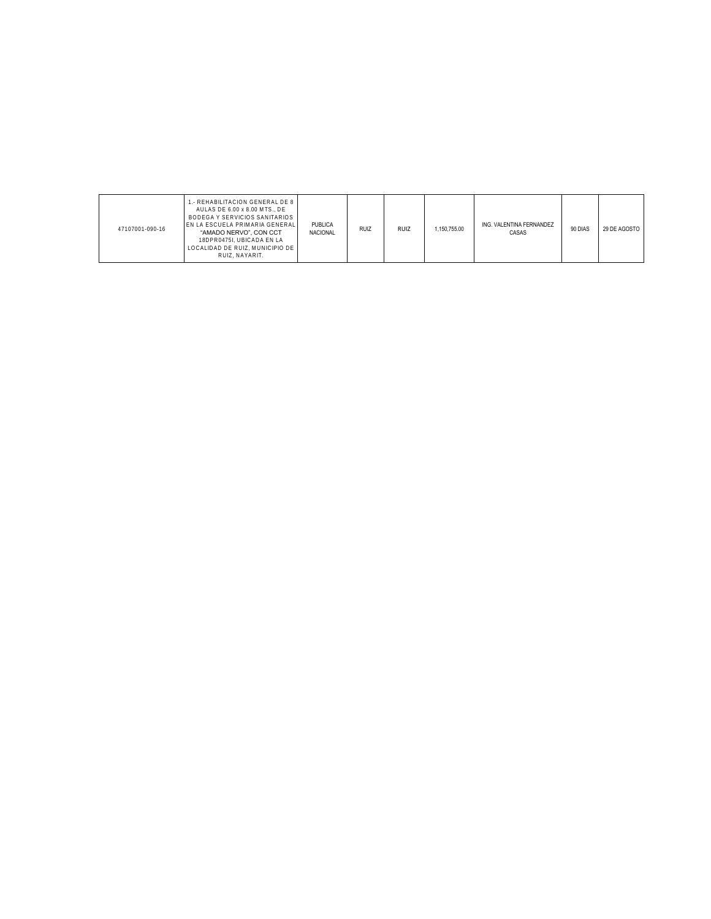| 47107001-090-16 | I.- REHABILITACION GENERAL DE 8  <br>AULAS DE 6.00 x 8.00 MTS DE<br>BODEGA Y SERVICIOS SANITARIOS<br>EN LA ESCUELA PRIMARIA GENERALI<br>"AMADO NERVO", CON CCT<br>18DPR0475I, UBICADA EN LA<br>LOCALIDAD DE RUIZ. MUNICIPIO DE I<br>RUIZ, NAYARIT. | PUBLICA<br><b>NACIONAL</b> | <b>RUIZ</b> | <b>RUIZ</b> | 1.150.755.00 | ING. VALENTINA FERNANDEZ<br>CASAS | 90 DIAS | 29 DE AGOSTO |
|-----------------|----------------------------------------------------------------------------------------------------------------------------------------------------------------------------------------------------------------------------------------------------|----------------------------|-------------|-------------|--------------|-----------------------------------|---------|--------------|
|-----------------|----------------------------------------------------------------------------------------------------------------------------------------------------------------------------------------------------------------------------------------------------|----------------------------|-------------|-------------|--------------|-----------------------------------|---------|--------------|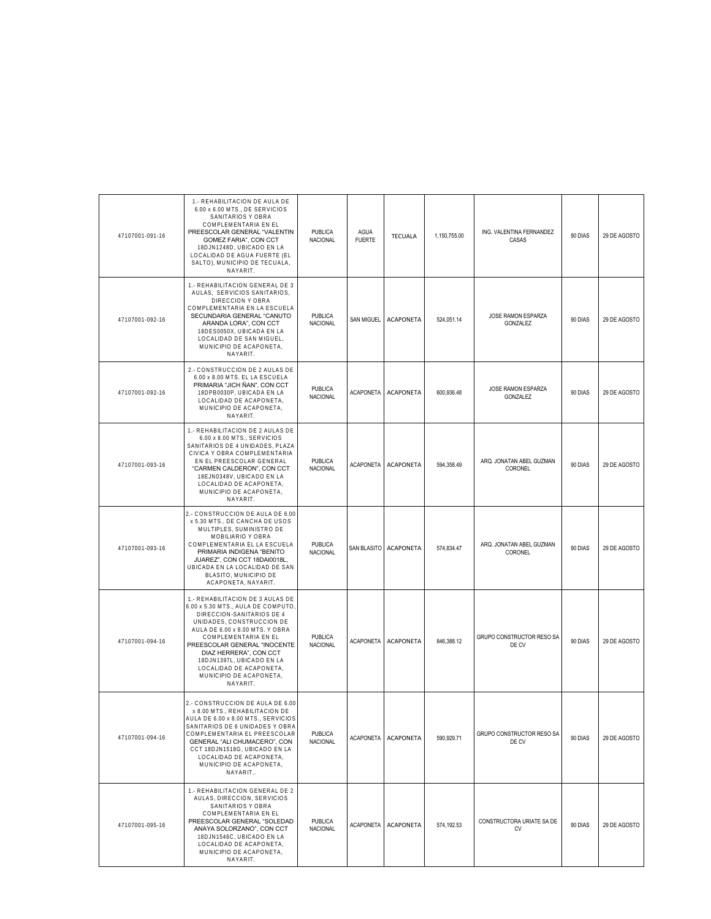| 47107001-091-16 | 1.- REHABILITACION DE AULA DE<br>6.00 x 6.00 MTS., DE SERVICIOS<br>SANITARIOS Y OBRA<br>COMPLEMENTARIA EN EL<br>PREESCOLAR GENERAL "VALENTIN<br>GOMEZ FARIA", CON CCT<br>18DJN1248D, UBICADO EN LA<br>LOCALIDAD DE AGUA FUERTE (EL<br>SALTO), MUNICIPIO DE TECUALA,<br>NAYARIT.                                                                     | <b>PUBLICA</b><br>NACIONAL        | AGUA<br><b>FUERTE</b> | <b>TECUALA</b>        | 1,150,755.00 | ING. VALENTINA FERNANDEZ<br>CASAS   | 90 DIAS | 29 DE AGOSTO |
|-----------------|-----------------------------------------------------------------------------------------------------------------------------------------------------------------------------------------------------------------------------------------------------------------------------------------------------------------------------------------------------|-----------------------------------|-----------------------|-----------------------|--------------|-------------------------------------|---------|--------------|
| 47107001-092-16 | 1.- REHABILITACION GENERAL DE 3<br>AULAS, SERVICIOS SANITARIOS,<br>DIRECCION Y OBRA<br>COMPLEMENTARIA EN LA ESCUELA<br>SECUNDARIA GENERAL "CANUTO<br>ARANDA LORA", CON CCT<br>18DES0050X, UBICADA EN LA<br>LOCALIDAD DE SAN MIGUEL.<br>MUNICIPIO DE ACAPONETA,<br>NAYARIT.                                                                          | <b>PUBLICA</b><br><b>NACIONAL</b> | <b>SAN MIGUEL</b>     | <b>ACAPONETA</b>      | 524.051.14   | JOSE RAMON ESPARZA<br>GONZALEZ      | 90 DIAS | 29 DE AGOSTO |
| 47107001-092-16 | 2.- CONSTRUCCION DE 2 AULAS DE<br>6.00 x 8.00 MTS. EL LA ESCUELA<br>PRIMARIA "JICH ÑAN", CON CCT<br>18DPB0030P, UBICADA EN LA<br>LOCALIDAD DE ACAPONETA,<br>MUNICIPIO DE ACAPONETA,<br>NAYARIT.                                                                                                                                                     | PUBLICA<br>NACIONAL               | <b>ACAPONETA</b>      | <b>ACAPONETA</b>      | 600,936.48   | JOSE RAMON ESPARZA<br>GONZALEZ      | 90 DIAS | 29 DE AGOSTO |
| 47107001-093-16 | 1.- REHABILITACION DE 2 AULAS DE<br>6.00 x 8.00 MTS., SERVICIOS<br>SANITARIOS DE 4 UNIDADES, PLAZA<br>CIVICA Y OBRA COMPLEMENTARIA<br>EN EL PREESCOLAR GENERAL<br>"CARMEN CALDERON", CON CCT<br>18EJN0348V, UBICADO EN LA<br>LOCALIDAD DE ACAPONETA,<br>MUNICIPIO DE ACAPONETA,<br>NAYARIT.                                                         | <b>PUBLICA</b><br>NACIONAL        | <b>ACAPONETA</b>      | <b>ACAPONETA</b>      | 594,358.49   | ARQ. JONATAN ABEL GUZMAN<br>CORONEL | 90 DIAS | 29 DE AGOSTO |
| 47107001-093-16 | 2.- CONSTRUCCION DE AULA DE 6.00<br>x 5.30 MTS., DE CANCHA DE USOS<br>MULTIPLES, SUMINISTRO DE<br>MOBILIARIO Y OBRA<br>COMPLEMENTARIA EL LA ESCUELA<br>PRIMARIA INDIGENA "BENITO<br>JUAREZ", CON CCT 18DAI0018L,<br>UBICADA EN LA LOCALIDAD DE SAN<br>BLASITO, MUNICIPIO DE<br>ACAPONETA, NAYARIT.                                                  | <b>PUBLICA</b><br>NACIONAL        |                       | SAN BLASITO ACAPONETA | 574,834.47   | ARQ. JONATAN ABEL GUZMAN<br>CORONEL | 90 DIAS | 29 DE AGOSTO |
| 47107001-094-16 | 1.- REHABILITACION DE 3 AULAS DE<br>6.00 x 5.30 MTS., AULA DE COMPUTO<br>DIRECCION-SANITARIOS DE 4<br>UNIDADES, CONSTRUCCION DE<br>AULA DE 6.00 x 8.00 MTS. Y OBRA<br>COMPLEMENTARIA EN EL<br>PREESCOLAR GENERAL "INOCENTE<br>DIAZ HERRERA", CON CCT<br>18DJN1397L, UBICADO EN LA<br>LOCALIDAD DE ACAPONETA,<br>MUNICIPIO DE ACAPONETA,<br>NAYARIT. | <b>PUBLICA</b><br><b>NACIONAL</b> | <b>ACAPONETA</b>      | <b>ACAPONETA</b>      | 846.388.12   | GRUPO CONSTRUCTOR RESO SA<br>DE CV  | 90 DIAS | 29 DE AGOSTO |
| 47107001-094-16 | 2.- CONSTRUCCION DE AULA DE 6.00<br>x 8.00 MTS., REHABILITACION DE<br>AULA DE 6.00 x 8.00 MTS., SERVICIOS<br>SANITARIOS DE 6 UNIDADES Y OBRA<br>COMPLEMENTARIA EL PREESCOLAR<br>GENERAL "ALI CHUMACERO", CON<br>CCT 18DJN1518G, UBICADO EN LA<br>LOCALIDAD DE ACAPONETA,<br>MUNICIPIO DE ACAPONETA,<br>NAYARIT                                      | <b>PUBLICA</b><br><b>NACIONAL</b> | <b>ACAPONETA</b>      | <b>ACAPONETA</b>      | 590,929.71   | GRUPO CONSTRUCTOR RESO SA<br>DE CV  | 90 DIAS | 29 DE AGOSTO |
| 47107001-095-16 | 1.- REHABILITACION GENERAL DE 2<br>AULAS, DIRECCION, SERVICIOS<br>SANITARIOS Y OBRA<br>COMPLEMENTARIA EN EL<br>PREESCOLAR GENERAL "SOLEDAD<br>ANAYA SOLORZANO", CON CCT<br>18DJN1546C, UBICADO EN LA<br>LOCALIDAD DE ACAPONETA,<br>MUNICIPIO DE ACAPONETA,<br>NAYARIT.                                                                              | <b>PUBLICA</b><br>NACIONAL        | <b>ACAPONETA</b>      | <b>ACAPONETA</b>      | 574,192.53   | CONSTRUCTORA URIATE SA DE<br>CV     | 90 DIAS | 29 DE AGOSTO |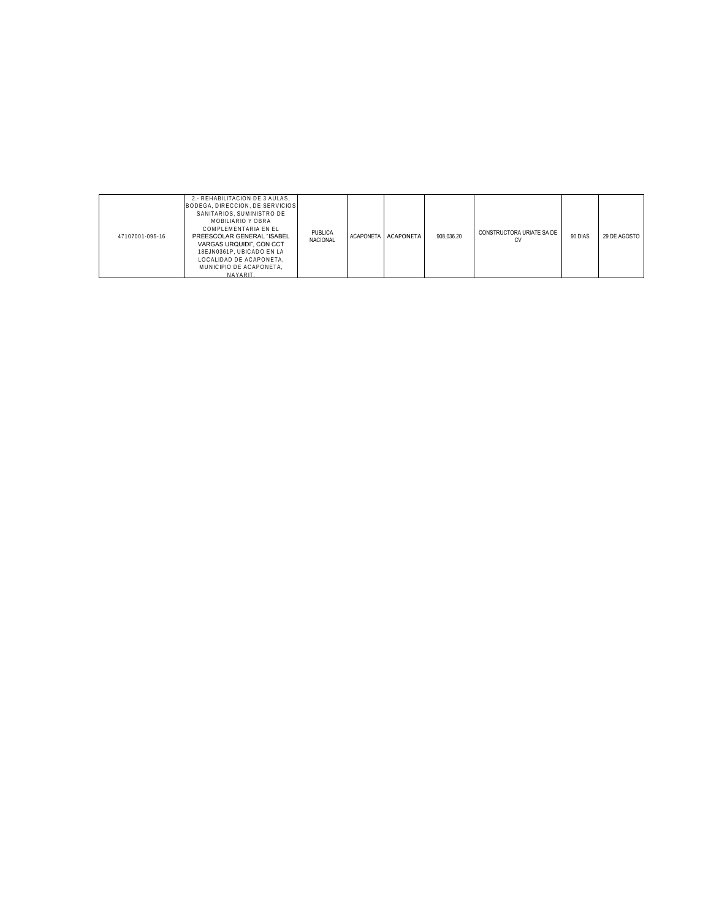| 47107001-095-16 | 2.- REHABILITACION DE 3 AULAS,<br>BODEGA, DIRECCION, DE SERVICIOS<br>SANITARIOS, SUMINISTRO DE<br>MOBILIARIO Y OBRA<br>COMPLEMENTARIA EN EL<br>PREESCOLAR GENERAL "ISABEL<br>VARGAS URQUIDI", CON CCT<br>18EJN0361P. UBICADO EN LA<br>LOCALIDAD DE ACAPONETA.<br>MUNICIPIO DE ACAPONETA.<br>NAYARIT | PUBLICA<br><b>NACIONAL</b> |  | ACAPONETA ACAPONETA | 908,036.20 | CONSTRUCTORA URIATE SA DE<br>СV | 90 DIAS | 29 DE AGOSTO |
|-----------------|-----------------------------------------------------------------------------------------------------------------------------------------------------------------------------------------------------------------------------------------------------------------------------------------------------|----------------------------|--|---------------------|------------|---------------------------------|---------|--------------|
|-----------------|-----------------------------------------------------------------------------------------------------------------------------------------------------------------------------------------------------------------------------------------------------------------------------------------------------|----------------------------|--|---------------------|------------|---------------------------------|---------|--------------|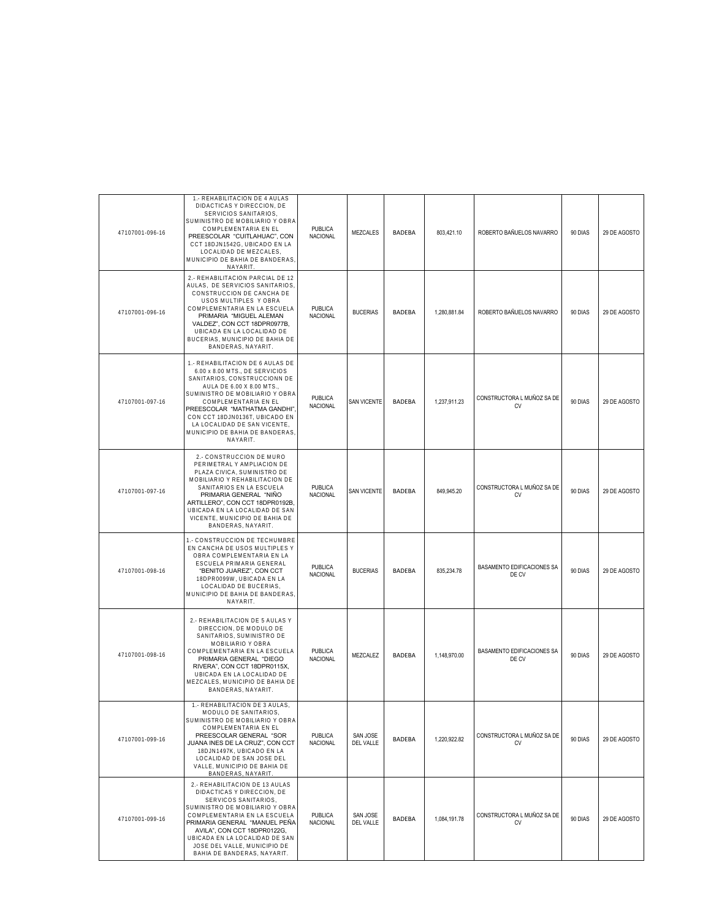| 47107001-096-16 | 1.- REHABILITACION DE 4 AULAS<br>DIDACTICAS Y DIRECCION, DE<br>SERVICIOS SANITARIOS,<br>SUMINISTRO DE MOBILIARIO Y OBRA<br>COMPLEMENTARIA EN EL<br>PREESCOLAR "CUITLAHUAC", CON<br>CCT 18DJN1542G, UBICADO EN LA<br>LOCALIDAD DE MEZCALES,<br>MUNICIPIO DE BAHIA DE BANDERAS<br>NAYARIT.                                                   | <b>PUBLICA</b><br>NACIONAL        | <b>MEZCALES</b>       | <b>BADEBA</b> | 803,421.10   | ROBERTO BAÑUELOS NAVARRO            | 90 DIAS | 29 DE AGOSTO |
|-----------------|--------------------------------------------------------------------------------------------------------------------------------------------------------------------------------------------------------------------------------------------------------------------------------------------------------------------------------------------|-----------------------------------|-----------------------|---------------|--------------|-------------------------------------|---------|--------------|
| 47107001-096-16 | 2.- REHABILITACION PARCIAL DE 12<br>AULAS, DE SERVICIOS SANITARIOS<br>CONSTRUCCION DE CANCHA DE<br>USOS MULTIPLES Y OBRA<br>COMPLEMENTARIA EN LA ESCUELA<br>PRIMARIA "MIGUEL ALEMAN<br>VALDEZ", CON CCT 18DPR0977B,<br>UBICADA EN LA LOCALIDAD DE<br>BUCERIAS, MUNICIPIO DE BAHIA DE<br>BANDERAS, NAYARIT.                                 | <b>PUBLICA</b><br>NACIONAL        | <b>BUCERIAS</b>       | <b>BADFBA</b> | 1,280,881.84 | ROBERTO BAÑUELOS NAVARRO            | 90 DIAS | 29 DE AGOSTO |
| 47107001-097-16 | 1.- REHABILITACION DE 6 AULAS DE<br>6.00 x 8.00 MTS., DE SERVICIOS<br>SANITARIOS, CONSTRUCCIONN DE<br>AULA DE 6.00 X 8.00 MTS.,<br>SUMINISTRO DE MOBILIARIO Y OBRA<br>COMPLEMENTARIA EN EL<br>PREESCOLAR "MATHATMA GANDHI"<br>CON CCT 18DJN0136T, UBICADO EN<br>LA LOCALIDAD DE SAN VICENTE,<br>MUNICIPIO DE BAHIA DE BANDERAS<br>NAYARIT. | PUBLICA<br><b>NACIONAL</b>        | <b>SAN VICENTE</b>    | BADEBA        | 1,237,911.23 | CONSTRUCTORA L MUÑOZ SA DE<br>CV    | 90 DIAS | 29 DE AGOSTO |
| 47107001-097-16 | 2.- CONSTRUCCION DE MURO<br>PERIMETRAL Y AMPLIACION DE<br>PLAZA CIVICA. SUMINISTRO DE<br>MOBILIARIO Y REHABILITACION DE<br>SANITARIOS EN LA ESCUELA<br>PRIMARIA GENERAL "NIÑO<br>ARTILLERO", CON CCT 18DPR0192B,<br>UBICADA EN LA LOCALIDAD DE SAN<br>VICENTE, MUNICIPIO DE BAHIA DE<br>BANDERAS, NAYARIT.                                 | <b>PUBLICA</b><br><b>NACIONAL</b> | <b>SAN VICENTE</b>    | <b>BADEBA</b> | 849,945.20   | CONSTRUCTORA L MUÑOZ SA DE<br>CV    | 90 DIAS | 29 DE AGOSTO |
| 47107001-098-16 | 1.- CONSTRUCCION DE TECHUMBRE<br>EN CANCHA DE USOS MULTIPLES Y<br>OBRA COMPLEMENTARIA EN LA<br>ESCUELA PRIMARIA GENERAL<br>"BENITO JUAREZ", CON CCT<br>18DPR0099W, UBICADA EN LA<br>LOCALIDAD DE BUCERIAS,<br>MUNICIPIO DE BAHIA DE BANDERAS<br>NAYARIT.                                                                                   | PUBLICA<br><b>NACIONAL</b>        | <b>BUCERIAS</b>       | BADEBA        | 835,234.78   | BASAMENTO EDIFICACIONES SA<br>DE CV | 90 DIAS | 29 DE AGOSTO |
| 47107001-098-16 | 2.- REHABILITACION DE 5 AULAS Y<br>DIRECCION, DE MODULO DE<br>SANITARIOS, SUMINISTRO DE<br>MOBILIARIO Y OBRA<br>COMPLEMENTARIA EN LA ESCUELA<br>PRIMARIA GENERAL "DIEGO<br>RIVERA", CON CCT 18DPR0115X,<br>UBICADA EN LA LOCALIDAD DE<br>MEZCALES, MUNICIPIO DE BAHIA DE<br>BANDERAS, NAYARIT.                                             | <b>PUBLICA</b><br>NACIONAL        | MEZCALEZ              | BADEBA        | 1,148,970.00 | BASAMENTO EDIFICACIONES SA<br>DE CV | 90 DIAS | 29 DE AGOSTO |
| 47107001-099-16 | 1.- REHABILITACION DE 3 AULAS,<br>MODULO DE SANITARIOS,<br>SUMINISTRO DE MOBILIARIO Y OBRA<br>COMPLEMENTARIA EN EL<br>PREESCOLAR GENERAL "SOR<br>JUANA INES DE LA CRUZ", CON CCT<br>18DJN1497K, UBICADO EN LA<br>LOCALIDAD DE SAN JOSE DEL<br>VALLE, MUNICIPIO DE BAHIA DE<br>BANDERAS, NAYARIT.                                           | PUBLICA<br>NACIONAL               | SAN JOSE<br>DEL VALLE | BADEBA        | 1,220,922.82 | CONSTRUCTORA L MUÑOZ SA DE<br>CV    | 90 DIAS | 29 DE AGOSTO |
| 47107001-099-16 | 2.- REHABILITACION DE 13 AULAS<br>DIDACTICAS Y DIRECCION, DE<br>SERVICOS SANITARIOS,<br>SUMINISTRO DE MOBILIARIO Y OBRA<br>COMPLEMENTARIA EN LA ESCUELA<br>PRIMARIA GENERAL "MANUEL PEÑA<br>AVILA", CON CCT 18DPR0122G.<br>UBICADA EN LA LOCALIDAD DE SAN<br>JOSE DEL VALLE, MUNICIPIO DE<br>BAHIA DE BANDERAS, NAYARIT.                   | <b>PUBLICA</b><br>NACIONAL        | SAN JOSE<br>DEL VALLE | BADEBA        | 1,084,191.78 | CONSTRUCTORA L MUÑOZ SA DE<br>CV    | 90 DIAS | 29 DE AGOSTO |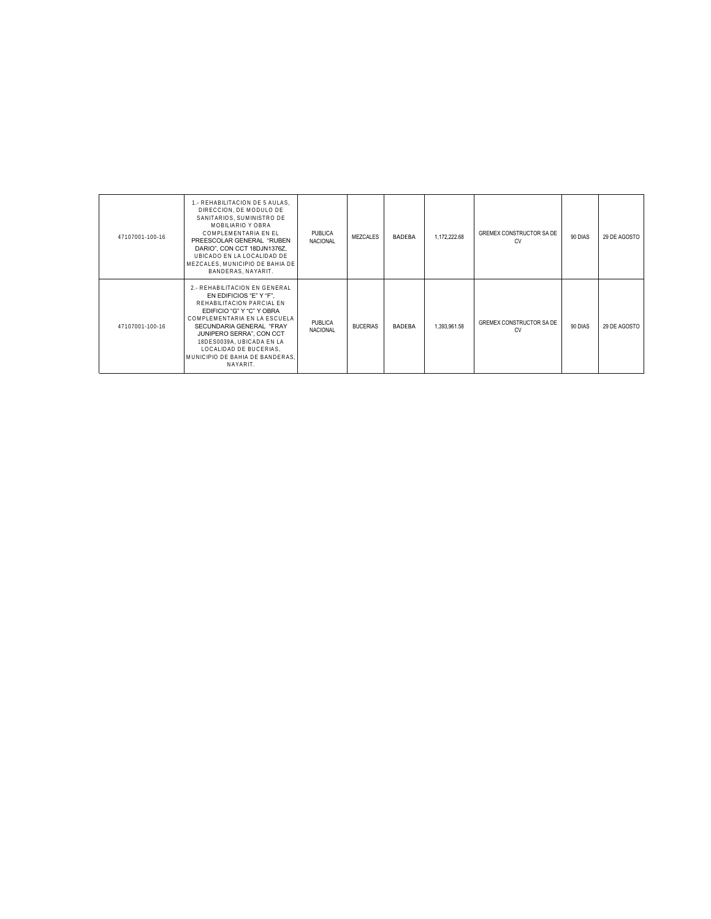| 47107001-100-16 | 1.- REHABILITACION DE 5 AULAS.<br>DIRECCION. DE MODULO DE<br>SANITARIOS, SUMINISTRO DE<br>MOBILIARIO Y OBRA<br>COMPLEMENTARIA EN EL<br>PREESCOLAR GENERAL "RUBEN<br>DARIO", CON CCT 18DJN1376Z,<br>UBICADO EN LA LOCALIDAD DE<br>MEZCALES. MUNICIPIO DE BAHIA DE<br>BANDERAS, NAYARIT.                           | PUBLICA<br><b>NACIONAL</b> | MEZCALES        | <b>BADEBA</b> | 1.172.222.68 | GREMEX CONSTRUCTOR SA DE<br><b>CV</b> | 90 DIAS | 29 DE AGOSTO |
|-----------------|------------------------------------------------------------------------------------------------------------------------------------------------------------------------------------------------------------------------------------------------------------------------------------------------------------------|----------------------------|-----------------|---------------|--------------|---------------------------------------|---------|--------------|
| 47107001-100-16 | 2.- REHABILITACION EN GENERAL<br>EN EDIFICIOS "E" Y "F".<br>REHABILITACION PARCIAL EN<br>EDIFICIO "G" Y "C" Y OBRA<br>COMPLEMENTARIA EN LA ESCUELA<br>SECUNDARIA GENERAL "FRAY<br>JUNIPERO SERRA", CON CCT<br>18DES0039A, UBICADA EN LA<br>LOCALIDAD DE BUCERIAS.<br>MUNICIPIO DE BAHIA DE BANDERAS.<br>NAYARIT. | PUBLICA<br><b>NACIONAL</b> | <b>BUCERIAS</b> | <b>BADEBA</b> | 1,393,961.58 | GREMEX CONSTRUCTOR SA DE<br>CV        | 90 DIAS | 29 DE AGOSTO |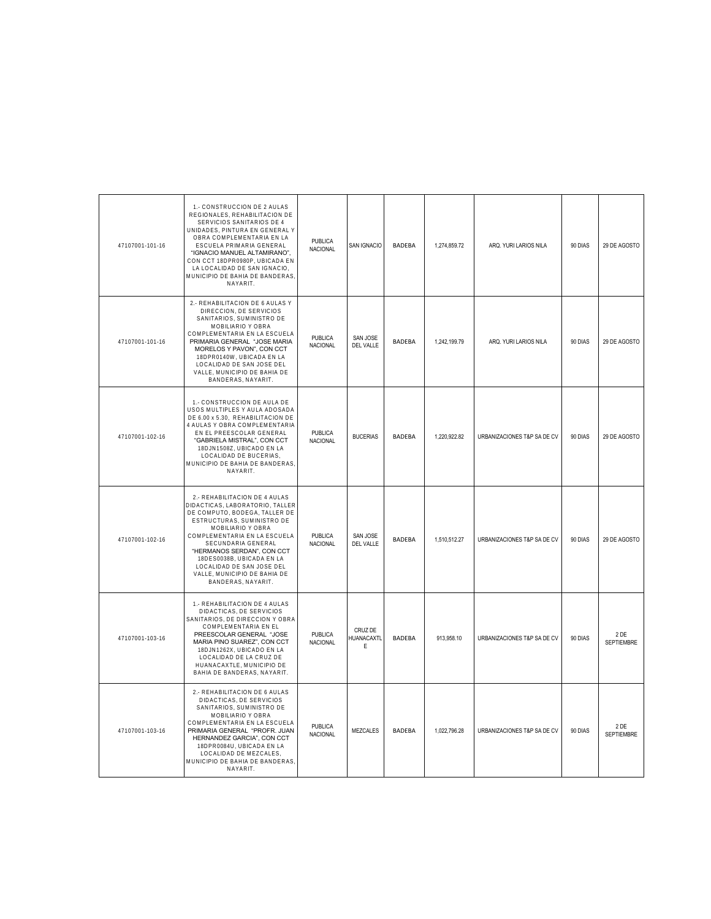| 47107001-101-16 | 1.- CONSTRUCCION DE 2 AULAS<br>REGIONALES, REHABILITACION DE<br>SERVICIOS SANITARIOS DE 4<br>UNIDADES, PINTURA EN GENERAL Y<br>OBRA COMPLEMENTARIA EN LA<br>ESCUELA PRIMARIA GENERAL<br>"IGNACIO MANUEL ALTAMIRANO",<br>CON CCT 18DPR0980P, UBICADA EN<br>LA LOCALIDAD DE SAN IGNACIO,<br>MUNICIPIO DE BAHIA DE BANDERAS<br>NAYARIT.                     | PUBLICA<br>NACIONAL               | SAN IGNACIO                  | BADEBA        | 1,274,859.72 | ARQ. YURI LARIOS NILA       | 90 DIAS | 29 DE AGOSTO              |
|-----------------|----------------------------------------------------------------------------------------------------------------------------------------------------------------------------------------------------------------------------------------------------------------------------------------------------------------------------------------------------------|-----------------------------------|------------------------------|---------------|--------------|-----------------------------|---------|---------------------------|
| 47107001-101-16 | 2.- REHABILITACION DE 6 AULAS Y<br>DIRECCION, DE SERVICIOS<br>SANITARIOS, SUMINISTRO DE<br>MOBILIARIO Y OBRA<br>COMPLEMENTARIA EN LA ESCUELA<br>PRIMARIA GENERAL "JOSE MARIA<br>MORELOS Y PAVON", CON CCT<br>18DPR0140W, UBICADA EN LA<br>LOCALIDAD DE SAN JOSE DEL<br>VALLE, MUNICIPIO DE BAHIA DE<br>BANDERAS, NAYARIT.                                | PUBLICA<br><b>NACIONAL</b>        | SAN JOSE<br>DEL VALLE        | <b>BADEBA</b> | 1,242,199.79 | ARQ. YURI LARIOS NILA       | 90 DIAS | 29 DE AGOSTO              |
| 47107001-102-16 | 1.- CONSTRUCCION DE AULA DE<br>USOS MULTIPLES Y AULA ADOSADA<br>DE 6.00 x 5.30, REHABILITACION DE<br>4 AULAS Y OBRA COMPLEMENTARIA<br>EN EL PREESCOLAR GENERAL<br>"GABRIELA MISTRAL", CON CCT<br>18DJN1508Z, UBICADO EN LA<br>LOCALIDAD DE BUCERIAS,<br>MUNICIPIO DE BAHIA DE BANDERAS.<br>NAYARIT.                                                      | <b>PUBLICA</b><br><b>NACIONAL</b> | <b>BUCERIAS</b>              | <b>BADEBA</b> | 1,220,922.82 | URBANIZACIONES T&P SA DE CV | 90 DIAS | 29 DE AGOSTO              |
| 47107001-102-16 | 2.- REHABILITACION DE 4 AULAS<br>DIDACTICAS, LABORATORIO, TALLER<br>DE COMPUTO, BODEGA, TALLER DE<br>ESTRUCTURAS, SUMINISTRO DE<br>MOBILIARIO Y OBRA<br>COMPLEMENTARIA EN LA ESCUELA<br>SECUNDARIA GENERAL<br>"HERMANOS SERDAN", CON CCT<br>18DES0038B, UBICADA EN LA<br>LOCALIDAD DE SAN JOSE DEL<br>VALLE, MUNICIPIO DE BAHIA DE<br>BANDERAS, NAYARIT. | <b>PUBLICA</b><br><b>NACIONAL</b> | SAN JOSE<br><b>DEL VALLE</b> | <b>BADEBA</b> | 1.510.512.27 | URBANIZACIONES T&P SA DE CV | 90 DIAS | 29 DE AGOSTO              |
| 47107001-103-16 | 1.- REHABILITACION DE 4 AULAS<br>DIDACTICAS, DE SERVICIOS<br>SANITARIOS, DE DIRECCION Y OBRA<br>COMPLEMENTARIA EN EL<br>PREESCOLAR GENERAL "JOSE<br>MARIA PINO SUAREZ", CON CCT<br>18DJN1262X, UBICADO EN LA<br>LOCALIDAD DE LA CRUZ DE<br>HUANACAXTLE, MUNICIPIO DE<br>BAHIA DE BANDERAS, NAYARIT.                                                      | <b>PUBLICA</b><br><b>NACIONAL</b> | CRUZ DE<br>HUANACAXTL<br>E   | <b>BADEBA</b> | 913,958.10   | URBANIZACIONES T&P SA DE CV | 90 DIAS | 2 DE<br><b>SEPTIEMBRE</b> |
| 47107001-103-16 | 2.- REHABILITACION DE 6 AULAS<br>DIDACTICAS, DE SERVICIOS<br>SANITARIOS, SUMINISTRO DE<br>MOBILIARIO Y OBRA<br>COMPLEMENTARIA EN LA ESCUELA<br>PRIMARIA GENERAL "PROFR, JUAN<br>HERNANDEZ GARCIA", CON CCT<br>18DPR0084U, UBICADA EN LA<br>LOCALIDAD DE MEZCALES,<br>MUNICIPIO DE BAHIA DE BANDERAS.<br>NAYARIT.                                         | <b>PUBLICA</b><br><b>NACIONAL</b> | <b>MEZCALES</b>              | <b>BADEBA</b> | 1.022.796.28 | URBANIZACIONES T&P SA DE CV | 90 DIAS | 2 DE<br><b>SEPTIEMBRE</b> |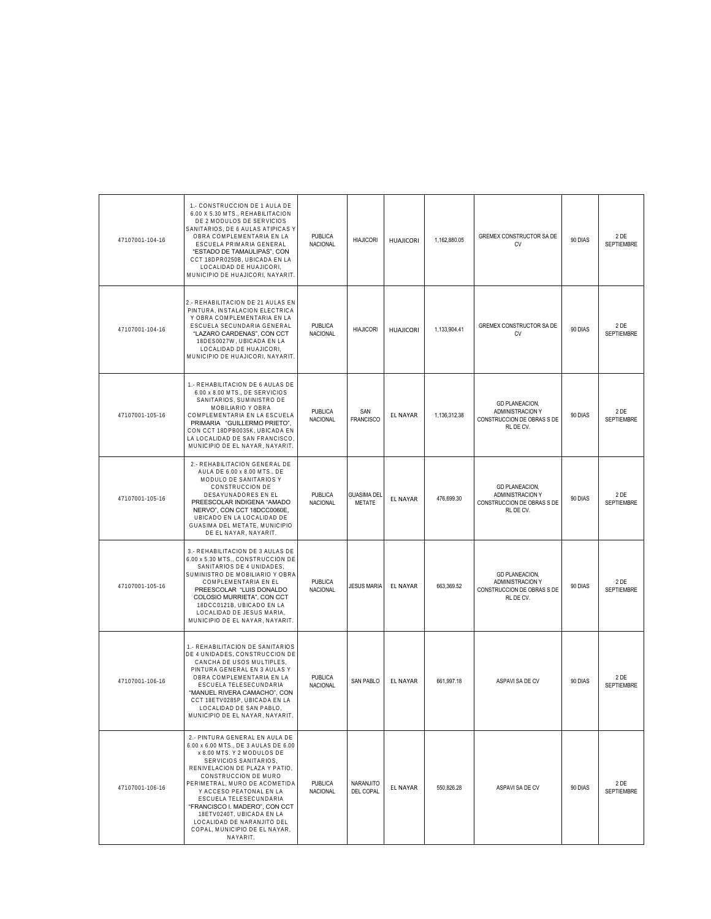| 47107001-104-16 | 1.- CONSTRUCCION DE 1 AULA DE<br>6.00 X 5.30 MTS., REHABILITACION<br>DE 2 MODULOS DE SERVICIOS<br>SANITARIOS, DE 6 AULAS ATIPICAS Y<br>OBRA COMPLEMENTARIA EN LA<br>ESCUELA PRIMARIA GENERAL<br>"ESTADO DE TAMAULIPAS", CON<br>CCT 18DPR0250B, UBICADA EN LA<br>LOCALIDAD DE HUAJICORI,<br>MUNICIPIO DE HUAJICORI, NAYARIT                                                                                              | <b>PUBLICA</b><br><b>NACIONAL</b> | <b>HIAJICORI</b>                    | <b>HUAJICORI</b> | 1,162,880.05 | GREMEX CONSTRUCTOR SA DE<br>CV                                                              | 90 DIAS | 2 DE<br><b>SEPTIEMBRE</b> |
|-----------------|-------------------------------------------------------------------------------------------------------------------------------------------------------------------------------------------------------------------------------------------------------------------------------------------------------------------------------------------------------------------------------------------------------------------------|-----------------------------------|-------------------------------------|------------------|--------------|---------------------------------------------------------------------------------------------|---------|---------------------------|
| 47107001-104-16 | 2.- REHABILITACION DE 21 AULAS EN<br>PINTURA, INSTALACION ELECTRICA<br>Y OBRA COMPLEMENTARIA EN LA<br>ESCUELA SECUNDARIA GENERAL<br>"LAZARO CARDENAS", CON CCT<br>18DES0027W, UBICADA EN LA<br>LOCALIDAD DE HUAJICORI,<br>MUNICIPIO DE HUAJICORI, NAYARIT                                                                                                                                                               | <b>PUBLICA</b><br>NACIONAL        | <b>HIAJICORI</b>                    | <b>HUAJICORI</b> | 1.133.904.41 | <b>GREMEX CONSTRUCTOR SA DE</b><br><b>CV</b>                                                | 90 DIAS | 2 DE<br><b>SEPTIEMBRE</b> |
| 47107001-105-16 | 1.- REHABILITACION DE 6 AULAS DE<br>6.00 x 8.00 MTS., DE SERVICIOS<br>SANITARIOS, SUMINISTRO DE<br>MOBILIARIO Y OBRA<br>COMPLEMENTARIA EN LA ESCUELA<br>PRIMARIA "GUILLERMO PRIETO",<br>CON CCT 18DPB0035K, UBICADA EN<br>LA LOCALIDAD DE SAN FRANCISCO.<br>MUNICIPIO DE EL NAYAR, NAYARIT.                                                                                                                             | <b>PUBLICA</b><br>NACIONAL        | SAN<br><b>FRANCISCO</b>             | <b>EL NAYAR</b>  | 1,136,312.38 | <b>GD PLANEACION,</b><br>ADMINISTRACION Y<br>CONSTRUCCION DE OBRAS S DE<br>RL DE CV.        | 90 DIAS | 2 DE<br>SEPTIEMBRE        |
| 47107001-105-16 | 2.- REHABILITACION GENERAL DE<br>AULA DE 6.00 x 8.00 MTS., DE<br>MODULO DE SANITARIOS Y<br>CONSTRUCCION DE<br>DESAYUNADORES EN EL<br>PREESCOLAR INDIGENA "AMADO<br>NERVO", CON CCT 18DCC0060E,<br>UBICADO EN LA LOCALIDAD DE<br>GUASIMA DEL METATE, MUNICIPIO<br>DE EL NAYAR, NAYARIT.                                                                                                                                  | PUBLICA<br><b>NACIONAL</b>        | <b>GUASIMA DEL</b><br><b>METATE</b> | <b>EL NAYAR</b>  | 476,699.30   | <b>GD PLANEACION,</b><br><b>ADMINISTRACION Y</b><br>CONSTRUCCION DE OBRAS S DE<br>RL DE CV. | 90 DIAS | 2 DE<br>SEPTIEMBRE        |
| 47107001-105-16 | 3.- REHABILITACION DE 3 AULAS DE<br>6.00 x 5.30 MTS., CONSTRUCCION DE<br>SANITARIOS DE 4 UNIDADES,<br>SUMINISTRO DE MOBILIARIO Y OBRA<br>COMPLEMENTARIA EN EL<br>PREESCOLAR "LUIS DONALDO<br>COLOSIO MURRIETA", CON CCT<br>18DCC0121B, UBICADO EN LA<br>LOCALIDAD DE JESUS MARIA,<br>MUNICIPIO DE EL NAYAR, NAYARIT                                                                                                     | <b>PUBLICA</b><br>NACIONAL        | <b>JESUS MARIA</b>                  | EL NAYAR         | 663,369.52   | <b>GD PLANEACION,</b><br>ADMINISTRACION Y<br>CONSTRUCCION DE OBRAS S DE<br>RL DE CV.        | 90 DIAS | 2 DE<br>SEPTIEMBRE        |
| 47107001-106-16 | 1.- REHABILITACION DE SANITARIOS<br>DE 4 UNIDADES, CONSTRUCCION DE<br>CANCHA DE USOS MULTIPLES,<br>PINTURA GENERAL EN 3 AULAS Y<br>OBRA COMPLEMENTARIA EN LA<br>ESCUELA TELESECUNDARIA<br>"MANUEL RIVERA CAMACHO", CON<br>CCT 18ETV0285P. UBICADA EN LA<br>LOCALIDAD DE SAN PABLO<br>MUNICIPIO DE EL NAYAR, NAYARIT.                                                                                                    | <b>PUBLICA</b><br>NACIONAL        | SAN PABLO                           | <b>EL NAYAR</b>  | 661,997.18   | ASPAVI SA DE CV                                                                             | 90 DIAS | 2 DE<br>SEPTIEMBRE        |
| 47107001-106-16 | 2.- PINTURA GENERAL EN AULA DE<br>6.00 x 6.00 MTS., DE 3 AULAS DE 6.00<br>x 8.00 MTS. Y 2 MODULOS DE<br>SERVICIOS SANITARIOS,<br>RENIVELACION DE PLAZA Y PATIO,<br>CONSTRUCCION DE MURO<br>PERIMETRAL, MURO DE ACOMETIDA<br>Y ACCESO PEATONAL EN LA<br>ESCUELA TELESECUNDARIA<br>"FRANCISCO I. MADERO", CON CCT<br>18ETV0240T, UBICADA EN LA<br>LOCALIDAD DE NARANJITO DEL<br>COPAL, MUNICIPIO DE EL NAYAR,<br>NAYARIT. | <b>PUBLICA</b><br><b>NACIONAL</b> | NARANJITO<br>DEL COPAL              | <b>EL NAYAR</b>  | 550.826.28   | ASPAVI SA DE CV                                                                             | 90 DIAS | 2 DE<br><b>SEPTIEMBRE</b> |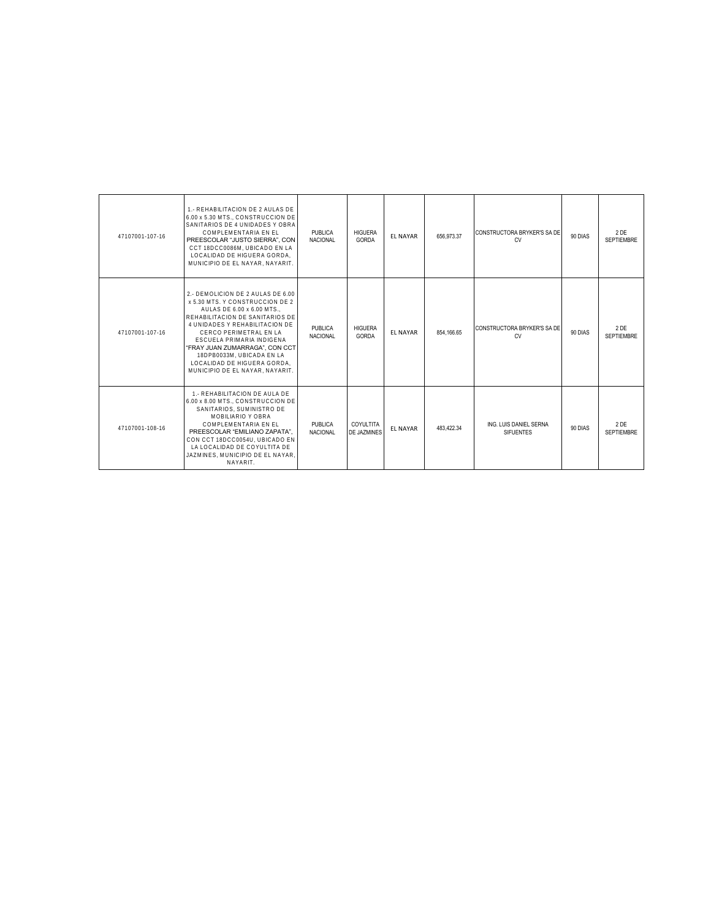| 47107001-107-16 | 1.- REHABILITACION DE 2 AULAS DE<br>6.00 x 5.30 MTS., CONSTRUCCION DE<br>SANITARIOS DE 4 UNIDADES Y OBRA<br>COMPLEMENTARIA EN EL<br>PREESCOLAR "JUSTO SIERRA", CON<br>CCT 18DCC0086M, UBICADO EN LA<br>LOCALIDAD DE HIGUERA GORDA.<br>MUNICIPIO DE EL NAYAR, NAYARIT.                                                                                         | PUBLICA<br><b>NACIONAL</b>        | <b>HIGUERA</b><br>GORDA  | <b>EL NAYAR</b> | 656.973.37 | CONSTRUCTORA BRYKER'S SA DE<br>CV          | 90 DIAS | 2 DE<br><b>SEPTIEMBRE</b> |
|-----------------|---------------------------------------------------------------------------------------------------------------------------------------------------------------------------------------------------------------------------------------------------------------------------------------------------------------------------------------------------------------|-----------------------------------|--------------------------|-----------------|------------|--------------------------------------------|---------|---------------------------|
| 47107001-107-16 | 2.- DEMOLICION DE 2 AULAS DE 6.00<br>x 5.30 MTS. Y CONSTRUCCION DE 2<br>AULAS DE 6.00 x 6.00 MTS<br>REHABILITACION DE SANITARIOS DE<br>4 UNIDADES Y REHABILITACION DE<br>CERCO PERIMETRAL EN LA<br>ESCUELA PRIMARIA INDIGENA<br>"FRAY JUAN ZUMARRAGA", CON CCT<br>18DPB0033M, UBICADA EN LA<br>LOCALIDAD DE HIGUERA GORDA.<br>MUNICIPIO DE EL NAYAR. NAYARIT. | <b>PUBLICA</b><br><b>NACIONAL</b> | <b>HIGUERA</b><br>GORDA  | <b>FL NAYAR</b> | 854.166.65 | CONSTRUCTORA BRYKER'S SA DE<br>CV          | 90 DIAS | 2 DE<br><b>SEPTIEMBRE</b> |
| 47107001-108-16 | 1.- REHABILITACION DE AULA DE<br>6.00 x 8.00 MTS., CONSTRUCCION DE<br>SANITARIOS. SUMINISTRO DE<br>MOBILIARIO Y OBRA<br>COMPLEMENTARIA EN EL<br>PREESCOLAR "EMILIANO ZAPATA",<br>CON CCT 18DCC0054U, UBICADO EN<br>LA LOCALIDAD DE COYULTITA DE<br>JAZMINES, MUNICIPIO DE EL NAYAR.<br>NAYARIT.                                                               | PUBLICA<br><b>NACIONAL</b>        | COYULTITA<br>DE JAZMINES | <b>EL NAYAR</b> | 483.422.34 | ING. LUIS DANIEL SERNA<br><b>SIFUENTES</b> | 90 DIAS | 2DE<br><b>SEPTIEMBRE</b>  |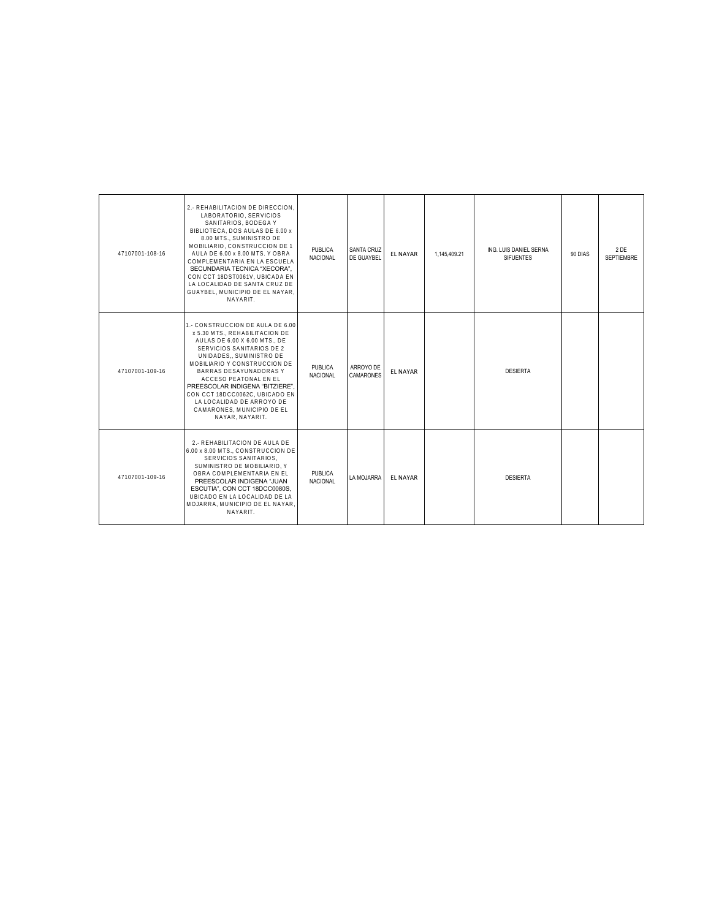| 47107001-108-16 | 2.- REHABILITACION DE DIRECCION.<br>LABORATORIO, SERVICIOS<br>SANITARIOS, BODEGA Y<br>BIBLIOTECA. DOS AULAS DE 6.00 x<br>8.00 MTS., SUMINISTRO DE<br>MOBILIARIO, CONSTRUCCION DE 1<br>AULA DE 6.00 x 8.00 MTS. Y OBRA<br>COMPLEMENTARIA EN LA ESCUELA<br>SECUNDARIA TECNICA "XECORA".<br>CON CCT 18DST0061V, UBICADA EN<br>LA LOCALIDAD DE SANTA CRUZ DE<br>GUAYBEL, MUNICIPIO DE EL NAYAR,<br>NAYARIT. | <b>PUBLICA</b><br><b>NACIONAL</b> | <b>SANTA CRUZ</b><br>DE GUAYBEL | <b>EL NAYAR</b> | 1,145,409.21 | ING. LUIS DANIEL SERNA<br><b>SIFUENTES</b> | 90 DIAS | 2 DE<br>SEPTIEMBRE |
|-----------------|---------------------------------------------------------------------------------------------------------------------------------------------------------------------------------------------------------------------------------------------------------------------------------------------------------------------------------------------------------------------------------------------------------|-----------------------------------|---------------------------------|-----------------|--------------|--------------------------------------------|---------|--------------------|
| 47107001-109-16 | 1.- CONSTRUCCION DE AULA DE 6.00<br>x 5.30 MTS., REHABILITACION DE<br>AULAS DE 6.00 X 6.00 MTS., DE<br>SERVICIOS SANITARIOS DE 2<br>UNIDADES., SUMINISTRO DE<br>MOBILIARIO Y CONSTRUCCION DE<br>BARRAS DESAYUNADORAS Y<br>ACCESO PEATONAL EN EL<br>PREESCOLAR INDIGENA "BITZIERE".<br>CON CCT 18DCC0062C, UBICADO EN<br>LA LOCALIDAD DE ARROYO DE<br>CAMARONES. MUNICIPIO DE EL<br>NAYAR, NAYARIT.      | <b>PUBLICA</b><br><b>NACIONAL</b> | ARROYO DE<br><b>CAMARONES</b>   | <b>EL NAYAR</b> |              | <b>DESIERTA</b>                            |         |                    |
| 47107001-109-16 | 2.- REHABILITACION DE AULA DE<br>6.00 x 8.00 MTS., CONSTRUCCION DE<br>SERVICIOS SANITARIOS.<br>SUMINISTRO DE MOBILIARIO. Y<br>OBRA COMPLEMENTARIA EN EL<br>PREESCOLAR INDIGENA "JUAN<br>ESCUTIA", CON CCT 18DCC0080S.<br>UBICADO EN LA LOCALIDAD DE LA<br>MOJARRA, MUNICIPIO DE EL NAYAR.<br>NAYARIT.                                                                                                   | PUBLICA<br><b>NACIONAL</b>        | LA MOJARRA                      | <b>EL NAYAR</b> |              | <b>DESIERTA</b>                            |         |                    |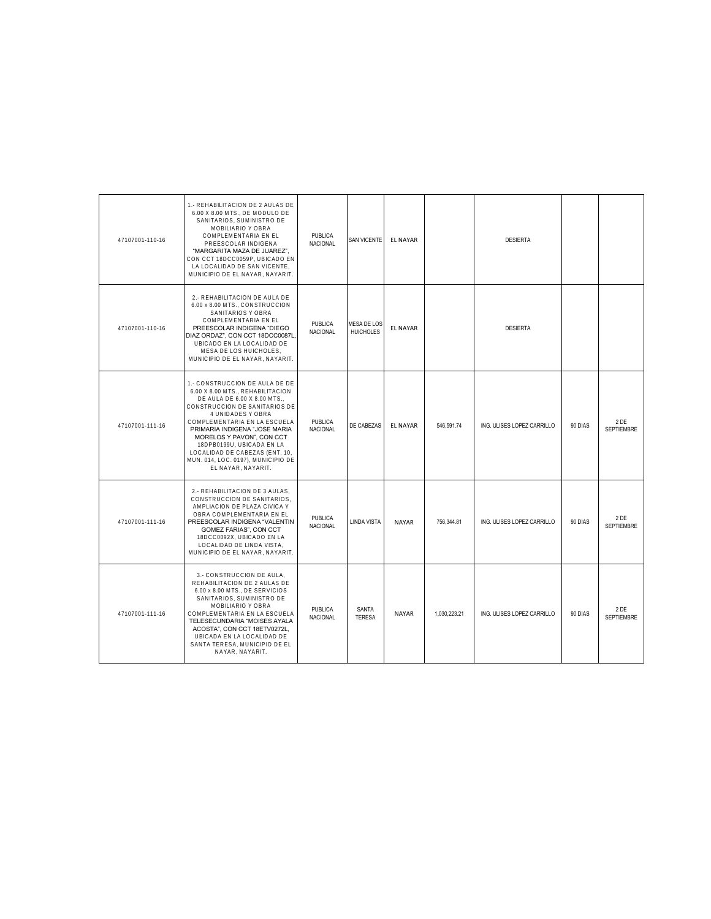| 47107001-110-16 | 1.- REHABILITACION DE 2 AULAS DE<br>6.00 X 8.00 MTS., DE MODULO DE<br>SANITARIOS, SUMINISTRO DE<br>MOBILIARIO Y OBRA<br>COMPLEMENTARIA EN EL<br>PREESCOLAR INDIGENA<br>"MARGARITA MAZA DE JUAREZ".<br>CON CCT 18DCC0059P, UBICADO EN<br>LA LOCALIDAD DE SAN VICENTE,<br>MUNICIPIO DE EL NAYAR, NAYARIT.                                                                           | <b>PUBLICA</b><br><b>NACIONAL</b> | <b>SAN VICENTE</b>              | <b>EL NAYAR</b> |              | <b>DESIERTA</b>            |         |                           |
|-----------------|-----------------------------------------------------------------------------------------------------------------------------------------------------------------------------------------------------------------------------------------------------------------------------------------------------------------------------------------------------------------------------------|-----------------------------------|---------------------------------|-----------------|--------------|----------------------------|---------|---------------------------|
| 47107001-110-16 | 2.- REHABILITACION DE AULA DE<br>6.00 x 8.00 MTS., CONSTRUCCION<br>SANITARIOS Y OBRA<br>COMPLEMENTARIA EN EL<br>PREESCOLAR INDIGENA "DIEGO<br>DIAZ ORDAZ", CON CCT 18DCC0087L<br>UBICADO EN LA LOCALIDAD DE<br>MESA DE LOS HUICHOLES,<br>MUNICIPIO DE EL NAYAR, NAYARIT.                                                                                                          | <b>PUBLICA</b><br><b>NACIONAL</b> | MESA DE LOS<br><b>HUICHOLES</b> | <b>EL NAYAR</b> |              | <b>DESIERTA</b>            |         |                           |
| 47107001-111-16 | 1.- CONSTRUCCION DE AULA DE DE<br>6.00 X 8.00 MTS., REHABILITACION<br>DE AULA DE 6.00 X 8.00 MTS.,<br>CONSTRUCCION DE SANITARIOS DE<br>4 UNIDADES Y OBRA<br>COMPLEMENTARIA EN LA ESCUELA<br>PRIMARIA INDIGENA "JOSE MARIA<br>MORELOS Y PAVON", CON CCT<br>18DPB0199U, UBICADA EN LA<br>LOCALIDAD DE CABEZAS (ENT. 10,<br>MUN. 014, LOC. 0197), MUNICIPIO DE<br>EL NAYAR, NAYARIT. | <b>PUBLICA</b><br><b>NACIONAL</b> | DE CABEZAS                      | <b>EL NAYAR</b> | 546.591.74   | ING. ULISES LOPEZ CARRILLO | 90 DIAS | 2 DE<br><b>SEPTIEMBRE</b> |
| 47107001-111-16 | 2.- REHABILITACION DE 3 AULAS.<br>CONSTRUCCION DE SANITARIOS,<br>AMPLIACION DE PLAZA CIVICA Y<br>OBRA COMPLEMENTARIA EN EL<br>PREESCOLAR INDIGENA "VALENTIN<br>GOMEZ FARIAS", CON CCT<br>18DCC0092X, UBICADO EN LA<br>LOCALIDAD DE LINDA VISTA,<br>MUNICIPIO DE EL NAYAR, NAYARIT.                                                                                                | PUBLICA<br>NACIONAL               | <b>LINDA VISTA</b>              | <b>NAYAR</b>    | 756.344.81   | ING. ULISES LOPEZ CARRILLO | 90 DIAS | 2 DE<br><b>SEPTIEMBRE</b> |
| 47107001-111-16 | 3.- CONSTRUCCION DE AULA,<br>REHABILITACION DE 2 AULAS DE<br>6.00 x 8.00 MTS., DE SERVICIOS<br>SANITARIOS, SUMINISTRO DE<br>MOBILIARIO Y OBRA<br>COMPLEMENTARIA EN LA ESCUELA<br>TELESECUNDARIA "MOISES AYALA<br>ACOSTA", CON CCT 18ETV0272L,<br>UBICADA EN LA LOCALIDAD DE<br>SANTA TERESA, MUNICIPIO DE EL<br>NAYAR, NAYARIT.                                                   | PUBLICA<br>NACIONAL               | SANTA<br><b>TERESA</b>          | <b>NAYAR</b>    | 1,030,223.21 | ING. ULISES LOPEZ CARRILLO | 90 DIAS | 2 DE<br><b>SEPTIEMBRE</b> |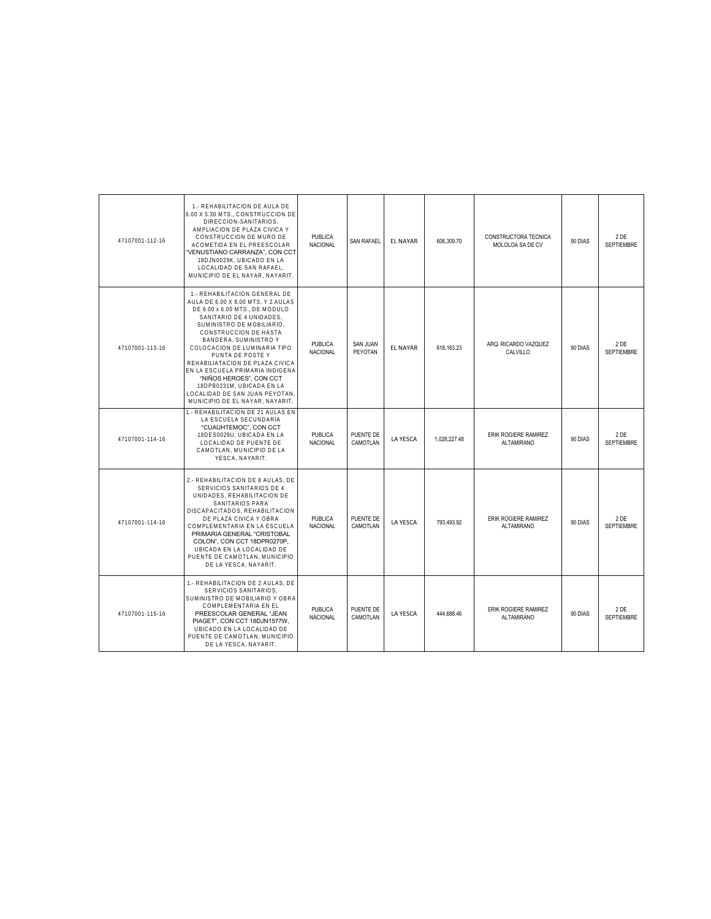| 47107001-112-16 | 1.- REHABILITACION DE AULA DE<br>6.00 X 5.30 MTS., CONSTRUCCION DE<br>DIRECCION-SANITARIOS,<br>AMPLIACION DE PLAZA CIVICA Y<br>CONSTRUCCION DE MURO DE<br>ACOMETIDA EN EL PREESCOLAR<br>'VENUSTIANO CARRANZA", CON CCT<br>18DJN0029K, UBICADO EN LA<br>LOCALIDAD DE SAN RAFAEL.<br>MUNICIPIO DE EL NAYAR, NAYARIT.                                                                                                                                                      | <b>PUBLICA</b><br>NACIONAL        | <b>SAN RAFAEL</b>          | <b>EL NAYAR</b> | 606.309.70   | CONSTRUCTORA TECNICA<br>MOLOLOA SA DE CV  | 90 DIAS | 2 DE<br><b>SEPTIEMBRE</b> |
|-----------------|-------------------------------------------------------------------------------------------------------------------------------------------------------------------------------------------------------------------------------------------------------------------------------------------------------------------------------------------------------------------------------------------------------------------------------------------------------------------------|-----------------------------------|----------------------------|-----------------|--------------|-------------------------------------------|---------|---------------------------|
| 47107001-113-16 | 1.- REHABILITACION GENERAL DE<br>AULA DE 6.00 X 8.00 MTS. Y 2 AULAS<br>DE 6.00 x 6.00 MTS., DE MODULO<br>SANITARIO DE 4 UNIDADES,<br>SUMINISTRO DE MOBILIARIO.<br>CONSTRUCCION DE HASTA<br>BANDERA, SUMINISTRO Y<br>COLOCACION DE LUMINARIA TIPO<br>PUNTA DE POSTE Y<br>REHABILIATACION DE PLAZA CIVICA<br>EN LA ESCUELA PRIMARIA INDIGENA<br>"NIÑOS HEROES", CON CCT<br>18DPB0231M, UBICADA EN LA<br>LOCALIDAD DE SAN JUAN PEYOTAN.<br>MUNICIPIO DE EL NAYAR, NAYARIT. | <b>PUBLICA</b><br><b>NACIONAL</b> | <b>SAN JUAN</b><br>PEYOTAN | <b>EL NAYAR</b> | 618.163.23   | ARQ. RICARDO VAZQUEZ<br>CALVILLO          | 90 DIAS | 2 DE<br><b>SEPTIEMBRE</b> |
| 47107001-114-16 | 1.- REHABILITACION DE 21 AULAS EN<br>LA ESCUELA SECUNDARIA<br>"CUAUHTEMOC", CON CCT<br>18DES0029U, UBICADA EN LA<br>LOCALIDAD DE PUENTE DE<br>CAMOTLAN, MUNICIPIO DE LA<br>YESCA, NAYARIT.                                                                                                                                                                                                                                                                              | <b>PUBLICA</b><br><b>NACIONAL</b> | PUENTE DE<br>CAMOTLAN      | <b>LA YESCA</b> | 1,028,227.48 | ERIK ROGIERE RAMIREZ<br><b>ALTAMIRANO</b> | 90 DIAS | 2 DE<br><b>SEPTIEMBRE</b> |
| 47107001-114-16 | 2.- REHABILITACION DE 8 AULAS. DE<br>SERVICIOS SANITARIOS DE 4<br>UNIDADES, REHABILITACION DE<br>SANITARIOS PARA<br>DISCAPACITADOS, REHABILITACION<br>DE PLAZA CIVICA Y OBRA<br>COMPLEMENTARIA EN LA ESCUELA<br>PRIMARIA GENERAL "CRISTOBAL<br>COLON", CON CCT 18DPR0270P.<br>UBICADA EN LA LOCALIDAD DE<br>PUENTE DE CAMOTLAN, MUNICIPIO<br>DE LA YESCA. NAYARIT.                                                                                                      | <b>PUBLICA</b><br><b>NACIONAL</b> | PUENTE DE<br>CAMOTLAN      | LA YESCA        | 793,493.92   | ERIK ROGIERE RAMIREZ<br><b>ALTAMIRANO</b> | 90 DIAS | 2 DE<br>SEPTIEMBRE        |
| 47107001-115-16 | 1.- REHABILITACION DE 2 AULAS, DE<br>SERVICIOS SANITARIOS,<br>SUMINISTRO DE MOBILIARIO Y OBRA<br>COMPLEMENTARIA EN EL<br>PREESCOLAR GENERAL "JEAN<br>PIAGET", CON CCT 18DJN1577W,<br>UBICADO EN LA LOCALIDAD DE<br>PUENTE DE CAMOTLAN, MUNICIPIO<br>DE LA YESCA, NAYARIT.                                                                                                                                                                                               | <b>PUBLICA</b><br>NACIONAL        | PUENTE DE<br>CAMOTLAN      | LA YESCA        | 444,688.46   | ERIK ROGIERE RAMIREZ<br><b>ALTAMIRANO</b> | 90 DIAS | 2 DE<br><b>SEPTIEMBRE</b> |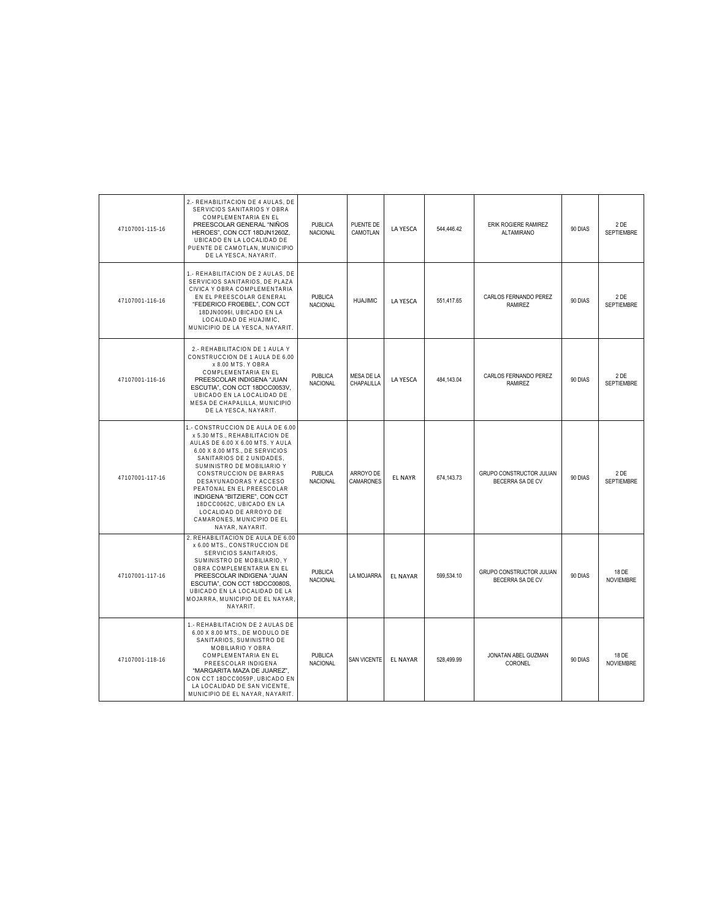| 47107001-115-16 | 2.- REHABILITACION DE 4 AULAS, DE<br>SERVICIOS SANITARIOS Y OBRA<br>COMPLEMENTARIA EN EL<br>PREESCOLAR GENERAL "NIÑOS<br>HEROES", CON CCT 18DJN1260Z,<br>UBICADO EN LA LOCALIDAD DE<br>PUENTE DE CAMOTLAN, MUNICIPIO<br>DE LA YESCA, NAYARIT.                                                                                                                                                                                | PUBLICA<br>NACIONAL               | PUENTE DE<br>CAMOTLAN    | LA YESCA        | 544,446.42   | ERIK ROGIERE RAMIREZ<br><b>ALTAMIRANO</b>           | 90 DIAS | 2DE<br><b>SEPTIEMBRE</b>  |
|-----------------|------------------------------------------------------------------------------------------------------------------------------------------------------------------------------------------------------------------------------------------------------------------------------------------------------------------------------------------------------------------------------------------------------------------------------|-----------------------------------|--------------------------|-----------------|--------------|-----------------------------------------------------|---------|---------------------------|
| 47107001-116-16 | 1.- REHABILITACION DE 2 AULAS, DE<br>SERVICIOS SANITARIOS. DE PLAZA<br>CIVICA Y OBRA COMPLEMENTARIA<br>EN EL PREESCOLAR GENERAL<br>"FEDERICO FROEBEL", CON CCT<br>18DJN0096I, UBICADO EN LA<br>LOCALIDAD DE HUAJIMIC,<br>MUNICIPIO DE LA YESCA, NAYARIT.                                                                                                                                                                     | <b>PUBLICA</b><br>NACIONAL        | <b>HUAJIMIC</b>          | <b>LA YESCA</b> | 551.417.65   | CARLOS FERNANDO PEREZ<br><b>RAMIREZ</b>             | 90 DIAS | 2DE<br><b>SEPTIEMBRE</b>  |
| 47107001-116-16 | 2.- REHABILITACION DE 1 AULA Y<br>CONSTRUCCION DE 1 AULA DE 6.00<br>x 8.00 MTS. Y OBRA<br>COMPLEMENTARIA EN EL<br>PREESCOLAR INDIGENA "JUAN<br>ESCUTIA", CON CCT 18DCC0053V,<br>UBICADO EN LA LOCALIDAD DE<br>MESA DE CHAPALILLA, MUNICIPIO<br>DE LA YESCA, NAYARIT.                                                                                                                                                         | <b>PUBLICA</b><br>NACIONAL        | MESA DE LA<br>CHAPALILLA | LA YESCA        | 484,143.04   | CARLOS FERNANDO PEREZ<br>RAMIREZ                    | 90 DIAS | 2DE<br>SEPTIEMBRE         |
| 47107001-117-16 | 1.- CONSTRUCCION DE AULA DE 6.00<br>x 5.30 MTS., REHABILITACION DE<br>AULAS DE 6.00 X 6.00 MTS. Y AULA<br>6.00 X 8.00 MTS., DE SERVICIOS<br>SANITARIOS DE 2 UNIDADES,<br>SUMINISTRO DE MOBILIARIO Y<br>CONSTRUCCION DE BARRAS<br>DESAYUNADORAS Y ACCESO<br>PEATONAL EN EL PREESCOLAR<br>INDIGENA "BITZIERE", CON CCT<br>18DCC0062C, UBICADO EN LA<br>LOCALIDAD DE ARROYO DE<br>CAMARONES, MUNICIPIO DE EL<br>NAYAR, NAYARIT. | PUBLICA<br><b>NACIONAL</b>        | ARROYO DE<br>CAMARONES   | <b>EL NAYR</b>  | 674, 143. 73 | GRUPO CONSTRUCTOR JULIAN<br>BECERRA SA DE CV        | 90 DIAS | 2DE<br><b>SEPTIEMBRE</b>  |
| 47107001-117-16 | 2. REHABILITACION DE AULA DE 6.00<br>x 6.00 MTS., CONSTRUCCION DE<br>SERVICIOS SANITARIOS,<br>SUMINISTRO DE MOBILIARIO, Y<br>OBRA COMPLEMENTARIA EN EL<br>PREESCOLAR INDIGENA "JUAN<br>ESCUTIA", CON CCT 18DCC0080S.<br>UBICADO EN LA LOCALIDAD DE LA<br>MOJARRA, MUNICIPIO DE EL NAYAR<br>NAYARIT.                                                                                                                          | <b>PUBLICA</b><br>NACIONAL        | LA MOJARRA               | <b>EL NAYAR</b> | 599,534.10   | <b>GRUPO CONSTRUCTOR JULIAN</b><br>BECERRA SA DE CV | 90 DIAS | 18 DE<br><b>NOVIEMBRE</b> |
| 47107001-118-16 | 1.- REHABILITACION DE 2 AULAS DE<br>6.00 X 8.00 MTS., DE MODULO DE<br>SANITARIOS, SUMINISTRO DE<br>MOBILIARIO Y OBRA<br>COMPLEMENTARIA EN EL<br>PREESCOLAR INDIGENA<br>"MARGARITA MAZA DE JUAREZ",<br>CON CCT 18DCC0059P, UBICADO EN<br>LA LOCALIDAD DE SAN VICENTE,<br>MUNICIPIO DE EL NAYAR, NAYARIT.                                                                                                                      | <b>PUBLICA</b><br><b>NACIONAL</b> | <b>SAN VICENTE</b>       | <b>EL NAYAR</b> | 528.499.99   | JONATAN ABEL GUZMAN<br>CORONEL                      | 90 DIAS | 18 DE<br><b>NOVIEMBRE</b> |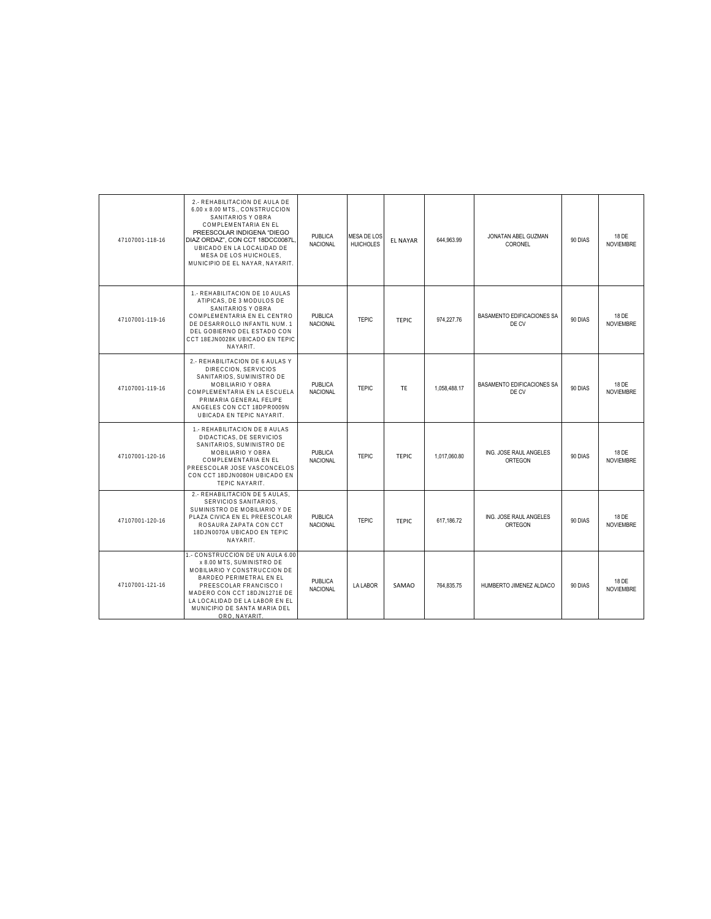| 47107001-118-16 | 2.- REHABILITACION DE AULA DE<br>6.00 x 8.00 MTS., CONSTRUCCION<br>SANITARIOS Y OBRA<br>COMPLEMENTARIA EN EL<br>PREESCOLAR INDIGENA "DIEGO<br>DIAZ ORDAZ", CON CCT 18DCC0087L<br>UBICADO EN LA LOCALIDAD DE<br>MESA DE LOS HUICHOLES.<br>MUNICIPIO DE EL NAYAR, NAYARIT. | <b>PUBLICA</b><br><b>NACIONAL</b> | MESA DE LOS<br><b>HUICHOLES</b> | <b>EL NAYAR</b> | 644,963.99   | JONATAN ABEL GUZMAN<br>CORONEL      | 90 DIAS | 18 DE<br><b>NOVIEMBRE</b> |
|-----------------|--------------------------------------------------------------------------------------------------------------------------------------------------------------------------------------------------------------------------------------------------------------------------|-----------------------------------|---------------------------------|-----------------|--------------|-------------------------------------|---------|---------------------------|
| 47107001-119-16 | 1.- REHABILITACION DE 10 AULAS<br>ATIPICAS. DE 3 MODULOS DE<br>SANITARIOS Y OBRA<br>COMPLEMENTARIA EN EL CENTRO<br>DE DESARROLLO INFANTIL NUM. 1<br>DEL GOBIERNO DEL ESTADO CON<br>CCT 18EJN0028K UBICADO EN TEPIC<br>NAYARIT.                                           | <b>PUBLICA</b><br><b>NACIONAL</b> | <b>TEPIC</b>                    | <b>TEPIC</b>    | 974.227.76   | BASAMENTO EDIFICACIONES SA<br>DE CV | 90 DIAS | 18 DE<br><b>NOVIEMBRE</b> |
| 47107001-119-16 | 2.- REHABILITACION DE 6 AULAS Y<br>DIRECCION, SERVICIOS<br>SANITARIOS, SUMINISTRO DE<br>MOBILIARIO Y OBRA<br>COMPLEMENTARIA EN LA ESCUELA<br>PRIMARIA GENERAL FELIPE<br>ANGELES CON CCT 18DPR0009N<br>UBICADA EN TEPIC NAYARIT.                                          | <b>PUBLICA</b><br><b>NACIONAL</b> | <b>TEPIC</b>                    | TF              | 1,058,488.17 | BASAMENTO EDIFICACIONES SA<br>DE CV | 90 DIAS | 18 DE<br><b>NOVIEMBRE</b> |
| 47107001-120-16 | 1.- REHABILITACION DE 8 AULAS<br>DIDACTICAS. DE SERVICIOS<br>SANITARIOS, SUMINISTRO DE<br>MOBILIARIO Y OBRA<br>COMPLEMENTARIA EN EL<br>PREESCOLAR JOSE VASCONCELOS<br>CON CCT 18DJN0080H UBICADO EN<br><b>TEPIC NAYARIT.</b>                                             | <b>PUBLICA</b><br><b>NACIONAL</b> | <b>TEPIC</b>                    | <b>TEPIC</b>    | 1.017.060.80 | ING. JOSE RAUL ANGELES<br>ORTEGON   | 90 DIAS | 18 DE<br><b>NOVIEMBRE</b> |
| 47107001-120-16 | 2.- REHABILITACION DE 5 AULAS.<br>SERVICIOS SANITARIOS.<br>SUMINISTRO DE MOBILIARIO Y DE<br>PLAZA CIVICA EN EL PREESCOLAR<br>ROSAURA ZAPATA CON CCT<br>18DJN0070A UBICADO EN TEPIC<br>NAYARIT.                                                                           | <b>PUBLICA</b><br>NACIONAL        | <b>TEPIC</b>                    | <b>TEPIC</b>    | 617.186.72   | ING. JOSE RAUL ANGELES<br>ORTEGON   | 90 DIAS | 18 DE<br><b>NOVIEMBRE</b> |
| 47107001-121-16 | 1.- CONSTRUCCION DE UN AULA 6.00<br>x 8.00 MTS, SUMINISTRO DE<br>MOBILIARIO Y CONSTRUCCION DE<br>BARDEO PERIMETRAL EN EL<br>PREESCOLAR FRANCISCO I<br>MADERO CON CCT 18DJN1271E DE<br>LA LOCALIDAD DE LA LABOR EN EL<br>MUNICIPIO DE SANTA MARIA DEL<br>ORO, NAYARIT.    | <b>PUBLICA</b><br>NACIONAL        | LA LABOR                        | SAMAO           | 764,835.75   | HUMBERTO JIMENEZ ALDACO             | 90 DIAS | 18 DE<br><b>NOVIEMBRE</b> |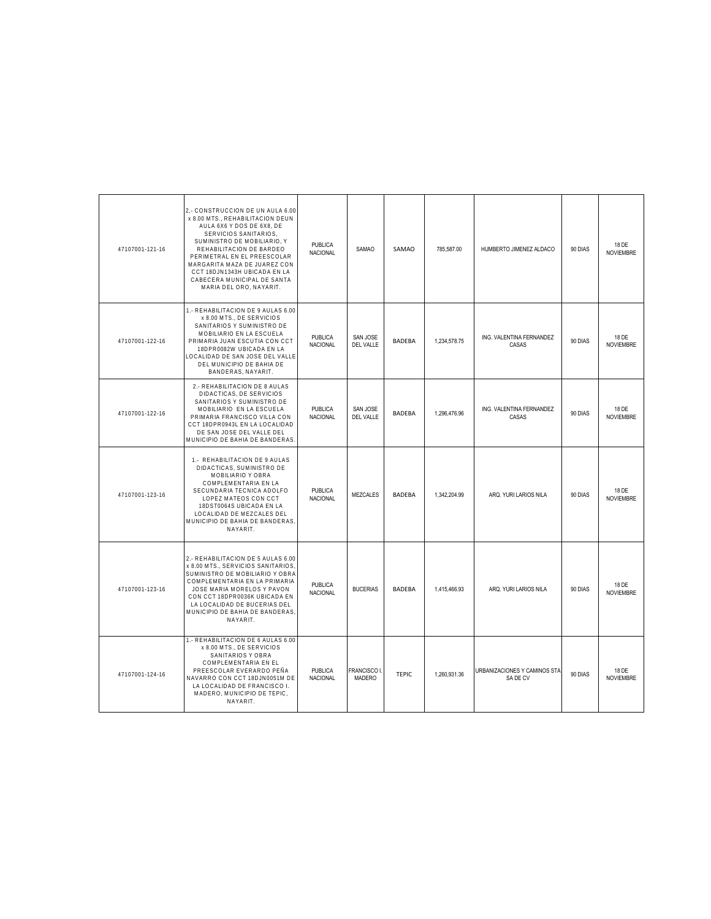| 47107001-121-16 | 2,- CONSTRUCCION DE UN AULA 6.00<br>x 8.00 MTS., REHABILITACION DEUN<br>AULA 6X6 Y DOS DE 6X8, DE<br>SERVICIOS SANITARIOS,<br>SUMINISTRO DE MOBILIARIO. Y<br>REHABILITACION DE BARDEO<br>PERIMETRAL EN EL PREESCOLAR<br>MARGARITA MAZA DE JUAREZ CON<br>CCT 18DJN1343H UBICADA EN LA<br>CABECERA MUNICIPAL DE SANTA<br>MARIA DEL ORO, NAYARIT. | <b>PUBLICA</b><br>NACIONAL        | <b>SAMAO</b>                        | SAMAO         | 785,587.00   | HUMBERTO JIMENEZ ALDACO                  | 90 DIAS | 18 DE<br><b>NOVIEMBRE</b> |
|-----------------|------------------------------------------------------------------------------------------------------------------------------------------------------------------------------------------------------------------------------------------------------------------------------------------------------------------------------------------------|-----------------------------------|-------------------------------------|---------------|--------------|------------------------------------------|---------|---------------------------|
| 47107001-122-16 | 1.- REHABILITACION DE 9 AULAS 6.00<br>x 8.00 MTS., DE SERVICIOS<br>SANITARIOS Y SUMINISTRO DE<br>MOBILIARIO EN LA ESCUELA<br>PRIMARIA JUAN ESCUTIA CON CCT<br>18DPR0082W UBICADA EN LA<br>LOCALIDAD DE SAN JOSE DEL VALLE<br>DEL MUNICIPIO DE BAHIA DE<br>BANDERAS, NAYARIT.                                                                   | PUBLICA<br><b>NACIONAL</b>        | SAN JOSE<br>DEL VALLE               | <b>BADEBA</b> | 1,234,578.75 | ING. VALENTINA FERNANDEZ<br>CASAS        | 90 DIAS | 18 DE<br><b>NOVIEMBRE</b> |
| 47107001-122-16 | 2.- REHABILITACION DE 8 AULAS<br>DIDACTICAS, DE SERVICIOS<br>SANITARIOS Y SUMINISTRO DE<br>MOBILIARIO EN LA ESCUELA<br>PRIMARIA FRANCISCO VILLA CON<br>CCT 18DPR0943L EN LA LOCALIDAD<br>DE SAN JOSE DEL VALLE DEL<br>MUNICIPIO DE BAHIA DE BANDERAS                                                                                           | <b>PUBLICA</b><br>NACIONAL        | <b>SAN JOSE</b><br><b>DEL VALLE</b> | <b>BADEBA</b> | 1,296,476.96 | ING. VALENTINA FERNANDEZ<br>CASAS        | 90 DIAS | 18 DE<br>NOVIEMBRE        |
| 47107001-123-16 | 1.- REHABILITACION DE 9 AULAS<br>DIDACTICAS, SUMINISTRO DE<br>MOBILIARIO Y OBRA<br>COMPLEMENTARIA EN LA<br>SECUNDARIA TECNICA ADOLFO<br>LOPEZ MATEOS CON CCT<br>18DST0064S UBICADA EN LA<br>LOCALIDAD DE MEZCALES DEL<br>MUNICIPIO DE BAHIA DE BANDERAS<br>NAYARIT.                                                                            | <b>PUBLICA</b><br>NACIONAL        | <b>MEZCALES</b>                     | <b>BADEBA</b> | 1,342,204.99 | ARQ. YURI LARIOS NILA                    | 90 DIAS | 18 DE<br><b>NOVIEMBRE</b> |
| 47107001-123-16 | 2.- REHABILITACION DE 5 AULAS 6.00<br>x 8.00 MTS., SERVICIOS SANITARIOS<br>SUMINISTRO DE MOBILIARIO Y OBRA<br>COMPLEMENTARIA EN LA PRIMARIA<br>JOSE MARIA MORELOS Y PAVON<br>CON CCT 18DPR0036K UBICADA EN<br>LA LOCALIDAD DE BUCERIAS DEL<br>MUNICIPIO DE BAHIA DE BANDERAS<br>NAYARIT.                                                       | <b>PUBLICA</b><br><b>NACIONAL</b> | <b>BUCERIAS</b>                     | <b>BADEBA</b> | 1,415,466.93 | ARQ. YURI LARIOS NILA                    | 90 DIAS | 18 DE<br><b>NOVIEMBRE</b> |
| 47107001-124-16 | 1.- REHABILITACION DE 6 AULAS 6.00<br>x 8.00 MTS., DE SERVICIOS<br>SANITARIOS Y OBRA<br>COMPLEMENTARIA EN EL<br>PREESCOLAR EVERARDO PEÑA<br>NAVARRO CON CCT 18DJN0051M DE<br>LA LOCALIDAD DE FRANCISCO I.<br>MADERO, MUNICIPIO DE TEPIC,<br>NAYARIT.                                                                                           | <b>PUBLICA</b><br>NACIONAL        | <b>FRANCISCO</b><br><b>MADERO</b>   | <b>TEPIC</b>  | 1,260,931.36 | URBANIZACIONES Y CAMINOS STA<br>SA DE CV | 90 DIAS | 18 DE<br><b>NOVIEMBRE</b> |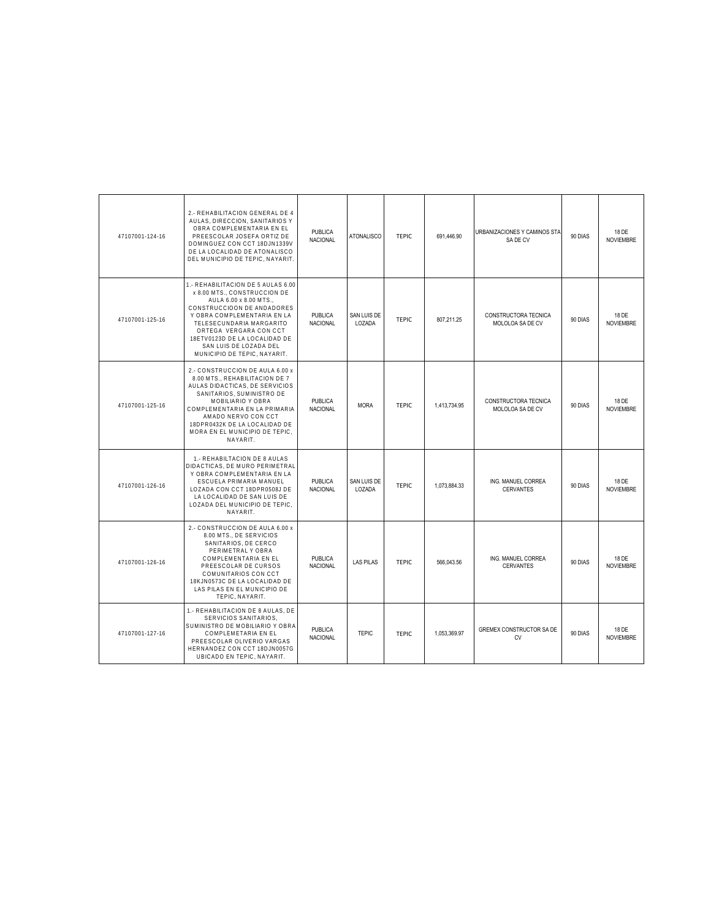| 47107001-124-16 | 2.- REHABILITACION GENERAL DE 4<br>AULAS, DIRECCION, SANITARIOS Y<br>OBRA COMPLEMENTARIA EN EL<br>PREESCOLAR JOSEFA ORTIZ DE<br>DOMINGUEZ CON CCT 18DJN1339V<br>DE LA LOCALIDAD DE ATONALISCO<br>DEL MUNICIPIO DE TEPIC. NAYARIT                                                                         | <b>PUBLICA</b><br><b>NACIONAL</b> | <b>ATONALISCO</b>     | <b>TEPIC</b> | 691,446.90   | URBANIZACIONES Y CAMINOS STA<br>SA DE CV | 90 DIAS | 18 DE<br><b>NOVIEMBRE</b> |
|-----------------|----------------------------------------------------------------------------------------------------------------------------------------------------------------------------------------------------------------------------------------------------------------------------------------------------------|-----------------------------------|-----------------------|--------------|--------------|------------------------------------------|---------|---------------------------|
| 47107001-125-16 | 1.- REHABILITACION DE 5 AULAS 6.00<br>x 8.00 MTS., CONSTRUCCION DE<br>AULA 6.00 x 8.00 MTS<br>CONSTRUCCIOON DE ANDADORES<br>Y OBRA COMPLEMENTARIA EN LA<br>TELESECUNDARIA MARGARITO<br>ORTEGA VERGARA CON CCT<br>18ETV0123D DE LA LOCALIDAD DE<br>SAN LUIS DE LOZADA DEL<br>MUNICIPIO DE TEPIC, NAYARIT. | PUBLICA<br>NACIONAL               | SAN LUIS DE<br>LOZADA | <b>TEPIC</b> | 807.211.25   | CONSTRUCTORA TECNICA<br>MOLOLOA SA DE CV | 90 DIAS | 18 DE<br><b>NOVIEMBRE</b> |
| 47107001-125-16 | 2.- CONSTRUCCION DE AULA 6.00 x<br>8.00 MTS., REHABILITACION DE 7<br>AULAS DIDACTICAS, DE SERVICIOS<br>SANITARIOS, SUMINISTRO DE<br>MOBILIARIO Y OBRA<br>COMPLEMENTARIA EN LA PRIMARIA<br>AMADO NERVO CON CCT<br>18DPR0432K DE LA LOCALIDAD DE<br>MORA EN EL MUNICIPIO DE TEPIC,<br>NAYARIT.             | <b>PUBLICA</b><br><b>NACIONAL</b> | <b>MORA</b>           | <b>TEPIC</b> | 1,413,734.95 | CONSTRUCTORA TECNICA<br>MOLOLOA SA DE CV | 90 DIAS | 18 DE<br><b>NOVIEMBRE</b> |
| 47107001-126-16 | 1.- REHABILTACION DE 8 AULAS<br>DIDACTICAS, DE MURO PERIMETRAL<br>Y OBRA COMPLEMENTARIA EN LA<br>ESCUELA PRIMARIA MANUEL<br>LOZADA CON CCT 18DPR0508J DE<br>LA LOCALIDAD DE SAN LUIS DE<br>LOZADA DEL MUNICIPIO DE TEPIC,<br>NAYARIT.                                                                    | <b>PUBLICA</b><br><b>NACIONAL</b> | SAN LUIS DE<br>LOZADA | <b>TEPIC</b> | 1,073,884.33 | ING. MANUEL CORREA<br><b>CERVANTES</b>   | 90 DIAS | 18 DE<br><b>NOVIEMBRE</b> |
| 47107001-126-16 | 2.- CONSTRUCCION DE AULA 6.00 x<br>8.00 MTS., DE SERVICIOS<br>SANITARIOS, DE CERCO<br>PERIMETRAL Y OBRA<br>COMPLEMENTARIA EN EL<br>PREESCOLAR DE CURSOS<br>COMUNITARIOS CON CCT<br>18KJN0573C DE LA LOCALIDAD DE<br>LAS PILAS EN EL MUNICIPIO DE<br>TEPIC, NAYARIT.                                      | <b>PUBLICA</b><br><b>NACIONAL</b> | <b>LAS PILAS</b>      | <b>TEPIC</b> | 566.043.56   | ING. MANUEL CORREA<br><b>CERVANTES</b>   | 90 DIAS | 18 DE<br><b>NOVIEMBRE</b> |
| 47107001-127-16 | 1.- REHABILITACION DE 8 AULAS, DE<br>SERVICIOS SANITARIOS,<br>SUMINISTRO DE MOBILIARIO Y OBRA<br>COMPLEMETARIA EN EL<br>PREESCOLAR OLIVERIO VARGAS<br>HERNANDEZ CON CCT 18DJN0057G<br>UBICADO EN TEPIC, NAYARIT.                                                                                         | <b>PUBLICA</b><br><b>NACIONAL</b> | <b>TEPIC</b>          | <b>TEPIC</b> | 1,053,369.97 | GREMEX CONSTRUCTOR SA DE<br><b>CV</b>    | 90 DIAS | 18 DE<br><b>NOVIEMBRE</b> |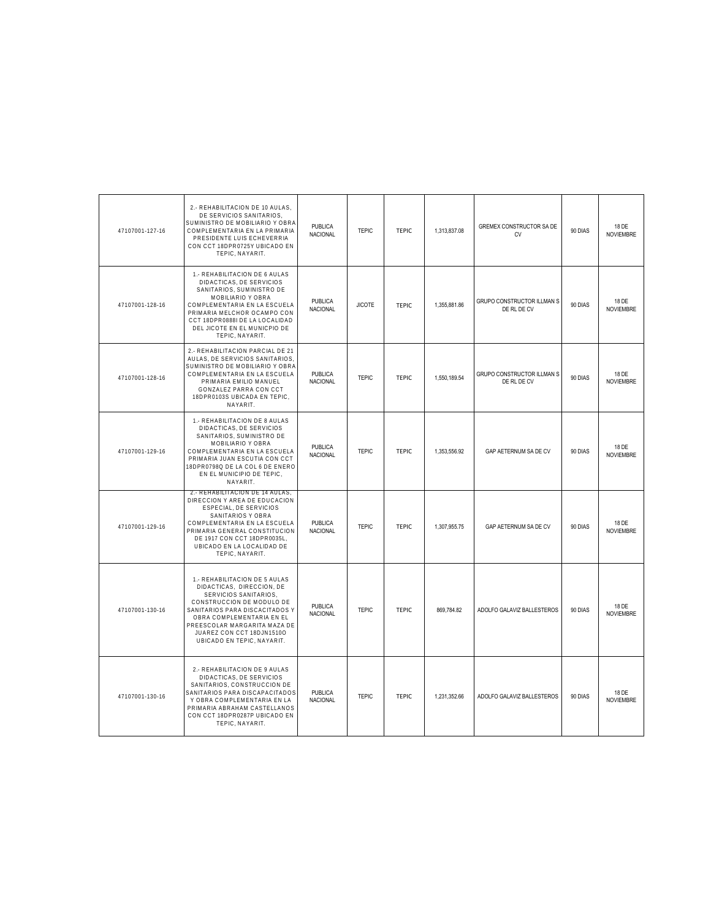| 47107001-127-16 | 2.- REHABILITACION DE 10 AULAS,<br>DE SERVICIOS SANITARIOS,<br>SUMINISTRO DE MOBILIARIO Y OBRA<br>COMPLEMENTARIA EN LA PRIMARIA<br>PRESIDENTE LUIS ECHEVERRIA<br>CON CCT 18DPR0725Y UBICADO EN<br>TEPIC, NAYARIT.                                                          | <b>PUBLICA</b><br>NACIONAL        | <b>TEPIC</b>  | <b>TEPIC</b> | 1,313,837.08 | <b>GREMEX CONSTRUCTOR SA DE</b><br><b>CV</b> | 90 DIAS | 18 DE<br><b>NOVIEMBRE</b> |
|-----------------|----------------------------------------------------------------------------------------------------------------------------------------------------------------------------------------------------------------------------------------------------------------------------|-----------------------------------|---------------|--------------|--------------|----------------------------------------------|---------|---------------------------|
| 47107001-128-16 | 1.- REHABILITACION DE 6 AULAS<br>DIDACTICAS, DE SERVICIOS<br>SANITARIOS, SUMINISTRO DE<br>MOBILIARIO Y OBRA<br>COMPLEMENTARIA EN LA ESCUELA<br>PRIMARIA MELCHOR OCAMPO CON<br>CCT 18DPR0888I DE LA LOCALIDAD<br>DEL JICOTE EN EL MUNICPIO DE<br>TEPIC, NAYARIT.            | PUBLICA<br>NACIONAL               | <b>JICOTE</b> | <b>TEPIC</b> | 1,355,881.86 | GRUPO CONSTRUCTOR ILLMAN S<br>DE RL DE CV    | 90 DIAS | 18 DE<br><b>NOVIEMBRE</b> |
| 47107001-128-16 | 2.- REHABILITACION PARCIAL DE 21<br>AULAS, DE SERVICIOS SANITARIOS<br>SUMINISTRO DE MOBILIARIO Y OBRA<br>COMPLEMENTARIA EN LA ESCUELA<br>PRIMARIA EMILIO MANUEL<br>GONZALEZ PARRA CON CCT<br>18DPR0103S UBICADA EN TEPIC,<br>NAYARIT.                                      | <b>PUBLICA</b><br>NACIONAL        | <b>TEPIC</b>  | <b>TEPIC</b> | 1,550,189.54 | GRUPO CONSTRUCTOR ILLMAN S<br>DE RL DE CV    | 90 DIAS | 18 DE<br><b>NOVIEMBRE</b> |
| 47107001-129-16 | 1.- REHABILITACION DE 8 AULAS<br>DIDACTICAS, DE SERVICIOS<br>SANITARIOS, SUMINISTRO DE<br>MOBILIARIO Y OBRA<br>COMPLEMENTARIA EN LA ESCUELA<br>PRIMARIA JUAN ESCUTIA CON CCT<br>18DPR0798Q DE LA COL 6 DE ENERO<br>EN EL MUNICIPIO DE TEPIC,<br>NAYARIT.                   | PUBLICA<br>NACIONAL               | <b>TEPIC</b>  | <b>TEPIC</b> | 1,353,556.92 | GAP AETERNUM SA DE CV                        | 90 DIAS | 18 DE<br><b>NOVIEMBRE</b> |
| 47107001-129-16 | 2.- REHABILITACION DE 14 AULAS,<br>DIRECCION Y AREA DE EDUCACION<br>ESPECIAL, DE SERVICIOS<br>SANITARIOS Y OBRA<br>COMPLEMENTARIA EN LA ESCUELA<br>PRIMARIA GENERAL CONSTITUCION<br>DE 1917 CON CCT 18DPR0035L,<br>UBICADO EN LA LOCALIDAD DE<br>TEPIC, NAYARIT.           | PUBLICA<br><b>NACIONAL</b>        | <b>TEPIC</b>  | <b>TEPIC</b> | 1,307,955.75 | GAP AETERNUM SA DE CV                        | 90 DIAS | 18 DE<br><b>NOVIEMBRE</b> |
| 47107001-130-16 | 1.- REHABILITACION DE 5 AULAS<br>DIDACTICAS, DIRECCION, DE<br>SERVICIOS SANITARIOS,<br>CONSTRUCCION DE MODULO DE<br>SANITARIOS PARA DISCACITADOS Y<br>OBRA COMPLEMENTARIA EN EL<br>PREESCOLAR MARGARITA MAZA DE<br>JUAREZ CON CCT 18DJN1510O<br>UBICADO EN TEPIC, NAYARIT. | PUBLICA<br>NACIONAL               | <b>TEPIC</b>  | <b>TEPIC</b> | 869,784.82   | ADOLFO GALAVIZ BALLESTEROS                   | 90 DIAS | 18 DE<br><b>NOVIEMBRE</b> |
| 47107001-130-16 | 2.- REHABILITACION DE 9 AULAS<br>DIDACTICAS, DE SERVICIOS<br>SANITARIOS, CONSTRUCCION DE<br>SANITARIOS PARA DISCAPACITADOS<br>Y OBRA COMPLEMENTARIA EN LA<br>PRIMARIA ABRAHAM CASTELLANOS<br>CON CCT 18DPR0287P UBICADO EN<br>TEPIC. NAYARIT.                              | <b>PUBLICA</b><br><b>NACIONAL</b> | <b>TEPIC</b>  | <b>TEPIC</b> | 1,231,352.66 | ADOLFO GALAVIZ BALLESTEROS                   | 90 DIAS | 18 DE<br><b>NOVIEMBRE</b> |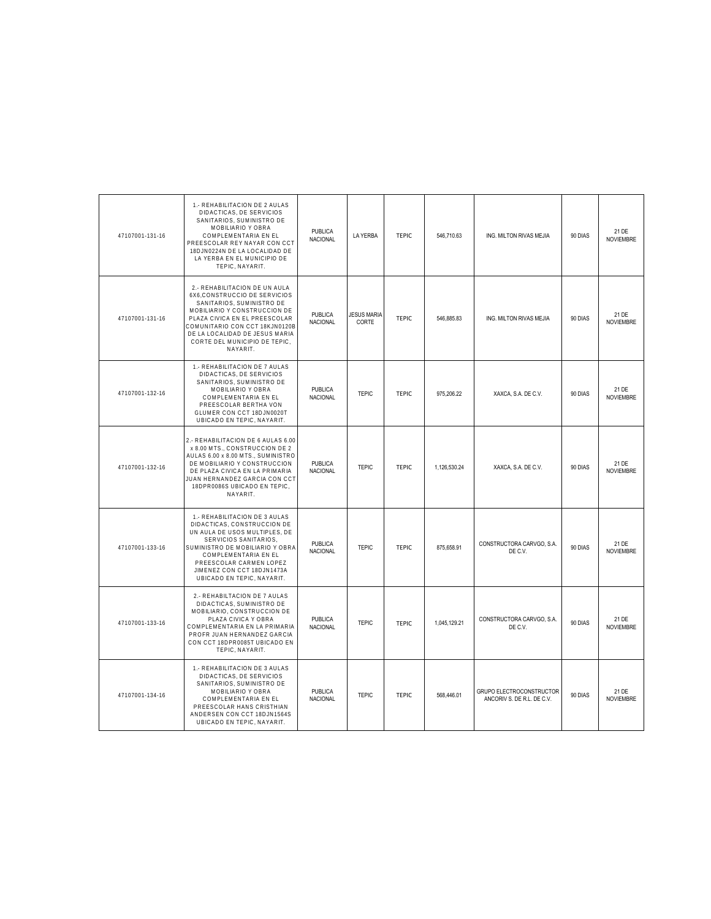| 47107001-131-16 | 1.- REHABILITACION DE 2 AULAS<br>DIDACTICAS. DE SERVICIOS<br>SANITARIOS, SUMINISTRO DE<br>MOBILIARIO Y OBRA<br>COMPLEMENTARIA EN EL<br>PREESCOLAR REY NAYAR CON CCT<br>18DJN0224N DE LA LOCALIDAD DE<br>LA YERBA EN EL MUNICIPIO DE<br>TEPIC, NAYARIT.                       | PUBLICA<br>NACIONAL               | <b>LA YERBA</b>             | <b>TEPIC</b> | 546,710.63   | ING. MILTON RIVAS MEJIA                                | 90 DIAS | 21 DE<br><b>NOVIEMBRE</b> |
|-----------------|------------------------------------------------------------------------------------------------------------------------------------------------------------------------------------------------------------------------------------------------------------------------------|-----------------------------------|-----------------------------|--------------|--------------|--------------------------------------------------------|---------|---------------------------|
| 47107001-131-16 | 2.- REHABILITACION DE UN AULA<br>6X6.CONSTRUCCIO DE SERVICIOS<br>SANITARIOS, SUMINISTRO DE<br>MOBILIARIO Y CONSTRUCCION DE<br>PLAZA CIVICA EN EL PREESCOLAR<br>COMUNITARIO CON CCT 18KJN0120B<br>DE LA LOCALIDAD DE JESUS MARIA<br>CORTE DEL MUNICIPIO DE TEPIC,<br>NAYARIT. | <b>PUBLICA</b><br><b>NACIONAL</b> | <b>JESUS MARIA</b><br>CORTE | <b>TEPIC</b> | 546,885.83   | ING. MILTON RIVAS MEJIA                                | 90 DIAS | 21 DE<br><b>NOVIEMBRE</b> |
| 47107001-132-16 | 1.- REHABILITACION DE 7 AULAS<br>DIDACTICAS, DE SERVICIOS<br>SANITARIOS, SUMINISTRO DE<br>MOBILIARIO Y OBRA<br>COMPLEMENTARIA EN EL<br>PREESCOLAR BERTHA VON<br>GLUMER CON CCT 18DJN0020T<br>UBICADO EN TEPIC, NAYARIT.                                                      | PUBLICA<br><b>NACIONAL</b>        | <b>TEPIC</b>                | <b>TEPIC</b> | 975,206.22   | XAXCA, S.A. DE C.V.                                    | 90 DIAS | 21 DE<br><b>NOVIEMBRE</b> |
| 47107001-132-16 | 2.- REHABILITACION DE 6 AULAS 6.00<br>x 8.00 MTS., CONSTRUCCION DE 2<br>AULAS 6.00 x 8.00 MTS., SUMINISTRO<br>DE MOBILIARIO Y CONSTRUCCION<br>DE PLAZA CIVICA EN LA PRIMARIA<br>JUAN HERNANDEZ GARCIA CON CCT<br>18DPR0086S UBICADO EN TEPIC.<br>NAYARIT.                    | <b>PUBLICA</b><br>NACIONAL        | <b>TEPIC</b>                | <b>TEPIC</b> | 1,126,530.24 | XAXCA, S.A. DE C.V.                                    | 90 DIAS | 21 DE<br><b>NOVIEMBRE</b> |
| 47107001-133-16 | 1.- REHABILITACION DE 3 AULAS<br>DIDACTICAS, CONSTRUCCION DE<br>UN AULA DE USOS MULTIPLES, DE<br>SERVICIOS SANITARIOS,<br>SUMINISTRO DE MOBILIARIO Y OBRA<br>COMPLEMENTARIA EN EL<br>PREESCOLAR CARMEN LOPEZ<br>JIMENEZ CON CCT 18DJN1473A<br>UBICADO EN TEPIC, NAYARIT.     | PUBLICA<br><b>NACIONAL</b>        | <b>TEPIC</b>                | <b>TEPIC</b> | 875.658.91   | CONSTRUCTORA CARVGO, S.A.<br>DE C.V.                   | 90 DIAS | 21 DE<br><b>NOVIEMBRE</b> |
| 47107001-133-16 | 2.- REHABILTACION DE 7 AULAS<br>DIDACTICAS, SUMINISTRO DE<br>MOBILIARIO, CONSTRUCCION DE<br>PLAZA CIVICA Y OBRA<br>COMPLEMENTARIA EN LA PRIMARIA<br>PROFR JUAN HERNANDEZ GARCIA<br>CON CCT 18DPR0085T UBICADO EN<br>TEPIC, NAYARIT.                                          | PUBLICA<br>NACIONAL               | <b>TEPIC</b>                | <b>TEPIC</b> | 1,045,129.21 | CONSTRUCTORA CARVGO, S.A.<br>DE C.V.                   | 90 DIAS | 21 DE<br><b>NOVIEMBRE</b> |
| 47107001-134-16 | 1.- REHABILITACION DE 3 AULAS<br>DIDACTICAS, DE SERVICIOS<br>SANITARIOS, SUMINISTRO DE<br>MOBILIARIO Y OBRA<br>COMPLEMENTARIA EN EL<br>PREESCOLAR HANS CRISTHIAN<br>ANDERSEN CON CCT 18DJN1564S<br>UBICADO EN TEPIC, NAYARIT.                                                | PUBLICA<br><b>NACIONAL</b>        | <b>TEPIC</b>                | <b>TEPIC</b> | 568,446.01   | GRUPO ELECTROCONSTRUCTOR<br>ANCORIV S. DE R.L. DE C.V. | 90 DIAS | 21 DE<br><b>NOVIEMBRE</b> |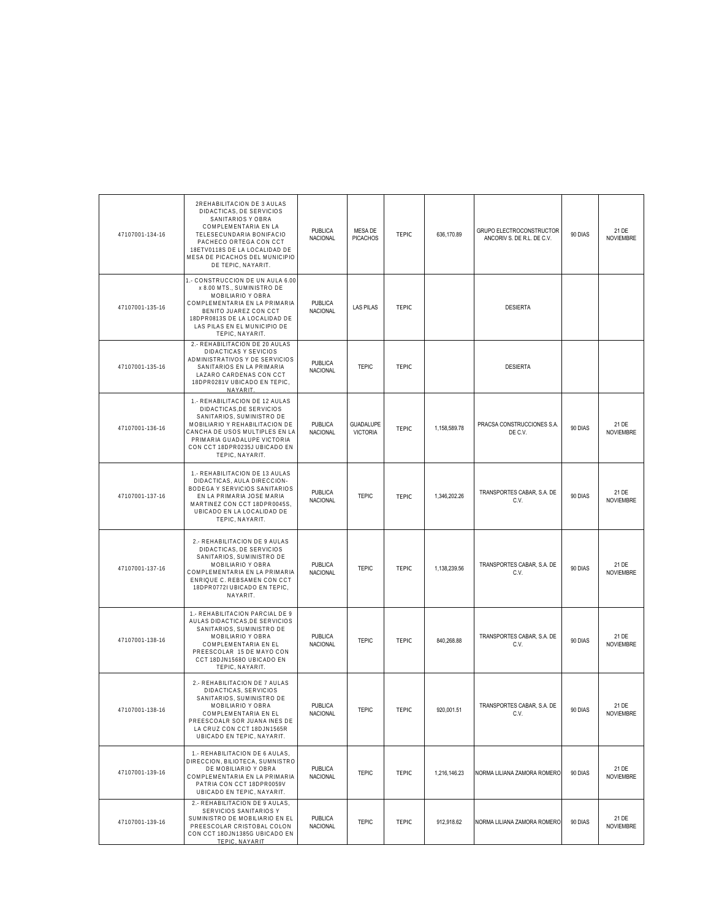| 47107001-134-16 | 2REHABILITACION DE 3 AULAS<br>DIDACTICAS, DE SERVICIOS<br>SANITARIOS Y OBRA<br>COMPLEMENTARIA EN LA<br>TELESECUNDARIA BONIFACIO<br>PACHECO ORTEGA CON CCT<br>18ETV0118S DE LA LOCALIDAD DE<br>MESA DE PICACHOS DEL MUNICIPIO<br>DE TEPIC, NAYARIT. | PUBLICA<br>NACIONAL               | MESA DE<br><b>PICACHOS</b>          | <b>TEPIC</b> | 636,170.89   | GRUPO ELECTROCONSTRUCTOR<br>ANCORIV S. DE R.L. DE C.V. | 90 DIAS | 21 DE<br><b>NOVIEMBRE</b> |
|-----------------|----------------------------------------------------------------------------------------------------------------------------------------------------------------------------------------------------------------------------------------------------|-----------------------------------|-------------------------------------|--------------|--------------|--------------------------------------------------------|---------|---------------------------|
| 47107001-135-16 | 1.- CONSTRUCCION DE UN AULA 6.00<br>x 8.00 MTS., SUMINISTRO DE<br>MOBILIARIO Y OBRA<br>COMPLEMENTARIA EN LA PRIMARIA<br>BENITO JUAREZ CON CCT<br>18DPR0813S DE LA LOCALIDAD DE<br>LAS PILAS EN EL MUNICIPIO DE<br>TEPIC, NAYARIT.                  | <b>PUBLICA</b><br>NACIONAL        | <b>LAS PILAS</b>                    | <b>TEPIC</b> |              | <b>DESIERTA</b>                                        |         |                           |
| 47107001-135-16 | 2.- REHABILITACION DE 20 AULAS<br>DIDACTICAS Y SEVICIOS<br>ADMINISTRATIVOS Y DE SERVICIOS<br>SANITARIOS EN LA PRIMARIA<br>LAZARO CARDENAS CON CCT<br>18DPR0281V UBICADO EN TEPIC,<br>NAYARIT.                                                      | <b>PUBLICA</b><br>NACIONAL        | <b>TEPIC</b>                        | <b>TEPIC</b> |              | <b>DESIERTA</b>                                        |         |                           |
| 47107001-136-16 | 1.- REHABILITACION DE 12 AULAS<br>DIDACTICAS, DE SERVICIOS<br>SANITARIOS, SUMINISTRO DE<br>MOBILIARIO Y REHABILITACION DE<br>CANCHA DE USOS MULTIPLES EN LA<br>PRIMARIA GUADALUPE VICTORIA<br>CON CCT 18DPR0235J UBICADO EN<br>TEPIC, NAYARIT.     | <b>PUBLICA</b><br><b>NACIONAL</b> | <b>GUADALUPE</b><br><b>VICTORIA</b> | <b>TEPIC</b> | 1,158,589.78 | PRACSA CONSTRUCCIONES S.A<br>DE C.V.                   | 90 DIAS | 21 DE<br><b>NOVIEMBRE</b> |
| 47107001-137-16 | 1.- REHABILITACION DE 13 AULAS<br>DIDACTICAS, AULA DIRECCION-<br>BODEGA Y SERVICIOS SANITARIOS<br>EN LA PRIMARIA JOSE MARIA<br>MARTINEZ CON CCT 18DPR0045S,<br>UBICADO EN LA LOCALIDAD DE<br>TEPIC, NAYARIT.                                       | PUBLICA<br><b>NACIONAL</b>        | <b>TEPIC</b>                        | <b>TEPIC</b> | 1,346,202.26 | TRANSPORTES CABAR, S.A. DE<br>C.V.                     | 90 DIAS | 21 DE<br><b>NOVIEMBRE</b> |
| 47107001-137-16 | 2.- REHABILITACION DE 9 AULAS<br>DIDACTICAS, DE SERVICIOS<br>SANITARIOS, SUMINISTRO DE<br>MOBILIARIO Y OBRA<br>COMPLEMENTARIA EN LA PRIMARIA<br>ENRIQUE C. REBSAMEN CON CCT<br>18DPR0772I UBICADO EN TEPIC,<br>NAYARIT.                            | <b>PUBLICA</b><br>NACIONAL        | <b>TEPIC</b>                        | <b>TEPIC</b> | 1,138,239.56 | TRANSPORTES CABAR, S.A. DE<br>C.V.                     | 90 DIAS | 21 DE<br><b>NOVIEMBRE</b> |
| 47107001-138-16 | 1.- REHABILITACION PARCIAL DE 9<br>AULAS DIDACTICAS, DE SERVICIOS<br>SANITARIOS, SUMINISTRO DE<br>MOBILIARIO Y OBRA<br>COMPLEMENTARIA EN EL<br>PREESCOLAR 15 DE MAYO CON<br>CCT 18DJN1568O UBICADO EN<br>TEPIC, NAYARIT.                           | <b>PUBLICA</b><br><b>NACIONAL</b> | <b>TEPIC</b>                        | TEPIC        | 840,268.88   | TRANSPORTES CABAR, S.A. DE<br>C.V.                     | 90 DIAS | 21 DE<br><b>NOVIEMBRE</b> |
| 47107001-138-16 | 2.- REHABILITACION DE 7 AULAS<br>DIDACTICAS, SERVICIOS<br>SANITARIOS, SUMINISTRO DE<br>MOBILIARIO Y OBRA<br>COMPLEMENTARIA EN EL<br>PREESCOALR SOR JUANA INES DE<br>LA CRUZ CON CCT 18DJN1565R<br>UBICADO EN TEPIC, NAYARIT.                       | PUBLICA<br><b>NACIONAL</b>        | <b>TEPIC</b>                        | <b>TEPIC</b> | 920,001.51   | TRANSPORTES CABAR, S.A. DE<br>C.V.                     | 90 DIAS | 21 DE<br>NOVIEMBRE        |
| 47107001-139-16 | 1.- REHABILITACION DE 6 AULAS,<br>DIRECCION, BILIOTECA, SUMNISTRO<br>DE MOBILIARIO Y OBRA<br>COMPLEMENTARIA EN LA PRIMARIA<br>PATRIA CON CCT 18DPR0059V<br>UBICADO EN TEPIC, NAYARIT.                                                              | <b>PUBLICA</b><br>NACIONAL        | <b>TEPIC</b>                        | <b>TEPIC</b> | 1,216,146.23 | NORMA LILIANA ZAMORA ROMERO                            | 90 DIAS | 21 DE<br><b>NOVIEMBRE</b> |
| 47107001-139-16 | 2.- REHABILITACION DE 9 AULAS.<br>SERVICIOS SANITARIOS Y<br>SUMINISTRO DE MOBILIARIO EN EL<br>PREESCOLAR CRISTOBAL COLON<br>CON CCT 18DJN1385G UBICADO EN<br>TEPIC, NAYARIT                                                                        | <b>PUBLICA</b><br>NACIONAL        | <b>TEPIC</b>                        | <b>TEPIC</b> | 912,918.62   | NORMA LILIANA ZAMORA ROMERO                            | 90 DIAS | 21 DE<br><b>NOVIEMBRE</b> |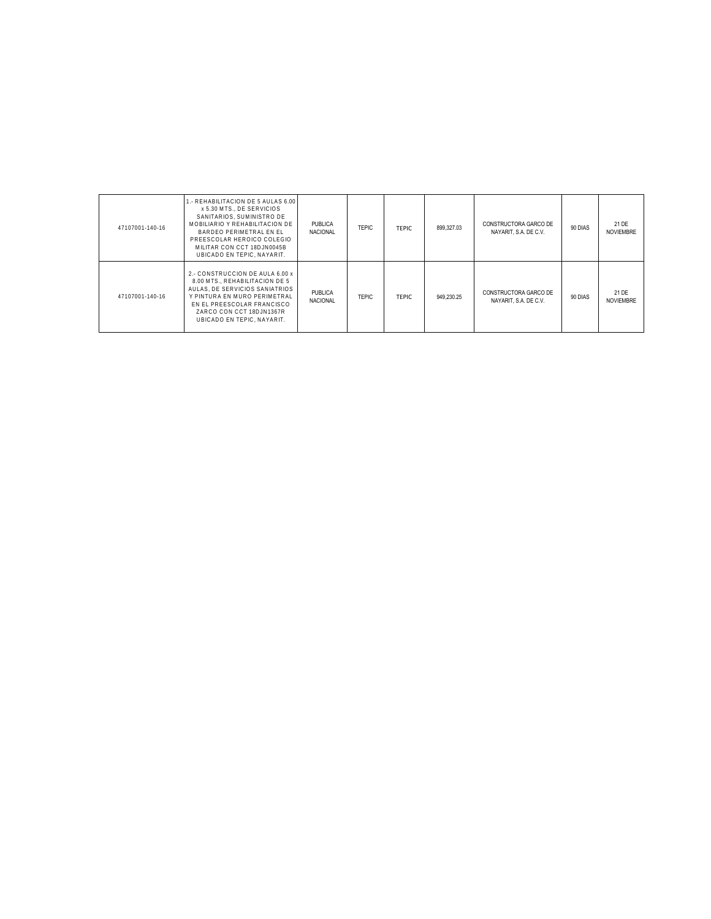| 47107001-140-16 | 1. REHABILITACION DE 5 AULAS 6.00<br>x 5.30 MTS., DE SERVICIOS<br>SANITARIOS. SUMINISTRO DE<br>MOBILIARIO Y REHABILITACION DE<br>BARDEO PERIMETRAL EN EL<br>PREESCOLAR HEROICO COLEGIO<br>MILITAR CON CCT 18DJN0045B<br>UBICADO EN TEPIC. NAYARIT. | <b>PUBLICA</b><br><b>NACIONAL</b> | <b>TEPIC</b> | TFPIC.       | 899.327.03 | CONSTRUCTORA GARCO DE<br>NAYARIT, S.A. DE C.V. | 90 DIAS | 21 DE<br><b>NOVIEMBRE</b> |
|-----------------|----------------------------------------------------------------------------------------------------------------------------------------------------------------------------------------------------------------------------------------------------|-----------------------------------|--------------|--------------|------------|------------------------------------------------|---------|---------------------------|
| 47107001-140-16 | 2.- CONSTRUCCION DE AULA 6.00 x<br>8.00 MTS., REHABILITACION DE 5<br>AULAS. DE SERVICIOS SANIATRIOS<br>Y PINTURA EN MURO PERIMETRAL<br>EN EL PREESCOLAR FRANCISCO<br>ZARCO CON CCT 18DJN1367R<br>UBICADO EN TEPIC. NAYARIT.                        | PUBLICA<br><b>NACIONAL</b>        | <b>TEPIC</b> | <b>TFPIC</b> | 949.230.25 | CONSTRUCTORA GARCO DE<br>NAYARIT, S.A. DE C.V. | 90 DIAS | 21 DE<br><b>NOVIEMBRE</b> |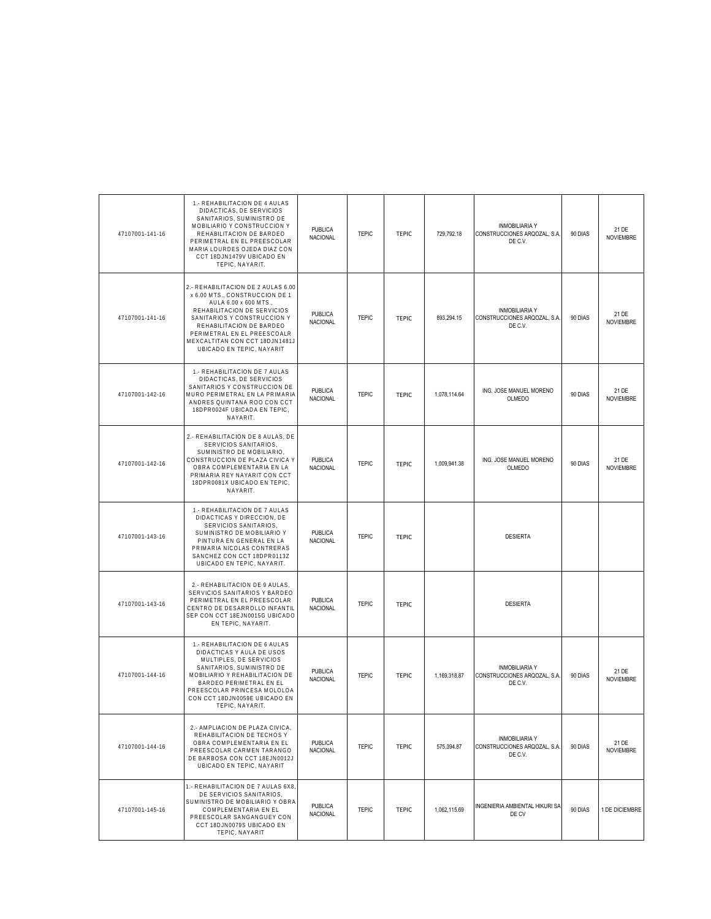| 47107001-141-16 | 1.- REHABILITACION DE 4 AULAS<br>DIDACTICAS, DE SERVICIOS<br>SANITARIOS, SUMINISTRO DE<br>MOBILIARIO Y CONSTRUCCION Y<br>REHABILITACION DE BARDEO<br>PERIMETRAL EN EL PREESCOLAR<br>MARIA LOURDES OJEDA DIAZ CON<br>CCT 18DJN1479V UBICADO EN<br>TEPIC, NAYARIT.                      | <b>PUBLICA</b><br><b>NACIONAL</b> | <b>TEPIC</b> | <b>TEPIC</b> | 729,792.18   | INMOBILIARIA Y<br>CONSTRUCCIONES ARQOZAL, S.A.<br>DE C.V.        | 90 DIAS | 21 DE<br><b>NOVIEMBRE</b> |
|-----------------|---------------------------------------------------------------------------------------------------------------------------------------------------------------------------------------------------------------------------------------------------------------------------------------|-----------------------------------|--------------|--------------|--------------|------------------------------------------------------------------|---------|---------------------------|
| 47107001-141-16 | 2.- REHABILITACION DE 2 AULAS 6.00<br>x 6.00 MTS., CONSTRUCCION DE 1<br>AULA 6.00 x 600 MTS.,<br>REHABILITACION DE SERVICIOS<br>SANITARIOS Y CONSTRUCCION Y<br>REHABILITACION DE BARDEO<br>PERIMETRAL EN EL PREESCOALR<br>MEXCALTITAN CON CCT 18DJN1481J<br>UBICADO EN TEPIC, NAYARIT | <b>PUBLICA</b><br><b>NACIONAL</b> | <b>TEPIC</b> | <b>TEPIC</b> | 893.294.15   | <b>INMOBILIARIA Y</b><br>CONSTRUCCIONES ARQOZAL, S.A.<br>DE C.V. | 90 DIAS | 21 DE<br><b>NOVIEMBRE</b> |
| 47107001-142-16 | 1.- REHABILITACION DE 7 AULAS<br>DIDACTICAS, DE SERVICIOS<br>SANITARIOS Y CONSTRUCCION DE<br>MURO PERIMETRAL EN LA PRIMARIA<br>ANDRES QUINTANA ROO CON CCT<br>18DPR0024F UBICADA EN TEPIC,<br>NAYARIT.                                                                                | <b>PUBLICA</b><br><b>NACIONAL</b> | <b>TEPIC</b> | <b>TEPIC</b> | 1,078,114.64 | ING. JOSE MANUEL MORENO<br><b>OLMEDO</b>                         | 90 DIAS | 21 DE<br><b>NOVIEMBRE</b> |
| 47107001-142-16 | 2.- REHABILITACION DE 8 AULAS, DE<br>SERVICIOS SANITARIOS,<br>SUMINISTRO DE MOBILIARIO.<br>CONSTRUCCION DE PLAZA CIVICA Y<br>OBRA COMPLEMENTARIA EN LA<br>PRIMARIA REY NAYARIT CON CCT<br>18DPR0081X UBICADO EN TEPIC,<br>NAYARIT.                                                    | PUBLICA<br><b>NACIONAL</b>        | <b>TEPIC</b> | <b>TEPIC</b> | 1,009,941.38 | ING. JOSE MANUEL MORENO<br>OLMEDO                                | 90 DIAS | 21 DE<br><b>NOVIEMBRE</b> |
| 47107001-143-16 | 1.- REHABILITACION DE 7 AULAS<br>DIDACTICAS Y DIRECCION, DE<br>SERVICIOS SANITARIOS,<br>SUMINISTRO DE MOBILIARIO Y<br>PINTURA EN GENERAL EN LA<br>PRIMARIA NICOLAS CONTRERAS<br>SANCHEZ CON CCT 18DPR0113Z<br>UBICADO EN TEPIC, NAYARIT.                                              | PUBLICA<br><b>NACIONAL</b>        | <b>TEPIC</b> | <b>TEPIC</b> |              | <b>DESIERTA</b>                                                  |         |                           |
| 47107001-143-16 | 2.- REHABILITACION DE 9 AULAS,<br>SERVICIOS SANITARIOS Y BARDEO<br>PERIMETRAL EN EL PREESCOLAR<br>CENTRO DE DESARROLLO INFANTIL<br>SEP CON CCT 18EJN0015G UBICADO<br>EN TEPIC, NAYARIT.                                                                                               | <b>PUBLICA</b><br>NACIONAL        | <b>TEPIC</b> | <b>TEPIC</b> |              | <b>DESIERTA</b>                                                  |         |                           |
| 47107001-144-16 | 1.- REHABILITACION DE 6 AULAS<br>DIDACTICAS Y AULA DE USOS<br>MULTIPLES, DE SERVICIOS<br>SANITARIOS, SUMINISTRO DE<br>MOBILIARIO Y REHABILITACION DE<br>BARDEO PERIMETRAL EN EL<br>PREESCOLAR PRINCESA MOLOLOA<br>CON CCT 18DJN0059E UBICADO EN<br>TEPIC, NAYARIT.                    | <b>PUBLICA</b><br>NACIONAL        | <b>TEPIC</b> | <b>TEPIC</b> | 1.169.318.87 | INMOBILIARIA Y<br>CONSTRUCCIONES ARQOZAL, S.A.<br>DE C.V.        | 90 DIAS | 21 DE<br><b>NOVIEMBRE</b> |
| 47107001-144-16 | 2.- AMPLIACION DE PLAZA CIVICA,<br>REHABILITACION DE TECHOS Y<br>OBRA COMPLEMENTARIA EN EL<br>PREESCOLAR CARMEN TARANGO<br>DE BARBOSA CON CCT 18EJN0012J<br>UBICADO EN TEPIC, NAYARIT                                                                                                 | <b>PUBLICA</b><br>NACIONAL        | <b>TEPIC</b> | <b>TEPIC</b> | 575,394.87   | <b>INMOBILIARIA Y</b><br>CONSTRUCCIONES ARQOZAL, S.A.<br>DE C.V. | 90 DIAS | 21 DE<br><b>NOVIEMBRE</b> |
| 47107001-145-16 | 1.- REHABILITACION DE 7 AULAS 6X8,<br>DE SERVICIOS SANITARIOS,<br>SUMINISTRO DE MOBILIARIO Y OBRA<br>COMPLEMENTARIA EN EL<br>PREESCOLAR SANGANGUEY CON<br>CCT 18DJN0079S UBICADO EN<br>TEPIC, NAYARIT                                                                                 | PUBLICA<br><b>NACIONAL</b>        | <b>TEPIC</b> | <b>TEPIC</b> | 1,062,115.69 | INGENIERIA AMBIENTAL HIKURI SA<br>DE CV                          | 90 DIAS | 1 DE DICIEMBRE            |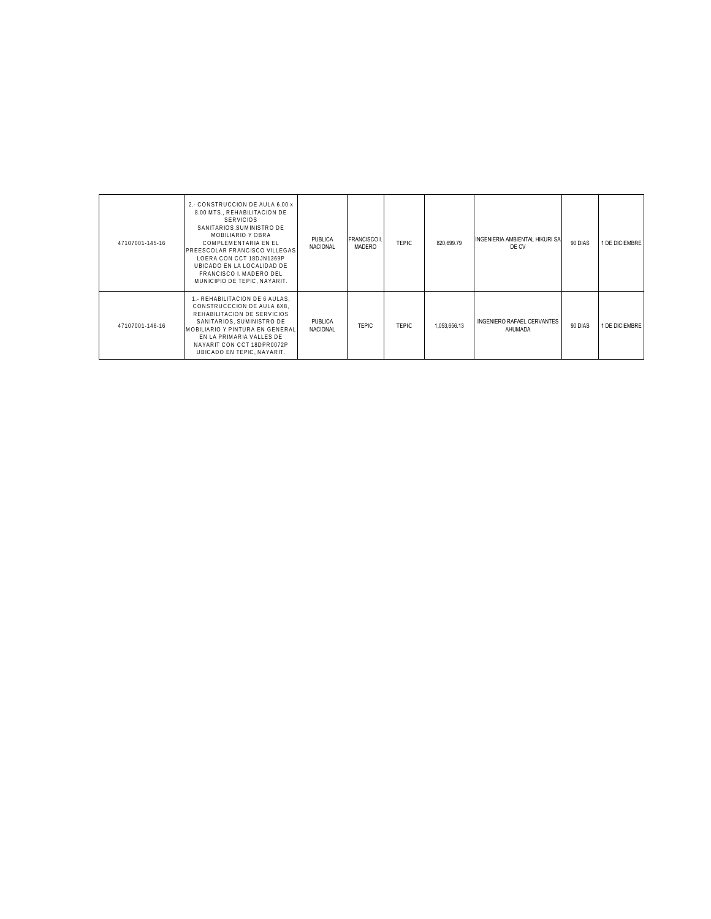| 47107001-145-16 | 2.- CONSTRUCCION DE AULA 6.00 x<br>8.00 MTS., REHABILITACION DE<br><b>SERVICIOS</b><br>SANITARIOS.SUMINISTRO DE<br>MOBILIARIO Y OBRA<br>COMPLEMENTARIA EN EL<br>PREESCOLAR FRANCISCO VILLEGAS<br>LOERA CON CCT 18DJN1369P<br>UBICADO EN LA LOCALIDAD DE<br>FRANCISCO I. MADERO DEL<br>MUNICIPIO DE TEPIC, NAYARIT. | PUBLICA<br><b>NACIONAL</b>        | <b>FRANCISCO I.</b><br><b>MADERO</b> | <b>TEPIC</b> | 820.699.79   | INGENIERIA AMBIENTAL HIKURI SA<br>DE CV | 90 DIAS | 1 DE DICIEMBRE |
|-----------------|--------------------------------------------------------------------------------------------------------------------------------------------------------------------------------------------------------------------------------------------------------------------------------------------------------------------|-----------------------------------|--------------------------------------|--------------|--------------|-----------------------------------------|---------|----------------|
| 47107001-146-16 | 1.- REHABILITACION DE 6 AULAS.<br>CONSTRUCCCION DE AULA 6X8.<br>REHABILITACION DE SERVICIOS<br>SANITARIOS, SUMINISTRO DE<br>MOBILIARIO Y PINTURA EN GENERAL<br>EN LA PRIMARIA VALLES DE<br>NAYARIT CON CCT 18DPR0072P<br>UBICADO EN TEPIC. NAYARIT.                                                                | <b>PUBLICA</b><br><b>NACIONAL</b> | <b>TEPIC</b>                         | <b>TEPIC</b> | 1,053,656.13 | INGENIERO RAFAEL CERVANTES<br>AHUMADA   | 90 DIAS | 1 DE DICIEMBRE |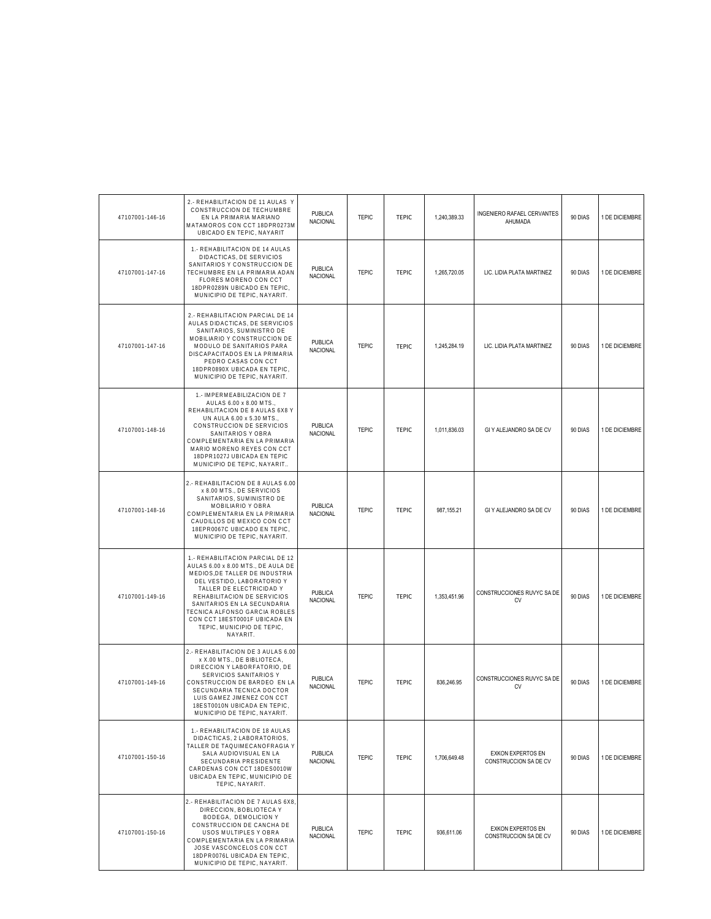| 47107001-146-16 | 2.- REHABILITACION DE 11 AULAS Y<br>CONSTRUCCION DE TECHUMBRE<br>EN LA PRIMARIA MARIANO<br>MATAMOROS CON CCT 18DPR0273M<br>UBICADO EN TEPIC. NAYARIT                                                                                                                                                                                         | <b>PUBLICA</b><br>NACIONAL        | <b>TEPIC</b> | <b>TEPIC</b> | 1,240,389.33 | INGENIERO RAFAEL CERVANTES<br>AHUMADA             | 90 DIAS | 1 DE DICIEMBRE |
|-----------------|----------------------------------------------------------------------------------------------------------------------------------------------------------------------------------------------------------------------------------------------------------------------------------------------------------------------------------------------|-----------------------------------|--------------|--------------|--------------|---------------------------------------------------|---------|----------------|
| 47107001-147-16 | 1.- REHABILITACION DE 14 AULAS<br>DIDACTICAS, DE SERVICIOS<br>SANITARIOS Y CONSTRUCCION DE<br>TECHUMBRE EN LA PRIMARIA ADAN<br>FLORES MORENO CON CCT<br>18DPR0289N UBICADO EN TEPIC,<br>MUNICIPIO DE TEPIC, NAYARIT.                                                                                                                         | PUBLICA<br><b>NACIONAL</b>        | <b>TEPIC</b> | <b>TEPIC</b> | 1,265,720.05 | LIC. LIDIA PLATA MARTINEZ                         | 90 DIAS | 1 DE DICIEMBRE |
| 47107001-147-16 | 2.- REHABILITACION PARCIAL DE 14<br>AULAS DIDACTICAS, DE SERVICIOS<br>SANITARIOS, SUMINISTRO DE<br>MOBILIARIO Y CONSTRUCCION DE<br>MODULO DE SANITARIOS PARA<br>DISCAPACITADOS EN LA PRIMARIA<br>PEDRO CASAS CON CCT<br>18DPR0890X UBICADA EN TEPIC,<br>MUNICIPIO DE TEPIC, NAYARIT.                                                         | <b>PUBLICA</b><br>NACIONAL        | <b>TEPIC</b> | <b>TEPIC</b> | 1.245.284.19 | LIC. LIDIA PLATA MARTINEZ                         | 90 DIAS | 1 DE DICIEMBRE |
| 47107001-148-16 | 1.- IMPERMEABILIZACION DE 7<br>AULAS 6.00 x 8.00 MTS.,<br>REHABILITACION DE 8 AULAS 6X8 Y<br>UN AULA 6.00 x 5.30 MTS.,<br>CONSTRUCCION DE SERVICIOS<br>SANITARIOS Y OBRA<br>COMPLEMENTARIA EN LA PRIMARIA<br>MARIO MORENO REYES CON CCT<br>18DPR1027J UBICADA EN TEPIC<br>MUNICIPIO DE TEPIC, NAYARIT                                        | <b>PUBLICA</b><br>NACIONAL        | <b>TEPIC</b> | <b>TEPIC</b> | 1,011,836.03 | GI Y ALEJANDRO SA DE CV                           | 90 DIAS | 1 DE DICIEMBRE |
| 47107001-148-16 | 2.- REHABILITACION DE 8 AULAS 6.00<br>x 8.00 MTS., DE SERVICIOS<br>SANITARIOS, SUMINISTRO DE<br>MOBILIARIO Y OBRA<br>COMPLEMENTARIA EN LA PRIMARIA<br>CAUDILLOS DE MEXICO CON CCT<br>18EPR0067C UBICADO EN TEPIC,<br>MUNICIPIO DE TEPIC, NAYARIT.                                                                                            | <b>PUBLICA</b><br>NACIONAL        | <b>TEPIC</b> | <b>TEPIC</b> | 987, 155.21  | GI Y ALEJANDRO SA DE CV                           | 90 DIAS | 1 DE DICIEMBRE |
| 47107001-149-16 | 1.- REHABILITACION PARCIAL DE 12<br>AULAS 6.00 x 8.00 MTS., DE AULA DE<br>MEDIOS, DE TALLER DE INDUSTRIA<br>DEL VESTIDO, LABORATORIO Y<br>TALLER DE ELECTRICIDAD Y<br>REHABILITACION DE SERVICIOS<br>SANITARIOS EN LA SECUNDARIA<br>TECNICA ALFONSO GARCIA ROBLES<br>CON CCT 18EST0001F UBICADA EN<br>TEPIC, MUNICIPIO DE TEPIC,<br>NAYARIT. | <b>PUBLICA</b><br><b>NACIONAL</b> | <b>TEPIC</b> | <b>TEPIC</b> | 1,353,451.96 | CONSTRUCCIONES RUVYC SA DE<br>CV                  | 90 DIAS | 1 DE DICIEMBRE |
| 47107001-149-16 | 2.- REHABILITACION DE 3 AULAS 6.00<br>x X.00 MTS., DE BIBLIOTECA,<br>DIRECCION Y LABORFATORIO, DE<br>SERVICIOS SANITARIOS Y<br>CONSTRUCCION DE BARDEO EN LA<br>SECUNDARIA TECNICA DOCTOR<br>LUIS GAMEZ JIMENEZ CON CCT<br>18EST0010N UBICADA EN TEPIC,<br>MUNICIPIO DE TEPIC, NAYARIT.                                                       | <b>PUBLICA</b><br>NACIONAL        | <b>TEPIC</b> | <b>TEPIC</b> | 836,246.95   | CONSTRUCCIONES RUVYC SA DE<br>CV                  | 90 DIAS | 1 DE DICIEMBRE |
| 47107001-150-16 | 1.- REHABILITACION DE 18 AULAS<br>DIDACTICAS, 2 LABORATORIOS,<br>TALLER DE TAQUIMECANOFRAGIA Y<br>SALA AUDIOVISUAL EN LA<br>SECUNDARIA PRESIDENTE<br>CARDENAS CON CCT 18DES0010W<br>UBICADA EN TEPIC, MUNICIPIO DE<br>TEPIC. NAYARIT.                                                                                                        | <b>PUBLICA</b><br>NACIONAL        | <b>TEPIC</b> | <b>TEPIC</b> | 1,706,649.48 | <b>EXKON EXPERTOS EN</b><br>CONSTRUCCION SA DE CV | 90 DIAS | 1 DE DICIEMBRE |
| 47107001-150-16 | 2.- REHABILITACION DE 7 AULAS 6X8<br>DIRECCION, BOBLIOTECA Y<br>BODEGA, DEMOLICION Y<br>CONSTRUCCION DE CANCHA DE<br>USOS MULTIPLES Y OBRA<br>COMPLEMENTARIA EN LA PRIMARIA<br>JOSE VASCONCELOS CON CCT<br>18DPR0076L UBICADA EN TEPIC,<br>MUNICIPIO DE TEPIC, NAYARIT.                                                                      | <b>PUBLICA</b><br>NACIONAL        | <b>TEPIC</b> | <b>TEPIC</b> | 936,611.06   | <b>EXKON EXPERTOS EN</b><br>CONSTRUCCION SA DE CV | 90 DIAS | 1 DE DICIEMBRE |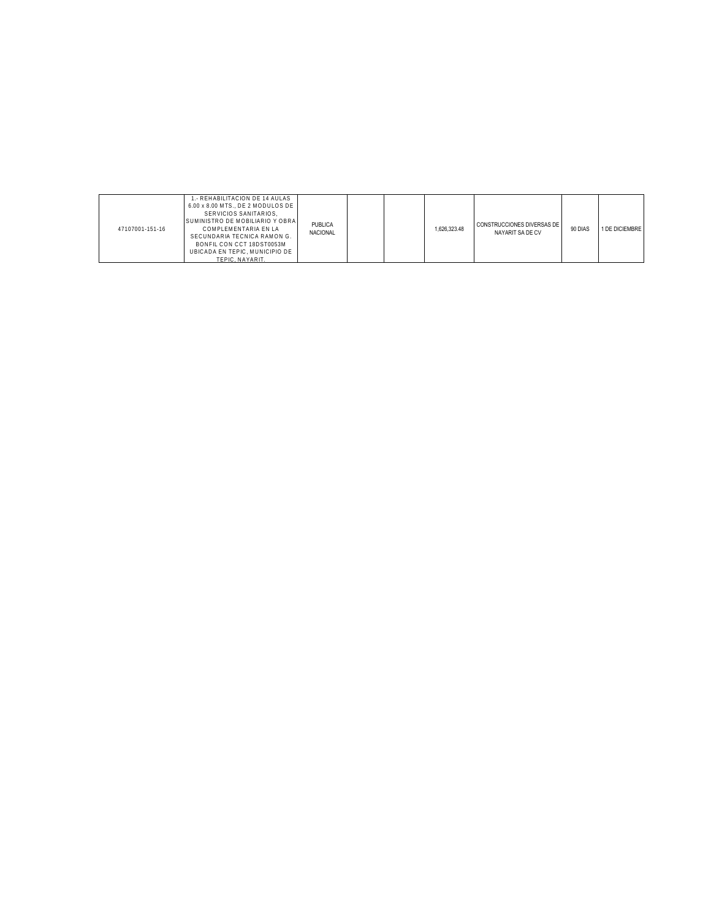| 47107001-151-16 | 1.- REHABILITACION DE 14 AULAS<br>6.00 x 8.00 MTS., DE 2 MODULOS DE<br>SERVICIOS SANITARIOS.<br>SUMINISTRO DE MOBILIARIO Y OBRA<br>COMPLEMENTARIA EN LA<br>SECUNDARIA TECNICA RAMON G.<br>BONFIL CON CCT 18DST0053M<br>UBICADA EN TEPIC, MUNICIPIO DE<br>TEPIC. NAYARIT. | PUBLICA<br>NACIONAL |  |  | 1.626.323.48 | CONSTRUCCIONES DIVERSAS DE I<br>NAYARIT SA DE CV | 90 DIAS | 1 DE DICIEMBRE |
|-----------------|--------------------------------------------------------------------------------------------------------------------------------------------------------------------------------------------------------------------------------------------------------------------------|---------------------|--|--|--------------|--------------------------------------------------|---------|----------------|
|-----------------|--------------------------------------------------------------------------------------------------------------------------------------------------------------------------------------------------------------------------------------------------------------------------|---------------------|--|--|--------------|--------------------------------------------------|---------|----------------|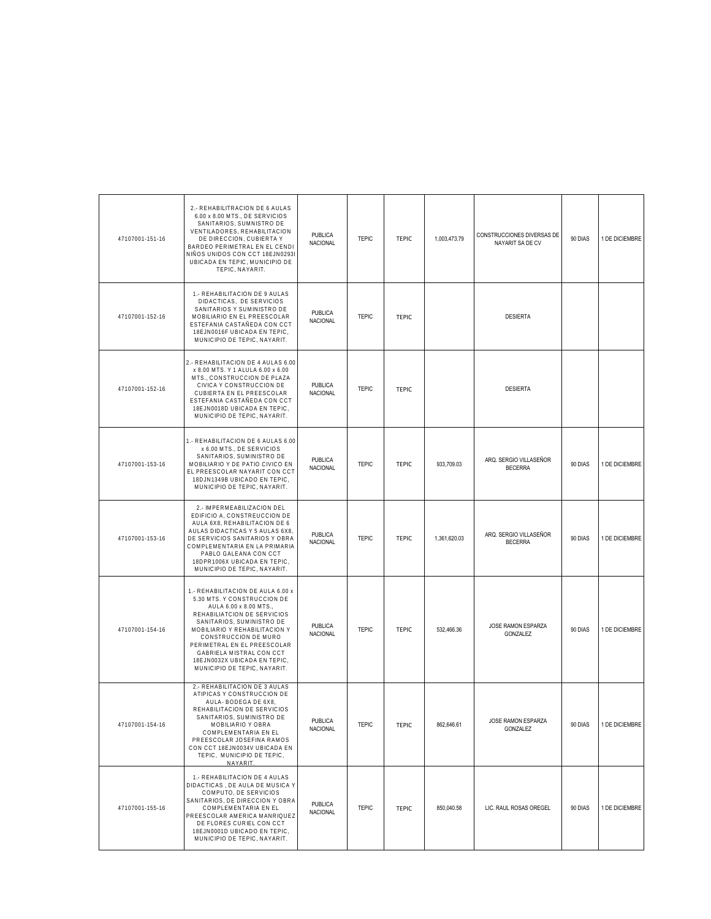| 47107001-151-16 | 2.- REHABILITRACION DE 6 AULAS<br>6.00 x 8.00 MTS., DE SERVICIOS<br>SANITARIOS, SUMNISTRO DE<br>VENTILADORES, REHABILITACION<br>DE DIRECCION, CUBIERTA Y<br>BARDEO PERIMETRAL EN EL CENDI<br>NIÑOS UNIDOS CON CCT 18EJN0293I<br>UBICADA EN TEPIC, MUNICIPIO DE<br>TEPIC, NAYARIT.                                                          | <b>PUBLICA</b><br><b>NACIONAL</b> | <b>TEPIC</b> | <b>TEPIC</b> | 1,003,473.79 | CONSTRUCCIONES DIVERSAS DE<br>NAYARIT SA DE CV | 90 DIAS | 1 DE DICIEMBRE |
|-----------------|--------------------------------------------------------------------------------------------------------------------------------------------------------------------------------------------------------------------------------------------------------------------------------------------------------------------------------------------|-----------------------------------|--------------|--------------|--------------|------------------------------------------------|---------|----------------|
| 47107001-152-16 | 1.- REHABILITACION DE 9 AULAS<br>DIDACTICAS, DE SERVICIOS<br>SANITARIOS Y SUMINISTRO DE<br>MOBILIARIO EN EL PREESCOLAR<br>ESTEFANIA CASTAÑEDA CON CCT<br>18EJN0016F UBICADA EN TEPIC.<br>MUNICIPIO DE TEPIC, NAYARIT.                                                                                                                      | PUBLICA<br>NACIONAL               | <b>TEPIC</b> | <b>TEPIC</b> |              | <b>DESIERTA</b>                                |         |                |
| 47107001-152-16 | 2.- REHABILITACION DE 4 AULAS 6.00<br>x 8.00 MTS. Y 1 ALULA 6.00 x 6.00<br>MTS., CONSTRUCCION DE PLAZA<br>CIVICA Y CONSTRUCCION DE<br>CUBIERTA EN EL PREESCOLAR<br>ESTEFANIA CASTAÑEDA CON CCT<br>18EJN0018D UBICADA EN TEPIC,<br>MUNICIPIO DE TEPIC, NAYARIT.                                                                             | <b>PUBLICA</b><br><b>NACIONAL</b> | <b>TEPIC</b> | <b>TEPIC</b> |              | <b>DESIERTA</b>                                |         |                |
| 47107001-153-16 | 1.- REHABILITACION DE 6 AULAS 6.00<br>x 6.00 MTS., DE SERVICIOS<br>SANITARIOS, SUMINISTRO DE<br>MOBILIARIO Y DE PATIO CIVICO EN<br>EL PREESCOLAR NAYARIT CON CCT<br>18DJN1349B UBICADO EN TEPIC,<br>MUNICIPIO DE TEPIC, NAYARIT.                                                                                                           | <b>PUBLICA</b><br><b>NACIONAL</b> | <b>TEPIC</b> | <b>TEPIC</b> | 933,709.03   | ARQ. SERGIO VILLASEÑOR<br><b>BECERRA</b>       | 90 DIAS | 1 DE DICIEMBRE |
| 47107001-153-16 | 2.- IMPERMEABILIZACION DEL<br>EDIFICIO A, CONSTREUCCION DE<br>AULA 6X8, REHABILITACION DE 6<br>AULAS DIDACTICAS Y 5 AULAS 6X8,<br>DE SERVICIOS SANITARIOS Y OBRA<br>COMPLEMENTARIA EN LA PRIMARIA<br>PABLO GALEANA CON CCT<br>18DPR1006X UBICADA EN TEPIC,<br>MUNICIPIO DE TEPIC, NAYARIT.                                                 | <b>PUBLICA</b><br><b>NACIONAL</b> | <b>TEPIC</b> | <b>TEPIC</b> | 1,361,620.03 | ARQ. SERGIO VILLASEÑOR<br><b>BECERRA</b>       | 90 DIAS | 1 DE DICIEMBRE |
| 47107001-154-16 | 1.- REHABILITACION DE AULA 6.00 x<br>5.30 MTS. Y CONSTRUCCION DE<br>AULA 6.00 x 8.00 MTS.,<br>REHABILIATCION DE SERVICIOS<br>SANITARIOS, SUMINISTRO DE<br>MOBILIARIO Y REHABILITACION Y<br>CONSTRUCCION DE MURO<br>PERIMETRAL EN EL PREESCOLAR<br>GABRIELA MISTRAL CON CCT<br>18EJN0032X UBICADA EN TEPIC,<br>MUNICIPIO DE TEPIC, NAYARIT. | <b>PUBLICA</b><br>NACIONAL        | <b>TEPIC</b> | <b>TEPIC</b> | 532,466.36   | JOSE RAMON ESPARZA<br>GONZALEZ                 | 90 DIAS | 1 DE DICIEMBRE |
| 47107001-154-16 | 2.- REHABILITACION DE 3 AULAS<br>ATIPICAS Y CONSTRUCCION DE<br>AULA- BODEGA DE 6X8,<br>REHABILITACION DE SERVICIOS<br>SANITARIOS, SUMINISTRO DE<br>MOBILIARIO Y OBRA<br>COMPLEMENTARIA EN EL<br>PREESCOLAR JOSEFINA RAMOS<br>CON CCT 18EJN0034V UBICADA EN<br>TEPIC, MUNICIPIO DE TEPIC,<br>NAYARIT.                                       | PUBLICA<br><b>NACIONAL</b>        | <b>TEPIC</b> | <b>TEPIC</b> | 862,646.61   | JOSE RAMON ESPARZA<br>GONZALEZ                 | 90 DIAS | 1 DE DICIEMBRE |
| 47107001-155-16 | 1.- REHABILITACION DE 4 AULAS<br>DIDACTICAS, DE AULA DE MUSICA Y<br>COMPUTO, DE SERVICIOS<br>SANITARIOS, DE DIRECCION Y OBRA<br>COMPLEMENTARIA EN EL<br>PREESCOLAR AMERICA MANRIQUEZ<br>DE FLORES CURIEL CON CCT<br>18EJN0001D UBICADO EN TEPIC.<br>MUNICIPIO DE TEPIC, NAYARIT.                                                           | <b>PUBLICA</b><br><b>NACIONAL</b> | <b>TEPIC</b> | <b>TEPIC</b> | 850,040.58   | LIC. RAUL ROSAS OREGEL                         | 90 DIAS | 1 DE DICIEMBRE |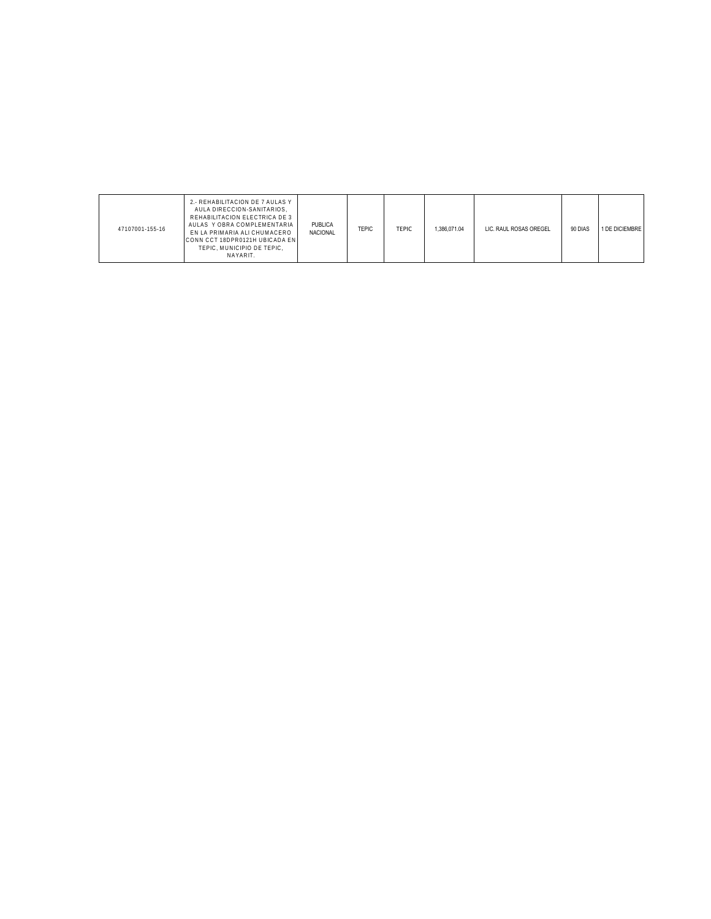| 47107001-155-16 | 2. - REHABILITACION DE 7 AULAS Y<br>AULA DIRECCION-SANITARIOS.<br>REHABILITACION ELECTRICA DE 3<br>AULAS Y OBRA COMPLEMENTARIA<br>EN LA PRIMARIA ALI CHUMACERO<br>CONN CCT 18DPR0121H UBICADA EN<br>TEPIC, MUNICIPIO DE TEPIC,<br>NAYARIT. | PUBLICA<br><b>NACIONAL</b> | <b>TEPIC</b> | TEPIC | .386.071.04 | LIC. RAUL ROSAS OREGEL | 90 DIAS | 1 DE DICIEMBRE |
|-----------------|--------------------------------------------------------------------------------------------------------------------------------------------------------------------------------------------------------------------------------------------|----------------------------|--------------|-------|-------------|------------------------|---------|----------------|
|-----------------|--------------------------------------------------------------------------------------------------------------------------------------------------------------------------------------------------------------------------------------------|----------------------------|--------------|-------|-------------|------------------------|---------|----------------|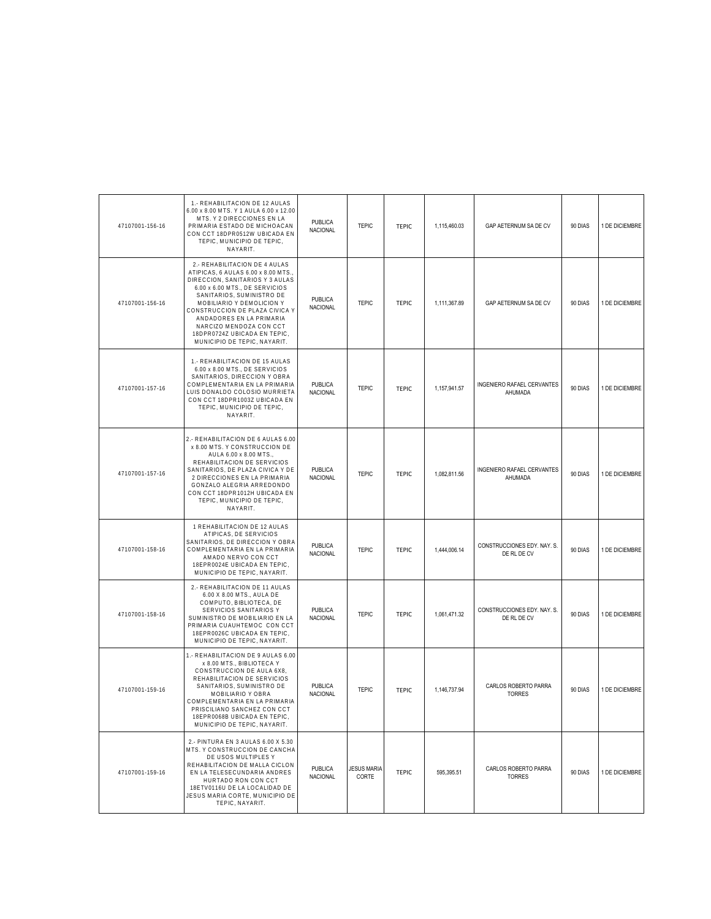| 47107001-156-16 | 1.- REHABILITACION DE 12 AULAS<br>6.00 x 8.00 MTS. Y 1 AULA 6.00 x 12.00<br>MTS. Y 2 DIRECCIONES EN LA<br>PRIMARIA ESTADO DE MICHOACAN<br>CON CCT 18DPR0512W UBICADA EN<br>TEPIC, MUNICIPIO DE TEPIC,<br>NAYARIT.                                                                                                                                           | PUBLICA<br><b>NACIONAL</b>        | <b>TEPIC</b>                | <b>TEPIC</b> | 1,115,460.03 | GAP AETERNUM SA DE CV                      | 90 DIAS | 1 DE DICIEMBRE |
|-----------------|-------------------------------------------------------------------------------------------------------------------------------------------------------------------------------------------------------------------------------------------------------------------------------------------------------------------------------------------------------------|-----------------------------------|-----------------------------|--------------|--------------|--------------------------------------------|---------|----------------|
| 47107001-156-16 | 2.- REHABILITACION DE 4 AULAS<br>ATIPICAS, 6 AULAS 6.00 x 8.00 MTS.<br>DIRECCION, SANITARIOS Y 3 AULAS<br>6.00 x 6.00 MTS., DE SERVICIOS<br>SANITARIOS, SUMINISTRO DE<br>MOBILIARIO Y DEMOLICION Y<br>CONSTRUCCION DE PLAZA CIVICA Y<br>ANDADORES EN LA PRIMARIA<br>NARCIZO MENDOZA CON CCT<br>18DPR0724Z UBICADA EN TEPIC,<br>MUNICIPIO DE TEPIC, NAYARIT. | <b>PUBLICA</b><br>NACIONAL        | <b>TEPIC</b>                | <b>TEPIC</b> | 1,111,367.89 | GAP AETERNUM SA DE CV                      | 90 DIAS | 1 DE DICIEMBRE |
| 47107001-157-16 | 1.- REHABILITACION DE 15 AULAS<br>6.00 x 8.00 MTS., DE SERVICIOS<br>SANITARIOS, DIRECCION Y OBRA<br>COMPLEMENTARIA EN LA PRIMARIA<br>LUIS DONALDO COLOSIO MURRIETA<br>CON CCT 18DPR1003Z UBICADA EN<br>TEPIC, MUNICIPIO DE TEPIC,<br>NAYARIT.                                                                                                               | <b>PUBLICA</b><br>NACIONAL        | <b>TEPIC</b>                | <b>TEPIC</b> | 1,157,941.57 | INGENIERO RAFAEL CERVANTES<br>AHUMADA      | 90 DIAS | 1 DE DICIEMBRE |
| 47107001-157-16 | 2.- REHABILITACION DE 6 AULAS 6.00<br>x 8.00 MTS. Y CONSTRUCCION DE<br>AULA 6.00 x 8.00 MTS.,<br>REHABILITACION DE SERVICIOS<br>SANITARIOS, DE PLAZA CIVICA Y DE<br>2 DIRECCIONES EN LA PRIMARIA<br>GONZALO ALEGRIA ARREDONDO<br>CON CCT 18DPR1012H UBICADA EN<br>TEPIC, MUNICIPIO DE TEPIC,<br>NAYARIT.                                                    | <b>PUBLICA</b><br>NACIONAL        | <b>TEPIC</b>                | <b>TEPIC</b> | 1,082,811.56 | INGENIERO RAFAEL CERVANTES<br>AHUMADA      | 90 DIAS | 1 DE DICIEMBRE |
| 47107001-158-16 | 1 REHABILITACION DE 12 AULAS<br>ATIPICAS, DE SERVICIOS<br>SANITARIOS, DE DIRECCION Y OBRA<br>COMPLEMENTARIA EN LA PRIMARIA<br>AMADO NERVO CON CCT<br>18EPR0024E UBICADA EN TEPIC,<br>MUNICIPIO DE TEPIC, NAYARIT.                                                                                                                                           | <b>PUBLICA</b><br><b>NACIONAL</b> | <b>TEPIC</b>                | <b>TEPIC</b> | 1,444,006.14 | CONSTRUCCIONES EDY. NAY. S.<br>DE RL DE CV | 90 DIAS | 1 DE DICIEMBRE |
| 47107001-158-16 | 2.- REHABILITACION DE 11 AULAS<br>6.00 X 8.00 MTS., AULA DE<br>COMPUTO, BIBLIOTECA, DE<br>SERVICIOS SANITARIOS Y<br>SUMINISTRO DE MOBILIARIO EN LA<br>PRIMARIA CUAUHTEMOC CON CCT<br>18EPR0026C UBICADA EN TEPIC,<br>MUNICIPIO DE TEPIC, NAYARIT.                                                                                                           | PUBLICA<br><b>NACIONAL</b>        | <b>TEPIC</b>                | <b>TEPIC</b> | 1,061,471.32 | CONSTRUCCIONES EDY. NAY. S.<br>DE RL DE CV | 90 DIAS | 1 DE DICIEMBRE |
| 47107001-159-16 | 1.- REHABILITACION DE 9 AULAS 6.00<br>x 8.00 MTS., BIBLIOTECA Y<br>CONSTRUCCION DE AULA 6X8,<br>REHABILITACION DE SERVICIOS<br>SANITARIOS, SUMINISTRO DE<br>MOBILIARIO Y OBRA<br>COMPLEMENTARIA EN LA PRIMARIA<br>PRISCILIANO SANCHEZ CON CCT<br>18EPR0068B UBICADA EN TEPIC,<br>MUNICIPIO DE TEPIC, NAYARIT.                                               | <b>PUBLICA</b><br>NACIONAL        | <b>TEPIC</b>                | <b>TEPIC</b> | 1,146,737.94 | CARLOS ROBERTO PARRA<br><b>TORRES</b>      | 90 DIAS | 1 DE DICIEMBRE |
| 47107001-159-16 | 2.- PINTURA EN 3 AULAS 6.00 X 5.30<br>MTS. Y CONSTRUCCION DE CANCHA<br>DE USOS MULTIPLES Y<br>REHABILITACION DE MALLA CICLON<br>EN LA TELESECUNDARIA ANDRES<br>HURTADO RON CON CCT<br>18ETV0116U DE LA LOCALIDAD DE<br>JESUS MARIA CORTE, MUNICIPIO DE<br>TEPIC, NAYARIT.                                                                                   | <b>PUBLICA</b><br><b>NACIONAL</b> | <b>JESUS MARIA</b><br>CORTE | <b>TEPIC</b> | 595,395.51   | CARLOS ROBERTO PARRA<br><b>TORRES</b>      | 90 DIAS | 1 DE DICIEMBRE |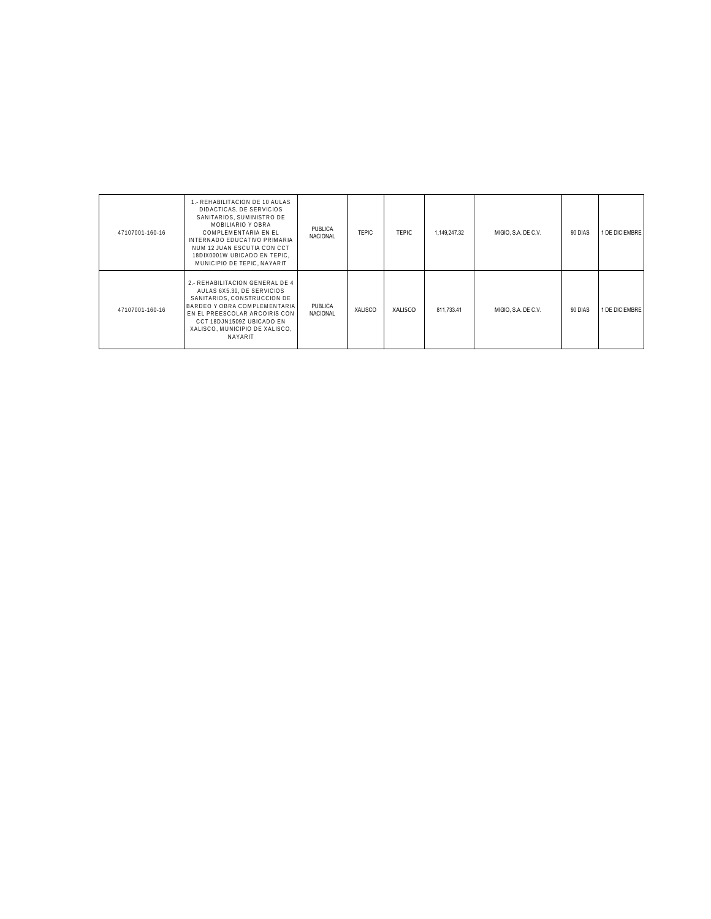| 47107001-160-16 | 1.- REHABILITACION DE 10 AULAS<br>DIDACTICAS, DE SERVICIOS<br>SANITARIOS, SUMINISTRO DE<br>MOBILIARIO Y OBRA<br>COMPLEMENTARIA EN EL<br>INTERNADO EDUCATIVO PRIMARIA<br>NUM 12 JUAN ESCUTIA CON CCT<br>18DIX0001W UBICADO EN TEPIC.<br>MUNICIPIO DE TEPIC. NAYARIT | PUBLICA<br><b>NACIONAL</b> | <b>TEPIC</b> | TEPIC   | 1,149,247.32 | MIGIO, S.A. DE C.V. | 90 DIAS | <b>I DE DICIEMBRE</b> |
|-----------------|--------------------------------------------------------------------------------------------------------------------------------------------------------------------------------------------------------------------------------------------------------------------|----------------------------|--------------|---------|--------------|---------------------|---------|-----------------------|
| 47107001-160-16 | 2.- REHABILITACION GENERAL DE 4<br>AULAS 6X5.30. DE SERVICIOS<br>SANITARIOS, CONSTRUCCION DE<br>BARDEO Y OBRA COMPLEMENTARIA<br>EN EL PREESCOLAR ARCOIRIS CON<br>CCT 18DJN1509Z UBICADO EN<br>XALISCO. MUNICIPIO DE XALISCO.<br><b>NAYARIT</b>                     | PUBLICA<br><b>NACIONAL</b> | XALISCO      | XALISCO | 811.733.41   | MIGIO, S.A. DE C.V. | 90 DIAS | 1 DE DICIEMBRE        |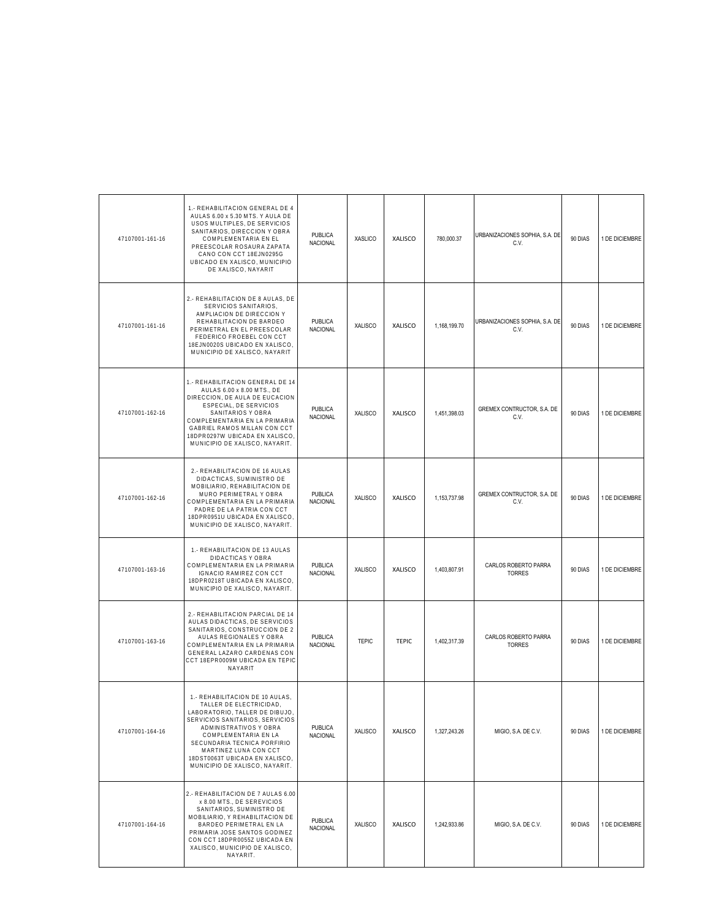| 47107001-161-16 | 1.- REHABILITACION GENERAL DE 4<br>AULAS 6.00 x 5.30 MTS. Y AULA DE<br>USOS MULTIPLES, DE SERVICIOS<br>SANITARIOS, DIRECCION Y OBRA<br>COMPLEMENTARIA EN EL<br>PREESCOLAR ROSAURA ZAPATA<br>CANO CON CCT 18EJN0295G<br>UBICADO EN XALISCO, MUNICIPIO<br>DE XALISCO, NAYARIT                                   | PUBLICA<br><b>NACIONAL</b>        | <b>XASLICO</b> | <b>XALISCO</b> | 780,000.37   | URBANIZACIONES SOPHIA, S.A. DE<br>C.V. | 90 DIAS | 1 DE DICIEMBRE |
|-----------------|---------------------------------------------------------------------------------------------------------------------------------------------------------------------------------------------------------------------------------------------------------------------------------------------------------------|-----------------------------------|----------------|----------------|--------------|----------------------------------------|---------|----------------|
| 47107001-161-16 | 2.- REHABILITACION DE 8 AULAS, DE<br>SERVICIOS SANITARIOS,<br>AMPLIACION DE DIRECCION Y<br>REHABILITACION DE BARDEO<br>PERIMETRAL EN EL PREESCOLAR<br>FEDERICO FROEBEL CON CCT<br>18EJN0020S UBICADO EN XALISCO,<br>MUNICIPIO DE XALISCO, NAYARIT                                                             | PUBLICA<br>NACIONAL               | XALISCO        | XALISCO        | 1,168,199.70 | URBANIZACIONES SOPHIA, S.A. DE<br>C.V. | 90 DIAS | 1 DE DICIEMBRE |
| 47107001-162-16 | 1.- REHABILITACION GENERAL DE 14<br>AULAS 6.00 x 8.00 MTS., DE<br>DIRECCION, DE AULA DE EUCACION<br>ESPECIAL, DE SERVICIOS<br>SANITARIOS Y OBRA<br>COMPLEMENTARIA EN LA PRIMARIA<br>GABRIEL RAMOS MILLAN CON CCT<br>18DPR0297W UBICADA EN XALISCO<br>MUNICIPIO DE XALISCO, NAYARIT.                           | <b>PUBLICA</b><br>NACIONAL        | <b>XALISCO</b> | XALISCO        | 1,451,398.03 | GREMEX CONTRUCTOR, S.A. DE<br>C.V.     | 90 DIAS | 1 DE DICIEMBRE |
| 47107001-162-16 | 2.- REHABILITACION DE 16 AULAS<br>DIDACTICAS, SUMINISTRO DE<br>MOBILIARIO, REHABILITACION DE<br>MURO PERIMETRAL Y OBRA<br>COMPLEMENTARIA EN LA PRIMARIA<br>PADRE DE LA PATRIA CON CCT<br>18DPR0951U UBICADA EN XALISCO<br>MUNICIPIO DE XALISCO, NAYARIT.                                                      | <b>PUBLICA</b><br><b>NACIONAL</b> | <b>XALISCO</b> | XALISCO        | 1,153,737.98 | GREMEX CONTRUCTOR, S.A. DE<br>C.V.     | 90 DIAS | 1 DE DICIEMBRE |
| 47107001-163-16 | 1.- REHABILITACION DE 13 AULAS<br>DIDACTICAS Y OBRA<br>COMPLEMENTARIA EN LA PRIMARIA<br>IGNACIO RAMIREZ CON CCT<br>18DPR0218T UBICADA EN XALISCO<br>MUNICIPIO DE XALISCO, NAYARIT.                                                                                                                            | <b>PUBLICA</b><br><b>NACIONAL</b> | <b>XALISCO</b> | XALISCO        | 1,403,807.91 | CARLOS ROBERTO PARRA<br><b>TORRES</b>  | 90 DIAS | 1 DE DICIEMBRE |
| 47107001-163-16 | 2.- REHABILITACION PARCIAL DE 14<br>AULAS DIDACTICAS, DE SERVICIOS<br>SANITARIOS, CONSTRUCCION DE 2<br>AULAS REGIONALES Y OBRA<br>COMPLEMENTARIA EN LA PRIMARIA<br>GENERAL LAZARO CARDENAS CON<br>CCT 18EPR0009M UBICADA EN TEPIC<br>NAYARIT                                                                  | <b>PUBLICA</b><br><b>NACIONAL</b> | <b>TEPIC</b>   | <b>TEPIC</b>   | 1,402,317.39 | CARLOS ROBERTO PARRA<br><b>TORRES</b>  | 90 DIAS | 1 DE DICIEMBRE |
| 47107001-164-16 | 1.- REHABILITACION DE 10 AULAS.<br>TALLER DE ELECTRICIDAD,<br>LABORATORIO, TALLER DE DIBUJO,<br>SERVICIOS SANITARIOS, SERVICIOS<br>ADMINISTRATIVOS Y OBRA<br>COMPLEMENTARIA EN LA<br>SECUNDARIA TECNICA PORFIRIO<br>MARTINEZ LUNA CON CCT<br>18DST0063T UBICADA EN XALISCO,<br>MUNICIPIO DE XALISCO, NAYARIT. | <b>PUBLICA</b><br><b>NACIONAL</b> | XALISCO        | XALISCO        | 1,327,243.26 | MIGIO, S.A. DE C.V.                    | 90 DIAS | 1 DE DICIEMBRE |
| 47107001-164-16 | 2.- REHABILITACION DE 7 AULAS 6.00<br>x 8.00 MTS., DE SEREVICIOS<br>SANITARIOS, SUMINISTRO DE<br>MOBILIARIO, Y REHABILITACION DE<br>BARDEO PERIMETRAL EN LA<br>PRIMARIA JOSE SANTOS GODINEZ<br>CON CCT 18DPR0055Z UBICADA EN<br>XALISCO, MUNICIPIO DE XALISCO,<br>NAYARIT.                                    | <b>PUBLICA</b><br>NACIONAL        | <b>XALISCO</b> | XALISCO        | 1,242,933.86 | MIGIO, S.A. DE C.V.                    | 90 DIAS | 1 DE DICIEMBRE |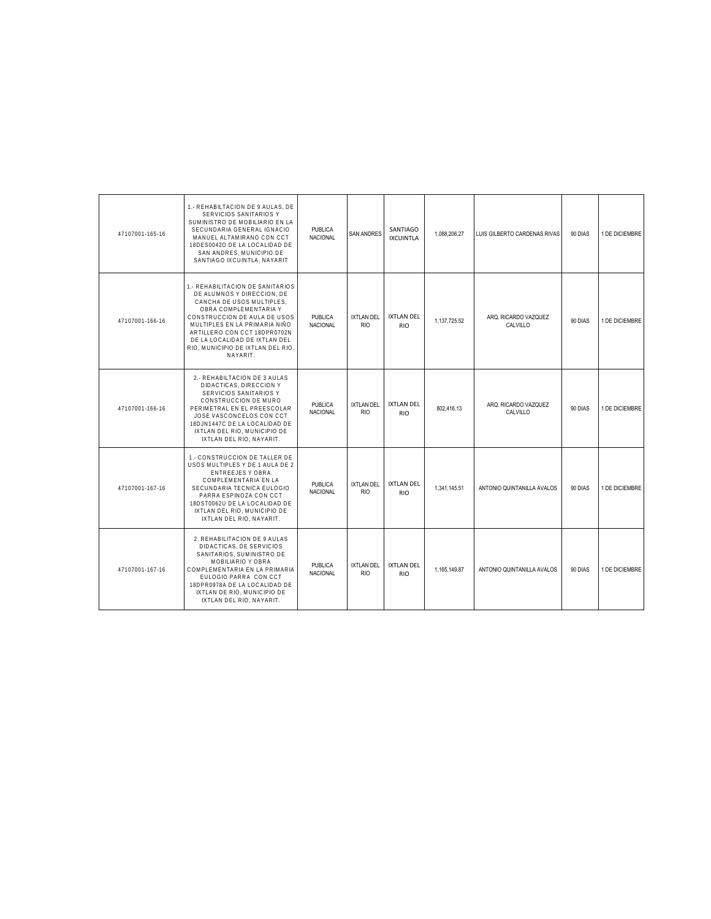| 47107001-165-16 | 1.- REHABILTACION DE 9 AULAS. DE<br>SERVICIOS SANITARIOS Y<br>SUMINISTRO DE MOBILIARIO EN LA<br>SECUNDARIA GENERAL IGNACIO<br>MANUEL ALTAMIRANO CON CCT<br>18DES0042O DE LA LOCALIDAD DE<br>SAN ANDRES, MUNICIPIO DE<br>SANTIAGO IXCUINTLA, NAYARIT                                                     | <b>PUBLICA</b><br><b>NACIONAL</b> | <b>SAN ANDRES</b>               | SANTIAGO<br><b>IXCUINTLA</b>    | 1,088,206.27 | LUIS GILBERTO CARDENAS RIVAS     | 90 DIAS | 1 DE DICIEMBRE |
|-----------------|---------------------------------------------------------------------------------------------------------------------------------------------------------------------------------------------------------------------------------------------------------------------------------------------------------|-----------------------------------|---------------------------------|---------------------------------|--------------|----------------------------------|---------|----------------|
| 47107001-166-16 | 1.- REHABILITACION DE SANITARIOS<br>DE ALUMNOS Y DIRECCION. DE<br>CANCHA DE USOS MULTIPLES,<br>OBRA COMPLEMENTARIA Y<br>CONSTRUCCION DE AULA DE USOS<br>MULTIPLES EN LA PRIMARIA NIÑO<br>ARTILLERO CON CCT 18DPR0702N<br>DE LA LOCALIDAD DE IXTLAN DEL<br>RIO. MUNICIPIO DE IXTLAN DEL RIO.<br>NAYARIT. | <b>PUBLICA</b><br><b>NACIONAL</b> | <b>IXTLAN DEL</b><br><b>RIO</b> | <b>IXTLAN DEL</b><br><b>RIO</b> | 1,137,725.52 | ARQ. RICARDO VAZQUEZ<br>CALVILLO | 90 DIAS | 1 DE DICIEMBRE |
| 47107001-166-16 | 2.- REHABILTACION DE 3 AULAS<br>DIDACTICAS, DIRECCION Y<br>SERVICIOS SANITARIOS Y<br>CONSTRUCCION DE MURO<br>PERIMETRAL EN EL PREESCOLAR<br>JOSE VASCONCELOS CON CCT<br>18DJN1447C DE LA LOCALIDAD DE<br>IXTLAN DEL RIO. MUNICIPIO DE<br>IXTLAN DEL RIO, NAYARIT.                                       | <b>PUBLICA</b><br><b>NACIONAL</b> | <b>IXTLAN DEL</b><br><b>RIO</b> | <b>IXTLAN DEL</b><br><b>RIO</b> | 802.416.13   | ARQ. RICARDO VAZQUEZ<br>CALVILLO | 90 DIAS | 1 DE DICIEMBRE |
| 47107001-167-16 | 1.- CONSTRUCCION DE TALLER DE<br>USOS MULTIPLES Y DE 1 AULA DE 2<br>ENTREEJES Y OBRA<br>COMPLEMENTARIA EN LA<br>SECUNDARIA TECNICA EULOGIO<br>PARRA ESPINOZA CON CCT<br>18DST0062U DE LA LOCALIDAD DE<br>IXTLAN DEL RIO. MUNICIPIO DE<br>IXTLAN DEL RIO, NAYARIT.                                       | <b>PUBLICA</b><br><b>NACIONAL</b> | <b>IXTLAN DEL</b><br><b>RIO</b> | <b>IXTLAN DEL</b><br><b>RIO</b> | 1,341,145.51 | ANTONIO QUINTANILLA AVALOS       | 90 DIAS | 1 DE DICIEMBRE |
| 47107001-167-16 | 2. REHABILITACION DE 9 AULAS<br>DIDACTICAS, DE SERVICIOS<br>SANITARIOS, SUMINISTRO DE<br>MOBILIARIO Y OBRA<br>COMPLEMENTARIA EN LA PRIMARIA<br>EULOGIO PARRA CON CCT<br>18DPR0978A DE LA LOCALIDAD DE<br>IXTLAN DE RIO. MUNICIPIO DE<br>IXTLAN DEL RIO, NAYARIT.                                        | <b>PUBLICA</b><br><b>NACIONAL</b> | <b>IXTLAN DEL</b><br><b>RIO</b> | <b>IXTLAN DEL</b><br><b>RIO</b> | 1,165,149.87 | ANTONIO QUINTANILLA AVALOS       | 90 DIAS | 1 DE DICIEMBRE |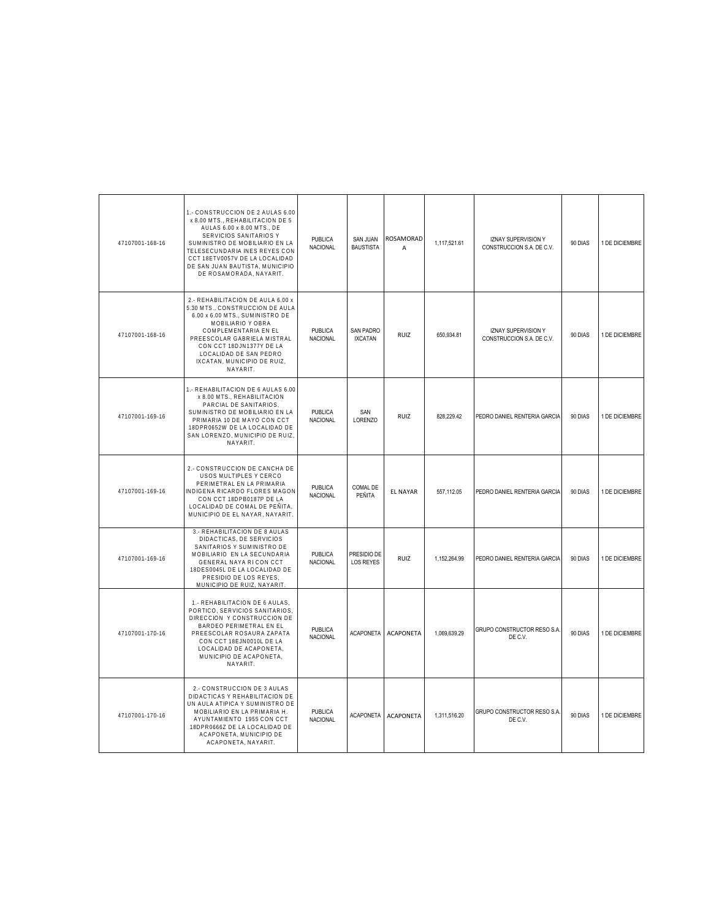| 47107001-168-16 | 1.- CONSTRUCCION DE 2 AULAS 6.00<br>x 8.00 MTS., REHABILITACION DE 5<br>AULAS 6.00 x 8.00 MTS., DE<br>SERVICIOS SANITARIOS Y<br>SUMINISTRO DE MOBILIARIO EN LA<br>TELESECUNDARIA INES REYES CON<br>CCT 18ETV0057V DE LA LOCALIDAD<br>DE SAN JUAN BAUTISTA, MUNICIPIO<br>DE ROSAMORADA, NAYARIT. | PUBLICA<br>NACIONAL        | <b>SAN JUAN</b><br><b>BAUSTISTA</b> | ROSAMORAD<br>$\Delta$ | 1,117,521.61 | <b>IZNAY SUPERVISION Y</b><br>CONSTRUCCION S.A. DE C.V. | 90 DIAS | 1 DE DICIEMBRE |
|-----------------|-------------------------------------------------------------------------------------------------------------------------------------------------------------------------------------------------------------------------------------------------------------------------------------------------|----------------------------|-------------------------------------|-----------------------|--------------|---------------------------------------------------------|---------|----------------|
| 47107001-168-16 | 2.- REHABILITACION DE AULA 6.00 x<br>5.30 MTS., CONSTRUCCION DE AULA<br>6.00 x 6.00 MTS., SUMINISTRO DE<br>MOBILIARIO Y OBRA<br>COMPLEMENTARIA EN EL<br>PREESCOLAR GABRIELA MISTRAL<br>CON CCT 18DJN1377Y DE LA<br>LOCALIDAD DE SAN PEDRO<br>IXCATAN, MUNICIPIO DE RUIZ,<br>NAYARIT.            | <b>PUBLICA</b><br>NACIONAL | SAN PADRO<br><b>IXCATAN</b>         | RUIZ                  | 650,934.81   | <b>IZNAY SUPERVISION Y</b><br>CONSTRUCCION S.A. DE C.V. | 90 DIAS | 1 DE DICIEMBRE |
| 47107001-169-16 | 1.- REHABILITACION DE 6 AULAS 6.00<br>x 8.00 MTS., REHABILITACION<br>PARCIAL DE SANITARIOS,<br>SUMINISTRO DE MOBILIARIO EN LA<br>PRIMARIA 10 DE MAYO CON CCT<br>18DPR0652W DE LA LOCALIDAD DE<br>SAN LORENZO, MUNICIPIO DE RUIZ,<br>NAYARIT.                                                    | <b>PUBLICA</b><br>NACIONAL | SAN<br><b>LORENZO</b>               | RUIZ                  | 828,229.42   | PEDRO DANIEL RENTERIA GARCIA                            | 90 DIAS | 1 DE DICIEMBRE |
| 47107001-169-16 | 2.- CONSTRUCCION DE CANCHA DE<br>USOS MULTIPLES Y CERCO<br>PERIMETRAL EN LA PRIMARIA<br>INDIGENA RICARDO FLORES MAGON<br>CON CCT 18DPB0187P DE LA<br>LOCALIDAD DE COMAL DE PEÑITA,<br>MUNICIPIO DE EL NAYAR, NAYARIT.                                                                           | PUBLICA<br>NACIONAL        | COMAL DE<br>PEÑITA                  | <b>EL NAYAR</b>       | 557,112.05   | PEDRO DANIEL RENTERIA GARCIA                            | 90 DIAS | 1 DE DICIEMBRE |
| 47107001-169-16 | 3.- REHABILITACION DE 8 AULAS<br>DIDACTICAS. DE SERVICIOS<br>SANITARIOS Y SUMINISTRO DE<br>MOBILIARIO EN LA SECUNDARIA<br>GENERAL NAYA RI CON CCT<br>18DES0045L DE LA LOCALIDAD DE<br>PRESIDIO DE LOS REYES,<br>MUNICIPIO DE RUIZ, NAYARIT                                                      | PUBLICA<br>NACIONAL        | PRESIDIO DE<br>LOS REYES            | <b>RUIZ</b>           | 1,152,264.99 | PEDRO DANIEL RENTERIA GARCIA                            | 90 DIAS | 1 DE DICIEMBRE |
| 47107001-170-16 | 1.- REHABILITACION DE 6 AULAS.<br>PORTICO, SERVICIOS SANITARIOS,<br>DIRECCION Y CONSTRUCCION DE<br>BARDEO PERIMETRAL EN EL<br>PREESCOLAR ROSAURA ZAPATA<br>CON CCT 18EJN0010L DE LA<br>LOCALIDAD DE ACAPONETA,<br>MUNICIPIO DE ACAPONETA,<br>NAYARIT.                                           | <b>PUBLICA</b><br>NACIONAL | <b>ACAPONETA</b>                    | <b>ACAPONETA</b>      | 1.069.639.29 | GRUPO CONSTRUCTOR RESO S.A.<br>DE C.V.                  | 90 DIAS | 1 DE DICIEMBRE |
| 47107001-170-16 | 2.- CONSTRUCCION DE 3 AULAS<br>DIDACTICAS Y REHABILITACION DE<br>UN AULA ATIPICA Y SUMINISTRO DE<br>MOBILIARIO EN LA PRIMARIA H.<br>AYUNTAMIENTO 1955 CON CCT<br>18DPR0666Z DE LA LOCALIDAD DE<br>ACAPONETA, MUNICIPIO DE<br>ACAPONETA, NAYARIT.                                                | PUBLICA<br>NACIONAL        | <b>ACAPONETA</b>                    | <b>ACAPONETA</b>      | 1.311.516.20 | GRUPO CONSTRUCTOR RESO S.A.<br>DE C.V.                  | 90 DIAS | 1 DE DICIEMBRE |